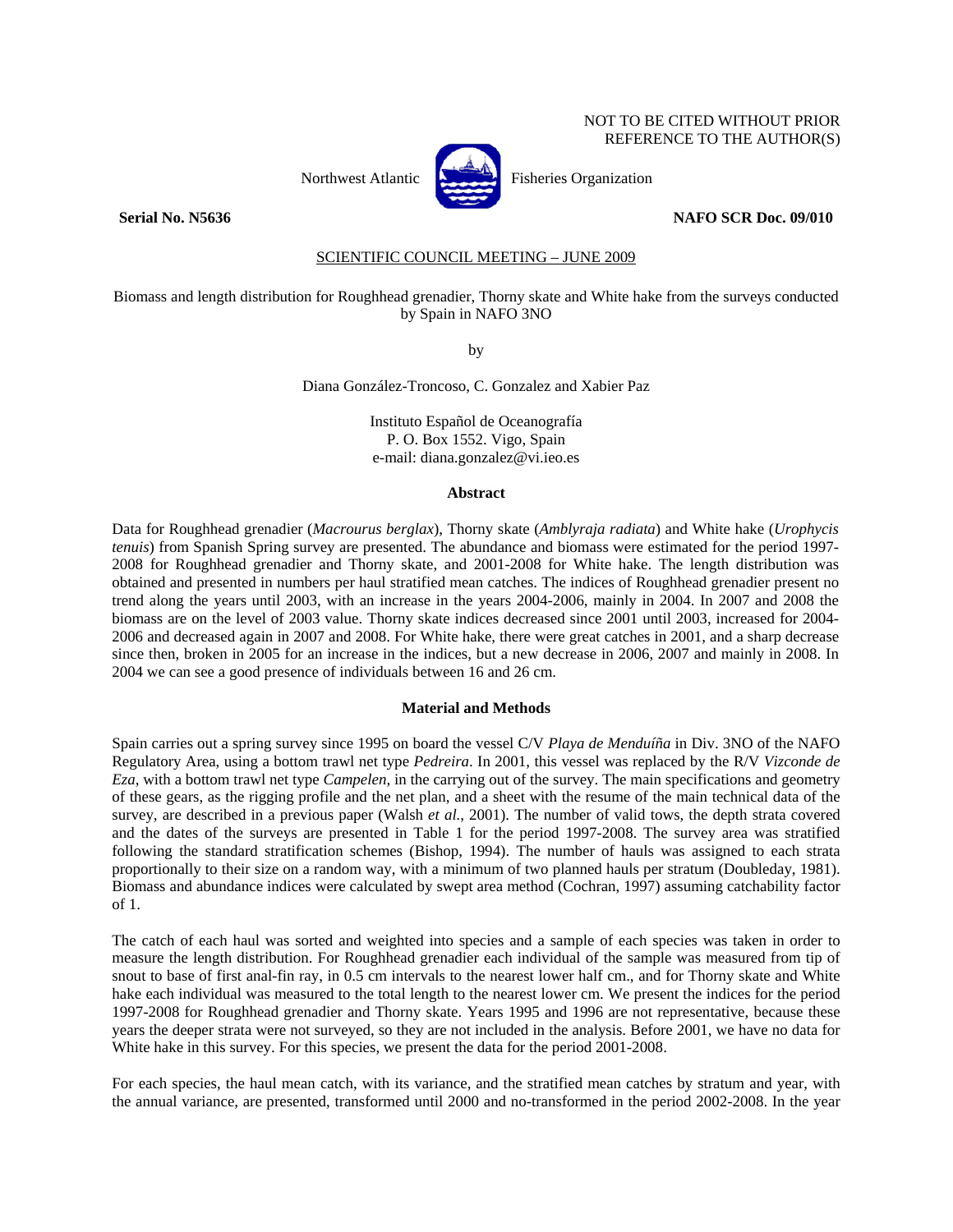# NOT TO BE CITED WITHOUT PRIOR REFERENCE TO THE AUTHOR(S)



Northwest Atlantic **Northusia** Fisheries Organization

#### **Serial No. N5636** NAFO SCR Doc. 09/010

SCIENTIFIC COUNCIL MEETING – JUNE 2009

## Biomass and length distribution for Roughhead grenadier, Thorny skate and White hake from the surveys conducted by Spain in NAFO 3NO

by

Diana González-Troncoso, C. Gonzalez and Xabier Paz

Instituto Español de Oceanografía P. O. Box 1552. Vigo, Spain e-mail: diana.gonzalez@vi.ieo.es

#### **Abstract**

Data for Roughhead grenadier (*Macrourus berglax*), Thorny skate (*Amblyraja radiata*) and White hake (*Urophycis tenuis*) from Spanish Spring survey are presented. The abundance and biomass were estimated for the period 1997- 2008 for Roughhead grenadier and Thorny skate, and 2001-2008 for White hake. The length distribution was obtained and presented in numbers per haul stratified mean catches. The indices of Roughhead grenadier present no trend along the years until 2003, with an increase in the years 2004-2006, mainly in 2004. In 2007 and 2008 the biomass are on the level of 2003 value. Thorny skate indices decreased since 2001 until 2003, increased for 2004- 2006 and decreased again in 2007 and 2008. For White hake, there were great catches in 2001, and a sharp decrease since then, broken in 2005 for an increase in the indices, but a new decrease in 2006, 2007 and mainly in 2008. In 2004 we can see a good presence of individuals between 16 and 26 cm.

#### **Material and Methods**

Spain carries out a spring survey since 1995 on board the vessel C/V *Playa de Menduíña* in Div. 3NO of the NAFO Regulatory Area, using a bottom trawl net type *Pedreira*. In 2001, this vessel was replaced by the R/V *Vizconde de Eza*, with a bottom trawl net type *Campelen*, in the carrying out of the survey. The main specifications and geometry of these gears, as the rigging profile and the net plan, and a sheet with the resume of the main technical data of the survey, are described in a previous paper (Walsh *et al.*, 2001). The number of valid tows, the depth strata covered and the dates of the surveys are presented in Table 1 for the period 1997-2008. The survey area was stratified following the standard stratification schemes (Bishop, 1994). The number of hauls was assigned to each strata proportionally to their size on a random way, with a minimum of two planned hauls per stratum (Doubleday, 1981). Biomass and abundance indices were calculated by swept area method (Cochran, 1997) assuming catchability factor of 1.

The catch of each haul was sorted and weighted into species and a sample of each species was taken in order to measure the length distribution. For Roughhead grenadier each individual of the sample was measured from tip of snout to base of first anal-fin ray, in 0.5 cm intervals to the nearest lower half cm., and for Thorny skate and White hake each individual was measured to the total length to the nearest lower cm. We present the indices for the period 1997-2008 for Roughhead grenadier and Thorny skate. Years 1995 and 1996 are not representative, because these years the deeper strata were not surveyed, so they are not included in the analysis. Before 2001, we have no data for White hake in this survey. For this species, we present the data for the period 2001-2008.

For each species, the haul mean catch, with its variance, and the stratified mean catches by stratum and year, with the annual variance, are presented, transformed until 2000 and no-transformed in the period 2002-2008. In the year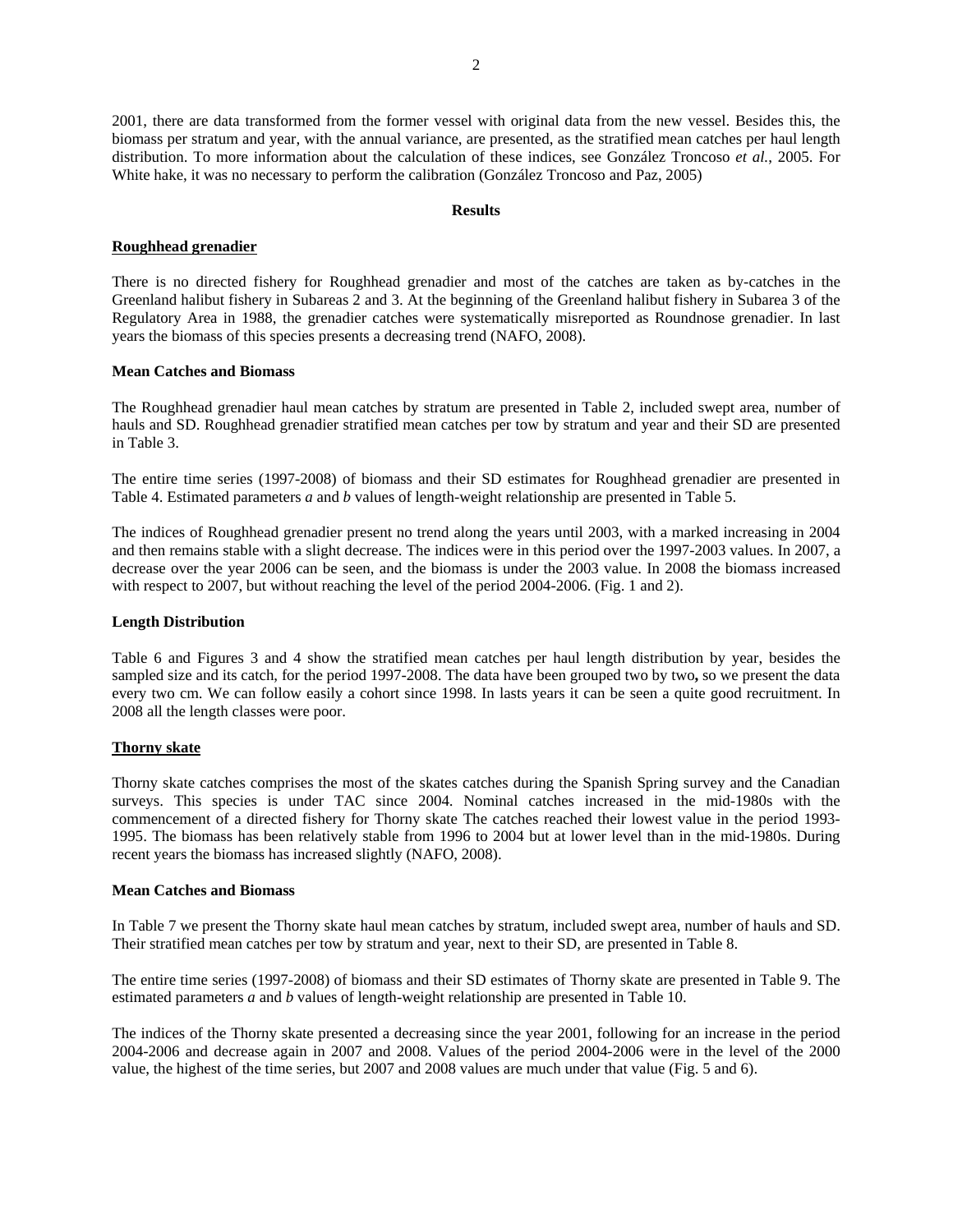2001, there are data transformed from the former vessel with original data from the new vessel. Besides this, the biomass per stratum and year, with the annual variance, are presented, as the stratified mean catches per haul length distribution. To more information about the calculation of these indices, see González Troncoso *et al.*, 2005. For White hake, it was no necessary to perform the calibration (González Troncoso and Paz, 2005)

#### **Results**

## **Roughhead grenadier**

There is no directed fishery for Roughhead grenadier and most of the catches are taken as by-catches in the Greenland halibut fishery in Subareas 2 and 3. At the beginning of the Greenland halibut fishery in Subarea 3 of the Regulatory Area in 1988, the grenadier catches were systematically misreported as Roundnose grenadier. In last years the biomass of this species presents a decreasing trend (NAFO, 2008).

## **Mean Catches and Biomass**

The Roughhead grenadier haul mean catches by stratum are presented in Table 2, included swept area, number of hauls and SD. Roughhead grenadier stratified mean catches per tow by stratum and year and their SD are presented in Table 3.

The entire time series (1997-2008) of biomass and their SD estimates for Roughhead grenadier are presented in Table 4. Estimated parameters *a* and *b* values of length-weight relationship are presented in Table 5.

The indices of Roughhead grenadier present no trend along the years until 2003, with a marked increasing in 2004 and then remains stable with a slight decrease. The indices were in this period over the 1997-2003 values. In 2007, a decrease over the year 2006 can be seen, and the biomass is under the 2003 value. In 2008 the biomass increased with respect to 2007, but without reaching the level of the period 2004-2006. (Fig. 1 and 2).

## **Length Distribution**

Table 6 and Figures 3 and 4 show the stratified mean catches per haul length distribution by year, besides the sampled size and its catch, for the period 1997-2008. The data have been grouped two by two**,** so we present the data every two cm. We can follow easily a cohort since 1998. In lasts years it can be seen a quite good recruitment. In 2008 all the length classes were poor.

## **Thorny skate**

Thorny skate catches comprises the most of the skates catches during the Spanish Spring survey and the Canadian surveys. This species is under TAC since 2004. Nominal catches increased in the mid-1980s with the commencement of a directed fishery for Thorny skate The catches reached their lowest value in the period 1993- 1995. The biomass has been relatively stable from 1996 to 2004 but at lower level than in the mid-1980s. During recent years the biomass has increased slightly (NAFO, 2008).

## **Mean Catches and Biomass**

In Table 7 we present the Thorny skate haul mean catches by stratum, included swept area, number of hauls and SD. Their stratified mean catches per tow by stratum and year, next to their SD, are presented in Table 8.

The entire time series (1997-2008) of biomass and their SD estimates of Thorny skate are presented in Table 9. The estimated parameters *a* and *b* values of length-weight relationship are presented in Table 10.

The indices of the Thorny skate presented a decreasing since the year 2001, following for an increase in the period 2004-2006 and decrease again in 2007 and 2008. Values of the period 2004-2006 were in the level of the 2000 value, the highest of the time series, but 2007 and 2008 values are much under that value (Fig. 5 and 6).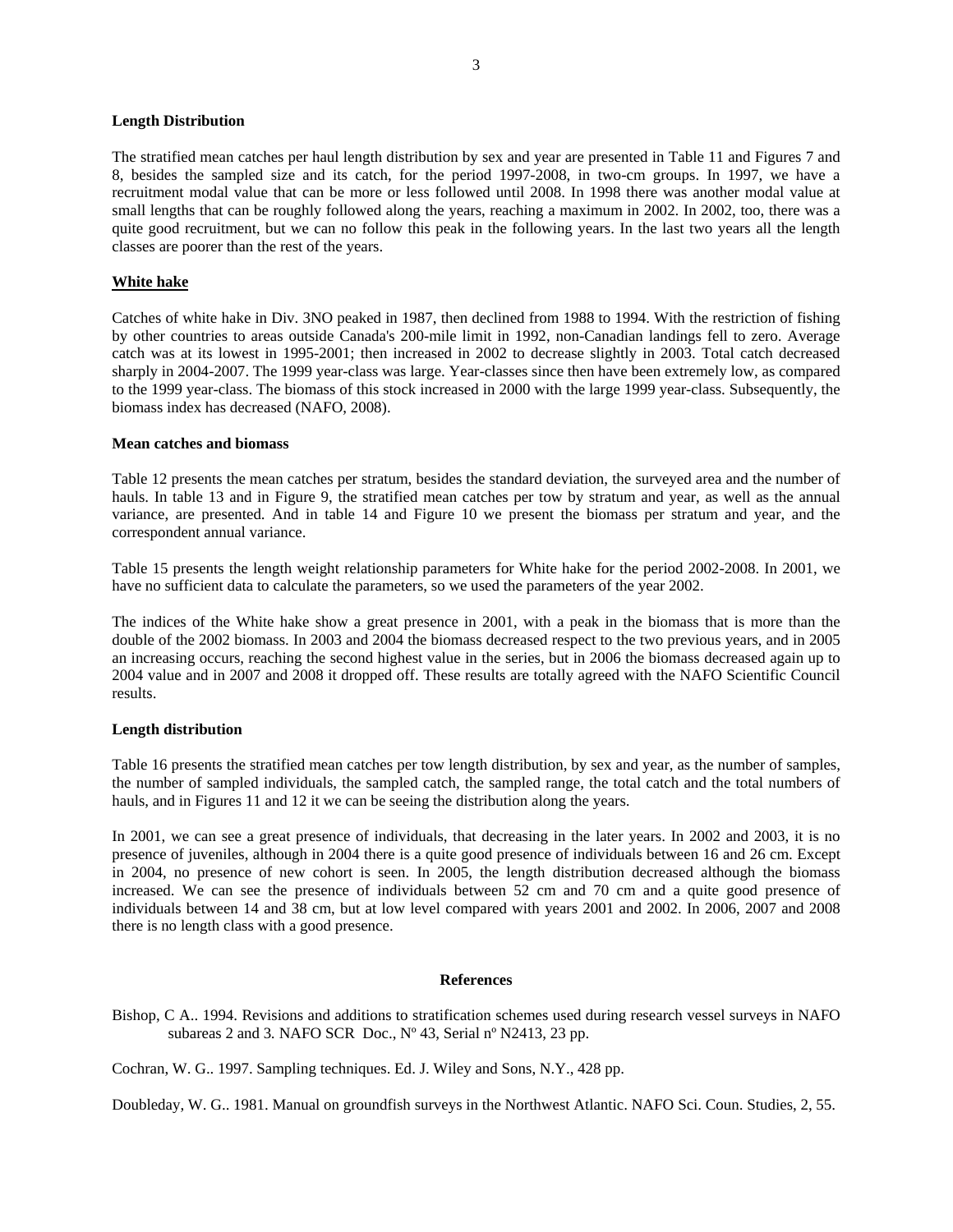## **Length Distribution**

The stratified mean catches per haul length distribution by sex and year are presented in Table 11 and Figures 7 and 8, besides the sampled size and its catch, for the period 1997-2008, in two-cm groups. In 1997, we have a recruitment modal value that can be more or less followed until 2008. In 1998 there was another modal value at small lengths that can be roughly followed along the years, reaching a maximum in 2002. In 2002, too, there was a quite good recruitment, but we can no follow this peak in the following years. In the last two years all the length classes are poorer than the rest of the years.

# **White hake**

Catches of white hake in Div. 3NO peaked in 1987, then declined from 1988 to 1994. With the restriction of fishing by other countries to areas outside Canada's 200-mile limit in 1992, non-Canadian landings fell to zero. Average catch was at its lowest in 1995-2001; then increased in 2002 to decrease slightly in 2003. Total catch decreased sharply in 2004-2007. The 1999 year-class was large. Year-classes since then have been extremely low, as compared to the 1999 year-class. The biomass of this stock increased in 2000 with the large 1999 year-class. Subsequently, the biomass index has decreased (NAFO, 2008).

#### **Mean catches and biomass**

Table 12 presents the mean catches per stratum, besides the standard deviation, the surveyed area and the number of hauls. In table 13 and in Figure 9, the stratified mean catches per tow by stratum and year, as well as the annual variance, are presented. And in table 14 and Figure 10 we present the biomass per stratum and year, and the correspondent annual variance.

Table 15 presents the length weight relationship parameters for White hake for the period 2002-2008. In 2001, we have no sufficient data to calculate the parameters, so we used the parameters of the year 2002.

The indices of the White hake show a great presence in 2001, with a peak in the biomass that is more than the double of the 2002 biomass. In 2003 and 2004 the biomass decreased respect to the two previous years, and in 2005 an increasing occurs, reaching the second highest value in the series, but in 2006 the biomass decreased again up to 2004 value and in 2007 and 2008 it dropped off. These results are totally agreed with the NAFO Scientific Council results.

## **Length distribution**

Table 16 presents the stratified mean catches per tow length distribution, by sex and year, as the number of samples, the number of sampled individuals, the sampled catch, the sampled range, the total catch and the total numbers of hauls, and in Figures 11 and 12 it we can be seeing the distribution along the years.

In 2001, we can see a great presence of individuals, that decreasing in the later years. In 2002 and 2003, it is no presence of juveniles, although in 2004 there is a quite good presence of individuals between 16 and 26 cm. Except in 2004, no presence of new cohort is seen. In 2005, the length distribution decreased although the biomass increased. We can see the presence of individuals between 52 cm and 70 cm and a quite good presence of individuals between 14 and 38 cm, but at low level compared with years 2001 and 2002. In 2006, 2007 and 2008 there is no length class with a good presence.

## **References**

Bishop, C A.. 1994. Revisions and additions to stratification schemes used during research vessel surveys in NAFO subareas 2 and 3*.* NAFO SCR Doc., Nº 43, Serial nº N2413, 23 pp.

Cochran, W. G.. 1997. Sampling techniques. Ed. J. Wiley and Sons, N.Y., 428 pp.

Doubleday, W. G.. 1981. Manual on groundfish surveys in the Northwest Atlantic. NAFO Sci. Coun. Studies, 2, 55.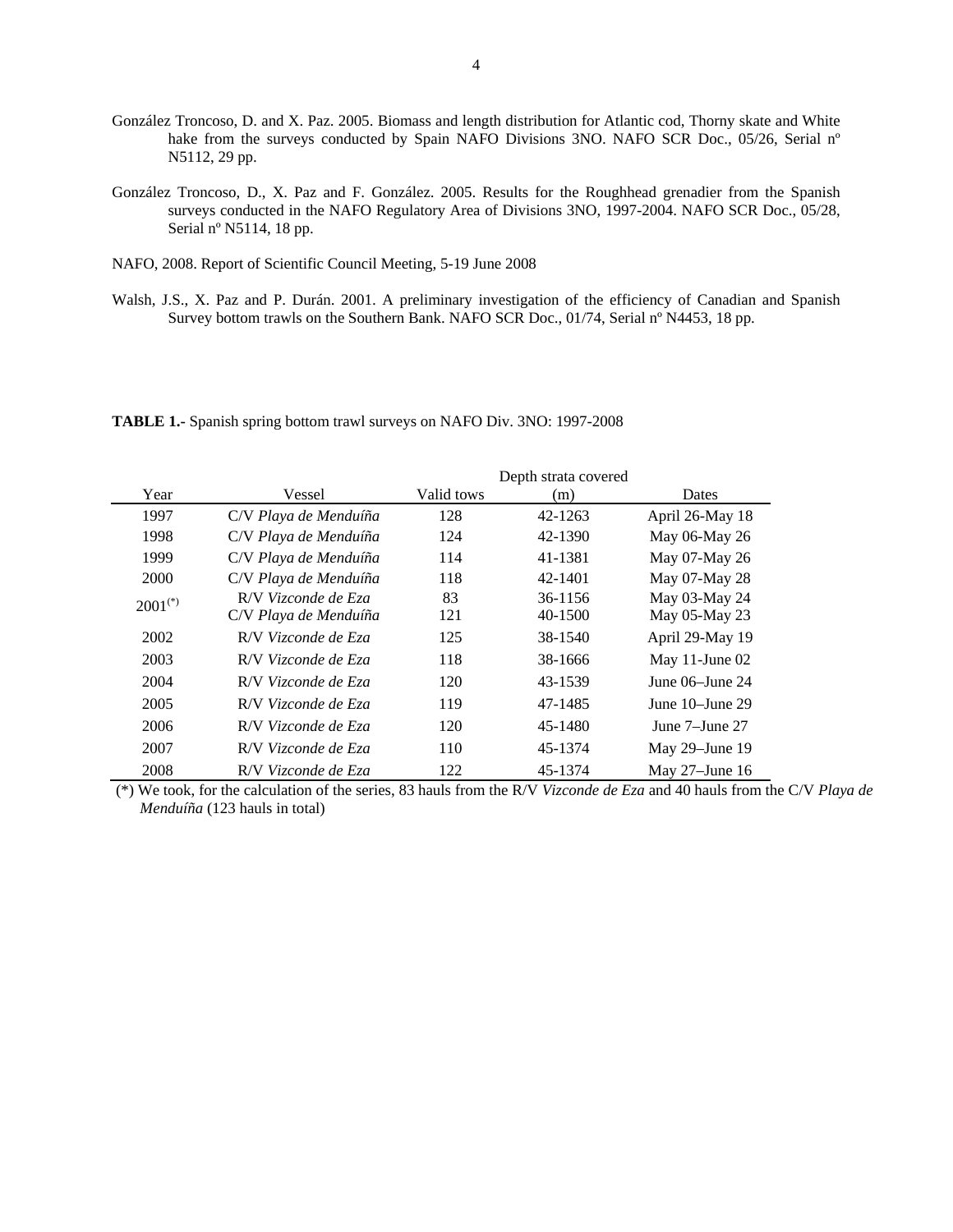- González Troncoso, D. and X. Paz. 2005. Biomass and length distribution for Atlantic cod, Thorny skate and White hake from the surveys conducted by Spain NAFO Divisions 3NO. NAFO SCR Doc., 05/26, Serial n° N5112, 29 pp.
- González Troncoso, D., X. Paz and F. González. 2005. Results for the Roughhead grenadier from the Spanish surveys conducted in the NAFO Regulatory Area of Divisions 3NO, 1997-2004. NAFO SCR Doc., 05/28, Serial nº N5114, 18 pp.
- NAFO, 2008. Report of Scientific Council Meeting, 5-19 June 2008
- Walsh, J.S., X. Paz and P. Durán. 2001. A preliminary investigation of the efficiency of Canadian and Spanish Survey bottom trawls on the Southern Bank. NAFO SCR Doc., 01/74, Serial nº N4453, 18 pp.

**TABLE 1.-** Spanish spring bottom trawl surveys on NAFO Div. 3NO: 1997-2008

|              |                       |            | Depth strata covered |                   |
|--------------|-----------------------|------------|----------------------|-------------------|
| Year         | Vessel                | Valid tows | (m)                  | Dates             |
| 1997         | C/V Playa de Menduíña | 128        | 42-1263              | April 26-May 18   |
| 1998         | C/V Playa de Menduíña | 124        | 42-1390              | May 06-May 26     |
| 1999         | C/V Playa de Menduíña | 114        | 41-1381              | May 07-May 26     |
| 2000         | C/V Playa de Menduíña | 118        | 42-1401              | May 07-May 28     |
| $2001^{(*)}$ | R/V Vizconde de Eza   | 83         | 36-1156              | May 03-May 24     |
|              | C/V Playa de Menduíña | 121        | 40-1500              | May 05-May 23     |
| 2002         | R/V Vizconde de Eza   | 125        | 38-1540              | April 29-May 19   |
| 2003         | R/V Vizconde de Eza   | 118        | 38-1666              | May 11-June $02$  |
| 2004         | R/V Vizconde de Eza   | 120        | 43-1539              | June 06–June 24   |
| 2005         | R/V Vizconde de Eza   | 119        | 47-1485              | June 10–June 29   |
| 2006         | R/V Vizconde de Eza   | 120        | 45-1480              | June 7–June 27    |
| 2007         | R/V Vizconde de Eza   | 110        | 45-1374              | May $29$ –June 19 |
| 2008         | R/V Vizconde de Eza   | 122        | 45-1374              | May $27$ –June 16 |

 (\*) We took, for the calculation of the series, 83 hauls from the R/V *Vizconde de Eza* and 40 hauls from the C/V *Playa de Menduíña* (123 hauls in total)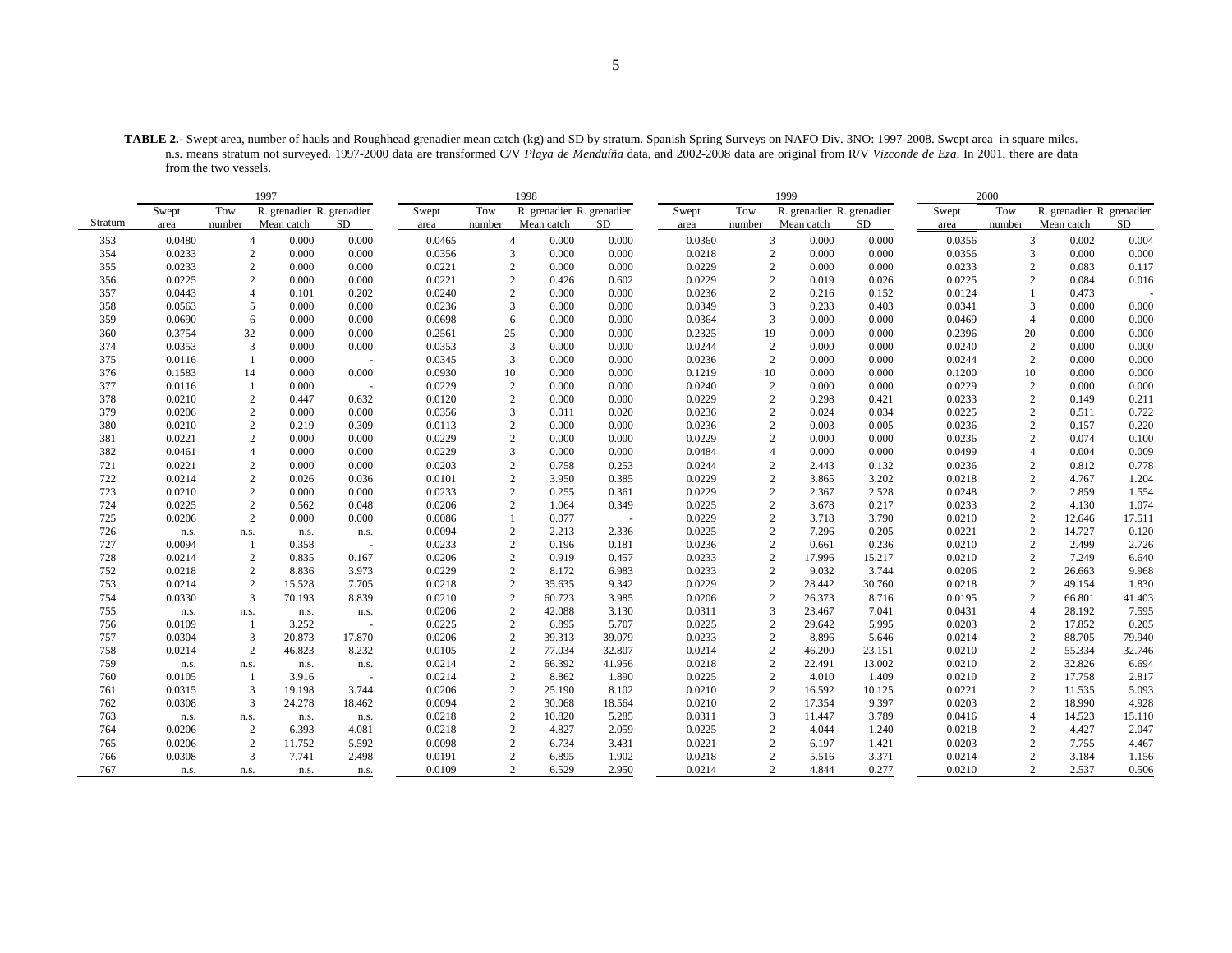**TABLE 2.-** Swept area, number of hauls and Roughhead grenadier mean catch (kg) and SD by stratum. Spanish Spring Surveys on NAFO Div. 3NO: 1997-2008. Swept area in square miles. n.s. means stratum not surveyed. 1997-2000 data are transformed C/V *Playa de Menduíña* data, and 2002-2008 data are original from R/V *Vizconde de Eza*. In 2001, there are data from the two vessels.

|         | 1997   |                |                           |                          |        |                | 1998                      |        |        |                | 1999                      |        |        | 2000           |                           |        |
|---------|--------|----------------|---------------------------|--------------------------|--------|----------------|---------------------------|--------|--------|----------------|---------------------------|--------|--------|----------------|---------------------------|--------|
|         | Swept  | Tow            | R. grenadier R. grenadier |                          | Swept  | Tow            | R. grenadier R. grenadier |        | Swept  | Tow            | R. grenadier R. grenadier |        | Swept  | Tow            | R. grenadier R. grenadier |        |
| Stratum | area   | number         | Mean catch                | SD                       | area   | number         | Mean catch                | SD     | area   | number         | Mean catch                | SD     | area   | number         | Mean catch                | SD     |
| 353     | 0.0480 |                | $\overline{4}$<br>0.000   | 0.000                    | 0.0465 | $\overline{4}$ | 0.000                     | 0.000  | 0.0360 |                | 3<br>0.000                | 0.000  | 0.0356 | 3              | 0.002                     | 0.004  |
| 354     | 0.0233 | 2              | 0.000                     | 0.000                    | 0.0356 | 3              | 0.000                     | 0.000  | 0.0218 |                | 2<br>0.000                | 0.000  | 0.0356 | 3              | 0.000                     | 0.000  |
| 355     | 0.0233 | $\overline{2}$ | 0.000                     | 0.000                    | 0.0221 | $\sqrt{2}$     | 0.000                     | 0.000  | 0.0229 |                | $\mathbf{2}$<br>0.000     | 0.000  | 0.0233 | $\overline{2}$ | 0.083                     | 0.117  |
| 356     | 0.0225 |                | $\overline{c}$<br>0.000   | 0.000                    | 0.0221 | $\mathbf{2}$   | 0.426                     | 0.602  | 0.0229 | $\overline{c}$ | 0.019                     | 0.026  | 0.0225 | $\overline{c}$ | 0.084                     | 0.016  |
| 357     | 0.0443 | $\overline{4}$ | 0.101                     | 0.202                    | 0.0240 | $\mathbf{2}$   | 0.000                     | 0.000  | 0.0236 | $\overline{c}$ | 0.216                     | 0.152  | 0.0124 |                | 0.473                     |        |
| 358     | 0.0563 | 5              | 0.000                     | 0.000                    | 0.0236 | 3              | 0.000                     | 0.000  | 0.0349 | 3              | 0.233                     | 0.403  | 0.0341 | 3              | 0.000                     | 0.000  |
| 359     | 0.0690 | 6              | 0.000                     | 0.000                    | 0.0698 | 6              | 0.000                     | 0.000  | 0.0364 |                | 3<br>0.000                | 0.000  | 0.0469 | $\overline{4}$ | 0.000                     | 0.000  |
| 360     | 0.3754 | 32             | 0.000                     | 0.000                    | 0.2561 | 25             | 0.000                     | 0.000  | 0.2325 | 19             | 0.000                     | 0.000  | 0.2396 | 20             | 0.000                     | 0.000  |
| 374     | 0.0353 | 3              | 0.000                     | 0.000                    | 0.0353 | 3              | 0.000                     | 0.000  | 0.0244 |                | $\mathbf{2}$<br>0.000     | 0.000  | 0.0240 | $\overline{c}$ | 0.000                     | 0.000  |
| 375     | 0.0116 | 1              | 0.000                     |                          | 0.0345 | 3              | 0.000                     | 0.000  | 0.0236 |                | $\overline{2}$<br>0.000   | 0.000  | 0.0244 | $\overline{2}$ | 0.000                     | 0.000  |
| 376     | 0.1583 | 14             | 0.000                     | 0.000                    | 0.0930 | 10             | 0.000                     | 0.000  | 0.1219 | 10             | 0.000                     | 0.000  | 0.1200 | 10             | 0.000                     | 0.000  |
| 377     | 0.0116 |                | 0.000                     | $\overline{\phantom{a}}$ | 0.0229 | 2              | 0.000                     | 0.000  | 0.0240 |                | $\mathbf{2}$<br>0.000     | 0.000  | 0.0229 | $\overline{2}$ | 0.000                     | 0.000  |
| 378     | 0.0210 | 2              | 0.447                     | 0.632                    | 0.0120 | $\mathbf{2}$   | 0.000                     | 0.000  | 0.0229 | $\overline{c}$ | 0.298                     | 0.421  | 0.0233 | $\overline{2}$ | 0.149                     | 0.211  |
| 379     | 0.0206 | 2              | 0.000                     | 0.000                    | 0.0356 | 3              | 0.011                     | 0.020  | 0.0236 |                | 2<br>0.024                | 0.034  | 0.0225 | $\overline{2}$ | 0.511                     | 0.722  |
| 380     | 0.0210 |                | $\overline{c}$<br>0.219   | 0.309                    | 0.0113 | $\overline{c}$ | 0.000                     | 0.000  | 0.0236 |                | 2<br>0.003                | 0.005  | 0.0236 | $\overline{c}$ | 0.157                     | 0.220  |
| 381     | 0.0221 | 2              | 0.000                     | 0.000                    | 0.0229 | 2              | 0.000                     | 0.000  | 0.0229 |                | 2<br>0.000                | 0.000  | 0.0236 | $\overline{2}$ | 0.074                     | 0.100  |
| 382     | 0.0461 | $\overline{4}$ | 0.000                     | 0.000                    | 0.0229 | 3              | 0.000                     | 0.000  | 0.0484 | $\overline{4}$ | 0.000                     | 0.000  | 0.0499 | $\overline{4}$ | 0.004                     | 0.009  |
| 721     | 0.0221 | $\overline{2}$ | 0.000                     | 0.000                    | 0.0203 | 2              | 0.758                     | 0.253  | 0.0244 |                | 2<br>2.443                | 0.132  | 0.0236 | $\overline{2}$ | 0.812                     | 0.778  |
| 722     | 0.0214 | 2              | 0.026                     | 0.036                    | 0.0101 | $\mathbf{2}$   | 3.950                     | 0.385  | 0.0229 |                | $\overline{c}$<br>3.865   | 3.202  | 0.0218 | $\overline{2}$ | 4.767                     | 1.204  |
| 723     | 0.0210 | $\overline{c}$ | 0.000                     | 0.000                    | 0.0233 | $\mathbf{2}$   | 0.255                     | 0.361  | 0.0229 |                | $\mathbf{2}$<br>2.367     | 2.528  | 0.0248 | $\overline{2}$ | 2.859                     | 1.554  |
| 724     | 0.0225 | 2              | 0.562                     | 0.048                    | 0.0206 | $\mathbf{2}$   | 1.064                     | 0.349  | 0.0225 |                | $\mathbf{2}$<br>3.678     | 0.217  | 0.0233 | $\mathbf{2}$   | 4.130                     | 1.074  |
| 725     | 0.0206 | 2              | 0.000                     | 0.000                    | 0.0086 | $\mathbf{1}$   | 0.077                     |        | 0.0229 |                | $\sqrt{2}$<br>3.718       | 3.790  | 0.0210 | $\overline{2}$ | 12.646                    | 17.511 |
| 726     | n.s.   | n.s.           | n.s.                      | n.s.                     | 0.0094 | $\overline{c}$ | 2.213                     | 2.336  | 0.0225 | $\overline{2}$ | 7.296                     | 0.205  | 0.0221 | $\overline{2}$ | 14.727                    | 0.120  |
| 727     | 0.0094 |                | 0.358                     |                          | 0.0233 | 2              | 0.196                     | 0.181  | 0.0236 |                | 2<br>0.661                | 0.236  | 0.0210 | $\overline{c}$ | 2.499                     | 2.726  |
| 728     | 0.0214 | $\overline{2}$ | 0.835                     | 0.167                    | 0.0206 | $\mathbf{2}$   | 0.919                     | 0.457  | 0.0233 |                | $\mathbf{2}$<br>17.996    | 15.217 | 0.0210 | $\overline{c}$ | 7.249                     | 6.640  |
| 752     | 0.0218 |                | $\overline{c}$<br>8.836   | 3.973                    | 0.0229 | $\mathbf{2}$   | 8.172                     | 6.983  | 0.0233 | $\overline{c}$ | 9.032                     | 3.744  | 0.0206 | $\overline{c}$ | 26.663                    | 9.968  |
| 753     | 0.0214 | 2              | 15.528                    | 7.705                    | 0.0218 | $\mathbf{2}$   | 35.635                    | 9.342  | 0.0229 |                | $\mathbf{2}$<br>28.442    | 30.760 | 0.0218 | $\overline{c}$ | 49.154                    | 1.830  |
| 754     | 0.0330 | 3              | 70.193                    | 8.839                    | 0.0210 | $\sqrt{2}$     | 60.723                    | 3.985  | 0.0206 | $\overline{2}$ | 26.373                    | 8.716  | 0.0195 | $\overline{2}$ | 66.801                    | 41.403 |
| 755     | n.s.   | n.s.           | n.s.                      | n.s.                     | 0.0206 | 2              | 42.088                    | 3.130  | 0.0311 | 3              | 23.467                    | 7.041  | 0.0431 | $\overline{4}$ | 28.192                    | 7.595  |
| 756     | 0.0109 |                | 3.252                     |                          | 0.0225 | $\mathbf{2}$   | 6.895                     | 5.707  | 0.0225 |                | $\mathbf{2}$<br>29.642    | 5.995  | 0.0203 | $\overline{c}$ | 17.852                    | 0.205  |
| 757     | 0.0304 | 3              | 20.873                    | 17.870                   | 0.0206 | $\sqrt{2}$     | 39.313                    | 39.079 | 0.0233 | $\overline{c}$ | 8.896                     | 5.646  | 0.0214 | $\overline{c}$ | 88.705                    | 79.940 |
| 758     | 0.0214 | 2              | 46.823                    | 8.232                    | 0.0105 | 2              | 77.034                    | 32.807 | 0.0214 |                | $\overline{2}$<br>46.200  | 23.151 | 0.0210 | $\overline{2}$ | 55.334                    | 32.746 |
| 759     | n.s.   | n.s.           | n.s.                      | n.s.                     | 0.0214 | $\sqrt{2}$     | 66.392                    | 41.956 | 0.0218 |                | $\mathbf{2}$<br>22.491    | 13.002 | 0.0210 | $\overline{2}$ | 32.826                    | 6.694  |
| 760     | 0.0105 |                | 3.916                     | $\ddot{\phantom{1}}$     | 0.0214 | $\mathbf{2}$   | 8.862                     | 1.890  | 0.0225 |                | $\mathbf{2}$<br>4.010     | 1.409  | 0.0210 | $\overline{2}$ | 17.758                    | 2.817  |
| 761     | 0.0315 | 3              | 19.198                    | 3.744                    | 0.0206 | 2              | 25.190                    | 8.102  | 0.0210 |                | $\overline{2}$<br>16.592  | 10.125 | 0.0221 | $\overline{2}$ | 11.535                    | 5.093  |
| 762     | 0.0308 | 3              | 24.278                    | 18.462                   | 0.0094 | $\mathbf{2}$   | 30.068                    | 18.564 | 0.0210 |                | 2<br>17.354               | 9.397  | 0.0203 | $\overline{2}$ | 18.990                    | 4.928  |
| 763     | n.s.   | n.s.           | n.s.                      | n.s.                     | 0.0218 | 2              | 10.820                    | 5.285  | 0.0311 |                | 3<br>11.447               | 3.789  | 0.0416 | $\overline{4}$ | 14.523                    | 15.110 |
| 764     | 0.0206 | 2              | 6.393                     | 4.081                    | 0.0218 | 2              | 4.827                     | 2.059  | 0.0225 |                | 2<br>4.044                | 1.240  | 0.0218 | $\overline{c}$ | 4.427                     | 2.047  |
| 765     | 0.0206 | $\overline{2}$ | 11.752                    | 5.592                    | 0.0098 | 2              | 6.734                     | 3.431  | 0.0221 |                | $\overline{2}$<br>6.197   | 1.421  | 0.0203 | $\overline{2}$ | 7.755                     | 4.467  |
| 766     | 0.0308 | 3              | 7.741                     | 2.498                    | 0.0191 | $\mathfrak{2}$ | 6.895                     | 1.902  | 0.0218 |                | 2<br>5.516                | 3.371  | 0.0214 | $\overline{c}$ | 3.184                     | 1.156  |
| 767     | n.s.   | n.s.           | n.s.                      | n.s.                     | 0.0109 | $\overline{2}$ | 6.529                     | 2.950  | 0.0214 |                | $\overline{2}$<br>4.844   | 0.277  | 0.0210 | $\overline{2}$ | 2.537                     | 0.506  |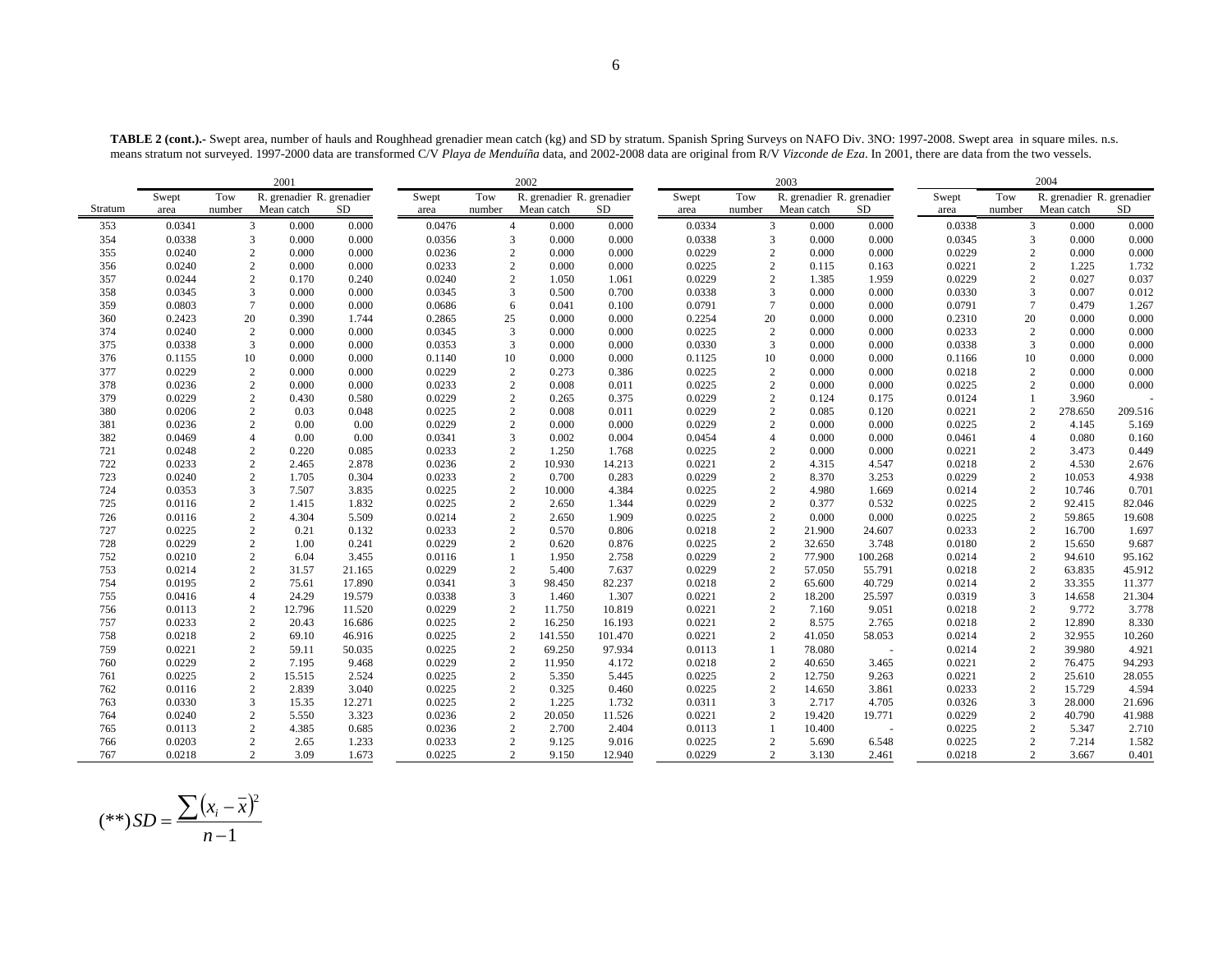**TABLE 2 (cont.).-** Swept area, number of hauls and Roughhead grenadier mean catch (kg) and SD by stratum. Spanish Spring Surveys on NAFO Div. 3NO: 1997-2008. Swept area in square miles. n.s. means stratum not surveyed. 1997-2000 data are transformed C/V *Playa de Menduíña* data, and 2002-2008 data are original from R/V *Vizconde de Eza*. In 2001, there are data from the two vessels.

|         |        |                | 2001                      |        |        |                | 2002                      |           |        |                 | 2003                      |         |        |                 | 2004                      |         |
|---------|--------|----------------|---------------------------|--------|--------|----------------|---------------------------|-----------|--------|-----------------|---------------------------|---------|--------|-----------------|---------------------------|---------|
|         | Swept  | Tow            | R. grenadier R. grenadier |        | Swept  | Tow            | R. grenadier R. grenadier |           | Swept  | Tow             | R. grenadier R. grenadier |         | Swept  | Tow             | R. grenadier R. grenadier |         |
| Stratum | area   | number         | Mean catch                | SD.    | area   | number         | Mean catch                | <b>SD</b> | area   | number          | Mean catch                | SD.     | area   | number          | Mean catch                | SD      |
| 353     | 0.0341 |                | 3 <sup>1</sup><br>0.000   | 0.000  | 0.0476 | $\overline{4}$ | 0.000                     | 0.000     | 0.0334 |                 | 3<br>0.000                | 0.000   | 0.0338 | 3               | 0.000                     | 0.000   |
| 354     | 0.0338 | 3              | 0.000                     | 0.000  | 0.0356 | 3              | 0.000                     | 0.000     | 0.0338 |                 | 3<br>0.000                | 0.000   | 0.0345 | 3               | 0.000                     | 0.000   |
| 355     | 0.0240 | $\overline{2}$ | 0.000                     | 0.000  | 0.0236 | $\overline{c}$ | 0.000                     | 0.000     | 0.0229 |                 | $\overline{2}$<br>0.000   | 0.000   | 0.0229 | $\overline{2}$  | 0.000                     | 0.000   |
| 356     | 0.0240 | 2              | 0.000                     | 0.000  | 0.0233 | $\overline{2}$ | 0.000                     | 0.000     | 0.0225 |                 | 2<br>0.115                | 0.163   | 0.0221 | 2               | 1.225                     | 1.732   |
| 357     | 0.0244 | $\mathbf{2}$   | 0.170                     | 0.240  | 0.0240 | $\overline{c}$ | 1.050                     | 1.061     | 0.0229 |                 | $\overline{2}$<br>1.385   | 1.959   | 0.0229 | 2               | 0.027                     | 0.037   |
| 358     | 0.0345 | 3              | 0.000                     | 0.000  | 0.0345 | 3              | 0.500                     | 0.700     | 0.0338 |                 | 3<br>0.000                | 0.000   | 0.0330 | 3               | 0.007                     | 0.012   |
| 359     | 0.0803 | $\tau$         | 0.000                     | 0.000  | 0.0686 | 6              | 0.041                     | 0.100     | 0.0791 | $7\phantom{.0}$ | 0.000                     | 0.000   | 0.0791 | $7\phantom{.0}$ | 0.479                     | 1.267   |
| 360     | 0.2423 | 20             | 0.390                     | 1.744  | 0.2865 | 25             | 0.000                     | 0.000     | 0.2254 | 20              | 0.000                     | 0.000   | 0.2310 | 20              | 0.000                     | 0.000   |
| 374     | 0.0240 | $\overline{2}$ | 0.000                     | 0.000  | 0.0345 | 3              | 0.000                     | 0.000     | 0.0225 |                 | 2<br>0.000                | 0.000   | 0.0233 | $\overline{c}$  | 0.000                     | 0.000   |
| 375     | 0.0338 | 3              | 0.000                     | 0.000  | 0.0353 | 3              | 0.000                     | 0.000     | 0.0330 |                 | 3<br>0.000                | 0.000   | 0.0338 | 3               | 0.000                     | 0.000   |
| 376     | 0.1155 | 10             | 0.000                     | 0.000  | 0.1140 | 10             | 0.000                     | 0.000     | 0.1125 | 10              | 0.000                     | 0.000   | 0.1166 | 10              | 0.000                     | 0.000   |
| 377     | 0.0229 | $\sqrt{2}$     | 0.000                     | 0.000  | 0.0229 | $\overline{2}$ | 0.273                     | 0.386     | 0.0225 |                 | $\overline{c}$<br>0.000   | 0.000   | 0.0218 | $\overline{c}$  | 0.000                     | 0.000   |
| 378     | 0.0236 | $\sqrt{2}$     | 0.000                     | 0.000  | 0.0233 | $\overline{2}$ | 0.008                     | 0.011     | 0.0225 |                 | $\overline{c}$<br>0.000   | 0.000   | 0.0225 | $\overline{2}$  | 0.000                     | 0.000   |
| 379     | 0.0229 | $\sqrt{2}$     | 0.430                     | 0.580  | 0.0229 | $\sqrt{2}$     | 0.265                     | 0.375     | 0.0229 |                 | $\overline{2}$<br>0.124   | 0.175   | 0.0124 |                 | 3.960                     |         |
| 380     | 0.0206 | 2              | 0.03                      | 0.048  | 0.0225 | $\overline{2}$ | 0.008                     | 0.011     | 0.0229 |                 | $\overline{2}$<br>0.085   | 0.120   | 0.0221 | $\overline{c}$  | 278.650                   | 209.516 |
| 381     | 0.0236 | $\overline{c}$ | 0.00                      | 0.00   | 0.0229 | $\overline{2}$ | 0.000                     | 0.000     | 0.0229 |                 | $\overline{2}$<br>0.000   | 0.000   | 0.0225 | $\overline{2}$  | 4.145                     | 5.169   |
| 382     | 0.0469 | $\overline{4}$ | 0.00                      | 0.00   | 0.0341 | 3              | 0.002                     | 0.004     | 0.0454 | $\overline{4}$  | 0.000                     | 0.000   | 0.0461 | $\overline{A}$  | 0.080                     | 0.160   |
| 721     | 0.0248 | $\mathbf{2}$   | 0.220                     | 0.085  | 0.0233 | $\overline{2}$ | 1.250                     | 1.768     | 0.0225 |                 | $\overline{2}$<br>0.000   | 0.000   | 0.0221 | $\overline{2}$  | 3.473                     | 0.449   |
| 722     | 0.0233 | $\sqrt{2}$     | 2.465                     | 2.878  | 0.0236 | $\overline{c}$ | 10.930                    | 14.213    | 0.0221 |                 | $\overline{c}$<br>4.315   | 4.547   | 0.0218 | $\overline{c}$  | 4.530                     | 2.676   |
| 723     | 0.0240 | $\mathbf{2}$   | 1.705                     | 0.304  | 0.0233 | $\overline{2}$ | 0.700                     | 0.283     | 0.0229 |                 | $\overline{2}$<br>8.370   | 3.253   | 0.0229 | $\overline{2}$  | 10.053                    | 4.938   |
| 724     | 0.0353 | 3              | 7.507                     | 3.835  | 0.0225 | $\overline{c}$ | 10.000                    | 4.384     | 0.0225 |                 | $\overline{2}$<br>4.980   | 1.669   | 0.0214 | 2               | 10.746                    | 0.701   |
| 725     | 0.0116 | $\mathbf{2}$   | 1.415                     | 1.832  | 0.0225 | $\overline{c}$ | 2.650                     | 1.344     | 0.0229 |                 | 2<br>0.377                | 0.532   | 0.0225 | 2               | 92.415                    | 82.046  |
| 726     | 0.0116 | $\mathbf{2}$   | 4.304                     | 5.509  | 0.0214 | $\overline{2}$ | 2.650                     | 1.909     | 0.0225 |                 | $\overline{c}$<br>0.000   | 0.000   | 0.0225 | $\overline{2}$  | 59.865                    | 19.608  |
| 727     | 0.0225 | 2              | 0.21                      | 0.132  | 0.0233 | $\overline{2}$ | 0.570                     | 0.806     | 0.0218 |                 | $\overline{2}$<br>21.900  | 24.607  | 0.0233 | $\overline{c}$  | 16.700                    | 1.697   |
| 728     | 0.0229 | $\overline{c}$ | 1.00                      | 0.241  | 0.0229 | $\overline{2}$ | 0.620                     | 0.876     | 0.0225 |                 | 2<br>32.650               | 3.748   | 0.0180 | 2               | 15.650                    | 9.687   |
| 752     | 0.0210 | $\mathbf{2}$   | 6.04                      | 3.455  | 0.0116 | $\mathbf{1}$   | 1.950                     | 2.758     | 0.0229 |                 | 2<br>77.900               | 100.268 | 0.0214 | $\overline{2}$  | 94.610                    | 95.162  |
| 753     | 0.0214 | $\sqrt{2}$     | 31.57                     | 21.165 | 0.0229 | $\overline{2}$ | 5.400                     | 7.637     | 0.0229 |                 | $\overline{c}$<br>57.050  | 55.791  | 0.0218 | $\overline{2}$  | 63.835                    | 45.912  |
| 754     | 0.0195 | $\overline{2}$ | 75.61                     | 17.890 | 0.0341 | 3              | 98.450                    | 82.237    | 0.0218 |                 | $\overline{c}$<br>65.600  | 40.729  | 0.0214 | $\overline{2}$  | 33.355                    | 11.377  |
| 755     | 0.0416 | $\overline{4}$ | 24.29                     | 19.579 | 0.0338 | 3              | 1.460                     | 1.307     | 0.0221 |                 | 2<br>18.200               | 25.597  | 0.0319 | $\overline{3}$  | 14.658                    | 21.304  |
| 756     | 0.0113 | $\sqrt{2}$     | 12.796                    | 11.520 | 0.0229 | $\overline{2}$ | 11.750                    | 10.819    | 0.0221 |                 | $\overline{2}$<br>7.160   | 9.051   | 0.0218 | $\overline{c}$  | 9.772                     | 3.778   |
| 757     | 0.0233 | $\sqrt{2}$     | 20.43                     | 16.686 | 0.0225 | $\overline{2}$ | 16.250                    | 16.193    | 0.0221 |                 | $\overline{2}$<br>8.575   | 2.765   | 0.0218 | $\overline{2}$  | 12.890                    | 8.330   |
| 758     | 0.0218 | $\sqrt{2}$     | 69.10                     | 46.916 | 0.0225 | $\overline{2}$ | 141.550                   | 101.470   | 0.0221 |                 | 2<br>41.050               | 58.053  | 0.0214 | $\overline{c}$  | 32.955                    | 10.260  |
| 759     | 0.0221 | $\overline{c}$ | 59.11                     | 50.035 | 0.0225 | $\overline{2}$ | 69.250                    | 97.934    | 0.0113 | $\mathbf{1}$    | 78.080                    | $\sim$  | 0.0214 | $\overline{2}$  | 39.980                    | 4.921   |
| 760     | 0.0229 | $\sqrt{2}$     | 7.195                     | 9.468  | 0.0229 | $\sqrt{2}$     | 11.950                    | 4.172     | 0.0218 |                 | $\overline{c}$<br>40.650  | 3.465   | 0.0221 | $\overline{2}$  | 76.475                    | 94.293  |
| 761     | 0.0225 | $\overline{c}$ | 15.515                    | 2.524  | 0.0225 | $\overline{2}$ | 5.350                     | 5.445     | 0.0225 |                 | 2<br>12.750               | 9.263   | 0.0221 | $\overline{c}$  | 25.610                    | 28.055  |
| 762     | 0.0116 | $\mathbf{2}$   | 2.839                     | 3.040  | 0.0225 | $\overline{2}$ | 0.325                     | 0.460     | 0.0225 |                 | 2<br>14.650               | 3.861   | 0.0233 | 2               | 15.729                    | 4.594   |
| 763     | 0.0330 | 3              | 15.35                     | 12.271 | 0.0225 | $\overline{c}$ | 1.225                     | 1.732     | 0.0311 |                 | 3<br>2.717                | 4.705   | 0.0326 | 3               | 28.000                    | 21.696  |
| 764     | 0.0240 | $\mathbf{2}$   | 5.550                     | 3.323  | 0.0236 | $\overline{2}$ | 20.050                    | 11.526    | 0.0221 |                 | 2<br>19.420               | 19.771  | 0.0229 | 2               | 40.790                    | 41.988  |
| 765     | 0.0113 | $\mathbf{2}$   | 4.385                     | 0.685  | 0.0236 | $\overline{2}$ | 2.700                     | 2.404     | 0.0113 |                 | 1<br>10.400               | $\sim$  | 0.0225 | $\overline{c}$  | 5.347                     | 2.710   |
| 766     | 0.0203 | $\mathbf{2}$   | 2.65                      | 1.233  | 0.0233 | $\overline{c}$ | 9.125                     | 9.016     | 0.0225 |                 | $\overline{2}$<br>5.690   | 6.548   | 0.0225 | $\overline{2}$  | 7.214                     | 1.582   |
| 767     | 0.0218 | $\overline{2}$ | 3.09                      | 1.673  | 0.0225 | $\overline{2}$ | 9.150                     | 12.940    | 0.0229 |                 | $\overline{2}$<br>3.130   | 2.461   | 0.0218 | $\overline{2}$  | 3.667                     | 0.401   |

$$
(**) SD = \frac{\sum (x_i - \bar{x})^2}{n - 1}
$$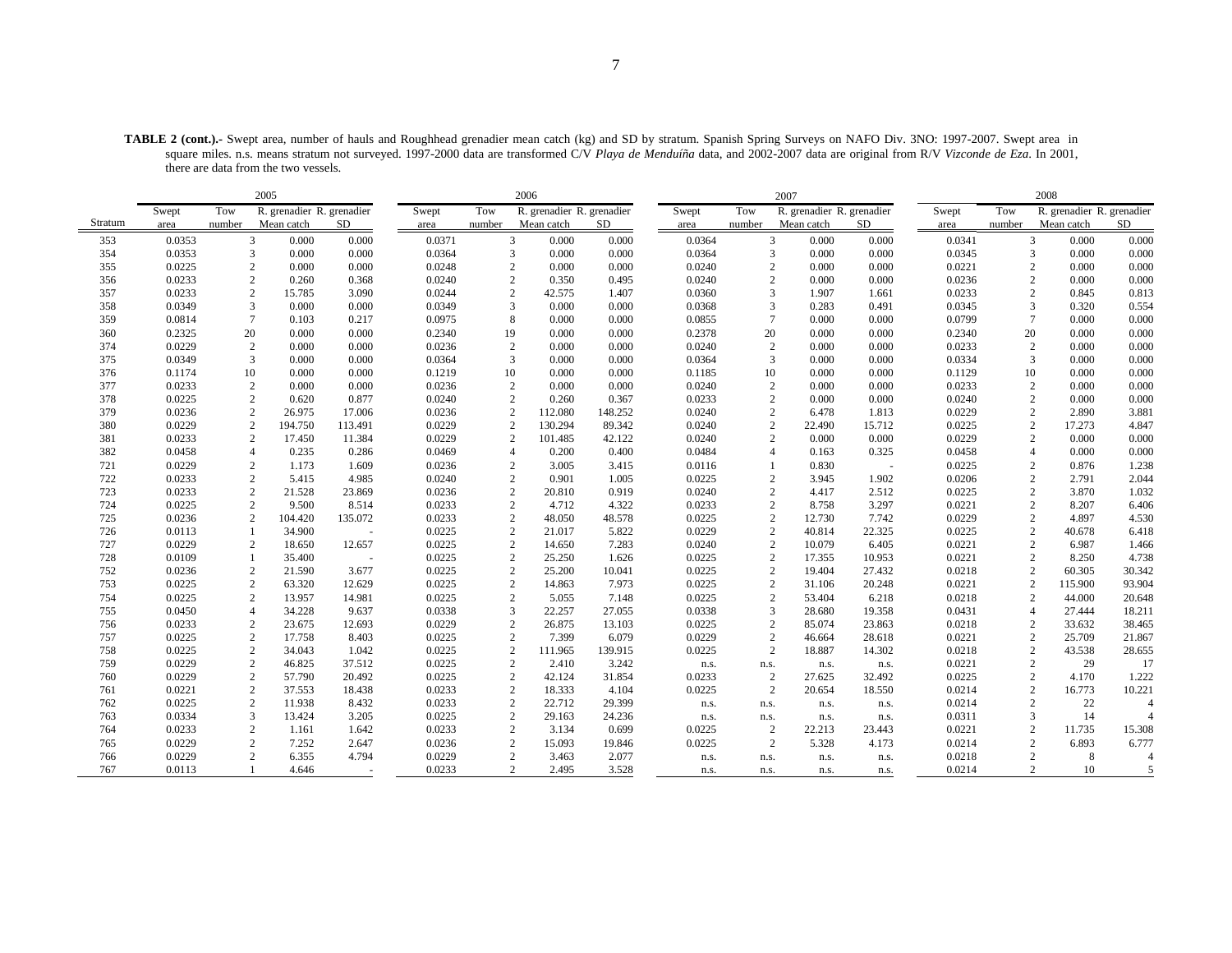**TABLE 2 (cont.).-** Swept area, number of hauls and Roughhead grenadier mean catch (kg) and SD by stratum. Spanish Spring Surveys on NAFO Div. 3NO: 1997-2007. Swept area in square miles. n.s. means stratum not surveyed. 1997-2000 data are transformed C/V *Playa de Menduíña* data, and 2002-2007 data are original from R/V *Vizconde de Eza*. In 2001, there are data from the two vessels.

|         |        |                | 2005                      |         |        |                | 2006                      |           |        |                | 2007                      |        |        |                | 2008                      |                |
|---------|--------|----------------|---------------------------|---------|--------|----------------|---------------------------|-----------|--------|----------------|---------------------------|--------|--------|----------------|---------------------------|----------------|
|         | Swept  | Tow            | R. grenadier R. grenadier |         | Swept  | Tow            | R. grenadier R. grenadier |           | Swept  | Tow            | R. grenadier R. grenadier |        | Swept  | Tow            | R. grenadier R. grenadier |                |
| Stratum | area   | number         | Mean catch                | SD      | area   | number         | Mean catch                | <b>SD</b> | area   | number         | Mean catch                | SD     | area   | number         | Mean catch                | SD             |
| 353     | 0.0353 |                | $\overline{3}$<br>0.000   | 0.000   | 0.0371 |                | $\mathfrak{Z}$<br>0.000   | 0.000     | 0.0364 |                | 3<br>0.000                | 0.000  | 0.0341 | 3              | 0.000                     | 0.000          |
| 354     | 0.0353 |                | 3<br>0.000                | 0.000   | 0.0364 |                | 3<br>0.000                | 0.000     | 0.0364 | 3              | 0.000                     | 0.000  | 0.0345 | 3              | 0.000                     | 0.000          |
| 355     | 0.0225 |                | $\overline{c}$<br>0.000   | 0.000   | 0.0248 |                | $\overline{c}$<br>0.000   | 0.000     | 0.0240 | 2              | 0.000                     | 0.000  | 0.0221 | $\overline{2}$ | 0.000                     | 0.000          |
| 356     | 0.0233 |                | $\overline{2}$<br>0.260   | 0.368   | 0.0240 | 2              | 0.350                     | 0.495     | 0.0240 | $\mathfrak{D}$ | 0.000                     | 0.000  | 0.0236 | 2              | 0.000                     | 0.000          |
| 357     | 0.0233 |                | $\overline{c}$<br>15.785  | 3.090   | 0.0244 | $\mathbf{2}$   | 42.575                    | 1.407     | 0.0360 | 3              | 1.907                     | 1.661  | 0.0233 | $\overline{c}$ | 0.845                     | 0.813          |
| 358     | 0.0349 |                | 3<br>0.000                | 0.000   | 0.0349 | 3              | 0.000                     | 0.000     | 0.0368 | 3              | 0.283                     | 0.491  | 0.0345 | 3              | 0.320                     | 0.554          |
| 359     | 0.0814 |                | $\overline{7}$<br>0.103   | 0.217   | 0.0975 | 8              | 0.000                     | 0.000     | 0.0855 | $\overline{7}$ | 0.000                     | 0.000  | 0.0799 | $\overline{7}$ | 0.000                     | 0.000          |
| 360     | 0.2325 | 20             | 0.000                     | 0.000   | 0.2340 | 19             | 0.000                     | 0.000     | 0.2378 | 20             | 0.000                     | 0.000  | 0.2340 | 20             | 0.000                     | 0.000          |
| 374     | 0.0229 |                | $\overline{2}$<br>0.000   | 0.000   | 0.0236 | $\mathbf{2}$   | 0.000                     | 0.000     | 0.0240 | 2              | 0.000                     | 0.000  | 0.0233 | 2              | 0.000                     | 0.000          |
| 375     | 0.0349 |                | 3<br>0.000                | 0.000   | 0.0364 | 3              | 0.000                     | 0.000     | 0.0364 | 3              | 0.000                     | 0.000  | 0.0334 | 3              | 0.000                     | 0.000          |
| 376     | 0.1174 | 10             | 0.000                     | 0.000   | 0.1219 | 10             | 0.000                     | 0.000     | 0.1185 | 10             | 0.000                     | 0.000  | 0.1129 | 10             | 0.000                     | 0.000          |
| 377     | 0.0233 |                | 2<br>0.000                | 0.000   | 0.0236 | 2              | 0.000                     | 0.000     | 0.0240 | 2              | 0.000                     | 0.000  | 0.0233 | 2              | 0.000                     | 0.000          |
| 378     | 0.0225 |                | $\sqrt{2}$<br>0.620       | 0.877   | 0.0240 | $\mathbf{2}$   | 0.260                     | 0.367     | 0.0233 | $\overline{c}$ | 0.000                     | 0.000  | 0.0240 | $\overline{c}$ | 0.000                     | 0.000          |
| 379     | 0.0236 |                | $\mathbf{2}$<br>26.975    | 17.006  | 0.0236 | 2              | 112.080                   | 148.252   | 0.0240 | $\overline{c}$ | 6.478                     | 1.813  | 0.0229 | $\overline{c}$ | 2.890                     | 3.881          |
| 380     | 0.0229 |                | 2<br>194.750              | 113.491 | 0.0229 | 2              | 130.294                   | 89.342    | 0.0240 | 2              | 22.490                    | 15.712 | 0.0225 | 2              | 17.273                    | 4.847          |
| 381     | 0.0233 |                | $\mathbf{2}$<br>17.450    | 11.384  | 0.0229 | $\mathbf{2}$   | 101.485                   | 42.122    | 0.0240 | $\overline{2}$ | 0.000                     | 0.000  | 0.0229 | $\overline{c}$ | 0.000                     | 0.000          |
| 382     | 0.0458 | $\overline{4}$ | 0.235                     | 0.286   | 0.0469 |                | $\overline{4}$<br>0.200   | 0.400     | 0.0484 | $\overline{4}$ | 0.163                     | 0.325  | 0.0458 | $\overline{4}$ | 0.000                     | 0.000          |
| 721     | 0.0229 |                | 2<br>1.173                | 1.609   | 0.0236 | 2              | 3.005                     | 3.415     | 0.0116 |                | 0.830                     |        | 0.0225 | 2              | 0.876                     | 1.238          |
| 722     | 0.0233 |                | $\mathbf{2}$<br>5.415     | 4.985   | 0.0240 | $\mathbf{2}$   | 0.901                     | 1.005     | 0.0225 | $\mathbf{2}$   | 3.945                     | 1.902  | 0.0206 | $\sqrt{2}$     | 2.791                     | 2.044          |
| 723     | 0.0233 |                | 2<br>21.528               | 23.869  | 0.0236 | 2              | 20.810                    | 0.919     | 0.0240 | $\overline{2}$ | 4.417                     | 2.512  | 0.0225 | 2              | 3.870                     | 1.032          |
| 724     | 0.0225 |                | $\overline{2}$<br>9.500   | 8.514   | 0.0233 | $\mathbf{2}$   | 4.712                     | 4.322     | 0.0233 | 2              | 8.758                     | 3.297  | 0.0221 | 2              | 8.207                     | 6.406          |
| 725     | 0.0236 |                | $\mathbf{2}$<br>104.420   | 135.072 | 0.0233 | $\sqrt{2}$     | 48.050                    | 48.578    | 0.0225 | $\sqrt{2}$     | 12.730                    | 7.742  | 0.0229 | $\sqrt{2}$     | 4.897                     | 4.530          |
| 726     | 0.0113 | -1             | 34.900                    | $\sim$  | 0.0225 | $\mathbf{2}$   | 21.017                    | 5.822     | 0.0229 | $\overline{2}$ | 40.814                    | 22.325 | 0.0225 | $\overline{c}$ | 40.678                    | 6.418          |
| 727     | 0.0229 |                | 2<br>18.650               | 12.657  | 0.0225 | 2              | 14.650                    | 7.283     | 0.0240 | 2              | 10.079                    | 6.405  | 0.0221 | 2              | 6.987                     | 1.466          |
| 728     | 0.0109 |                | 35.400                    | ÷.      | 0.0225 | $\mathbf{2}$   | 25.250                    | 1.626     | 0.0225 | $\mathbf{2}$   | 17.355                    | 10.953 | 0.0221 | $\overline{c}$ | 8.250                     | 4.738          |
| 752     | 0.0236 |                | 2<br>21.590               | 3.677   | 0.0225 | 2              | 25.200                    | 10.041    | 0.0225 | 2              | 19.404                    | 27.432 | 0.0218 | 2              | 60.305                    | 30.342         |
| 753     | 0.0225 |                | 2<br>63.320               | 12.629  | 0.0225 | 2              | 14.863                    | 7.973     | 0.0225 | 2              | 31.106                    | 20.248 | 0.0221 | 2              | 115.900                   | 93.904         |
| 754     | 0.0225 |                | $\overline{c}$<br>13.957  | 14.981  | 0.0225 | $\mathbf{2}$   | 5.055                     | 7.148     | 0.0225 | $\mathbf{2}$   | 53.404                    | 6.218  | 0.0218 | $\overline{c}$ | 44.000                    | 20.648         |
| 755     | 0.0450 | $\overline{4}$ | 34.228                    | 9.637   | 0.0338 | 3              | 22.257                    | 27.055    | 0.0338 | 3              | 28.680                    | 19.358 | 0.0431 | $\overline{4}$ | 27.444                    | 18.211         |
| 756     | 0.0233 |                | 2<br>23.675               | 12.693  | 0.0229 | $\mathbf{2}$   | 26.875                    | 13.103    | 0.0225 | $\mathbf{2}$   | 85.074                    | 23.863 | 0.0218 | $\overline{c}$ | 33.632                    | 38.465         |
| 757     | 0.0225 |                | $\mathbf{2}$<br>17.758    | 8.403   | 0.0225 | $\mathbf{2}$   | 7.399                     | 6.079     | 0.0229 | $\overline{c}$ | 46.664                    | 28.618 | 0.0221 | $\overline{c}$ | 25.709                    | 21.867         |
| 758     | 0.0225 |                | $\overline{2}$<br>34.043  | 1.042   | 0.0225 | 2              | 111.965                   | 139.915   | 0.0225 | 2              | 18.887                    | 14.302 | 0.0218 | 2              | 43.538                    | 28.655         |
| 759     | 0.0229 |                | $\overline{c}$<br>46.825  | 37.512  | 0.0225 | 2              | 2.410                     | 3.242     | n.s.   | n.s.           | n.s.                      | n.s.   | 0.0221 | $\overline{c}$ | 29                        | 17             |
| 760     | 0.0229 |                | $\overline{c}$<br>57.790  | 20.492  | 0.0225 | $\overline{c}$ | 42.124                    | 31.854    | 0.0233 | $\overline{c}$ | 27.625                    | 32.492 | 0.0225 | $\sqrt{2}$     | 4.170                     | 1.222          |
| 761     | 0.0221 |                | $\overline{2}$<br>37.553  | 18.438  | 0.0233 | 2              | 18.333                    | 4.104     | 0.0225 | 2              | 20.654                    | 18.550 | 0.0214 | 2              | 16.773                    | 10.221         |
| 762     | 0.0225 |                | $\overline{2}$<br>11.938  | 8.432   | 0.0233 | $\sqrt{2}$     | 22.712                    | 29.399    | n.s.   | n.s.           | n.s.                      | n.s.   | 0.0214 | 2              | 22                        | $\overline{4}$ |
| 763     | 0.0334 |                | $\overline{3}$<br>13.424  | 3.205   | 0.0225 | $\mathbf{2}$   | 29.163                    | 24.236    | n.s.   | n.s.           | n.s.                      | n.s.   | 0.0311 | 3              | 14                        |                |
| 764     | 0.0233 |                | $\overline{2}$<br>1.161   | 1.642   | 0.0233 | $\mathbf{2}$   | 3.134                     | 0.699     | 0.0225 | $\overline{c}$ | 22.213                    | 23.443 | 0.0221 | $\sqrt{2}$     | 11.735                    | 15.308         |
| 765     | 0.0229 |                | $\mathbf{2}$<br>7.252     | 2.647   | 0.0236 | $\mathbf{2}$   | 15.093                    | 19.846    | 0.0225 | 2              | 5.328                     | 4.173  | 0.0214 | 2              | 6.893                     | 6.777          |
| 766     | 0.0229 |                | $\overline{2}$<br>6.355   | 4.794   | 0.0229 |                | $\overline{c}$<br>3.463   | 2.077     | n.s.   | n.s.           | n.s.                      | n.s.   | 0.0218 | $\overline{2}$ | 8                         | $\overline{4}$ |
| 767     | 0.0113 |                | 4.646                     |         | 0.0233 |                | $\overline{2}$<br>2.495   | 3.528     | n.s.   | n.s.           | n.s.                      | n.s.   | 0.0214 | 2              | 10                        | 5              |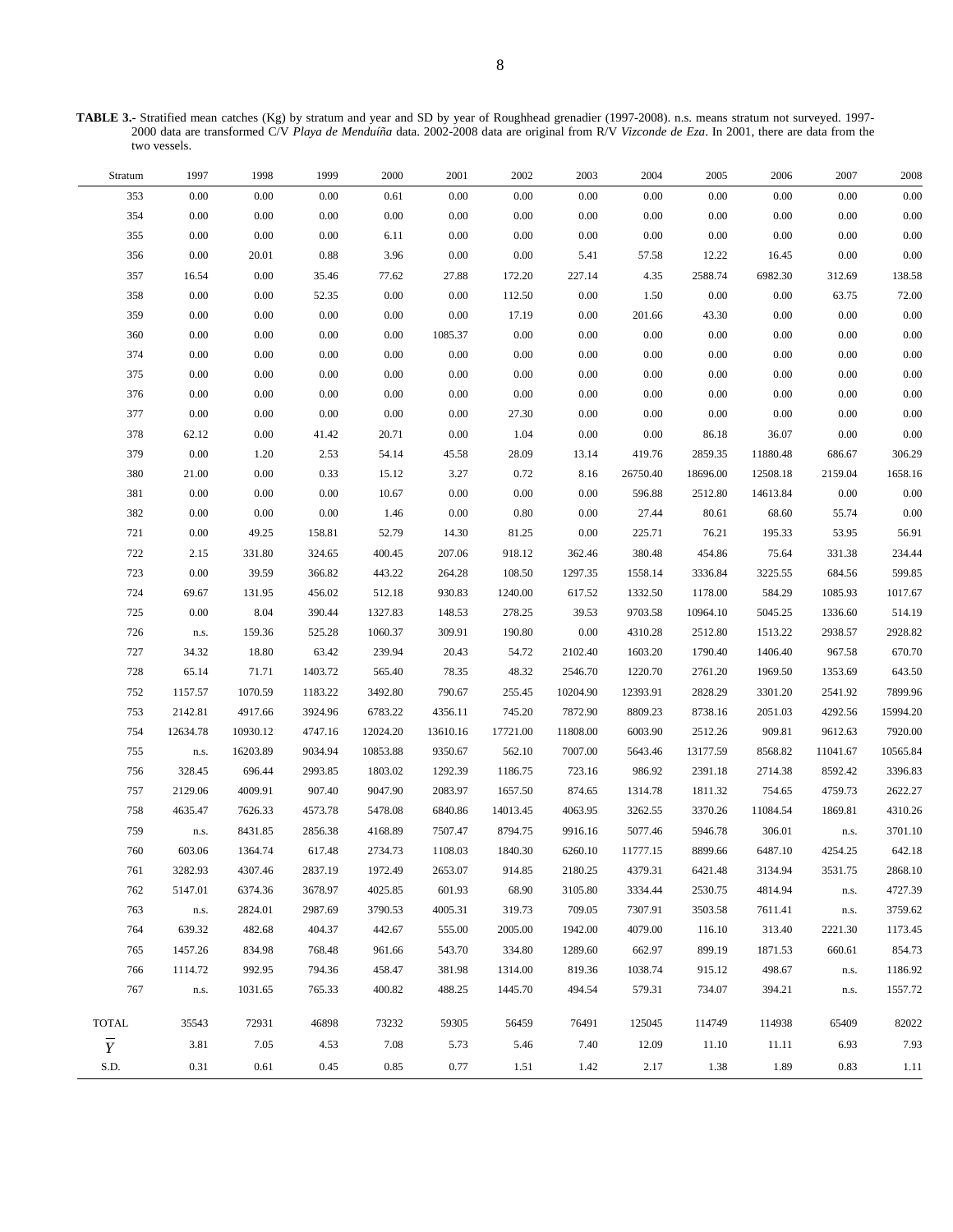**TABLE 3.-** Stratified mean catches (Kg) by stratum and year and SD by year of Roughhead grenadier (1997-2008). n.s. means stratum not surveyed. 1997- 2000 data are transformed C/V *Playa de Menduíña* data. 2002-2008 data are original from R/V *Vizconde de Eza*. In 2001, there are data from the two vessels.

| Stratum        | 1997     | 1998     | 1999     | $2000\,$ | 2001     | 2002     | 2003     | 2004     | 2005     | 2006     | 2007     | 2008     |
|----------------|----------|----------|----------|----------|----------|----------|----------|----------|----------|----------|----------|----------|
| 353            | 0.00     | 0.00     | 0.00     | 0.61     | 0.00     | 0.00     | $0.00\,$ | $0.00\,$ | 0.00     | 0.00     | 0.00     | 0.00     |
| 354            | 0.00     | 0.00     | $0.00\,$ | $0.00\,$ | 0.00     | 0.00     | $0.00\,$ | $0.00\,$ | 0.00     | $0.00\,$ | 0.00     | 0.00     |
| 355            | 0.00     | 0.00     | $0.00\,$ | 6.11     | 0.00     | 0.00     | $0.00\,$ | $0.00\,$ | 0.00     | $0.00\,$ | 0.00     | 0.00     |
| 356            | 0.00     | 20.01    | $0.88\,$ | 3.96     | 0.00     | 0.00     | 5.41     | 57.58    | 12.22    | 16.45    | 0.00     | 0.00     |
| 357            | 16.54    | 0.00     | 35.46    | 77.62    | 27.88    | 172.20   | 227.14   | 4.35     | 2588.74  | 6982.30  | 312.69   | 138.58   |
| 358            | 0.00     | 0.00     | 52.35    | 0.00     | 0.00     | 112.50   | $0.00\,$ | 1.50     | 0.00     | $0.00\,$ | 63.75    | 72.00    |
| 359            | 0.00     | 0.00     | $0.00\,$ | $0.00\,$ | 0.00     | 17.19    | $0.00\,$ | 201.66   | 43.30    | $0.00\,$ | 0.00     | 0.00     |
| 360            | 0.00     | 0.00     | $0.00\,$ | 0.00     | 1085.37  | 0.00     | $0.00\,$ | $0.00\,$ | 0.00     | $0.00\,$ | 0.00     | 0.00     |
| 374            | 0.00     | 0.00     | $0.00\,$ | $0.00\,$ | 0.00     | 0.00     | $0.00\,$ | 0.00     | 0.00     | $0.00\,$ | 0.00     | 0.00     |
| 375            | 0.00     | 0.00     | $0.00\,$ | 0.00     | 0.00     | 0.00     | $0.00\,$ | $0.00\,$ | 0.00     | $0.00\,$ | 0.00     | 0.00     |
| 376            | 0.00     | 0.00     | $0.00\,$ | $0.00\,$ | 0.00     | $0.00\,$ | $0.00\,$ | 0.00     | 0.00     | 0.00     | 0.00     | 0.00     |
| 377            | 0.00     | 0.00     | 0.00     | 0.00     | 0.00     | 27.30    | $0.00\,$ | 0.00     | 0.00     | 0.00     | 0.00     | 0.00     |
| 378            | 62.12    | 0.00     | 41.42    | 20.71    | 0.00     | 1.04     | $0.00\,$ | 0.00     | 86.18    | 36.07    | 0.00     | 0.00     |
| 379            | 0.00     | 1.20     | 2.53     | 54.14    | 45.58    | 28.09    | 13.14    | 419.76   | 2859.35  | 11880.48 | 686.67   | 306.29   |
| 380            | 21.00    | 0.00     | 0.33     | 15.12    | 3.27     | 0.72     | 8.16     | 26750.40 | 18696.00 | 12508.18 | 2159.04  | 1658.16  |
| 381            | 0.00     | 0.00     | $0.00\,$ | 10.67    | 0.00     | 0.00     | $0.00\,$ | 596.88   | 2512.80  | 14613.84 | 0.00     | 0.00     |
| 382            | 0.00     | 0.00     | $0.00\,$ | 1.46     | 0.00     | 0.80     | $0.00\,$ | 27.44    | 80.61    | 68.60    | 55.74    | 0.00     |
| 721            | 0.00     | 49.25    | 158.81   | 52.79    | 14.30    | 81.25    | $0.00\,$ | 225.71   | 76.21    | 195.33   | 53.95    | 56.91    |
| 722            | 2.15     | 331.80   | 324.65   | 400.45   | 207.06   | 918.12   | 362.46   | 380.48   | 454.86   | 75.64    | 331.38   | 234.44   |
| 723            | 0.00     | 39.59    | 366.82   | 443.22   | 264.28   | 108.50   | 1297.35  | 1558.14  | 3336.84  | 3225.55  | 684.56   | 599.85   |
| 724            | 69.67    | 131.95   | 456.02   | 512.18   | 930.83   | 1240.00  | 617.52   | 1332.50  | 1178.00  | 584.29   | 1085.93  | 1017.67  |
| 725            | 0.00     | 8.04     | 390.44   | 1327.83  | 148.53   | 278.25   | 39.53    | 9703.58  | 10964.10 | 5045.25  | 1336.60  | 514.19   |
| 726            | n.s.     | 159.36   | 525.28   | 1060.37  | 309.91   | 190.80   | $0.00\,$ | 4310.28  | 2512.80  | 1513.22  | 2938.57  | 2928.82  |
| 727            | 34.32    | 18.80    | 63.42    | 239.94   | 20.43    | 54.72    | 2102.40  | 1603.20  | 1790.40  | 1406.40  | 967.58   | 670.70   |
| 728            | 65.14    | 71.71    | 1403.72  | 565.40   | 78.35    | 48.32    | 2546.70  | 1220.70  | 2761.20  | 1969.50  | 1353.69  | 643.50   |
| 752            | 1157.57  | 1070.59  | 1183.22  | 3492.80  | 790.67   | 255.45   | 10204.90 | 12393.91 | 2828.29  | 3301.20  | 2541.92  | 7899.96  |
| 753            | 2142.81  | 4917.66  | 3924.96  | 6783.22  | 4356.11  | 745.20   | 7872.90  | 8809.23  | 8738.16  | 2051.03  | 4292.56  | 15994.20 |
| 754            | 12634.78 | 10930.12 | 4747.16  | 12024.20 | 13610.16 | 17721.00 | 11808.00 | 6003.90  | 2512.26  | 909.81   | 9612.63  | 7920.00  |
| 755            | n.s.     | 16203.89 | 9034.94  | 10853.88 | 9350.67  | 562.10   | 7007.00  | 5643.46  | 13177.59 | 8568.82  | 11041.67 | 10565.84 |
| 756            | 328.45   | 696.44   | 2993.85  | 1803.02  | 1292.39  | 1186.75  | 723.16   | 986.92   | 2391.18  | 2714.38  | 8592.42  | 3396.83  |
| 757            | 2129.06  | 4009.91  | 907.40   | 9047.90  | 2083.97  | 1657.50  | 874.65   | 1314.78  | 1811.32  | 754.65   | 4759.73  | 2622.27  |
| 758            | 4635.47  | 7626.33  | 4573.78  | 5478.08  | 6840.86  | 14013.45 | 4063.95  | 3262.55  | 3370.26  | 11084.54 | 1869.81  | 4310.26  |
| 759            | n.s.     | 8431.85  | 2856.38  | 4168.89  | 7507.47  | 8794.75  | 9916.16  | 5077.46  | 5946.78  | 306.01   | n.s.     | 3701.10  |
| 760            | 603.06   | 1364.74  | 617.48   | 2734.73  | 1108.03  | 1840.30  | 6260.10  | 11777.15 | 8899.66  | 6487.10  | 4254.25  | 642.18   |
| 761            | 3282.93  | 4307.46  | 2837.19  | 1972.49  | 2653.07  | 914.85   | 2180.25  | 4379.31  | 6421.48  | 3134.94  | 3531.75  | 2868.10  |
| 762            | 5147.01  | 6374.36  | 3678.97  | 4025.85  | 601.93   | 68.90    | 3105.80  | 3334.44  | 2530.75  | 4814.94  | n.s.     | 4727.39  |
| 763            | n.s.     | 2824.01  | 2987.69  | 3790.53  | 4005.31  | 319.73   | 709.05   | 7307.91  | 3503.58  | 7611.41  | n.s.     | 3759.62  |
| 764            | 639.32   | 482.68   | 404.37   | 442.67   | 555.00   | 2005.00  | 1942.00  | 4079.00  | 116.10   | 313.40   | 2221.30  | 1173.45  |
| 765            | 1457.26  | 834.98   | 768.48   | 961.66   | 543.70   | 334.80   | 1289.60  | 662.97   | 899.19   | 1871.53  | 660.61   | 854.73   |
| 766            | 1114.72  | 992.95   | 794.36   | 458.47   | 381.98   | 1314.00  | 819.36   | 1038.74  | 915.12   | 498.67   | n.s.     | 1186.92  |
| 767            | n.s.     | 1031.65  | 765.33   | 400.82   | 488.25   | 1445.70  | 494.54   | 579.31   | 734.07   | 394.21   | n.s.     | 1557.72  |
| <b>TOTAL</b>   | 35543    | 72931    | 46898    | 73232    | 59305    | 56459    | 76491    | 125045   | 114749   | 114938   | 65409    | 82022    |
| $\overline{Y}$ | 3.81     | 7.05     | 4.53     | 7.08     | 5.73     | 5.46     | 7.40     | 12.09    | 11.10    | 11.11    | 6.93     | 7.93     |
| S.D.           | 0.31     | 0.61     | 0.45     | 0.85     | 0.77     | 1.51     | 1.42     | 2.17     | 1.38     | 1.89     | 0.83     | 1.11     |
|                |          |          |          |          |          |          |          |          |          |          |          |          |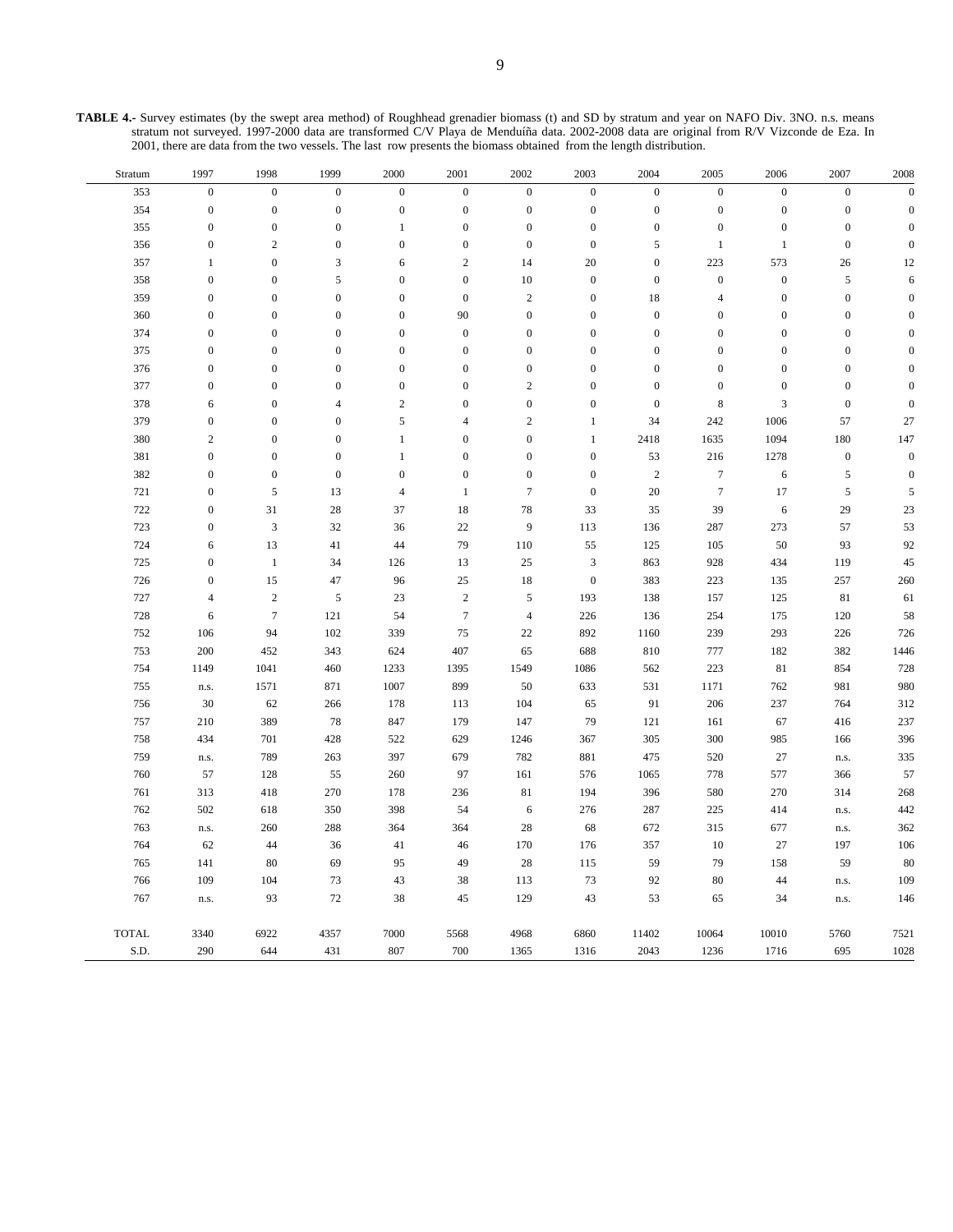**TABLE 4.-** Survey estimates (by the swept area method) of Roughhead grenadier biomass (t) and SD by stratum and year on NAFO Div. 3NO. n.s. means stratum not surveyed. 1997-2000 data are transformed C/V Playa de Menduíña data. 2002-2008 data are original from R/V Vizconde de Eza. In 2001, there are data from the two vessels. The last row presents the biomass obtained from the length distribution.

| Stratum      | 1997             | 1998             | 1999             | 2000                     | 2001             | 2002             | 2003             | 2004             | 2005             | 2006             | 2007             | 2008             |
|--------------|------------------|------------------|------------------|--------------------------|------------------|------------------|------------------|------------------|------------------|------------------|------------------|------------------|
| 353          | $\boldsymbol{0}$ | $\boldsymbol{0}$ | $\boldsymbol{0}$ | $\boldsymbol{0}$         | $\boldsymbol{0}$ | $\boldsymbol{0}$ | $\boldsymbol{0}$ | $\boldsymbol{0}$ | $\boldsymbol{0}$ | $\boldsymbol{0}$ | $\boldsymbol{0}$ | $\boldsymbol{0}$ |
| 354          | $\boldsymbol{0}$ | $\boldsymbol{0}$ | $\boldsymbol{0}$ | $\boldsymbol{0}$         | $\boldsymbol{0}$ | $\boldsymbol{0}$ | $\boldsymbol{0}$ | $\boldsymbol{0}$ | $\boldsymbol{0}$ | $\boldsymbol{0}$ | $\boldsymbol{0}$ | $\boldsymbol{0}$ |
| 355          | $\boldsymbol{0}$ | $\boldsymbol{0}$ | $\boldsymbol{0}$ | $\mathbf{1}$             | $\boldsymbol{0}$ | $\boldsymbol{0}$ | $\boldsymbol{0}$ | $\boldsymbol{0}$ | $\boldsymbol{0}$ | $\boldsymbol{0}$ | $\boldsymbol{0}$ | $\overline{0}$   |
| 356          | $\boldsymbol{0}$ | $\overline{2}$   | $\boldsymbol{0}$ | $\boldsymbol{0}$         | $\boldsymbol{0}$ | $\boldsymbol{0}$ | $\boldsymbol{0}$ | $\sqrt{5}$       | $\mathbf{1}$     | $\mathbf{1}$     | $\boldsymbol{0}$ | $\boldsymbol{0}$ |
| 357          | 1                | $\boldsymbol{0}$ | 3                | 6                        | $\sqrt{2}$       | 14               | 20               | $\boldsymbol{0}$ | 223              | 573              | $26\,$           | 12               |
| 358          | $\boldsymbol{0}$ | $\boldsymbol{0}$ | 5                | $\boldsymbol{0}$         | $\boldsymbol{0}$ | 10               | $\boldsymbol{0}$ | $\boldsymbol{0}$ | $\boldsymbol{0}$ | $\boldsymbol{0}$ | $\sqrt{5}$       | $\sqrt{6}$       |
| 359          | $\boldsymbol{0}$ | $\mathbf{0}$     | $\boldsymbol{0}$ | $\boldsymbol{0}$         | $\boldsymbol{0}$ | $\sqrt{2}$       | $\mathbf{0}$     | 18               | $\overline{4}$   | $\mathbf{0}$     | $\boldsymbol{0}$ | $\overline{0}$   |
| 360          | $\boldsymbol{0}$ | $\boldsymbol{0}$ | $\boldsymbol{0}$ | $\boldsymbol{0}$         | 90               | $\boldsymbol{0}$ | $\boldsymbol{0}$ | $\mathbf{0}$     | $\boldsymbol{0}$ | $\mathbf{0}$     | $\boldsymbol{0}$ | $\overline{0}$   |
| 374          | $\boldsymbol{0}$ | $\boldsymbol{0}$ | $\boldsymbol{0}$ | $\boldsymbol{0}$         | $\boldsymbol{0}$ | $\boldsymbol{0}$ | $\boldsymbol{0}$ | $\boldsymbol{0}$ | $\boldsymbol{0}$ | $\boldsymbol{0}$ | $\boldsymbol{0}$ | $\boldsymbol{0}$ |
| 375          | $\boldsymbol{0}$ | $\boldsymbol{0}$ | $\mathbf{0}$     | $\boldsymbol{0}$         | $\boldsymbol{0}$ | $\boldsymbol{0}$ | $\mathbf{0}$     | $\boldsymbol{0}$ | $\mathbf{0}$     | $\mathbf{0}$     | $\boldsymbol{0}$ | $\boldsymbol{0}$ |
| 376          | $\boldsymbol{0}$ | $\boldsymbol{0}$ | $\boldsymbol{0}$ | $\boldsymbol{0}$         | $\boldsymbol{0}$ | $\boldsymbol{0}$ | $\boldsymbol{0}$ | $\boldsymbol{0}$ | $\boldsymbol{0}$ | $\mathbf{0}$     | $\boldsymbol{0}$ | $\boldsymbol{0}$ |
| 377          | $\boldsymbol{0}$ | $\boldsymbol{0}$ | $\boldsymbol{0}$ | $\boldsymbol{0}$         | $\boldsymbol{0}$ | $\sqrt{2}$       | $\mathbf{0}$     | $\boldsymbol{0}$ | $\boldsymbol{0}$ | $\boldsymbol{0}$ | $\boldsymbol{0}$ | $\overline{0}$   |
| 378          | 6                | $\boldsymbol{0}$ | $\overline{4}$   | $\sqrt{2}$               | $\boldsymbol{0}$ | $\boldsymbol{0}$ | $\boldsymbol{0}$ | $\boldsymbol{0}$ | $\,$ 8 $\,$      | 3                | $\boldsymbol{0}$ | $\boldsymbol{0}$ |
| 379          | $\mathbf{0}$     | $\boldsymbol{0}$ | $\mathbf{0}$     | $\mathfrak s$            | $\overline{4}$   | $\mathbf{2}$     | $\mathbf{1}$     | 34               | 242              | 1006             | 57               | $27\,$           |
| 380          | $\sqrt{2}$       | $\boldsymbol{0}$ | $\boldsymbol{0}$ | $\mathbf{1}$             | $\boldsymbol{0}$ | $\boldsymbol{0}$ | $\mathbf{1}$     | 2418             | 1635             | 1094             | 180              | 147              |
| 381          | $\boldsymbol{0}$ | $\boldsymbol{0}$ | $\boldsymbol{0}$ | $\mathbf{1}$             | $\boldsymbol{0}$ | $\boldsymbol{0}$ | $\boldsymbol{0}$ | 53               | 216              | 1278             | $\boldsymbol{0}$ | $\boldsymbol{0}$ |
| 382          | $\boldsymbol{0}$ | $\boldsymbol{0}$ | $\boldsymbol{0}$ | $\boldsymbol{0}$         | $\boldsymbol{0}$ | $\boldsymbol{0}$ | $\boldsymbol{0}$ | $\overline{c}$   | $7\phantom{.0}$  | 6                | $\sqrt{5}$       | $\overline{0}$   |
| 721          | $\boldsymbol{0}$ | $\sqrt{5}$       | 13               | $\overline{\mathcal{L}}$ | $\mathbf{1}$     | $\boldsymbol{7}$ | $\boldsymbol{0}$ | 20               | $\boldsymbol{7}$ | 17               | $\sqrt{5}$       | 5                |
| 722          | $\boldsymbol{0}$ | 31               | 28               | 37                       | 18               | 78               | 33               | 35               | 39               | 6                | 29               | 23               |
| 723          | $\boldsymbol{0}$ | $\mathfrak{Z}$   | $32\,$           | 36                       | 22               | 9                | 113              | 136              | 287              | 273              | 57               | 53               |
| 724          | 6                | 13               | 41               | 44                       | 79               | 110              | 55               | 125              | 105              | 50               | 93               | 92               |
| 725          | $\boldsymbol{0}$ | $\mathbf{1}$     | 34               | 126                      | 13               | 25               | 3                | 863              | 928              | 434              | 119              | 45               |
| 726          | $\boldsymbol{0}$ | 15               | 47               | 96                       | 25               | 18               | $\boldsymbol{0}$ | 383              | 223              | 135              | 257              | 260              |
| 727          | $\overline{4}$   | $\sqrt{2}$       | $\sqrt{5}$       | 23                       | $\sqrt{2}$       | 5                | 193              | 138              | 157              | 125              | 81               | 61               |
| 728          | 6                | $7\phantom{.0}$  | 121              | 54                       | $\boldsymbol{7}$ | $\overline{4}$   | 226              | 136              | 254              | 175              | 120              | 58               |
| 752          | 106              | 94               | $102\,$          | 339                      | 75               | 22               | 892              | 1160             | 239              | 293              | 226              | 726              |
| 753          | 200              | 452              | 343              | 624                      | 407              | 65               | 688              | 810              | 777              | 182              | 382              | 1446             |
| 754          | 1149             | 1041             | 460              | 1233                     | 1395             | 1549             | 1086             | 562              | 223              | 81               | 854              | 728              |
| 755          | n.s.             | 1571             | 871              | 1007                     | 899              | 50               | 633              | 531              | 1171             | 762              | 981              | 980              |
| 756          | 30               | 62               | 266              | 178                      | 113              | 104              | 65               | 91               | 206              | 237              | 764              | 312              |
| 757          | 210              | 389              | $78\,$           | 847                      | 179              | 147              | 79               | 121              | 161              | 67               | 416              | 237              |
| 758          | 434              | 701              | 428              | 522                      | 629              | 1246             | 367              | 305              | 300              | 985              | 166              | 396              |
| 759          | n.s.             | 789              | 263              | 397                      | 679              | 782              | 881              | 475              | 520              | 27               | n.s.             | 335              |
| 760          | 57               | 128              | 55               | 260                      | 97               | 161              | 576              | 1065             | 778              | 577              | 366              | 57               |
| 761          | 313              | 418              | 270              | 178                      | 236              | $8\sqrt{1}$      | 194              | 396              | 580              | 270              | 314              | 268              |
| 762          | 502              | 618              | 350              | 398                      | 54               | 6                | 276              | 287              | 225              | 414              | n.s.             | 442              |
| 763          | n.s.             | 260              | 288              | 364                      | 364              | 28               | 68               | 672              | 315              | 677              | n.s.             | 362              |
| 764          | 62               | $44\,$           | 36               | 41                       | 46               | 170              | 176              | 357              | 10               | $27\,$           | 197              | 106              |
| 765          | 141              | 80               | 69               | 95                       | 49               | 28               | 115              | 59               | 79               | 158              | 59               | 80               |
| 766          | 109              | 104              | 73               | 43                       | 38               | 113              | 73               | 92               | 80               | 44               | n.s.             | 109              |
| 767          | n.s.             | 93               | 72               | 38                       | 45               | 129              | 43               | 53               | 65               | 34               | n.s.             | 146              |
| <b>TOTAL</b> | 3340             | 6922             | 4357             | 7000                     | 5568             | 4968             | 6860             | 11402            | 10064            | 10010            | 5760             | 7521             |
| S.D.         | 290              | 644              | 431              | 807                      | 700              | 1365             | 1316             | 2043             | 1236             | 1716             | 695              | 1028             |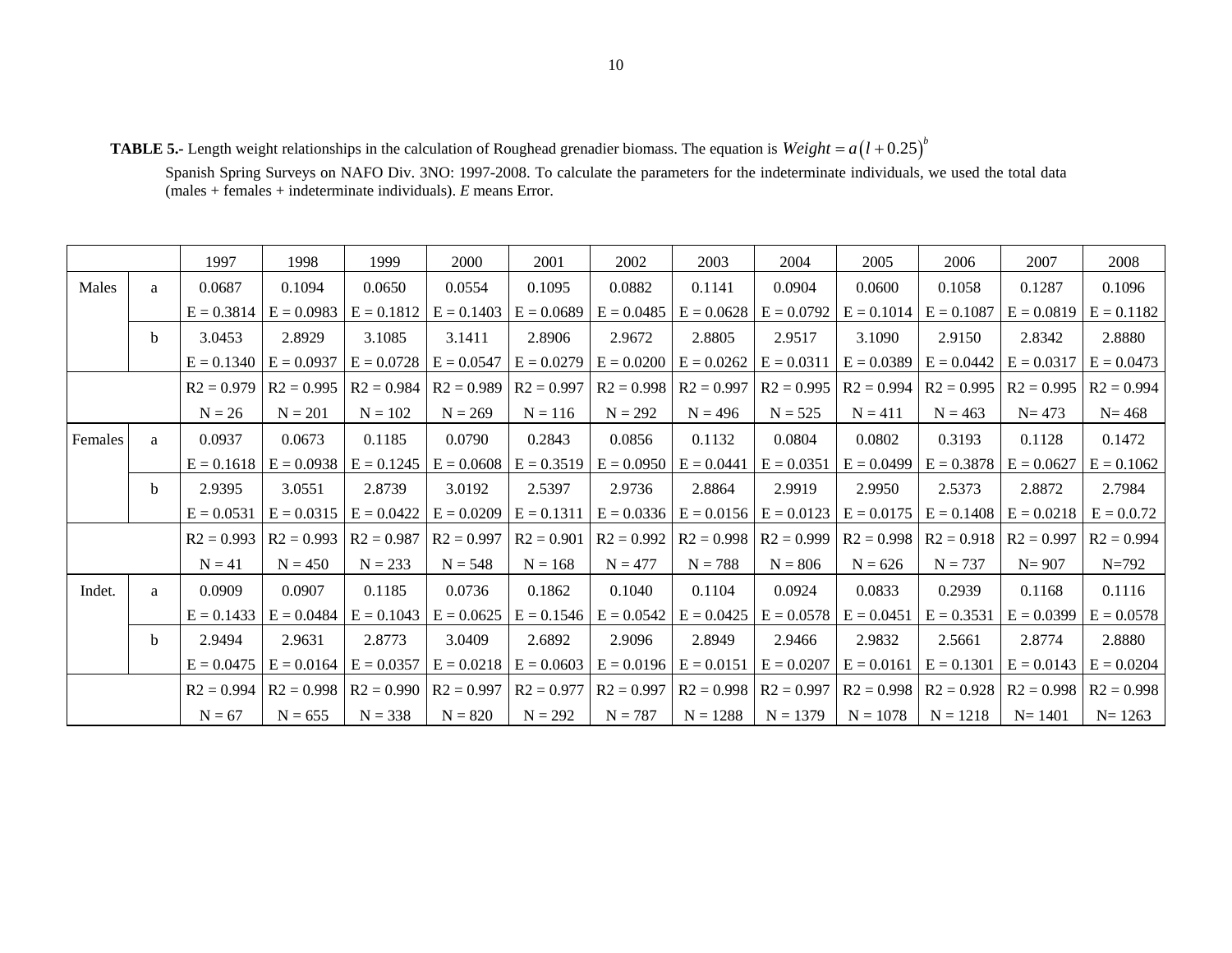**TABLE 5.-** Length weight relationships in the calculation of Roughead grenadier biomass. The equation is  $Weight = a(1 + 0.25)^{b}$ 

Spanish Spring Surveys on NAFO Div. 3NO: 1997-2008. To calculate the parameters for the indeterminate individuals, we used the total data (males + females + indeterminate individuals). *E* means Error.

|         |              | 1997         | 1998         | 1999         | 2000         | 2001         | 2002                      | 2003                      | 2004                        | 2005         | 2006         | 2007                        | 2008         |
|---------|--------------|--------------|--------------|--------------|--------------|--------------|---------------------------|---------------------------|-----------------------------|--------------|--------------|-----------------------------|--------------|
| Males   | a            | 0.0687       | 0.1094       | 0.0650       | 0.0554       | 0.1095       | 0.0882                    | 0.1141                    | 0.0904                      | 0.0600       | 0.1058       | 0.1287                      | 0.1096       |
|         |              | $E = 0.3814$ | $E = 0.0983$ | $E = 0.1812$ | $E = 0.1403$ | $E = 0.0689$ | $E = 0.0485$              | $E = 0.0628$              | $E = 0.0792$                | $E = 0.1014$ | $E = 0.1087$ | $E = 0.0819$                | $E = 0.1182$ |
|         | b.           | 3.0453       | 2.8929       | 3.1085       | 3.1411       | 2.8906       | 2.9672                    | 2.8805                    | 2.9517                      | 3.1090       | 2.9150       | 2.8342                      | 2.8880       |
|         |              | $E = 0.1340$ | $E = 0.0937$ | $E = 0.0728$ | $E = 0.0547$ | $E = 0.0279$ | $E = 0.0200$              | $E = 0.0262$              | $E = 0.0311$                | $E = 0.0389$ | $E = 0.0442$ | $E = 0.0317$                | $E = 0.0473$ |
|         |              | $R2 = 0.979$ | $R2 = 0.995$ | $R2 = 0.984$ | $R2 = 0.989$ | $R2 = 0.997$ | $R2 = 0.998$              | $R2 = 0.997$              | $R2 = 0.995$                | $R2 = 0.994$ | $R2 = 0.995$ | $R2 = 0.995$                | $R2 = 0.994$ |
|         |              | $N = 26$     | $N = 201$    | $N = 102$    | $N = 269$    | $N = 116$    | $N = 292$                 | $N = 496$                 | $N = 525$                   | $N = 411$    | $N = 463$    | $N = 473$                   | $N = 468$    |
| Females | a            | 0.0937       | 0.0673       | 0.1185       | 0.0790       | 0.2843       | 0.0856                    | 0.1132                    | 0.0804                      | 0.0802       | 0.3193       | 0.1128                      | 0.1472       |
|         |              | $E = 0.1618$ | $E = 0.0938$ | $E = 0.1245$ | $E = 0.0608$ | $E = 0.3519$ | $E = 0.0950$              | $E = 0.0441$              | $E = 0.0351$                | $E = 0.0499$ | $E = 0.3878$ | $E = 0.0627$                | $E = 0.1062$ |
|         | <sub>b</sub> | 2.9395       | 3.0551       | 2.8739       | 3.0192       | 2.5397       | 2.9736                    | 2.8864                    | 2.9919                      | 2.9950       | 2.5373       | 2.8872                      | 2.7984       |
|         |              | $E = 0.0531$ | $E = 0.0315$ | $E = 0.0422$ | $E = 0.0209$ | $E = 0.1311$ | $E = 0.0336$              | $E = 0.0156$              | $E = 0.0123$                | $E = 0.0175$ | $E = 0.1408$ | $E = 0.0218$                | $E = 0.0.72$ |
|         |              | $R2 = 0.993$ | $R2 = 0.993$ | $R2 = 0.987$ | $R2 = 0.997$ | $R2 = 0.901$ | $R2 = 0.992$              |                           | $R2 = 0.998$   $R2 = 0.999$ | $R2 = 0.998$ |              | $R2 = 0.918$   $R2 = 0.997$ | $R2 = 0.994$ |
|         |              | $N = 41$     | $N = 450$    | $N = 233$    | $N = 548$    | $N = 168$    | $N = 477$                 | $N = 788$                 | $N = 806$                   | $N = 626$    | $N = 737$    | $N = 907$                   | $N=792$      |
| Indet.  | a            | 0.0909       | 0.0907       | 0.1185       | 0.0736       | 0.1862       | 0.1040                    | 0.1104                    | 0.0924                      | 0.0833       | 0.2939       | 0.1168                      | 0.1116       |
|         |              | $E = 0.1433$ | $E = 0.0484$ | $E = 0.1043$ | $E = 0.0625$ |              | $E = 0.1546$ $E = 0.0542$ | $E = 0.0425$              | $E = 0.0578$                | $E = 0.0451$ | $E = 0.3531$ | $E = 0.0399$                | $E = 0.0578$ |
|         | <sub>b</sub> | 2.9494       | 2.9631       | 2.8773       | 3.0409       | 2.6892       | 2.9096                    | 2.8949                    | 2.9466                      | 2.9832       | 2.5661       | 2.8774                      | 2.8880       |
|         |              | $E = 0.0475$ | $E = 0.0164$ | $E = 0.0357$ | $E = 0.0218$ | $E = 0.0603$ | $E = 0.0196$              | $E = 0.0151$              | $E = 0.0207$                | $E = 0.0161$ | $E = 0.1301$ | $E = 0.0143$                | $E = 0.0204$ |
|         |              | $R2 = 0.994$ | $R2 = 0.998$ | $R2 = 0.990$ | $R2 = 0.997$ | $R2 = 0.977$ | $R2 = 0.997$              | $R2 = 0.998$ $R2 = 0.997$ |                             | $R2 = 0.998$ |              | $R2 = 0.928$   $R2 = 0.998$ | $R2 = 0.998$ |
|         |              | $N = 67$     | $N = 655$    | $N = 338$    | $N = 820$    | $N = 292$    | $N = 787$                 | $N = 1288$                | $N = 1379$                  | $N = 1078$   | $N = 1218$   | $N = 1401$                  | $N = 1263$   |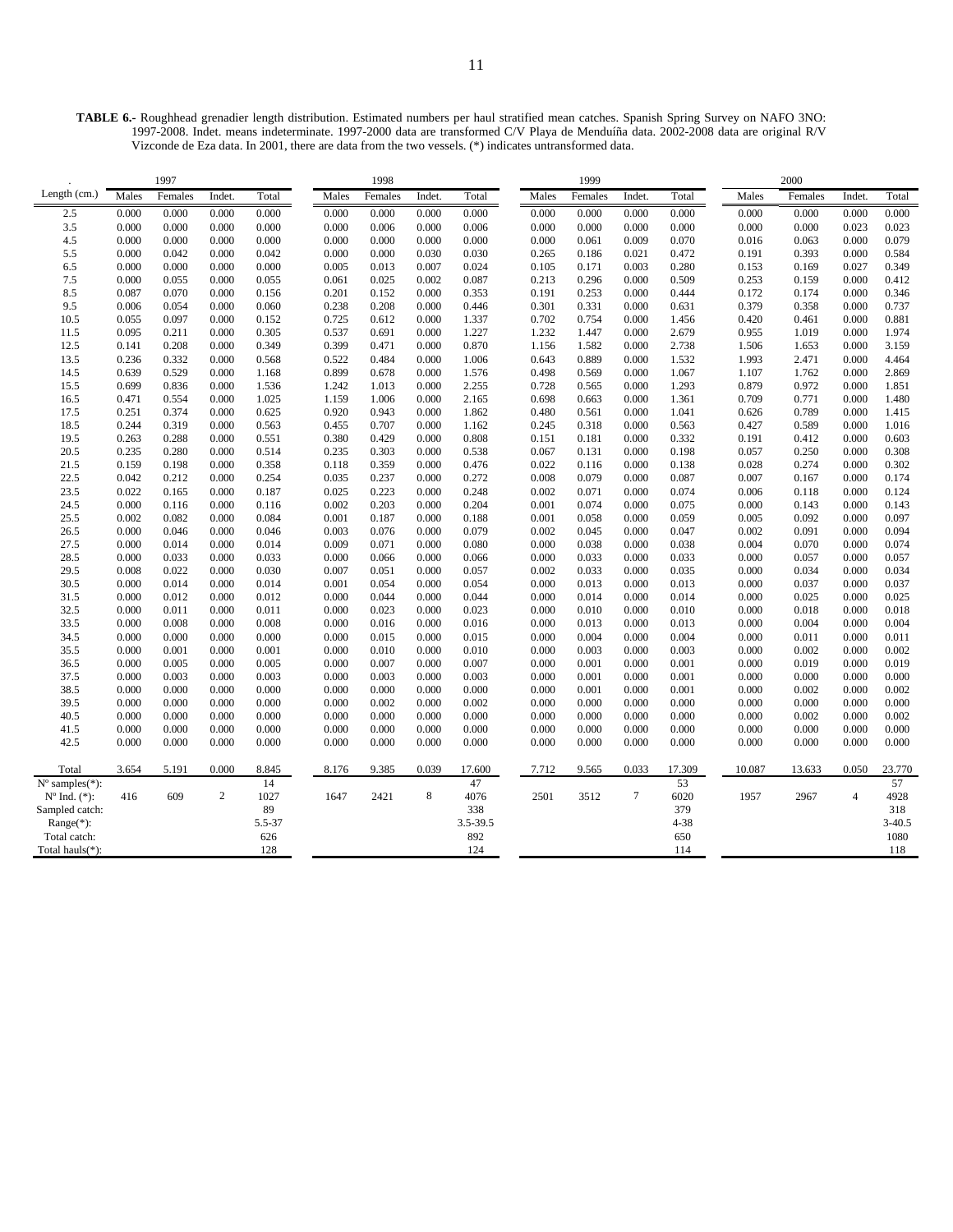|                          |                | 1997           |                |                |                | 1998           |                |                |                | 1999           |                |                |                | 2000           |                |                |
|--------------------------|----------------|----------------|----------------|----------------|----------------|----------------|----------------|----------------|----------------|----------------|----------------|----------------|----------------|----------------|----------------|----------------|
| Length (cm.)             | Males          | Females        | Indet.         | Total          | Males          | Females        | Indet.         | Total          | Males          | Females        | Indet.         | Total          | Males          | Females        | Indet.         | Total          |
| 2.5                      | 0.000          | 0.000          | 0.000          | 0.000          | 0.000          | 0.000          | 0.000          | 0.000          | 0.000          | 0.000          | 0.000          | 0.000          | 0.000          | 0.000          | 0.000          | 0.000          |
| 3.5                      | 0.000          | 0.000          | 0.000          | 0.000          | 0.000          | 0.006          | 0.000          | 0.006          | 0.000          | 0.000          | 0.000          | 0.000          | 0.000          | 0.000          | 0.023          | 0.023          |
| 4.5                      | 0.000          | 0.000          | 0.000          | 0.000          | 0.000          | 0.000          | 0.000          | 0.000          | 0.000          | 0.061          | 0.009          | 0.070          | 0.016          | 0.063          | 0.000          | 0.079          |
| 5.5                      | 0.000          | 0.042          | 0.000          | 0.042          | 0.000          | 0.000          | 0.030          | 0.030          | 0.265          | 0.186          | 0.021          | 0.472          | 0.191          | 0.393          | 0.000          | 0.584          |
| 6.5                      | 0.000          | 0.000          | 0.000          | 0.000          | 0.005          | 0.013          | 0.007          | 0.024          | 0.105          | 0.171          | 0.003          | 0.280          | 0.153          | 0.169          | 0.027          | 0.349          |
| 7.5                      | 0.000          | 0.055          | 0.000          | 0.055          | 0.061          | 0.025          | 0.002          | 0.087          | 0.213          | 0.296          | 0.000          | 0.509          | 0.253          | 0.159          | 0.000          | 0.412          |
| 8.5                      | 0.087          | 0.070          | 0.000          | 0.156          | 0.201          | 0.152          | 0.000          | 0.353          | 0.191          | 0.253          | 0.000          | 0.444          | 0.172          | 0.174          | 0.000          | 0.346          |
| 9.5                      | 0.006          | 0.054          | 0.000          | 0.060          | 0.238          | 0.208          | 0.000          | 0.446          | 0.301          | 0.331          | 0.000          | 0.631          | 0.379          | 0.358          | 0.000          | 0.737          |
| 10.5                     | 0.055          | 0.097          | 0.000          | 0.152          | 0.725          | 0.612          | 0.000          | 1.337          | 0.702          | 0.754          | 0.000          | 1.456          | 0.420          | 0.461          | 0.000          | 0.881          |
| 11.5                     | 0.095          | 0.211          | 0.000          | 0.305          | 0.537          | 0.691          | 0.000          | 1.227          | 1.232          | 1.447          | 0.000          | 2.679          | 0.955          | 1.019          | 0.000          | 1.974          |
| 12.5                     | 0.141          | 0.208          | 0.000          | 0.349          | 0.399          | 0.471          | 0.000          | 0.870          | 1.156          | 1.582          | 0.000          | 2.738          | 1.506          | 1.653          | 0.000          | 3.159          |
| 13.5                     | 0.236          | 0.332          | 0.000          | 0.568          | 0.522          | 0.484          | 0.000          | 1.006          | 0.643          | 0.889          | 0.000          | 1.532          | 1.993          | 2.471          | 0.000          | 4.464          |
| 14.5                     | 0.639          | 0.529          | 0.000          | 1.168          | 0.899          | 0.678          | 0.000          | 1.576          | 0.498          | 0.569          | 0.000          | 1.067          | 1.107          | 1.762          | 0.000          | 2.869          |
| 15.5                     | 0.699          | 0.836          | 0.000          | 1.536          | 1.242          | 1.013          | 0.000          | 2.255          | 0.728          | 0.565          | 0.000          | 1.293          | 0.879          | 0.972          | 0.000          | 1.851          |
| 16.5                     | 0.471          | 0.554          | 0.000          | 1.025          | 1.159          | 1.006          | 0.000          | 2.165          | 0.698          | 0.663          | 0.000          | 1.361          | 0.709          | 0.771          | 0.000          | 1.480          |
| 17.5                     | 0.251          | 0.374          | 0.000          | 0.625          | 0.920          | 0.943          | 0.000          | 1.862          | 0.480          | 0.561          | 0.000          | 1.041          | 0.626          | 0.789          | 0.000          | 1.415          |
| 18.5                     | 0.244          | 0.319          | 0.000          | 0.563          | 0.455          | 0.707          | 0.000          | 1.162          | 0.245          | 0.318          | 0.000          | 0.563          | 0.427          | 0.589          | 0.000          | 1.016          |
| 19.5                     | 0.263          | 0.288          | 0.000          | 0.551          | 0.380          | 0.429          | 0.000          | 0.808          | 0.151          | 0.181          | 0.000          | 0.332          | 0.191          | 0.412          | 0.000          | 0.603          |
| 20.5                     | 0.235          | 0.280          | 0.000          | 0.514          | 0.235          | 0.303          | 0.000          | 0.538          | 0.067          | 0.131          | 0.000          | 0.198          | 0.057          | 0.250          | 0.000          | 0.308          |
| 21.5                     | 0.159          | 0.198          | 0.000          | 0.358          | 0.118          | 0.359          | 0.000          | 0.476          | 0.022          | 0.116          | 0.000          | 0.138          | 0.028          | 0.274          | 0.000          | 0.302          |
| 22.5                     | 0.042          | 0.212          | 0.000          | 0.254          | 0.035          | 0.237          | 0.000          | 0.272          | 0.008          | 0.079          | 0.000          | 0.087          | 0.007          | 0.167          | 0.000          | 0.174          |
| 23.5                     | 0.022          | 0.165          | 0.000          | 0.187          | 0.025          | 0.223          | 0.000          | 0.248          | 0.002          | 0.071          | 0.000          | 0.074          | 0.006          | 0.118          | 0.000          | 0.124          |
| 24.5<br>25.5             | 0.000<br>0.002 | 0.116<br>0.082 | 0.000<br>0.000 | 0.116<br>0.084 | 0.002<br>0.001 | 0.203<br>0.187 | 0.000<br>0.000 | 0.204<br>0.188 | 0.001<br>0.001 | 0.074<br>0.058 | 0.000<br>0.000 | 0.075<br>0.059 | 0.000<br>0.005 | 0.143<br>0.092 | 0.000<br>0.000 | 0.143<br>0.097 |
| 26.5                     | 0.000          | 0.046          | 0.000          | 0.046          | 0.003          | 0.076          | 0.000          | 0.079          | 0.002          | 0.045          | 0.000          | 0.047          | 0.002          | 0.091          | 0.000          | 0.094          |
| 27.5                     | 0.000          | 0.014          | 0.000          | 0.014          | 0.009          | 0.071          | 0.000          | 0.080          | 0.000          | 0.038          | 0.000          | 0.038          | 0.004          | 0.070          | 0.000          | 0.074          |
| 28.5                     | 0.000          | 0.033          | 0.000          | 0.033          | 0.000          | 0.066          | 0.000          | 0.066          | 0.000          | 0.033          | 0.000          | 0.033          | 0.000          | 0.057          | 0.000          | 0.057          |
| 29.5                     | 0.008          | 0.022          | 0.000          | 0.030          | 0.007          | 0.051          | 0.000          | 0.057          | 0.002          | 0.033          | 0.000          | 0.035          | 0.000          | 0.034          | 0.000          | 0.034          |
| 30.5                     | 0.000          | 0.014          | 0.000          | 0.014          | 0.001          | 0.054          | 0.000          | 0.054          | 0.000          | 0.013          | 0.000          | 0.013          | 0.000          | 0.037          | 0.000          | 0.037          |
| 31.5                     | 0.000          | 0.012          | 0.000          | 0.012          | 0.000          | 0.044          | 0.000          | 0.044          | 0.000          | 0.014          | 0.000          | 0.014          | 0.000          | 0.025          | 0.000          | 0.025          |
| 32.5                     | 0.000          | 0.011          | 0.000          | 0.011          | 0.000          | 0.023          | 0.000          | 0.023          | 0.000          | 0.010          | 0.000          | 0.010          | 0.000          | 0.018          | 0.000          | 0.018          |
| 33.5                     | 0.000          | 0.008          | 0.000          | 0.008          | 0.000          | 0.016          | 0.000          | 0.016          | 0.000          | 0.013          | 0.000          | 0.013          | 0.000          | 0.004          | 0.000          | 0.004          |
| 34.5                     | 0.000          | 0.000          | 0.000          | 0.000          | 0.000          | 0.015          | 0.000          | 0.015          | 0.000          | 0.004          | 0.000          | 0.004          | 0.000          | 0.011          | 0.000          | 0.011          |
| 35.5                     | 0.000          | 0.001          | 0.000          | 0.001          | 0.000          | 0.010          | 0.000          | 0.010          | 0.000          | 0.003          | 0.000          | 0.003          | 0.000          | 0.002          | 0.000          | 0.002          |
| 36.5                     | 0.000          | 0.005          | 0.000          | 0.005          | 0.000          | 0.007          | 0.000          | 0.007          | 0.000          | 0.001          | 0.000          | 0.001          | 0.000          | 0.019          | 0.000          | 0.019          |
| 37.5                     | 0.000          | 0.003          | 0.000          | 0.003          | 0.000          | 0.003          | 0.000          | 0.003          | 0.000          | 0.001          | 0.000          | 0.001          | 0.000          | 0.000          | 0.000          | 0.000          |
| 38.5                     | 0.000          | 0.000          | 0.000          | 0.000          | 0.000          | 0.000          | 0.000          | 0.000          | 0.000          | 0.001          | 0.000          | 0.001          | 0.000          | 0.002          | 0.000          | 0.002          |
| 39.5                     | 0.000          | 0.000          | 0.000          | 0.000          | 0.000          | 0.002          | 0.000          | 0.002          | 0.000          | 0.000          | 0.000          | 0.000          | 0.000          | 0.000          | 0.000          | 0.000          |
| 40.5                     | 0.000          | 0.000          | 0.000          | 0.000          | 0.000          | 0.000          | 0.000          | 0.000          | 0.000          | 0.000          | 0.000          | 0.000          | 0.000          | 0.002          | 0.000          | 0.002          |
| 41.5                     | 0.000          | 0.000          | 0.000          | 0.000          | 0.000          | 0.000          | 0.000          | 0.000          | 0.000          | 0.000          | 0.000          | 0.000          | 0.000          | 0.000          | 0.000          | 0.000          |
| 42.5                     | 0.000          | 0.000          | 0.000          | 0.000          | 0.000          | 0.000          | 0.000          | 0.000          | 0.000          | 0.000          | 0.000          | 0.000          | 0.000          | 0.000          | 0.000          | 0.000          |
|                          |                |                |                |                |                |                |                |                |                |                |                |                |                |                |                |                |
| Total                    | 3.654          | 5.191          | 0.000          | 8.845          | 8.176          | 9.385          | 0.039          | 17.600         | 7.712          | 9.565          | 0.033          | 17.309         | 10.087         | 13.633         | 0.050          | 23.770         |
| $N^{\circ}$ samples(*):  |                |                |                | 14             |                |                |                | 47             |                |                |                | 53             |                |                |                | 57             |
| $N^{\circ}$ Ind. $(*)$ : | 416            | 609            | $\overline{c}$ | 1027           | 1647           | 2421           | 8              | 4076           | 2501           | 3512           | 7              | 6020           | 1957           | 2967           | $\overline{4}$ | 4928           |
| Sampled catch:           |                |                |                | 89             |                |                |                | 338            |                |                |                | 379            |                |                |                | 318            |
| $Range(*)$ :             |                |                |                | 5.5-37         |                |                |                | 3.5-39.5       |                |                |                | $4 - 38$       |                |                |                | $3 - 40.5$     |
| Total catch:             |                |                |                | 626            |                |                |                | 892            |                |                |                | 650            |                |                |                | 1080           |
| Total hauls(*):          |                |                |                | 128            |                |                |                | 124            |                |                |                | 114            |                |                |                | 118            |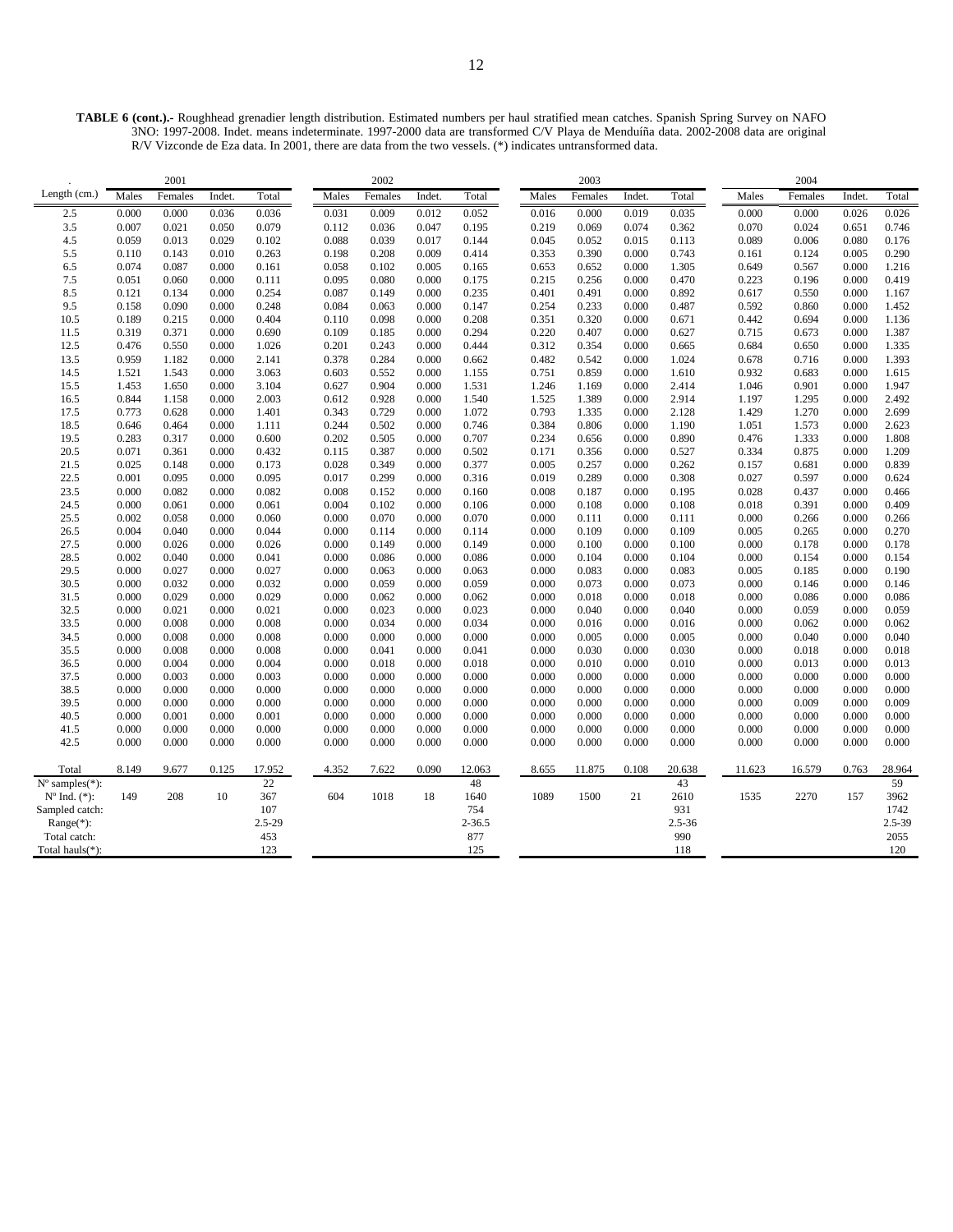**TABLE 6 (cont.).-** Roughhead grenadier length distribution. Estimated numbers per haul stratified mean catches. Spanish Spring Survey on NAFO 3NO: 1997-2008. Indet. means indeterminate. 1997-2000 data are transformed C/V Playa de Menduíña data. 2002-2008 data are original R/V Vizconde de Eza data. In 2001, there are data from the two vessels. (\*) indicates untransformed data.

|                                                         |                | 2001           |                |                |                | 2002           |                |                |                | 2003           |                |                |                | 2004           |                |                |
|---------------------------------------------------------|----------------|----------------|----------------|----------------|----------------|----------------|----------------|----------------|----------------|----------------|----------------|----------------|----------------|----------------|----------------|----------------|
| Length (cm.)                                            | Males          | Females        | Indet.         | Total          | Males          | Females        | Indet.         | Total          | Males          | Females        | Indet.         | Total          | Males          | Females        | Indet.         | Total          |
| 2.5                                                     | 0.000          | 0.000          | 0.036          | 0.036          | 0.031          | 0.009          | 0.012          | 0.052          | 0.016          | 0.000          | 0.019          | 0.035          | 0.000          | 0.000          | 0.026          | 0.026          |
| 3.5                                                     | 0.007          | 0.021          | 0.050          | 0.079          | 0.112          | 0.036          | 0.047          | 0.195          | 0.219          | 0.069          | 0.074          | 0.362          | 0.070          | 0.024          | 0.651          | 0.746          |
| 4.5                                                     | 0.059          | 0.013          | 0.029          | 0.102          | 0.088          | 0.039          | 0.017          | 0.144          | 0.045          | 0.052          | 0.015          | 0.113          | 0.089          | 0.006          | 0.080          | 0.176          |
| 5.5                                                     | 0.110          | 0.143          | 0.010          | 0.263          | 0.198          | 0.208          | 0.009          | 0.414          | 0.353          | 0.390          | 0.000          | 0.743          | 0.161          | 0.124          | 0.005          | 0.290          |
| 6.5                                                     | 0.074          | 0.087          | 0.000          | 0.161          | 0.058          | 0.102          | 0.005          | 0.165          | 0.653          | 0.652          | 0.000          | 1.305          | 0.649          | 0.567          | 0.000          | 1.216          |
| 7.5                                                     | 0.051          | 0.060          | 0.000          | 0.111          | 0.095          | 0.080          | 0.000          | 0.175          | 0.215          | 0.256          | 0.000          | 0.470          | 0.223          | 0.196          | 0.000          | 0.419          |
| 8.5                                                     | 0.121          | 0.134          | 0.000          | 0.254          | 0.087          | 0.149          | 0.000          | 0.235          | 0.401          | 0.491          | 0.000          | 0.892          | 0.617          | 0.550          | 0.000          | 1.167          |
| 9.5                                                     | 0.158          | 0.090          | 0.000          | 0.248          | 0.084          | 0.063          | 0.000          | 0.147          | 0.254          | 0.233          | 0.000          | 0.487          | 0.592          | 0.860          | 0.000          | 1.452          |
| 10.5                                                    | 0.189          | 0.215          | 0.000          | 0.404          | 0.110          | 0.098          | 0.000          | 0.208          | 0.351          | 0.320          | 0.000          | 0.671          | 0.442          | 0.694          | 0.000          | 1.136          |
| 11.5                                                    | 0.319          | 0.371          | 0.000          | 0.690          | 0.109          | 0.185          | 0.000          | 0.294          | 0.220          | 0.407          | 0.000          | 0.627          | 0.715          | 0.673          | 0.000          | 1.387          |
| 12.5                                                    | 0.476          | 0.550          | 0.000          | 1.026          | 0.201          | 0.243          | 0.000          | 0.444          | 0.312          | 0.354          | 0.000          | 0.665          | 0.684          | 0.650          | 0.000          | 1.335          |
| 13.5                                                    | 0.959          | 1.182          | 0.000          | 2.141          | 0.378          | 0.284          | 0.000          | 0.662          | 0.482          | 0.542          | 0.000          | 1.024          | 0.678          | 0.716          | 0.000          | 1.393          |
| 14.5                                                    | 1.521          | 1.543          | 0.000          | 3.063          | 0.603          | 0.552          | 0.000          | 1.155          | 0.751          | 0.859          | 0.000          | 1.610          | 0.932          | 0.683          | 0.000          | 1.615          |
| 15.5                                                    | 1.453          | 1.650          | 0.000          | 3.104          | 0.627          | 0.904          | 0.000          | 1.531          | 1.246          | 1.169          | 0.000          | 2.414          | 1.046          | 0.901          | 0.000          | 1.947          |
| 16.5                                                    | 0.844          | 1.158          | 0.000          | 2.003          | 0.612          | 0.928          | 0.000          | 1.540          | 1.525          | 1.389          | 0.000          | 2.914          | 1.197          | 1.295          | 0.000          | 2.492          |
| 17.5                                                    | 0.773          | 0.628          | 0.000          | 1.401          | 0.343          | 0.729          | 0.000          | 1.072          | 0.793          | 1.335          | 0.000          | 2.128          | 1.429          | 1.270          | 0.000          | 2.699          |
| 18.5                                                    | 0.646          | 0.464          | 0.000          | 1.111          | 0.244          | 0.502          | 0.000          | 0.746          | 0.384          | 0.806          | 0.000          | 1.190          | 1.051          | 1.573          | 0.000          | 2.623          |
| 19.5                                                    | 0.283          | 0.317          | 0.000          | 0.600          | 0.202          | 0.505          | 0.000          | 0.707          | 0.234          | 0.656          | 0.000          | 0.890          | 0.476          | 1.333          | 0.000          | 1.808          |
| 20.5                                                    | 0.071          | 0.361          | 0.000          | 0.432          | 0.115          | 0.387          | 0.000          | 0.502          | 0.171          | 0.356          | 0.000          | 0.527          | 0.334          | 0.875          | 0.000          | 1.209          |
| 21.5                                                    | 0.025          | 0.148          | 0.000          | 0.173          | 0.028          | 0.349          | 0.000          | 0.377          | 0.005          | 0.257          | 0.000          | 0.262          | 0.157          | 0.681          | 0.000          | 0.839          |
| 22.5                                                    | 0.001          | 0.095          | 0.000          | 0.095          | 0.017          | 0.299          | 0.000          | 0.316          | 0.019          | 0.289          | 0.000          | 0.308          | 0.027          | 0.597          | 0.000          | 0.624          |
| 23.5                                                    | 0.000          | 0.082          | 0.000          | 0.082          | 0.008          | 0.152          | 0.000          | 0.160          | 0.008          | 0.187          | 0.000          | 0.195          | 0.028          | 0.437          | 0.000          | 0.466          |
| 24.5<br>25.5                                            | 0.000          | 0.061          | 0.000          | 0.061          | 0.004          | 0.102          | 0.000          | 0.106          | 0.000          | 0.108          | 0.000          | 0.108          | 0.018          | 0.391          | 0.000          | 0.409          |
| 26.5                                                    | 0.002<br>0.004 | 0.058<br>0.040 | 0.000<br>0.000 | 0.060<br>0.044 | 0.000<br>0.000 | 0.070<br>0.114 | 0.000<br>0.000 | 0.070<br>0.114 | 0.000<br>0.000 | 0.111<br>0.109 | 0.000<br>0.000 | 0.111<br>0.109 | 0.000<br>0.005 | 0.266<br>0.265 | 0.000<br>0.000 | 0.266<br>0.270 |
| 27.5                                                    | 0.000          | 0.026          | 0.000          | 0.026          | 0.000          | 0.149          | 0.000          | 0.149          | 0.000          | 0.100          | 0.000          | 0.100          | 0.000          | 0.178          | 0.000          | 0.178          |
| 28.5                                                    | 0.002          | 0.040          | 0.000          | 0.041          | 0.000          | 0.086          | 0.000          | 0.086          | 0.000          | 0.104          | 0.000          | 0.104          | 0.000          | 0.154          | 0.000          | 0.154          |
| 29.5                                                    | 0.000          | 0.027          | 0.000          | 0.027          | 0.000          | 0.063          | 0.000          | 0.063          | 0.000          | 0.083          | 0.000          | 0.083          | 0.005          | 0.185          | 0.000          | 0.190          |
| 30.5                                                    | 0.000          | 0.032          | 0.000          | 0.032          | 0.000          | 0.059          | 0.000          | 0.059          | 0.000          | 0.073          | 0.000          | 0.073          | 0.000          | 0.146          | 0.000          | 0.146          |
| 31.5                                                    | 0.000          | 0.029          | 0.000          | 0.029          | 0.000          | 0.062          | 0.000          | 0.062          | 0.000          | 0.018          | 0.000          | 0.018          | 0.000          | 0.086          | 0.000          | 0.086          |
| 32.5                                                    | 0.000          | 0.021          | 0.000          | 0.021          | 0.000          | 0.023          | 0.000          | 0.023          | 0.000          | 0.040          | 0.000          | 0.040          | 0.000          | 0.059          | 0.000          | 0.059          |
| 33.5                                                    | 0.000          | 0.008          | 0.000          | 0.008          | 0.000          | 0.034          | 0.000          | 0.034          | 0.000          | 0.016          | 0.000          | 0.016          | 0.000          | 0.062          | 0.000          | 0.062          |
| 34.5                                                    | 0.000          | 0.008          | 0.000          | 0.008          | 0.000          | 0.000          | 0.000          | 0.000          | 0.000          | 0.005          | 0.000          | 0.005          | 0.000          | 0.040          | 0.000          | 0.040          |
| 35.5                                                    | 0.000          | 0.008          | 0.000          | 0.008          | 0.000          | 0.041          | 0.000          | 0.041          | 0.000          | 0.030          | 0.000          | 0.030          | 0.000          | 0.018          | 0.000          | 0.018          |
| 36.5                                                    | 0.000          | 0.004          | 0.000          | 0.004          | 0.000          | 0.018          | 0.000          | 0.018          | 0.000          | 0.010          | 0.000          | 0.010          | 0.000          | 0.013          | 0.000          | 0.013          |
| 37.5                                                    | 0.000          | 0.003          | 0.000          | 0.003          | 0.000          | 0.000          | 0.000          | 0.000          | 0.000          | 0.000          | 0.000          | 0.000          | 0.000          | 0.000          | 0.000          | 0.000          |
| 38.5                                                    | 0.000          | 0.000          | 0.000          | 0.000          | 0.000          | 0.000          | 0.000          | 0.000          | 0.000          | 0.000          | 0.000          | 0.000          | 0.000          | 0.000          | 0.000          | 0.000          |
| 39.5                                                    | 0.000          | 0.000          | 0.000          | 0.000          | 0.000          | 0.000          | 0.000          | 0.000          | 0.000          | 0.000          | 0.000          | 0.000          | 0.000          | 0.009          | 0.000          | 0.009          |
| 40.5                                                    | 0.000          | 0.001          | 0.000          | 0.001          | 0.000          | 0.000          | 0.000          | 0.000          | 0.000          | 0.000          | 0.000          | 0.000          | 0.000          | 0.000          | 0.000          | 0.000          |
| 41.5                                                    | 0.000          | 0.000          | 0.000          | 0.000          | 0.000          | 0.000          | 0.000          | 0.000          | 0.000          | 0.000          | 0.000          | 0.000          | 0.000          | 0.000          | 0.000          | 0.000          |
| 42.5                                                    | 0.000          | 0.000          | 0.000          | 0.000          | 0.000          | 0.000          | 0.000          | 0.000          | 0.000          | 0.000          | 0.000          | 0.000          | 0.000          | 0.000          | 0.000          | 0.000          |
|                                                         |                |                |                |                |                |                |                |                |                |                |                |                |                |                |                |                |
| Total                                                   | 8.149          | 9.677          | 0.125          | 17.952<br>22   | 4.352          | 7.622          | 0.090          | 12.063<br>48   | 8.655          | 11.875         | 0.108          | 20.638<br>43   | 11.623         | 16.579         | 0.763          | 28.964<br>59   |
| $N^{\circ}$ samples $(*)$ :<br>$N^{\circ}$ Ind. $(*)$ : | 149            | 208            | 10             | 367            | 604            | 1018           | 18             | 1640           | 1089           | 1500           | 21             | 2610           | 1535           | 2270           | 157            | 3962           |
| Sampled catch:                                          |                |                |                | 107            |                |                |                | 754            |                |                |                | 931            |                |                |                | 1742           |
| Range(*):                                               |                |                |                | $2.5 - 29$     |                |                |                | $2 - 36.5$     |                |                |                | $2.5 - 36$     |                |                |                | 2.5-39         |
| Total catch:                                            |                |                |                | 453            |                |                |                | 877            |                |                |                | 990            |                |                |                | 2055           |
| Total hauls(*):                                         |                |                |                | 123            |                |                |                | 125            |                |                |                | 118            |                |                |                | 120            |
|                                                         |                |                |                |                |                |                |                |                |                |                |                |                |                |                |                |                |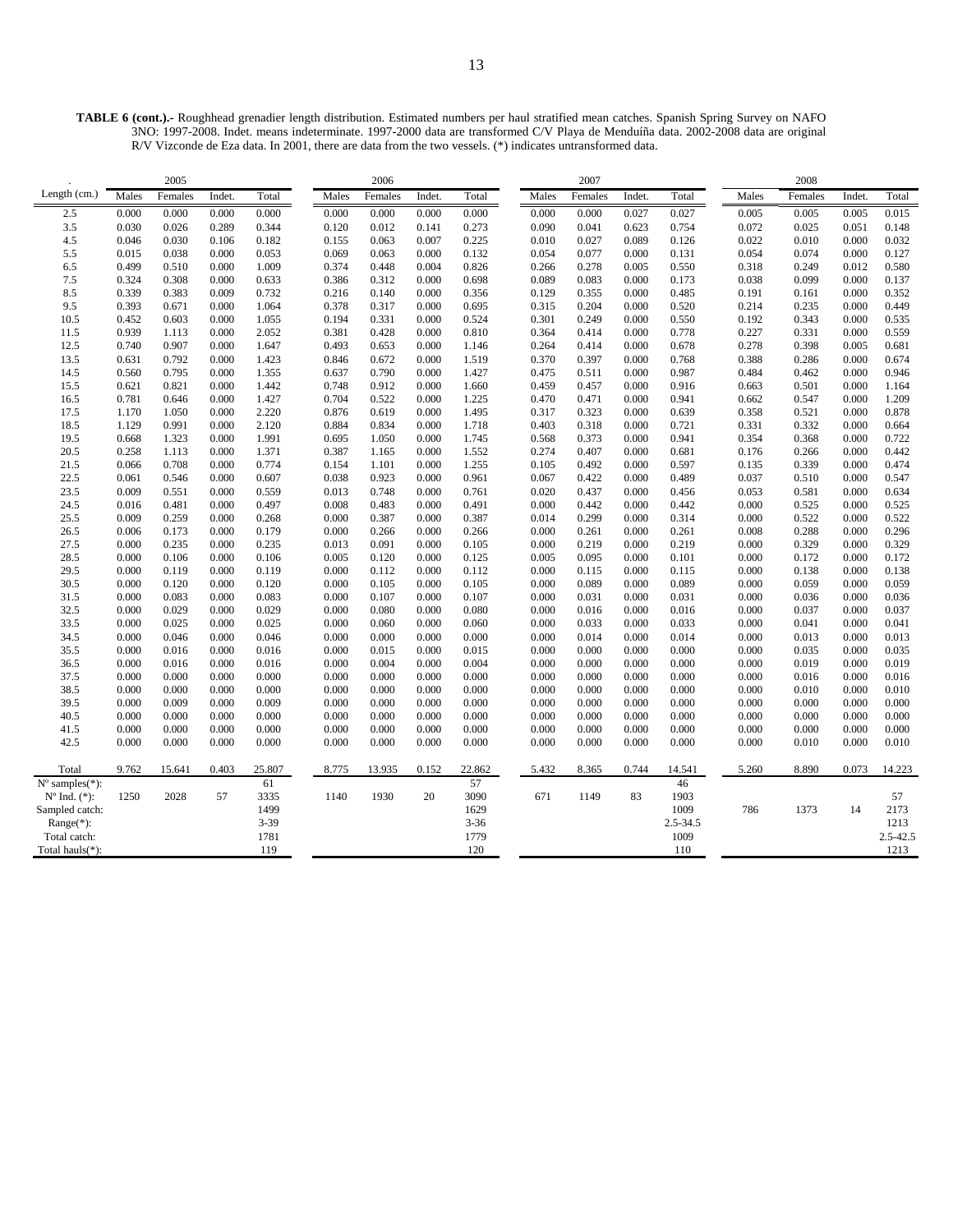**TABLE 6 (cont.).-** Roughhead grenadier length distribution. Estimated numbers per haul stratified mean catches. Spanish Spring Survey on NAFO 3NO: 1997-2008. Indet. means indeterminate. 1997-2000 data are transformed C/V Playa de Menduíña data. 2002-2008 data are original R/V Vizconde de Eza data. In 2001, there are data from the two vessels. (\*) indicates untransformed data.

|                             |       | 2005    |        |          |       | 2006    |        |          |       | 2007    |        |          |       | 2008    |        |          |
|-----------------------------|-------|---------|--------|----------|-------|---------|--------|----------|-------|---------|--------|----------|-------|---------|--------|----------|
| Length (cm.)                | Males | Females | Indet. | Total    | Males | Females | Indet. | Total    | Males | Females | Indet. | Total    | Males | Females | Indet. | Total    |
| 2.5                         | 0.000 | 0.000   | 0.000  | 0.000    | 0.000 | 0.000   | 0.000  | 0.000    | 0.000 | 0.000   | 0.027  | 0.027    | 0.005 | 0.005   | 0.005  | 0.015    |
| 3.5                         | 0.030 | 0.026   | 0.289  | 0.344    | 0.120 | 0.012   | 0.141  | 0.273    | 0.090 | 0.041   | 0.623  | 0.754    | 0.072 | 0.025   | 0.051  | 0.148    |
| 4.5                         | 0.046 | 0.030   | 0.106  | 0.182    | 0.155 | 0.063   | 0.007  | 0.225    | 0.010 | 0.027   | 0.089  | 0.126    | 0.022 | 0.010   | 0.000  | 0.032    |
| 5.5                         | 0.015 | 0.038   | 0.000  | 0.053    | 0.069 | 0.063   | 0.000  | 0.132    | 0.054 | 0.077   | 0.000  | 0.131    | 0.054 | 0.074   | 0.000  | 0.127    |
| 6.5                         | 0.499 | 0.510   | 0.000  | 1.009    | 0.374 | 0.448   | 0.004  | 0.826    | 0.266 | 0.278   | 0.005  | 0.550    | 0.318 | 0.249   | 0.012  | 0.580    |
| 7.5                         | 0.324 | 0.308   | 0.000  | 0.633    | 0.386 | 0.312   | 0.000  | 0.698    | 0.089 | 0.083   | 0.000  | 0.173    | 0.038 | 0.099   | 0.000  | 0.137    |
| 8.5                         | 0.339 | 0.383   | 0.009  | 0.732    | 0.216 | 0.140   | 0.000  | 0.356    | 0.129 | 0.355   | 0.000  | 0.485    | 0.191 | 0.161   | 0.000  | 0.352    |
| 9.5                         | 0.393 | 0.671   | 0.000  | 1.064    | 0.378 | 0.317   | 0.000  | 0.695    | 0.315 | 0.204   | 0.000  | 0.520    | 0.214 | 0.235   | 0.000  | 0.449    |
| 10.5                        | 0.452 | 0.603   | 0.000  | 1.055    | 0.194 | 0.331   | 0.000  | 0.524    | 0.301 | 0.249   | 0.000  | 0.550    | 0.192 | 0.343   | 0.000  | 0.535    |
| 11.5                        | 0.939 | 1.113   | 0.000  | 2.052    | 0.381 | 0.428   | 0.000  | 0.810    | 0.364 | 0.414   | 0.000  | 0.778    | 0.227 | 0.331   | 0.000  | 0.559    |
| 12.5                        | 0.740 | 0.907   | 0.000  | 1.647    | 0.493 | 0.653   | 0.000  | 1.146    | 0.264 | 0.414   | 0.000  | 0.678    | 0.278 | 0.398   | 0.005  | 0.681    |
| 13.5                        | 0.631 | 0.792   | 0.000  | 1.423    | 0.846 | 0.672   | 0.000  | 1.519    | 0.370 | 0.397   | 0.000  | 0.768    | 0.388 | 0.286   | 0.000  | 0.674    |
| 14.5                        | 0.560 | 0.795   | 0.000  | 1.355    | 0.637 | 0.790   | 0.000  | 1.427    | 0.475 | 0.511   | 0.000  | 0.987    | 0.484 | 0.462   | 0.000  | 0.946    |
| 15.5                        | 0.621 | 0.821   | 0.000  | 1.442    | 0.748 | 0.912   | 0.000  | 1.660    | 0.459 | 0.457   | 0.000  | 0.916    | 0.663 | 0.501   | 0.000  | 1.164    |
| 16.5                        | 0.781 | 0.646   | 0.000  | 1.427    | 0.704 | 0.522   | 0.000  | 1.225    | 0.470 | 0.471   | 0.000  | 0.941    | 0.662 | 0.547   | 0.000  | 1.209    |
| 17.5                        | 1.170 | 1.050   | 0.000  | 2.220    | 0.876 | 0.619   | 0.000  | 1.495    | 0.317 | 0.323   | 0.000  | 0.639    | 0.358 | 0.521   | 0.000  | 0.878    |
| 18.5                        | 1.129 | 0.991   | 0.000  | 2.120    | 0.884 | 0.834   | 0.000  | 1.718    | 0.403 | 0.318   | 0.000  | 0.721    | 0.331 | 0.332   | 0.000  | 0.664    |
| 19.5                        | 0.668 | 1.323   | 0.000  | 1.991    | 0.695 | 1.050   | 0.000  | 1.745    | 0.568 | 0.373   | 0.000  | 0.941    | 0.354 | 0.368   | 0.000  | 0.722    |
| 20.5                        | 0.258 | 1.113   | 0.000  | 1.371    | 0.387 | 1.165   | 0.000  | 1.552    | 0.274 | 0.407   | 0.000  | 0.681    | 0.176 | 0.266   | 0.000  | 0.442    |
| 21.5                        | 0.066 | 0.708   | 0.000  | 0.774    | 0.154 | 1.101   | 0.000  | 1.255    | 0.105 | 0.492   | 0.000  | 0.597    | 0.135 | 0.339   | 0.000  | 0.474    |
| 22.5                        | 0.061 | 0.546   | 0.000  | 0.607    | 0.038 | 0.923   | 0.000  | 0.961    | 0.067 | 0.422   | 0.000  | 0.489    | 0.037 | 0.510   | 0.000  | 0.547    |
| 23.5                        | 0.009 | 0.551   | 0.000  | 0.559    | 0.013 | 0.748   | 0.000  | 0.761    | 0.020 | 0.437   | 0.000  | 0.456    | 0.053 | 0.581   | 0.000  | 0.634    |
| 24.5                        | 0.016 | 0.481   | 0.000  | 0.497    | 0.008 | 0.483   | 0.000  | 0.491    | 0.000 | 0.442   | 0.000  | 0.442    | 0.000 | 0.525   | 0.000  | 0.525    |
| 25.5                        | 0.009 | 0.259   | 0.000  | 0.268    | 0.000 | 0.387   | 0.000  | 0.387    | 0.014 | 0.299   | 0.000  | 0.314    | 0.000 | 0.522   | 0.000  | 0.522    |
| 26.5                        | 0.006 | 0.173   | 0.000  | 0.179    | 0.000 | 0.266   | 0.000  | 0.266    | 0.000 | 0.261   | 0.000  | 0.261    | 0.008 | 0.288   | 0.000  | 0.296    |
| 27.5                        | 0.000 | 0.235   | 0.000  | 0.235    | 0.013 | 0.091   | 0.000  | 0.105    | 0.000 | 0.219   | 0.000  | 0.219    | 0.000 | 0.329   | 0.000  | 0.329    |
| 28.5                        | 0.000 | 0.106   | 0.000  | 0.106    | 0.005 | 0.120   | 0.000  | 0.125    | 0.005 | 0.095   | 0.000  | 0.101    | 0.000 | 0.172   | 0.000  | 0.172    |
| 29.5                        | 0.000 | 0.119   | 0.000  | 0.119    | 0.000 | 0.112   | 0.000  | 0.112    | 0.000 | 0.115   | 0.000  | 0.115    | 0.000 | 0.138   | 0.000  | 0.138    |
| 30.5                        | 0.000 | 0.120   | 0.000  | 0.120    | 0.000 | 0.105   | 0.000  | 0.105    | 0.000 | 0.089   | 0.000  | 0.089    | 0.000 | 0.059   | 0.000  | 0.059    |
| 31.5                        | 0.000 | 0.083   | 0.000  | 0.083    | 0.000 | 0.107   | 0.000  | 0.107    | 0.000 | 0.031   | 0.000  | 0.031    | 0.000 | 0.036   | 0.000  | 0.036    |
| 32.5                        | 0.000 | 0.029   | 0.000  | 0.029    | 0.000 | 0.080   | 0.000  | 0.080    | 0.000 | 0.016   | 0.000  | 0.016    | 0.000 | 0.037   | 0.000  | 0.037    |
| 33.5                        | 0.000 | 0.025   | 0.000  | 0.025    | 0.000 | 0.060   | 0.000  | 0.060    | 0.000 | 0.033   | 0.000  | 0.033    | 0.000 | 0.041   | 0.000  | 0.041    |
| 34.5                        | 0.000 | 0.046   | 0.000  | 0.046    | 0.000 | 0.000   | 0.000  | 0.000    | 0.000 | 0.014   | 0.000  | 0.014    | 0.000 | 0.013   | 0.000  | 0.013    |
| 35.5                        | 0.000 | 0.016   | 0.000  | 0.016    | 0.000 | 0.015   | 0.000  | 0.015    | 0.000 | 0.000   | 0.000  | 0.000    | 0.000 | 0.035   | 0.000  | 0.035    |
| 36.5                        | 0.000 | 0.016   | 0.000  | 0.016    | 0.000 | 0.004   | 0.000  | 0.004    | 0.000 | 0.000   | 0.000  | 0.000    | 0.000 | 0.019   | 0.000  | 0.019    |
| 37.5                        | 0.000 | 0.000   | 0.000  | 0.000    | 0.000 | 0.000   | 0.000  | 0.000    | 0.000 | 0.000   | 0.000  | 0.000    | 0.000 | 0.016   | 0.000  | 0.016    |
| 38.5                        | 0.000 | 0.000   | 0.000  | 0.000    | 0.000 | 0.000   | 0.000  | 0.000    | 0.000 | 0.000   | 0.000  | 0.000    | 0.000 | 0.010   | 0.000  | 0.010    |
| 39.5                        | 0.000 | 0.009   | 0.000  | 0.009    | 0.000 | 0.000   | 0.000  | 0.000    | 0.000 | 0.000   | 0.000  | 0.000    | 0.000 | 0.000   | 0.000  | 0.000    |
| 40.5                        | 0.000 | 0.000   | 0.000  | 0.000    | 0.000 | 0.000   | 0.000  | 0.000    | 0.000 | 0.000   | 0.000  | 0.000    | 0.000 | 0.000   | 0.000  | 0.000    |
| 41.5                        | 0.000 | 0.000   | 0.000  | 0.000    | 0.000 | 0.000   | 0.000  | 0.000    | 0.000 | 0.000   | 0.000  | 0.000    | 0.000 | 0.000   | 0.000  | 0.000    |
| 42.5                        | 0.000 | 0.000   | 0.000  | 0.000    | 0.000 | 0.000   | 0.000  | 0.000    | 0.000 | 0.000   | 0.000  | 0.000    | 0.000 | 0.010   | 0.000  | 0.010    |
| Total                       | 9.762 | 15.641  | 0.403  | 25.807   | 8.775 | 13.935  | 0.152  | 22.862   | 5.432 | 8.365   | 0.744  | 14.541   | 5.260 | 8.890   | 0.073  | 14.223   |
| $N^{\circ}$ samples $(*)$ : |       |         |        | 61       |       |         |        | 57       |       |         |        | 46       |       |         |        |          |
| $N^{\circ}$ Ind. $(*)$ :    | 1250  | 2028    | 57     | 3335     | 1140  | 1930    | 20     | 3090     | 671   | 1149    | 83     | 1903     |       |         |        | 57       |
| Sampled catch:              |       |         |        | 1499     |       |         |        | 1629     |       |         |        | 1009     | 786   | 1373    | 14     | 2173     |
| $Range(*)$ :                |       |         |        | $3 - 39$ |       |         |        | $3 - 36$ |       |         |        | 2.5-34.5 |       |         |        | 1213     |
| Total catch:                |       |         |        | 1781     |       |         |        | 1779     |       |         |        | 1009     |       |         |        | 2.5-42.5 |
| Total hauls(*):             |       |         |        | 119      |       |         |        | 120      |       |         |        | 110      |       |         |        | 1213     |
|                             |       |         |        |          |       |         |        |          |       |         |        |          |       |         |        |          |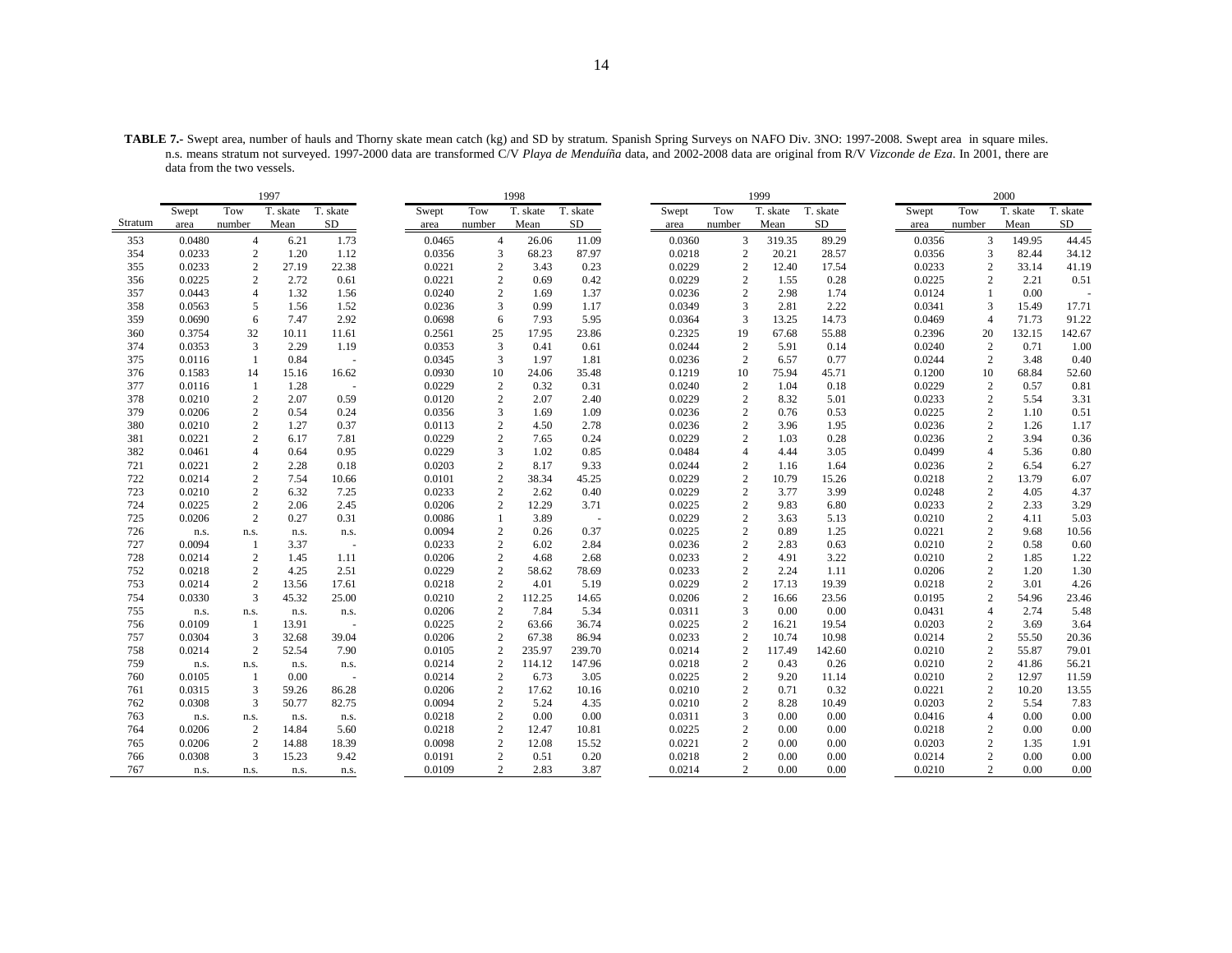**TABLE 7.-** Swept area, number of hauls and Thorny skate mean catch (kg) and SD by stratum. Spanish Spring Surveys on NAFO Div. 3NO: 1997-2008. Swept area in square miles. n.s. means stratum not surveyed. 1997-2000 data are transformed C/V *Playa de Menduíña* data, and 2002-2008 data are original from R/V *Vizconde de Eza*. In 2001, there are data from the two vessels.

|         |        |                | 1997     |                          |        |                  | 1998     |          |        |                | 1999     |          |        |                | 2000     |          |
|---------|--------|----------------|----------|--------------------------|--------|------------------|----------|----------|--------|----------------|----------|----------|--------|----------------|----------|----------|
|         | Swept  | Tow            | T. skate | T. skate                 | Swept  | Tow              | T. skate | T. skate | Swept  | Tow            | T. skate | T. skate | Swept  | Tow            | T. skate | T. skate |
| Stratum | area   | number         | Mean     | SD                       | area   | number           | Mean     | SD       | area   | number         | Mean     | SD       | area   | number         | Mean     | SD       |
| 353     | 0.0480 | $\overline{4}$ | 6.21     | 1.73                     | 0.0465 | $\overline{4}$   | 26.06    | 11.09    | 0.0360 | 3              | 319.35   | 89.29    | 0.0356 | 3              | 149.95   | 44.45    |
| 354     | 0.0233 | $\mathbf{2}$   | 1.20     | 1.12                     | 0.0356 | 3                | 68.23    | 87.97    | 0.0218 | $\overline{2}$ | 20.21    | 28.57    | 0.0356 | 3              | 82.44    | 34.12    |
| 355     | 0.0233 | $\mathbf{2}$   | 27.19    | 22.38                    | 0.0221 | $\sqrt{2}$       | 3.43     | 0.23     | 0.0229 | $\sqrt{2}$     | 12.40    | 17.54    | 0.0233 | $\overline{2}$ | 33.14    | 41.19    |
| 356     | 0.0225 | 2              | 2.72     | 0.61                     | 0.0221 | $\overline{c}$   | 0.69     | 0.42     | 0.0229 | $\overline{2}$ | 1.55     | 0.28     | 0.0225 | 2              | 2.21     | 0.51     |
| 357     | 0.0443 | $\overline{4}$ | 1.32     | 1.56                     | 0.0240 | $\overline{c}$   | 1.69     | 1.37     | 0.0236 | $\overline{2}$ | 2.98     | 1.74     | 0.0124 | $\mathbf{1}$   | 0.00     |          |
| 358     | 0.0563 | 5              | 1.56     | 1.52                     | 0.0236 | 3                | 0.99     | 1.17     | 0.0349 | 3              | 2.81     | 2.22     | 0.0341 | 3              | 15.49    | 17.71    |
| 359     | 0.0690 | 6              | 7.47     | 2.92                     | 0.0698 | 6                | 7.93     | 5.95     | 0.0364 | 3              | 13.25    | 14.73    | 0.0469 | $\overline{4}$ | 71.73    | 91.22    |
| 360     | 0.3754 | 32             | 10.11    | 11.61                    | 0.2561 | 25               | 17.95    | 23.86    | 0.2325 | 19             | 67.68    | 55.88    | 0.2396 | 20             | 132.15   | 142.67   |
| 374     | 0.0353 | 3              | 2.29     | 1.19                     | 0.0353 | 3                | 0.41     | 0.61     | 0.0244 | $\overline{2}$ | 5.91     | 0.14     | 0.0240 | 2              | 0.71     | 1.00     |
| 375     | 0.0116 | 1              | 0.84     | $\overline{\phantom{a}}$ | 0.0345 | 3                | 1.97     | 1.81     | 0.0236 | $\overline{2}$ | 6.57     | 0.77     | 0.0244 | 2              | 3.48     | 0.40     |
| 376     | 0.1583 | 14             | 15.16    | 16.62                    | 0.0930 | 10               | 24.06    | 35.48    | 0.1219 | 10             | 75.94    | 45.71    | 0.1200 | 10             | 68.84    | 52.60    |
| 377     | 0.0116 | 1              | 1.28     | ÷.                       | 0.0229 | $\sqrt{2}$       | 0.32     | 0.31     | 0.0240 | $\overline{2}$ | 1.04     | 0.18     | 0.0229 | $\sqrt{2}$     | 0.57     | 0.81     |
| 378     | 0.0210 | 2              | 2.07     | 0.59                     | 0.0120 | $\overline{c}$   | 2.07     | 2.40     | 0.0229 | $\overline{c}$ | 8.32     | 5.01     | 0.0233 | 2              | 5.54     | 3.31     |
| 379     | 0.0206 | $\overline{c}$ | 0.54     | 0.24                     | 0.0356 | 3                | 1.69     | 1.09     | 0.0236 | $\overline{c}$ | 0.76     | 0.53     | 0.0225 | 2              | 1.10     | 0.51     |
| 380     | 0.0210 | $\overline{c}$ | 1.27     | 0.37                     | 0.0113 | $\sqrt{2}$       | 4.50     | 2.78     | 0.0236 | $\sqrt{2}$     | 3.96     | 1.95     | 0.0236 | $\sqrt{2}$     | 1.26     | 1.17     |
| 381     | 0.0221 | $\overline{c}$ | 6.17     | 7.81                     | 0.0229 | $\overline{c}$   | 7.65     | 0.24     | 0.0229 | $\overline{c}$ | 1.03     | 0.28     | 0.0236 | 2              | 3.94     | 0.36     |
| 382     | 0.0461 | $\overline{4}$ | 0.64     | 0.95                     | 0.0229 | 3                | 1.02     | 0.85     | 0.0484 | $\overline{4}$ | 4.44     | 3.05     | 0.0499 | $\overline{4}$ | 5.36     | 0.80     |
| 721     | 0.0221 | $\overline{c}$ | 2.28     | 0.18                     | 0.0203 | $\sqrt{2}$       | 8.17     | 9.33     | 0.0244 | $\sqrt{2}$     | 1.16     | 1.64     | 0.0236 | $\overline{2}$ | 6.54     | 6.27     |
| 722     | 0.0214 | 2              | 7.54     | 10.66                    | 0.0101 | $\overline{c}$   | 38.34    | 45.25    | 0.0229 | $\overline{2}$ | 10.79    | 15.26    | 0.0218 | 2              | 13.79    | 6.07     |
| 723     | 0.0210 | $\sqrt{2}$     | 6.32     | 7.25                     | 0.0233 | $\overline{c}$   | 2.62     | 0.40     | 0.0229 | $\sqrt{2}$     | 3.77     | 3.99     | 0.0248 | $\sqrt{2}$     | 4.05     | 4.37     |
| 724     | 0.0225 | $\overline{c}$ | 2.06     | 2.45                     | 0.0206 | $\boldsymbol{2}$ | 12.29    | 3.71     | 0.0225 | $\overline{c}$ | 9.83     | 6.80     | 0.0233 | $\sqrt{2}$     | 2.33     | 3.29     |
| 725     | 0.0206 | $\overline{2}$ | 0.27     | 0.31                     | 0.0086 | $\mathbf{1}$     | 3.89     | ÷.       | 0.0229 | $\overline{c}$ | 3.63     | 5.13     | 0.0210 | 2              | 4.11     | 5.03     |
| 726     | n.s.   | n.s.           | n.s.     | n.s.                     | 0.0094 | $\boldsymbol{2}$ | 0.26     | 0.37     | 0.0225 | $\sqrt{2}$     | 0.89     | 1.25     | 0.0221 | $\mathbf{2}$   | 9.68     | 10.56    |
| 727     | 0.0094 | $\mathbf{1}$   | 3.37     |                          | 0.0233 | $\overline{c}$   | 6.02     | 2.84     | 0.0236 | $\overline{2}$ | 2.83     | 0.63     | 0.0210 | 2              | 0.58     | 0.60     |
| 728     | 0.0214 | 2              | 1.45     | 1.11                     | 0.0206 | $\sqrt{2}$       | 4.68     | 2.68     | 0.0233 | $\overline{2}$ | 4.91     | 3.22     | 0.0210 | $\mathbf{2}$   | 1.85     | 1.22     |
| 752     | 0.0218 | 2              | 4.25     | 2.51                     | 0.0229 | $\sqrt{2}$       | 58.62    | 78.69    | 0.0233 | $\overline{2}$ | 2.24     | 1.11     | 0.0206 | $\mathbf{2}$   | 1.20     | 1.30     |
| 753     | 0.0214 | 2              | 13.56    | 17.61                    | 0.0218 | $\overline{c}$   | 4.01     | 5.19     | 0.0229 | $\overline{c}$ | 17.13    | 19.39    | 0.0218 | 2              | 3.01     | 4.26     |
| 754     | 0.0330 | $\mathbf{3}$   | 45.32    | 25.00                    | 0.0210 | $\overline{c}$   | 112.25   | 14.65    | 0.0206 | $\overline{c}$ | 16.66    | 23.56    | 0.0195 | 2              | 54.96    | 23.46    |
| 755     | n.s.   | n.s.           | n.s.     | n.s.                     | 0.0206 | $\overline{c}$   | 7.84     | 5.34     | 0.0311 | 3              | 0.00     | 0.00     | 0.0431 | $\overline{4}$ | 2.74     | 5.48     |
| 756     | 0.0109 | $\mathbf{1}$   | 13.91    |                          | 0.0225 | $\overline{c}$   | 63.66    | 36.74    | 0.0225 | $\overline{c}$ | 16.21    | 19.54    | 0.0203 | $\overline{c}$ | 3.69     | 3.64     |
| 757     | 0.0304 | 3              | 32.68    | 39.04                    | 0.0206 | $\sqrt{2}$       | 67.38    | 86.94    | 0.0233 | $\overline{2}$ | 10.74    | 10.98    | 0.0214 | $\sqrt{2}$     | 55.50    | 20.36    |
| 758     | 0.0214 | $\mathbf{2}$   | 52.54    | 7.90                     | 0.0105 | $\overline{c}$   | 235.97   | 239.70   | 0.0214 | $\overline{2}$ | 117.49   | 142.60   | 0.0210 | $\overline{2}$ | 55.87    | 79.01    |
| 759     | n.s.   | n.s.           | n.s.     | n.s.                     | 0.0214 | $\overline{c}$   | 114.12   | 147.96   | 0.0218 | $\overline{c}$ | 0.43     | 0.26     | 0.0210 | $\overline{c}$ | 41.86    | 56.21    |
| 760     | 0.0105 | $\mathbf{1}$   | 0.00     | ÷,                       | 0.0214 | $\overline{c}$   | 6.73     | 3.05     | 0.0225 | $\overline{2}$ | 9.20     | 11.14    | 0.0210 | $\overline{2}$ | 12.97    | 11.59    |
| 761     | 0.0315 | 3              | 59.26    | 86.28                    | 0.0206 | $\overline{c}$   | 17.62    | 10.16    | 0.0210 | $\overline{c}$ | 0.71     | 0.32     | 0.0221 | $\overline{2}$ | 10.20    | 13.55    |
| 762     | 0.0308 | 3              | 50.77    | 82.75                    | 0.0094 | $\sqrt{2}$       | 5.24     | 4.35     | 0.0210 | $\overline{c}$ | 8.28     | 10.49    | 0.0203 | $\overline{2}$ | 5.54     | 7.83     |
| 763     | n.s.   | n.s.           | n.s.     | n.s.                     | 0.0218 | $\sqrt{2}$       | 0.00     | 0.00     | 0.0311 | 3              | 0.00     | 0.00     | 0.0416 | $\overline{4}$ | 0.00     | 0.00     |
| 764     | 0.0206 | 2              | 14.84    | 5.60                     | 0.0218 | $\boldsymbol{2}$ | 12.47    | 10.81    | 0.0225 | $\sqrt{2}$     | 0.00     | 0.00     | 0.0218 | $\overline{c}$ | 0.00     | 0.00     |
| 765     | 0.0206 | $\mathbf{2}$   | 14.88    | 18.39                    | 0.0098 | $\sqrt{2}$       | 12.08    | 15.52    | 0.0221 | $\overline{2}$ | 0.00     | 0.00     | 0.0203 | $\overline{2}$ | 1.35     | 1.91     |
| 766     | 0.0308 | 3              | 15.23    | 9.42                     | 0.0191 | $\sqrt{2}$       | 0.51     | 0.20     | 0.0218 | $\overline{2}$ | 0.00     | 0.00     | 0.0214 | $\overline{c}$ | 0.00     | 0.00     |
| 767     | n.s.   | n.s.           | n.s.     | n.s.                     | 0.0109 | $\overline{c}$   | 2.83     | 3.87     | 0.0214 | 2              | 0.00     | 0.00     | 0.0210 | $\mathbf{2}$   | 0.00     | 0.00     |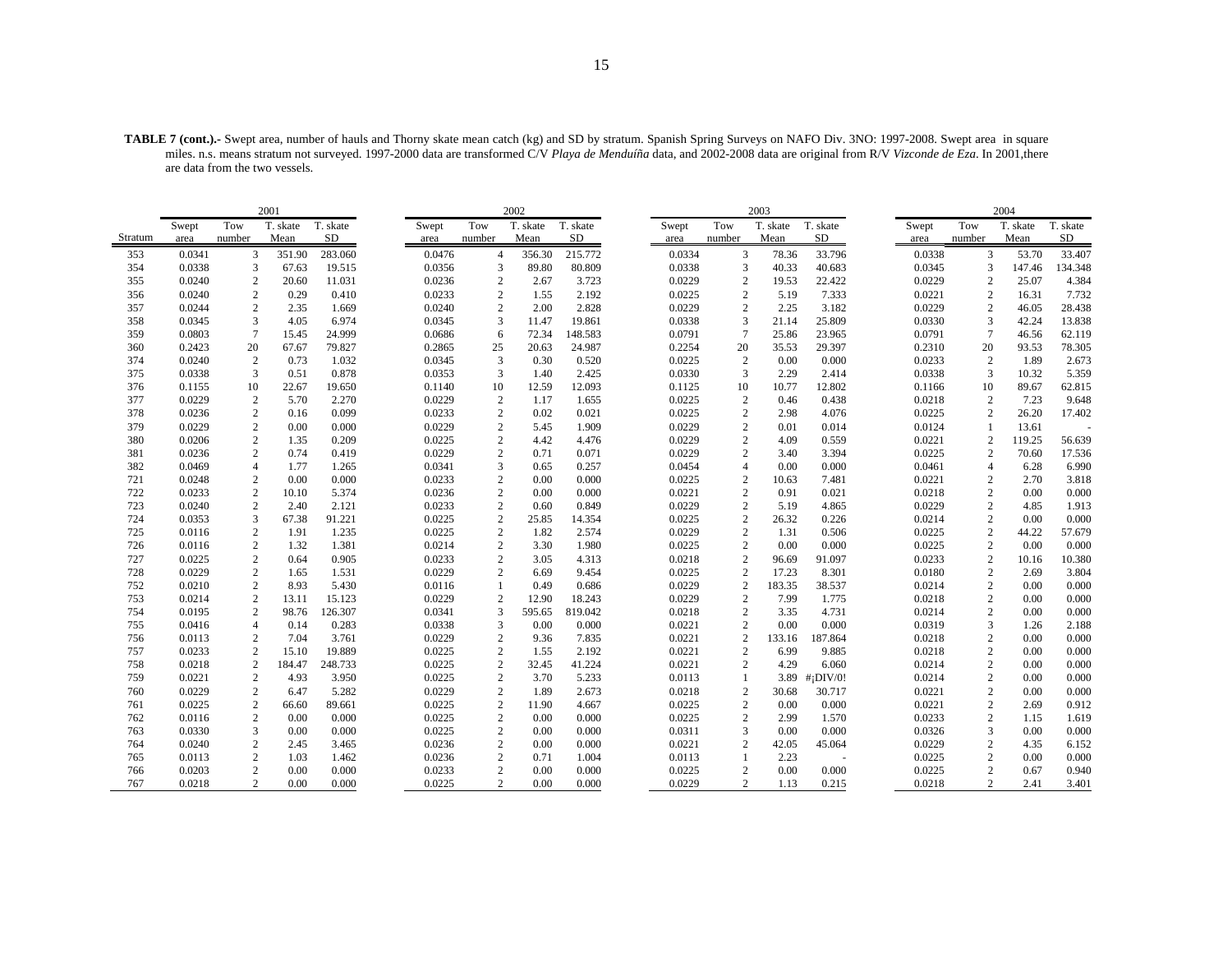**TABLE 7 (cont.).-** Swept area, number of hauls and Thorny skate mean catch (kg) and SD by stratum. Spanish Spring Surveys on NAFO Div. 3NO: 1997-2008. Swept area in square miles. n.s. means stratum not surveyed. 1997-2000 data are transformed C/V *Playa de Menduíña* data, and 2002-2008 data are original from R/V *Vizconde de Eza*. In 2001,there are data from the two vessels.

|         |        |                | 2001     |          |        |                  | 2002     |          |        |                  | 2003     |                         |        |                | 2004     |          |
|---------|--------|----------------|----------|----------|--------|------------------|----------|----------|--------|------------------|----------|-------------------------|--------|----------------|----------|----------|
|         | Swept  | Tow            | T. skate | T. skate | Swept  | Tow              | T. skate | T. skate | Swept  | Tow              | T. skate | T. skate                | Swept  | Tow            | T. skate | T. skate |
| Stratum | area   | number         | Mean     | SD       | area   | number           | Mean     | SD       | area   | number           | Mean     | SD                      | area   | number         | Mean     | SD       |
| 353     | 0.0341 | 3              | 351.90   | 283.060  | 0.0476 | $\overline{4}$   | 356.30   | 215.772  | 0.0334 | 3                | 78.36    | 33.796                  | 0.0338 | $\overline{3}$ | 53.70    | 33.407   |
| 354     | 0.0338 | 3              | 67.63    | 19.515   | 0.0356 | 3                | 89.80    | 80.809   | 0.0338 | $\mathfrak{Z}$   | 40.33    | 40.683                  | 0.0345 | 3              | 147.46   | 134.348  |
| 355     | 0.0240 | 2              | 20.60    | 11.031   | 0.0236 | 2                | 2.67     | 3.723    | 0.0229 | $\overline{2}$   | 19.53    | 22.422                  | 0.0229 | 2              | 25.07    | 4.384    |
| 356     | 0.0240 | $\mathbf{2}$   | 0.29     | 0.410    | 0.0233 | $\mathbf{2}$     | 1.55     | 2.192    | 0.0225 | $\overline{2}$   | 5.19     | 7.333                   | 0.0221 | $\mathbf{2}$   | 16.31    | 7.732    |
| 357     | 0.0244 | $\overline{c}$ | 2.35     | 1.669    | 0.0240 | $\boldsymbol{2}$ | 2.00     | 2.828    | 0.0229 | $\boldsymbol{2}$ | 2.25     | 3.182                   | 0.0229 | $\overline{c}$ | 46.05    | 28.438   |
| 358     | 0.0345 | 3              | 4.05     | 6.974    | 0.0345 | 3                | 11.47    | 19.861   | 0.0338 | 3                | 21.14    | 25.809                  | 0.0330 | 3              | 42.24    | 13.838   |
| 359     | 0.0803 | $\overline{7}$ | 15.45    | 24.999   | 0.0686 | 6                | 72.34    | 148.583  | 0.0791 | $\overline{7}$   | 25.86    | 23.965                  | 0.0791 | $\overline{7}$ | 46.56    | 62.119   |
| 360     | 0.2423 | 20             | 67.67    | 79.827   | 0.2865 | 25               | 20.63    | 24.987   | 0.2254 | 20               | 35.53    | 29.397                  | 0.2310 | 20             | 93.53    | 78.305   |
| 374     | 0.0240 | 2              | 0.73     | 1.032    | 0.0345 | 3                | 0.30     | 0.520    | 0.0225 | $\overline{2}$   | 0.00     | 0.000                   | 0.0233 | 2              | 1.89     | 2.673    |
| 375     | 0.0338 | 3              | 0.51     | 0.878    | 0.0353 | 3                | 1.40     | 2.425    | 0.0330 | 3                | 2.29     | 2.414                   | 0.0338 | 3              | 10.32    | 5.359    |
| 376     | 0.1155 | 10             | 22.67    | 19.650   | 0.1140 | 10               | 12.59    | 12.093   | 0.1125 | 10               | 10.77    | 12.802                  | 0.1166 | 10             | 89.67    | 62.815   |
| 377     | 0.0229 | $\sqrt{2}$     | 5.70     | 2.270    | 0.0229 | $\sqrt{2}$       | 1.17     | 1.655    | 0.0225 | $\sqrt{2}$       | 0.46     | 0.438                   | 0.0218 | $\overline{c}$ | 7.23     | 9.648    |
| 378     | 0.0236 | 2              | 0.16     | 0.099    | 0.0233 | 2                | 0.02     | 0.021    | 0.0225 | $\overline{2}$   | 2.98     | 4.076                   | 0.0225 | 2              | 26.20    | 17.402   |
| 379     | 0.0229 | 2              | 0.00     | 0.000    | 0.0229 | $\mathbf{2}$     | 5.45     | 1.909    | 0.0229 | $\overline{c}$   | 0.01     | 0.014                   | 0.0124 | -1             | 13.61    |          |
| 380     | 0.0206 | $\overline{2}$ | 1.35     | 0.209    | 0.0225 | $\mathbf{2}$     | 4.42     | 4.476    | 0.0229 | $\sqrt{2}$       | 4.09     | 0.559                   | 0.0221 | 2              | 119.25   | 56.639   |
| 381     | 0.0236 | $\overline{2}$ | 0.74     | 0.419    | 0.0229 | $\overline{c}$   | 0.71     | 0.071    | 0.0229 | $\overline{2}$   | 3.40     | 3.394                   | 0.0225 | 2              | 70.60    | 17.536   |
| 382     | 0.0469 | $\overline{4}$ | 1.77     | 1.265    | 0.0341 | 3                | 0.65     | 0.257    | 0.0454 | $\overline{4}$   | 0.00     | 0.000                   | 0.0461 | $\overline{4}$ | 6.28     | 6.990    |
| 721     | 0.0248 | 2              | 0.00     | 0.000    | 0.0233 | $\boldsymbol{2}$ | 0.00     | 0.000    | 0.0225 | $\boldsymbol{2}$ | 10.63    | 7.481                   | 0.0221 | 2              | 2.70     | 3.818    |
| 722     | 0.0233 | 2              | 10.10    | 5.374    | 0.0236 | $\mathbf{2}$     | 0.00     | 0.000    | 0.0221 | $\overline{2}$   | 0.91     | 0.021                   | 0.0218 | $\mathbf{2}$   | 0.00     | 0.000    |
| 723     | 0.0240 | 2              | 2.40     | 2.121    | 0.0233 | $\mathbf{2}$     | 0.60     | 0.849    | 0.0229 | $\sqrt{2}$       | 5.19     | 4.865                   | 0.0229 | $\mathbf{2}$   | 4.85     | 1.913    |
| 724     | 0.0353 | 3              | 67.38    | 91.221   | 0.0225 | $\mathbf{2}$     | 25.85    | 14.354   | 0.0225 | $\overline{2}$   | 26.32    | 0.226                   | 0.0214 | 2              | 0.00     | 0.000    |
| 725     | 0.0116 | 2              | 1.91     | 1.235    | 0.0225 | $\mathbf{2}$     | 1.82     | 2.574    | 0.0229 | $\overline{c}$   | 1.31     | 0.506                   | 0.0225 | $\sqrt{2}$     | 44.22    | 57.679   |
| 726     | 0.0116 | 2              | 1.32     | 1.381    | 0.0214 | 2                | 3.30     | 1.980    | 0.0225 | $\overline{2}$   | 0.00     | 0.000                   | 0.0225 | 2              | 0.00     | 0.000    |
| 727     | 0.0225 | $\overline{2}$ | 0.64     | 0.905    | 0.0233 | $\overline{c}$   | 3.05     | 4.313    | 0.0218 | $\overline{2}$   | 96.69    | 91.097                  | 0.0233 | 2              | 10.16    | 10.380   |
| 728     | 0.0229 | $\mathbf{2}$   | 1.65     | 1.531    | 0.0229 | $\mathbf{2}$     | 6.69     | 9.454    | 0.0225 | $\sqrt{2}$       | 17.23    | 8.301                   | 0.0180 | $\mathbf{2}$   | 2.69     | 3.804    |
| 752     | 0.0210 | 2              | 8.93     | 5.430    | 0.0116 | 1                | 0.49     | 0.686    | 0.0229 | $\overline{2}$   | 183.35   | 38.537                  | 0.0214 | 2              | 0.00     | 0.000    |
| 753     | 0.0214 | 2              | 13.11    | 15.123   | 0.0229 | 2                | 12.90    | 18.243   | 0.0229 | $\overline{2}$   | 7.99     | 1.775                   | 0.0218 | 2              | 0.00     | 0.000    |
| 754     | 0.0195 | 2              | 98.76    | 126.307  | 0.0341 | 3                | 595.65   | 819.042  | 0.0218 | $\overline{2}$   | 3.35     | 4.731                   | 0.0214 | $\mathbf{2}$   | 0.00     | 0.000    |
| 755     | 0.0416 | $\overline{4}$ | 0.14     | 0.283    | 0.0338 | 3                | 0.00     | 0.000    | 0.0221 | $\overline{c}$   | 0.00     | 0.000                   | 0.0319 | 3              | 1.26     | 2.188    |
| 756     | 0.0113 | 2              | 7.04     | 3.761    | 0.0229 | 2                | 9.36     | 7.835    | 0.0221 | $\overline{c}$   | 133.16   | 187.864                 | 0.0218 | $\mathbf{2}$   | 0.00     | 0.000    |
| 757     | 0.0233 | $\mathbf{2}$   | 15.10    | 19.889   | 0.0225 | $\mathbf{2}$     | 1.55     | 2.192    | 0.0221 | $\overline{2}$   | 6.99     | 9.885                   | 0.0218 | 2              | 0.00     | 0.000    |
| 758     | 0.0218 | 2              | 184.47   | 248.733  | 0.0225 | $\mathbf{2}$     | 32.45    | 41.224   | 0.0221 | $\overline{2}$   | 4.29     | 6.060                   | 0.0214 | $\mathbf{2}$   | 0.00     | 0.000    |
| 759     | 0.0221 | 2              | 4.93     | 3.950    | 0.0225 | $\mathbf{2}$     | 3.70     | 5.233    | 0.0113 | 1                | 3.89     | $#$ <sub>i</sub> DIV/0! | 0.0214 | 2              | 0.00     | 0.000    |
| 760     | 0.0229 | 2              | 6.47     | 5.282    | 0.0229 | $\mathbf{2}$     | 1.89     | 2.673    | 0.0218 | $\overline{2}$   | 30.68    | 30.717                  | 0.0221 | 2              | 0.00     | 0.000    |
| 761     | 0.0225 | $\mathbf{2}$   | 66.60    | 89.661   | 0.0225 | $\mathbf{2}$     | 11.90    | 4.667    | 0.0225 | $\sqrt{2}$       | 0.00     | 0.000                   | 0.0221 | $\sqrt{2}$     | 2.69     | 0.912    |
| 762     | 0.0116 | 2              | 0.00     | 0.000    | 0.0225 | 2                | 0.00     | 0.000    | 0.0225 | $\overline{2}$   | 2.99     | 1.570                   | 0.0233 | 2              | 1.15     | 1.619    |
| 763     | 0.0330 | 3              | 0.00     | 0.000    | 0.0225 | $\mathbf{2}$     | 0.00     | 0.000    | 0.0311 | 3                | 0.00     | 0.000                   | 0.0326 | 3              | 0.00     | 0.000    |
| 764     | 0.0240 | $\mathbf{2}$   | 2.45     | 3.465    | 0.0236 | $\mathbf{2}$     | 0.00     | 0.000    | 0.0221 | $\overline{2}$   | 42.05    | 45.064                  | 0.0229 | $\mathbf{2}$   | 4.35     | 6.152    |
| 765     | 0.0113 | 2              | 1.03     | 1.462    | 0.0236 | 2                | 0.71     | 1.004    | 0.0113 |                  | 2.23     |                         | 0.0225 | 2              | 0.00     | 0.000    |
| 766     | 0.0203 | $\mathbf{2}$   | 0.00     | 0.000    | 0.0233 | 2                | 0.00     | 0.000    | 0.0225 | $\overline{2}$   | 0.00     | 0.000                   | 0.0225 | $\overline{c}$ | 0.67     | 0.940    |
| 767     | 0.0218 | 2              | 0.00     | 0.000    | 0.0225 | $\overline{c}$   | 0.00     | 0.000    | 0.0229 | $\overline{2}$   | 1.13     | 0.215                   | 0.0218 | $\overline{c}$ | 2.41     | 3.401    |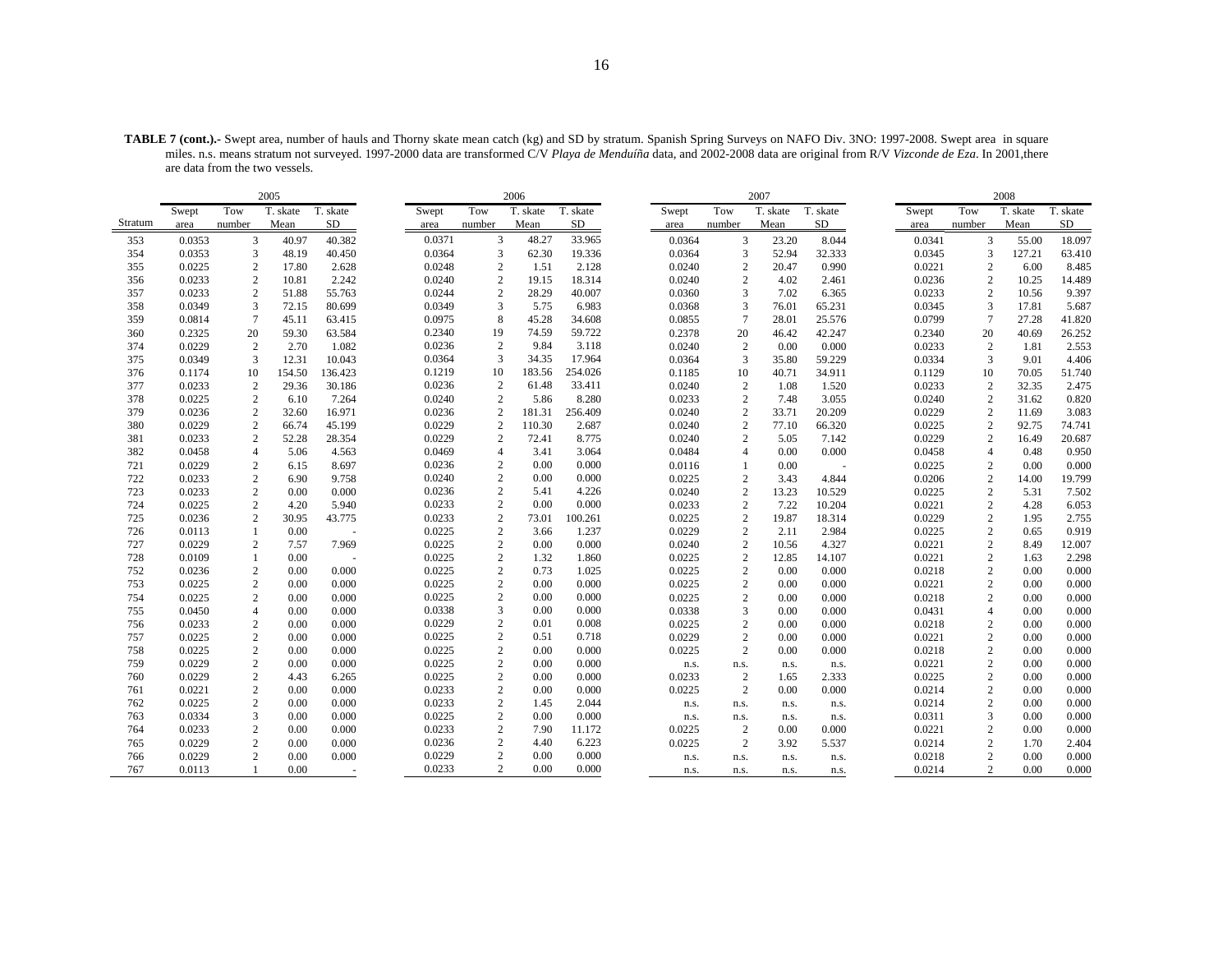**TABLE 7 (cont.).-** Swept area, number of hauls and Thorny skate mean catch (kg) and SD by stratum. Spanish Spring Surveys on NAFO Div. 3NO: 1997-2008. Swept area in square miles. n.s. means stratum not surveyed. 1997-2000 data are transformed C/V *Playa de Menduíña* data, and 2002-2008 data are original from R/V *Vizconde de Eza*. In 2001,there are data from the two vessels.

|         |        |                | 2005     |                          |        |                  | 2006     |          |        |                 | 2007     |          |        |                 | 2008     |          |
|---------|--------|----------------|----------|--------------------------|--------|------------------|----------|----------|--------|-----------------|----------|----------|--------|-----------------|----------|----------|
|         | Swept  | Tow            | T. skate | T. skate                 | Swept  | Tow              | T. skate | T. skate | Swept  | Tow             | T. skate | T. skate | Swept  | Tow             | T. skate | T. skate |
| Stratum | area   | number         | Mean     | SD                       | area   | number           | Mean     | SD       | area   | number          | Mean     | SD       | area   | number          | Mean     | SD       |
| 353     | 0.0353 | 3              | 40.97    | 40.382                   | 0.0371 | 3                | 48.27    | 33.965   | 0.0364 | 3               | 23.20    | 8.044    | 0.0341 | 3               | 55.00    | 18.097   |
| 354     | 0.0353 | 3              | 48.19    | 40.450                   | 0.0364 | 3                | 62.30    | 19.336   | 0.0364 | 3               | 52.94    | 32.333   | 0.0345 | 3               | 127.21   | 63.410   |
| 355     | 0.0225 | 2              | 17.80    | 2.628                    | 0.0248 | $\overline{2}$   | 1.51     | 2.128    | 0.0240 | $\overline{2}$  | 20.47    | 0.990    | 0.0221 | $\overline{c}$  | 6.00     | 8.485    |
| 356     | 0.0233 | 2              | 10.81    | 2.242                    | 0.0240 | $\sqrt{2}$       | 19.15    | 18.314   | 0.0240 | $\overline{2}$  | 4.02     | 2.461    | 0.0236 | $\overline{2}$  | 10.25    | 14.489   |
| 357     | 0.0233 | 2              | 51.88    | 55.763                   | 0.0244 | $\overline{2}$   | 28.29    | 40.007   | 0.0360 | 3               | 7.02     | 6.365    | 0.0233 | 2               | 10.56    | 9.397    |
| 358     | 0.0349 | 3              | 72.15    | 80.699                   | 0.0349 | 3                | 5.75     | 6.983    | 0.0368 | 3               | 76.01    | 65.231   | 0.0345 | 3               | 17.81    | 5.687    |
| 359     | 0.0814 | $\tau$         | 45.11    | 63.415                   | 0.0975 | 8                | 45.28    | 34.608   | 0.0855 | $7\phantom{.0}$ | 28.01    | 25.576   | 0.0799 | $7\phantom{.0}$ | 27.28    | 41.820   |
| 360     | 0.2325 | 20             | 59.30    | 63.584                   | 0.2340 | 19               | 74.59    | 59.722   | 0.2378 | 20              | 46.42    | 42.247   | 0.2340 | 20              | 40.69    | 26.252   |
| 374     | 0.0229 | 2              | 2.70     | 1.082                    | 0.0236 | $\sqrt{2}$       | 9.84     | 3.118    | 0.0240 | $\overline{2}$  | 0.00     | 0.000    | 0.0233 | $\overline{2}$  | 1.81     | 2.553    |
| 375     | 0.0349 | 3              | 12.31    | 10.043                   | 0.0364 | 3                | 34.35    | 17.964   | 0.0364 | 3               | 35.80    | 59.229   | 0.0334 | 3               | 9.01     | 4.406    |
| 376     | 0.1174 | 10             | 154.50   | 136.423                  | 0.1219 | 10               | 183.56   | 254.026  | 0.1185 | 10              | 40.71    | 34.911   | 0.1129 | 10              | 70.05    | 51.740   |
| 377     | 0.0233 | $\mathbf{2}$   | 29.36    | 30.186                   | 0.0236 | $\overline{c}$   | 61.48    | 33.411   | 0.0240 | $\overline{2}$  | 1.08     | 1.520    | 0.0233 | $\overline{2}$  | 32.35    | 2.475    |
| 378     | 0.0225 | 2              | 6.10     | 7.264                    | 0.0240 | $\mathbf{2}$     | 5.86     | 8.280    | 0.0233 | $\overline{2}$  | 7.48     | 3.055    | 0.0240 | $\overline{c}$  | 31.62    | 0.820    |
| 379     | 0.0236 | 2              | 32.60    | 16.971                   | 0.0236 | $\sqrt{2}$       | 181.31   | 256.409  | 0.0240 | $\overline{2}$  | 33.71    | 20.209   | 0.0229 | $\overline{2}$  | 11.69    | 3.083    |
| 380     | 0.0229 | 2              | 66.74    | 45.199                   | 0.0229 | $\overline{2}$   | 110.30   | 2.687    | 0.0240 | $\overline{2}$  | 77.10    | 66.320   | 0.0225 | $\overline{2}$  | 92.75    | 74.741   |
| 381     | 0.0233 | 2              | 52.28    | 28.354                   | 0.0229 | $\overline{c}$   | 72.41    | 8.775    | 0.0240 | 2               | 5.05     | 7.142    | 0.0229 | $\overline{c}$  | 16.49    | 20.687   |
| 382     | 0.0458 | $\overline{4}$ | 5.06     | 4.563                    | 0.0469 | $\overline{4}$   | 3.41     | 3.064    | 0.0484 | $\overline{4}$  | 0.00     | 0.000    | 0.0458 | $\overline{4}$  | 0.48     | 0.950    |
| 721     | 0.0229 | $\mathbf{2}$   | 6.15     | 8.697                    | 0.0236 | $\overline{c}$   | 0.00     | 0.000    | 0.0116 | -1              | 0.00     | $\sim$   | 0.0225 | $\overline{c}$  | 0.00     | 0.000    |
| 722     | 0.0233 | $\mathbf{2}$   | 6.90     | 9.758                    | 0.0240 | $\overline{2}$   | 0.00     | 0.000    | 0.0225 | $\overline{2}$  | 3.43     | 4.844    | 0.0206 | $\overline{c}$  | 14.00    | 19.799   |
| 723     | 0.0233 | 2              | 0.00     | 0.000                    | 0.0236 | $\overline{2}$   | 5.41     | 4.226    | 0.0240 | $\overline{2}$  | 13.23    | 10.529   | 0.0225 | $\overline{c}$  | 5.31     | 7.502    |
| 724     | 0.0225 | $\mathbf{2}$   | 4.20     | 5.940                    | 0.0233 | $\overline{c}$   | 0.00     | 0.000    | 0.0233 | $\overline{2}$  | 7.22     | 10.204   | 0.0221 | $\overline{c}$  | 4.28     | 6.053    |
| 725     | 0.0236 | 2              | 30.95    | 43.775                   | 0.0233 | $\overline{2}$   | 73.01    | 100.261  | 0.0225 | $\overline{2}$  | 19.87    | 18.314   | 0.0229 | $\sqrt{2}$      | 1.95     | 2.755    |
| 726     | 0.0113 | $\mathbf{1}$   | 0.00     | $\overline{\phantom{a}}$ | 0.0225 | $\overline{2}$   | 3.66     | 1.237    | 0.0229 | $\overline{2}$  | 2.11     | 2.984    | 0.0225 | $\overline{c}$  | 0.65     | 0.919    |
| 727     | 0.0229 | 2              | 7.57     | 7.969                    | 0.0225 | $\overline{2}$   | 0.00     | 0.000    | 0.0240 | $\overline{2}$  | 10.56    | 4.327    | 0.0221 | $\overline{c}$  | 8.49     | 12.007   |
| 728     | 0.0109 | $\mathbf{1}$   | 0.00     |                          | 0.0225 | $\overline{2}$   | 1.32     | 1.860    | 0.0225 | $\overline{2}$  | 12.85    | 14.107   | 0.0221 | $\overline{c}$  | 1.63     | 2.298    |
| 752     | 0.0236 | $\mathbf{2}$   | 0.00     | 0.000                    | 0.0225 | $\overline{2}$   | 0.73     | 1.025    | 0.0225 | $\overline{2}$  | 0.00     | 0.000    | 0.0218 | $\sqrt{2}$      | 0.00     | 0.000    |
| 753     | 0.0225 | 2              | 0.00     | 0.000                    | 0.0225 | $\boldsymbol{2}$ | 0.00     | 0.000    | 0.0225 | $\overline{2}$  | 0.00     | 0.000    | 0.0221 | $\overline{c}$  | 0.00     | 0.000    |
| 754     | 0.0225 | 2              | 0.00     | 0.000                    | 0.0225 | $\overline{2}$   | 0.00     | 0.000    | 0.0225 | $\overline{2}$  | 0.00     | 0.000    | 0.0218 | $\mathbf{2}$    | 0.00     | 0.000    |
| 755     | 0.0450 | $\overline{4}$ | 0.00     | 0.000                    | 0.0338 | 3                | 0.00     | 0.000    | 0.0338 | 3               | 0.00     | 0.000    | 0.0431 | $\overline{4}$  | 0.00     | 0.000    |
| 756     | 0.0233 | 2              | 0.00     | 0.000                    | 0.0229 | $\mathbf{2}$     | 0.01     | 0.008    | 0.0225 | $\overline{2}$  | 0.00     | 0.000    | 0.0218 | $\overline{c}$  | 0.00     | 0.000    |
| 757     | 0.0225 | 2              | 0.00     | 0.000                    | 0.0225 | $\overline{c}$   | 0.51     | 0.718    | 0.0229 | $\overline{2}$  | 0.00     | 0.000    | 0.0221 | $\overline{c}$  | 0.00     | 0.000    |
| 758     | 0.0225 | $\mathbf{2}$   | 0.00     | 0.000                    | 0.0225 | $\overline{2}$   | 0.00     | 0.000    | 0.0225 | $\overline{2}$  | 0.00     | 0.000    | 0.0218 | $\sqrt{2}$      | 0.00     | 0.000    |
| 759     | 0.0229 | 2              | 0.00     | 0.000                    | 0.0225 | $\overline{2}$   | 0.00     | 0.000    | n.s.   | n.s.            | n.s.     | n.s.     | 0.0221 | $\overline{c}$  | 0.00     | 0.000    |
| 760     | 0.0229 | $\mathbf{2}$   | 4.43     | 6.265                    | 0.0225 | $\overline{c}$   | 0.00     | 0.000    | 0.0233 | $\overline{2}$  | 1.65     | 2.333    | 0.0225 | $\sqrt{2}$      | 0.00     | 0.000    |
| 761     | 0.0221 | 2              | 0.00     | 0.000                    | 0.0233 | $\overline{2}$   | 0.00     | 0.000    | 0.0225 | $\overline{2}$  | 0.00     | 0.000    | 0.0214 | $\overline{c}$  | 0.00     | 0.000    |
| 762     | 0.0225 | 2              | 0.00     | 0.000                    | 0.0233 | $\overline{2}$   | 1.45     | 2.044    | n.s.   | n.s.            | n.s.     | n.s.     | 0.0214 | $\overline{c}$  | 0.00     | 0.000    |
| 763     | 0.0334 | 3              | 0.00     | 0.000                    | 0.0225 | $\overline{2}$   | 0.00     | 0.000    | n.s.   | n.s.            | n.s.     | n.s.     | 0.0311 | 3               | 0.00     | 0.000    |
| 764     | 0.0233 | 2              | 0.00     | 0.000                    | 0.0233 | $\overline{2}$   | 7.90     | 11.172   | 0.0225 | 2               | 0.00     | 0.000    | 0.0221 | $\overline{c}$  | 0.00     | 0.000    |
| 765     | 0.0229 | 2              | 0.00     | 0.000                    | 0.0236 | $\overline{2}$   | 4.40     | 6.223    | 0.0225 | $\overline{2}$  | 3.92     | 5.537    | 0.0214 | $\overline{c}$  | 1.70     | 2.404    |
| 766     | 0.0229 | $\overline{c}$ | 0.00     | 0.000                    | 0.0229 | $\overline{2}$   | 0.00     | 0.000    | n.s.   | n.s.            | n.s.     | n.s.     | 0.0218 | $\overline{c}$  | 0.00     | 0.000    |
| 767     | 0.0113 |                | 0.00     |                          | 0.0233 | $\overline{c}$   | 0.00     | 0.000    | n.s.   | n.s.            | n.s.     | n.s.     | 0.0214 | $\overline{2}$  | 0.00     | 0.000    |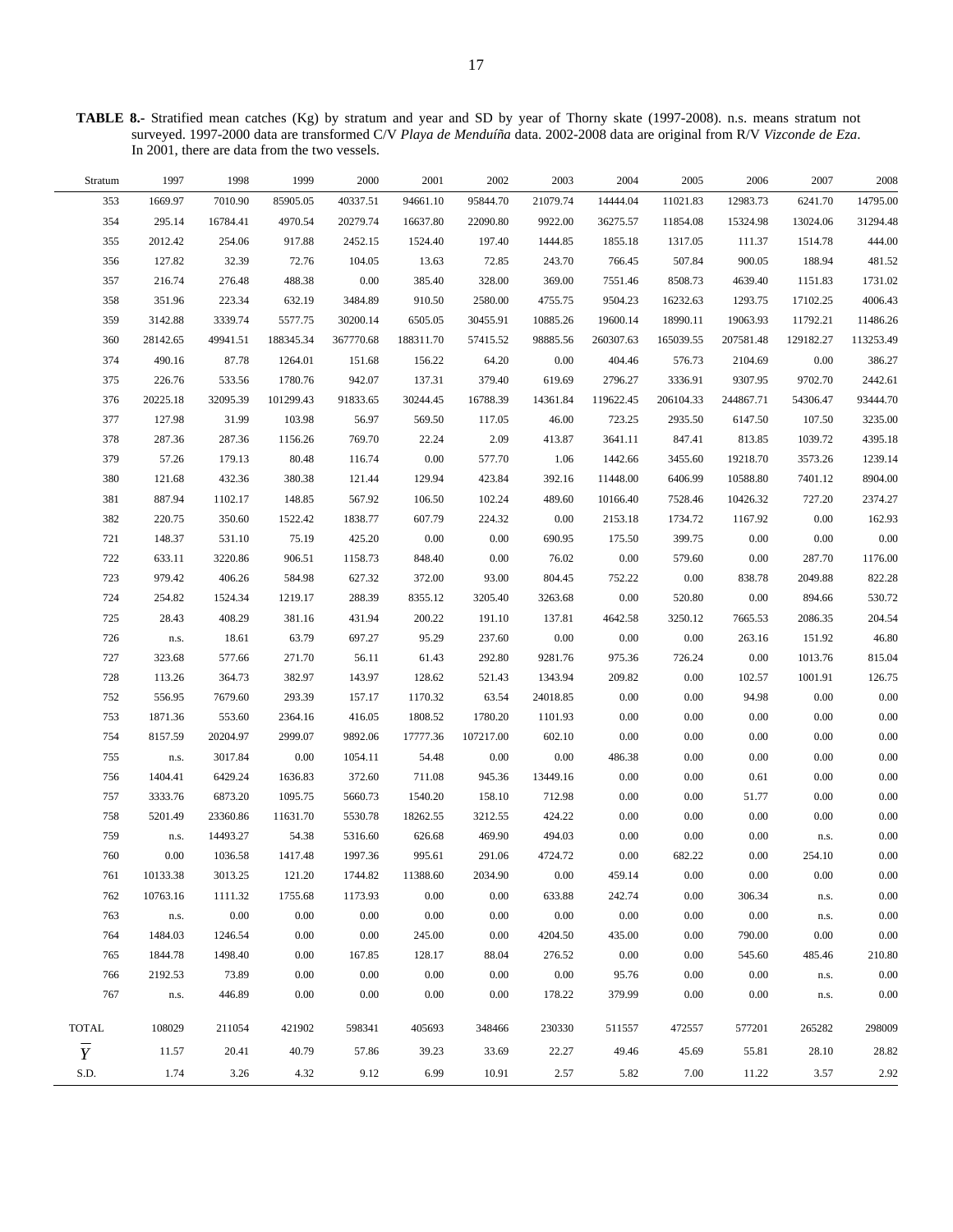**TABLE 8.-** Stratified mean catches (Kg) by stratum and year and SD by year of Thorny skate (1997-2008). n.s. means stratum not surveyed. 1997-2000 data are transformed C/V *Playa de Menduíña* data. 2002-2008 data are original from R/V *Vizconde de Eza*. In 2001, there are data from the two vessels.

 $\overline{\phantom{0}}$ 

| Stratum        | 1997     | 1998     | 1999      | 2000      | 2001      | 2002      | 2003     | 2004      | 2005      | 2006      | 2007      | 2008      |
|----------------|----------|----------|-----------|-----------|-----------|-----------|----------|-----------|-----------|-----------|-----------|-----------|
| 353            | 1669.97  | 7010.90  | 85905.05  | 40337.51  | 94661.10  | 95844.70  | 21079.74 | 14444.04  | 11021.83  | 12983.73  | 6241.70   | 14795.00  |
| 354            | 295.14   | 16784.41 | 4970.54   | 20279.74  | 16637.80  | 22090.80  | 9922.00  | 36275.57  | 11854.08  | 15324.98  | 13024.06  | 31294.48  |
| 355            | 2012.42  | 254.06   | 917.88    | 2452.15   | 1524.40   | 197.40    | 1444.85  | 1855.18   | 1317.05   | 111.37    | 1514.78   | 444.00    |
| 356            | 127.82   | 32.39    | 72.76     | 104.05    | 13.63     | 72.85     | 243.70   | 766.45    | 507.84    | 900.05    | 188.94    | 481.52    |
| 357            | 216.74   | 276.48   | 488.38    | 0.00      | 385.40    | 328.00    | 369.00   | 7551.46   | 8508.73   | 4639.40   | 1151.83   | 1731.02   |
| 358            | 351.96   | 223.34   | 632.19    | 3484.89   | 910.50    | 2580.00   | 4755.75  | 9504.23   | 16232.63  | 1293.75   | 17102.25  | 4006.43   |
| 359            | 3142.88  | 3339.74  | 5577.75   | 30200.14  | 6505.05   | 30455.91  | 10885.26 | 19600.14  | 18990.11  | 19063.93  | 11792.21  | 11486.26  |
| 360            | 28142.65 | 49941.51 | 188345.34 | 367770.68 | 188311.70 | 57415.52  | 98885.56 | 260307.63 | 165039.55 | 207581.48 | 129182.27 | 113253.49 |
| 374            | 490.16   | 87.78    | 1264.01   | 151.68    | 156.22    | 64.20     | 0.00     | 404.46    | 576.73    | 2104.69   | 0.00      | 386.27    |
| 375            | 226.76   | 533.56   | 1780.76   | 942.07    | 137.31    | 379.40    | 619.69   | 2796.27   | 3336.91   | 9307.95   | 9702.70   | 2442.61   |
| 376            | 20225.18 | 32095.39 | 101299.43 | 91833.65  | 30244.45  | 16788.39  | 14361.84 | 119622.45 | 206104.33 | 244867.71 | 54306.47  | 93444.70  |
| 377            | 127.98   | 31.99    | 103.98    | 56.97     | 569.50    | 117.05    | 46.00    | 723.25    | 2935.50   | 6147.50   | 107.50    | 3235.00   |
| 378            | 287.36   | 287.36   | 1156.26   | 769.70    | 22.24     | 2.09      | 413.87   | 3641.11   | 847.41    | 813.85    | 1039.72   | 4395.18   |
| 379            | 57.26    | 179.13   | 80.48     | 116.74    | $0.00\,$  | 577.70    | 1.06     | 1442.66   | 3455.60   | 19218.70  | 3573.26   | 1239.14   |
| 380            | 121.68   | 432.36   | 380.38    | 121.44    | 129.94    | 423.84    | 392.16   | 11448.00  | 6406.99   | 10588.80  | 7401.12   | 8904.00   |
| 381            | 887.94   | 1102.17  | 148.85    | 567.92    | 106.50    | 102.24    | 489.60   | 10166.40  | 7528.46   | 10426.32  | 727.20    | 2374.27   |
| 382            | 220.75   | 350.60   | 1522.42   | 1838.77   | 607.79    | 224.32    | 0.00     | 2153.18   | 1734.72   | 1167.92   | 0.00      | 162.93    |
| 721            | 148.37   | 531.10   | 75.19     | 425.20    | $0.00\,$  | 0.00      | 690.95   | 175.50    | 399.75    | 0.00      | 0.00      | 0.00      |
| 722            | 633.11   | 3220.86  | 906.51    | 1158.73   | 848.40    | 0.00      | 76.02    | $0.00\,$  | 579.60    | $0.00\,$  | 287.70    | 1176.00   |
| 723            | 979.42   | 406.26   | 584.98    | 627.32    | 372.00    | 93.00     | 804.45   | 752.22    | $0.00\,$  | 838.78    | 2049.88   | 822.28    |
| 724            | 254.82   | 1524.34  | 1219.17   | 288.39    | 8355.12   | 3205.40   | 3263.68  | 0.00      | 520.80    | $0.00\,$  | 894.66    | 530.72    |
| 725            | 28.43    | 408.29   | 381.16    | 431.94    | 200.22    | 191.10    | 137.81   | 4642.58   | 3250.12   | 7665.53   | 2086.35   | 204.54    |
| 726            | n.s.     | 18.61    | 63.79     | 697.27    | 95.29     | 237.60    | 0.00     | 0.00      | 0.00      | 263.16    | 151.92    | 46.80     |
| 727            | 323.68   | 577.66   | 271.70    | 56.11     | 61.43     | 292.80    | 9281.76  | 975.36    | 726.24    | $0.00\,$  | 1013.76   | 815.04    |
| 728            | 113.26   | 364.73   | 382.97    | 143.97    | 128.62    | 521.43    | 1343.94  | 209.82    | 0.00      | 102.57    | 1001.91   | 126.75    |
| 752            | 556.95   | 7679.60  | 293.39    | 157.17    | 1170.32   | 63.54     | 24018.85 | 0.00      | 0.00      | 94.98     | 0.00      | 0.00      |
| 753            | 1871.36  | 553.60   | 2364.16   | 416.05    | 1808.52   | 1780.20   | 1101.93  | 0.00      | 0.00      | $0.00\,$  | 0.00      | 0.00      |
| 754            | 8157.59  | 20204.97 | 2999.07   | 9892.06   | 17777.36  | 107217.00 | 602.10   | $0.00\,$  | 0.00      | $0.00\,$  | $0.00\,$  | 0.00      |
| 755            | n.s.     | 3017.84  | 0.00      | 1054.11   | 54.48     | 0.00      | 0.00     | 486.38    | 0.00      | $0.00\,$  | 0.00      | 0.00      |
| 756            | 1404.41  | 6429.24  | 1636.83   | 372.60    | 711.08    | 945.36    | 13449.16 | 0.00      | 0.00      | 0.61      | 0.00      | 0.00      |
| 757            | 3333.76  | 6873.20  | 1095.75   | 5660.73   | 1540.20   | 158.10    | 712.98   | 0.00      | 0.00      | 51.77     | 0.00      | 0.00      |
| 758            | 5201.49  | 23360.86 | 11631.70  | 5530.78   | 18262.55  | 3212.55   | 424.22   | 0.00      | 0.00      | $0.00\,$  | 0.00      | 0.00      |
| 759            | n.s.     | 14493.27 | 54.38     | 5316.60   | 626.68    | 469.90    | 494.03   | 0.00      | 0.00      | $0.00\,$  | n.s.      | 0.00      |
| 760            | $0.00\,$ | 1036.58  | 1417.48   | 1997.36   | 995.61    | 291.06    | 4724.72  | 0.00      | 682.22    | 0.00      | 254.10    | 0.00      |
| 761            | 10133.38 | 3013.25  | 121.20    | 1744.82   | 11388.60  | 2034.90   | $0.00\,$ | 459.14    | 0.00      | $0.00\,$  | $0.00\,$  | 0.00      |
| 762            | 10763.16 | 1111.32  | 1755.68   | 1173.93   | 0.00      | 0.00      | 633.88   | 242.74    | 0.00      | 306.34    | n.s.      | 0.00      |
| 763            | n.s.     | 0.00     | 0.00      | 0.00      | 0.00      | 0.00      | 0.00     | 0.00      | 0.00      | 0.00      | n.s.      | 0.00      |
| 764            | 1484.03  | 1246.54  | 0.00      | 0.00      | 245.00    | 0.00      | 4204.50  | 435.00    | 0.00      | 790.00    | 0.00      | 0.00      |
| 765            | 1844.78  | 1498.40  | 0.00      | 167.85    | 128.17    | 88.04     | 276.52   | 0.00      | 0.00      | 545.60    | 485.46    | 210.80    |
| 766            | 2192.53  | 73.89    | 0.00      | 0.00      | 0.00      | 0.00      | $0.00\,$ | 95.76     | 0.00      | 0.00      | n.s.      | 0.00      |
| 767            | n.s.     | 446.89   | 0.00      | 0.00      | 0.00      | 0.00      | 178.22   | 379.99    | 0.00      | $0.00\,$  | n.s.      | 0.00      |
| <b>TOTAL</b>   | 108029   | 211054   | 421902    | 598341    | 405693    | 348466    | 230330   | 511557    | 472557    | 577201    | 265282    | 298009    |
| $\overline{Y}$ | 11.57    | 20.41    | 40.79     | 57.86     | 39.23     | 33.69     | 22.27    | 49.46     | 45.69     | 55.81     | 28.10     | 28.82     |
| S.D.           | 1.74     | 3.26     | 4.32      | 9.12      | 6.99      | 10.91     | 2.57     | 5.82      | 7.00      | 11.22     | 3.57      | 2.92      |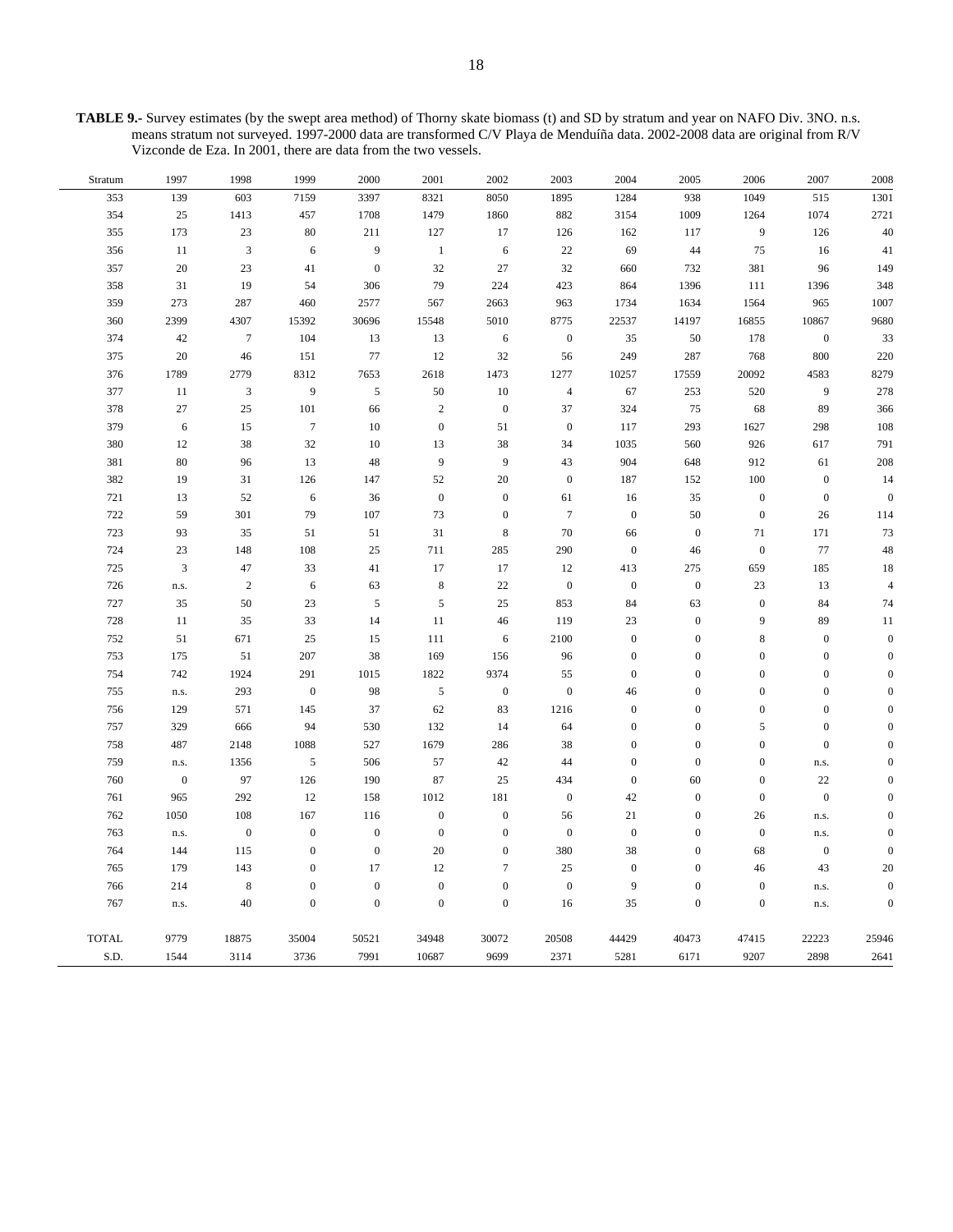**TABLE 9.-** Survey estimates (by the swept area method) of Thorny skate biomass (t) and SD by stratum and year on NAFO Div. 3NO. n.s. means stratum not surveyed. 1997-2000 data are transformed C/V Playa de Menduíña data. 2002-2008 data are original from R/V Vizconde de Eza. In 2001, there are data from the two vessels.

| Stratum      | 1997             | 1998            | 1999             | 2000             | 2001             | 2002             | 2003             | 2004             | 2005             | 2006             | 2007             | $2008\,$         |
|--------------|------------------|-----------------|------------------|------------------|------------------|------------------|------------------|------------------|------------------|------------------|------------------|------------------|
| 353          | 139              | 603             | 7159             | 3397             | 8321             | 8050             | 1895             | 1284             | 938              | 1049             | 515              | 1301             |
| 354          | 25               | 1413            | 457              | 1708             | 1479             | 1860             | 882              | 3154             | 1009             | 1264             | 1074             | 2721             |
| 355          | 173              | 23              | 80               | 211              | 127              | 17               | 126              | 162              | 117              | 9                | 126              | $40\,$           |
| 356          | 11               | $\mathbf{3}$    | 6                | 9                | $\,1\,$          | $\sqrt{6}$       | $22\,$           | 69               | 44               | 75               | 16               | 41               |
| 357          | 20               | 23              | 41               | $\boldsymbol{0}$ | 32               | 27               | 32               | 660              | 732              | 381              | 96               | 149              |
| 358          | 31               | 19              | 54               | 306              | 79               | 224              | 423              | 864              | 1396             | 111              | 1396             | 348              |
| 359          | 273              | 287             | 460              | 2577             | 567              | 2663             | 963              | 1734             | 1634             | 1564             | 965              | 1007             |
| 360          | 2399             | 4307            | 15392            | 30696            | 15548            | 5010             | 8775             | 22537            | 14197            | 16855            | 10867            | 9680             |
| 374          | 42               | $7\phantom{.0}$ | 104              | 13               | 13               | 6                | $\boldsymbol{0}$ | 35               | 50               | 178              | $\boldsymbol{0}$ | 33               |
| 375          | 20               | 46              | 151              | 77               | 12               | 32               | 56               | 249              | 287              | 768              | 800              | 220              |
| 376          | 1789             | 2779            | 8312             | 7653             | 2618             | 1473             | 1277             | 10257            | 17559            | 20092            | 4583             | 8279             |
| 377          | 11               | $\mathfrak z$   | $\boldsymbol{9}$ | $\sqrt{5}$       | 50               | $10\,$           | $\overline{4}$   | 67               | 253              | 520              | $\overline{9}$   | 278              |
| 378          | 27               | 25              | 101              | 66               | $\sqrt{2}$       | $\mathbf{0}$     | 37               | 324              | 75               | 68               | 89               | 366              |
| 379          | 6                | 15              | $\boldsymbol{7}$ | 10               | $\boldsymbol{0}$ | 51               | $\boldsymbol{0}$ | 117              | 293              | 1627             | 298              | 108              |
| 380          | 12               | 38              | 32               | $10\,$           | 13               | 38               | 34               | 1035             | 560              | 926              | 617              | 791              |
| 381          | 80               | 96              | 13               | 48               | $\overline{9}$   | 9                | 43               | 904              | 648              | 912              | 61               | 208              |
| 382          | 19               | 31              | 126              | 147              | 52               | 20               | $\mathbf{0}$     | 187              | 152              | 100              | $\boldsymbol{0}$ | 14               |
| 721          | 13               | 52              | 6                | 36               | $\boldsymbol{0}$ | $\boldsymbol{0}$ | 61               | 16               | 35               | $\boldsymbol{0}$ | $\boldsymbol{0}$ | $\boldsymbol{0}$ |
| 722          | 59               | 301             | 79               | 107              | 73               | $\boldsymbol{0}$ | $\tau$           | $\boldsymbol{0}$ | 50               | $\mathbf{0}$     | $26\,$           | 114              |
| 723          | 93               | 35              | 51               | 51               | 31               | $\,8\,$          | 70               | 66               | $\mathbf{0}$     | 71               | 171              | 73               |
| 724          | 23               | 148             | 108              | 25               | 711              | 285              | 290              | $\boldsymbol{0}$ | 46               | $\boldsymbol{0}$ | 77               | 48               |
| 725          | $\overline{3}$   | 47              | 33               | 41               | 17               | 17               | 12               | 413              | 275              | 659              | 185              | 18               |
| 726          | n.s.             | $\overline{c}$  | $\sqrt{6}$       | 63               | $\,$ 8 $\,$      | $22\,$           | $\boldsymbol{0}$ | $\boldsymbol{0}$ | $\boldsymbol{0}$ | 23               | 13               | $\overline{4}$   |
| 727          | 35               | 50              | 23               | $\sqrt{5}$       | 5                | 25               | 853              | 84               | 63               | $\boldsymbol{0}$ | 84               | 74               |
| 728          | 11               | 35              | 33               | 14               | 11               | 46               | 119              | 23               | $\mathbf{0}$     | 9                | 89               | 11               |
| 752          | 51               | 671             | $25\,$           | 15               | 111              | 6                | 2100             | $\mathbf{0}$     | $\boldsymbol{0}$ | 8                | $\boldsymbol{0}$ | $\overline{0}$   |
| 753          | 175              | 51              | 207              | 38               | 169              | 156              | 96               | $\mathbf{0}$     | $\boldsymbol{0}$ | $\boldsymbol{0}$ | $\boldsymbol{0}$ | $\mathbf{0}$     |
| 754          | 742              | 1924            | 291              | 1015             | 1822             | 9374             | 55               | $\mathbf{0}$     | $\mathbf{0}$     | $\mathbf{0}$     | $\boldsymbol{0}$ | $\mathbf{0}$     |
| 755          | n.s.             | 293             | $\boldsymbol{0}$ | 98               | $\sqrt{5}$       | $\boldsymbol{0}$ | $\boldsymbol{0}$ | 46               | $\mathbf{0}$     | $\boldsymbol{0}$ | $\boldsymbol{0}$ | $\theta$         |
| 756          | 129              | 571             | 145              | 37               | 62               | 83               | 1216             | $\boldsymbol{0}$ | $\overline{0}$   | $\boldsymbol{0}$ | $\boldsymbol{0}$ | $\overline{0}$   |
| 757          | 329              | 666             | 94               | 530              | 132              | 14               | 64               | $\boldsymbol{0}$ | $\boldsymbol{0}$ | 5                | $\boldsymbol{0}$ | $\mathbf{0}$     |
| 758          | 487              | 2148            | 1088             | 527              | 1679             | 286              | 38               | $\boldsymbol{0}$ | $\mathbf{0}$     | $\mathbf{0}$     | $\boldsymbol{0}$ | $\theta$         |
| 759          | n.s.             | 1356            | $\sqrt{5}$       | 506              | 57               | 42               | 44               | $\boldsymbol{0}$ | $\mathbf{0}$     | $\boldsymbol{0}$ | n.s.             | $\mathbf{0}$     |
| 760          | $\boldsymbol{0}$ | 97              | 126              | 190              | 87               | 25               | 434              | $\mathbf{0}$     | 60               | $\boldsymbol{0}$ | 22               | $\mathbf{0}$     |
| 761          | 965              | 292             | 12               | 158              | 1012             | 181              | $\boldsymbol{0}$ | 42               | $\boldsymbol{0}$ | $\boldsymbol{0}$ | $\boldsymbol{0}$ | $\overline{0}$   |
| 762          | 1050             | 108             | 167              | 116              | $\boldsymbol{0}$ | $\boldsymbol{0}$ | 56               | 21               | $\boldsymbol{0}$ | 26               | n.s.             | $\boldsymbol{0}$ |
| 763          | n.s.             | $\overline{0}$  | $\boldsymbol{0}$ | $\boldsymbol{0}$ | $\boldsymbol{0}$ | $\mathbf{0}$     | $\mathbf{0}$     | $\mathbf{0}$     | $\boldsymbol{0}$ | $\boldsymbol{0}$ | n.s.             | $\boldsymbol{0}$ |
| 764          | 144              | 115             | $\boldsymbol{0}$ | $\boldsymbol{0}$ | 20               | $\mathbf{0}$     | 380              | 38               | $\boldsymbol{0}$ | 68               | $\boldsymbol{0}$ | $\boldsymbol{0}$ |
| 765          | 179              | 143             | $\boldsymbol{0}$ | 17               | 12               | $\overline{7}$   | 25               | $\boldsymbol{0}$ | $\overline{0}$   | 46               | 43               | $20\,$           |
| 766          | 214              | $\,8\,$         | $\boldsymbol{0}$ | $\boldsymbol{0}$ | $\boldsymbol{0}$ | $\boldsymbol{0}$ | $\boldsymbol{0}$ | 9                | $\boldsymbol{0}$ | $\boldsymbol{0}$ | n.s.             | $\boldsymbol{0}$ |
| 767          | n.s.             | 40              | $\overline{0}$   | $\boldsymbol{0}$ | $\boldsymbol{0}$ | $\mathbf{0}$     | 16               | 35               | $\mathbf{0}$     | $\mathbf{0}$     | n.s.             | $\boldsymbol{0}$ |
| <b>TOTAL</b> | 9779             | 18875           | 35004            | 50521            | 34948            | 30072            | 20508            | 44429            | 40473            | 47415            | 22223            | 25946            |
| S.D.         | 1544             | 3114            | 3736             | 7991             | 10687            | 9699             | 2371             | 5281             | 6171             | 9207             | 2898             | 2641             |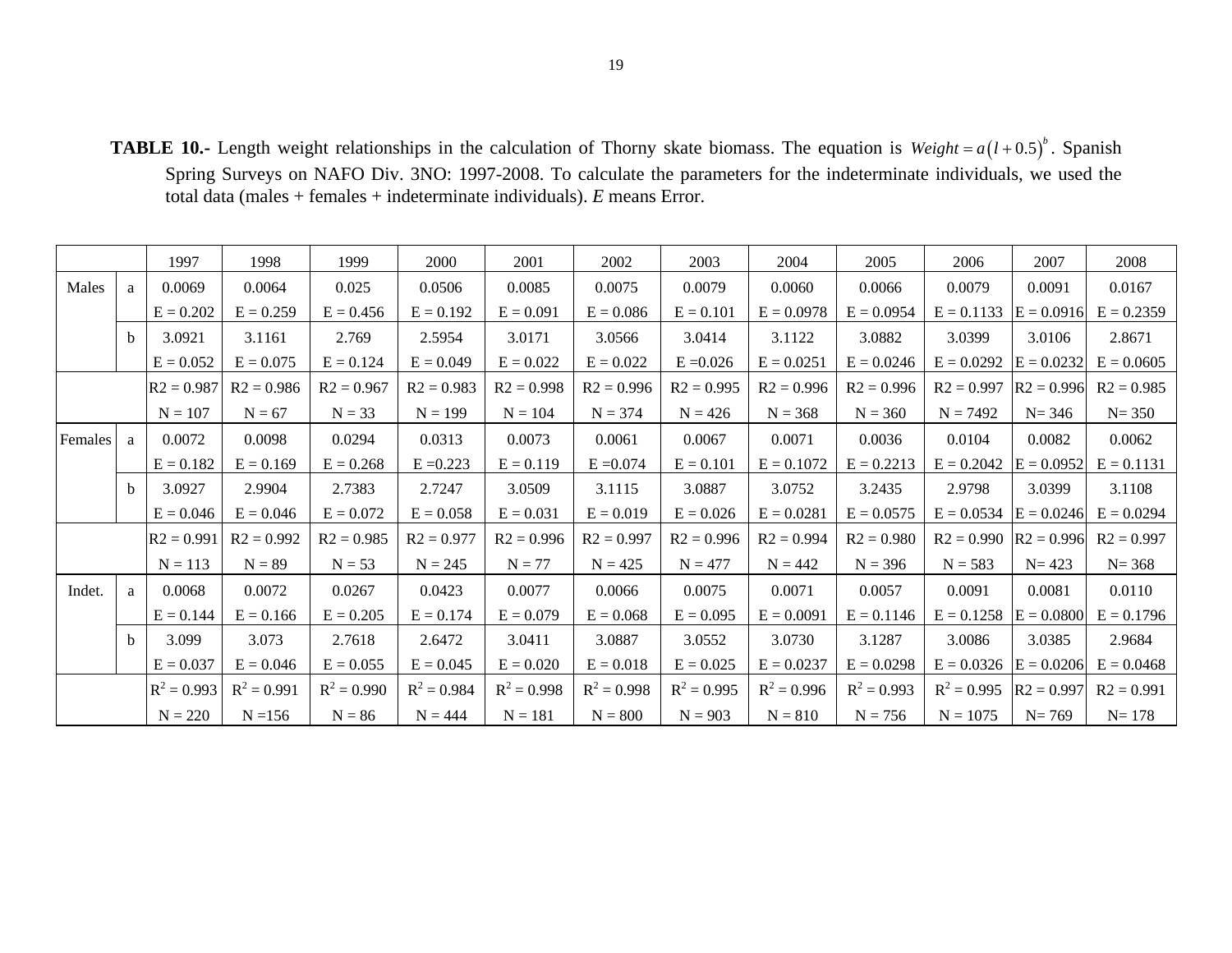**TABLE 10.-** Length weight relationships in the calculation of Thorny skate biomass. The equation is  $Weight = a(l+0.5)^{b}$ . Spanish Spring Surveys on NAFO Div. 3NO: 1997-2008. To calculate the parameters for the indeterminate individuals, we used the total data (males + females + indeterminate individuals). *E* means Error.

|         |              | 1997          | 1998          | 1999          | 2000          | 2001          | 2002          | 2003          | 2004          | 2005          | 2006                        | 2007         | 2008         |
|---------|--------------|---------------|---------------|---------------|---------------|---------------|---------------|---------------|---------------|---------------|-----------------------------|--------------|--------------|
| Males   | a            | 0.0069        | 0.0064        | 0.025         | 0.0506        | 0.0085        | 0.0075        | 0.0079        | 0.0060        | 0.0066        | 0.0079                      | 0.0091       | 0.0167       |
|         |              | $E = 0.202$   | $E = 0.259$   | $E = 0.456$   | $E = 0.192$   | $E = 0.091$   | $E = 0.086$   | $E = 0.101$   | $E = 0.0978$  | $E = 0.0954$  | $E = 0.1133$                | $E = 0.0916$ | $E = 0.2359$ |
|         | <sub>h</sub> | 3.0921        | 3.1161        | 2.769         | 2.5954        | 3.0171        | 3.0566        | 3.0414        | 3.1122        | 3.0882        | 3.0399                      | 3.0106       | 2.8671       |
|         |              | $E = 0.052$   | $E = 0.075$   | $E = 0.124$   | $E = 0.049$   | $E = 0.022$   | $E = 0.022$   | $E = 0.026$   | $E = 0.0251$  | $E = 0.0246$  | $E = 0.0292$                | $E = 0.0232$ | $E = 0.0605$ |
|         |              | $R2 = 0.987$  | $R2 = 0.986$  | $R2 = 0.967$  | $R2 = 0.983$  | $R2 = 0.998$  | $R2 = 0.996$  | $R2 = 0.995$  | $R2 = 0.996$  | $R2 = 0.996$  | $R2 = 0.997$                | $R2 = 0.996$ | $R2 = 0.985$ |
|         |              | $N = 107$     | $N = 67$      | $N = 33$      | $N = 199$     | $N = 104$     | $N = 374$     | $N = 426$     | $N = 368$     | $N = 360$     | $N = 7492$                  | $N = 346$    | $N = 350$    |
| Females | a            | 0.0072        | 0.0098        | 0.0294        | 0.0313        | 0.0073        | 0.0061        | 0.0067        | 0.0071        | 0.0036        | 0.0104                      | 0.0082       | 0.0062       |
|         |              | $E = 0.182$   | $E = 0.169$   | $E = 0.268$   | $E = 0.223$   | $E = 0.119$   | $E = 0.074$   | $E = 0.101$   | $E = 0.1072$  | $E = 0.2213$  | $E = 0.2042$                | $E = 0.0952$ | $E = 0.1131$ |
|         | <sub>h</sub> | 3.0927        | 2.9904        | 2.7383        | 2.7247        | 3.0509        | 3.1115        | 3.0887        | 3.0752        | 3.2435        | 2.9798                      | 3.0399       | 3.1108       |
|         |              | $E = 0.046$   | $E = 0.046$   | $E = 0.072$   | $E = 0.058$   | $E = 0.031$   | $E = 0.019$   | $E = 0.026$   | $E = 0.0281$  | $E = 0.0575$  | $E = 0.0534$                | $E = 0.0246$ | $E = 0.0294$ |
|         |              | $R2 = 0.991$  | $R2 = 0.992$  | $R2 = 0.985$  | $R2 = 0.977$  | $R2 = 0.996$  | $R2 = 0.997$  | $R2 = 0.996$  | $R2 = 0.994$  | $R2 = 0.980$  | $R2 = 0.990$                | $R2 = 0.996$ | $R2 = 0.997$ |
|         |              | $N = 113$     | $N = 89$      | $N = 53$      | $N = 245$     | $N = 77$      | $N = 425$     | $N = 477$     | $N = 442$     | $N = 396$     | $N = 583$                   | $N = 423$    | $N = 368$    |
| Indet.  | a            | 0.0068        | 0.0072        | 0.0267        | 0.0423        | 0.0077        | 0.0066        | 0.0075        | 0.0071        | 0.0057        | 0.0091                      | 0.0081       | 0.0110       |
|         |              | $E = 0.144$   | $E = 0.166$   | $E = 0.205$   | $E = 0.174$   | $E = 0.079$   | $E = 0.068$   | $E = 0.095$   | $E = 0.0091$  | $E = 0.1146$  | $E = 0.1258$                | $E = 0.0800$ | $E = 0.1796$ |
|         | <sub>h</sub> | 3.099         | 3.073         | 2.7618        | 2.6472        | 3.0411        | 3.0887        | 3.0552        | 3.0730        | 3.1287        | 3.0086                      | 3.0385       | 2.9684       |
|         |              | $E = 0.037$   | $E = 0.046$   | $E = 0.055$   | $E = 0.045$   | $E = 0.020$   | $E = 0.018$   | $E = 0.025$   | $E = 0.0237$  | $E = 0.0298$  | $E = 0.0326$ $ E = 0.0206 $ |              | $E = 0.0468$ |
|         |              | $R^2 = 0.993$ | $R^2 = 0.991$ | $R^2 = 0.990$ | $R^2 = 0.984$ | $R^2 = 0.998$ | $R^2 = 0.998$ | $R^2 = 0.995$ | $R^2 = 0.996$ | $R^2 = 0.993$ | $R^2 = 0.995$               | $R2 = 0.997$ | $R2 = 0.991$ |
|         |              | $N = 220$     | $N = 156$     | $N = 86$      | $N = 444$     | $N = 181$     | $N = 800$     | $N = 903$     | $N = 810$     | $N = 756$     | $N = 1075$                  | $N = 769$    | $N = 178$    |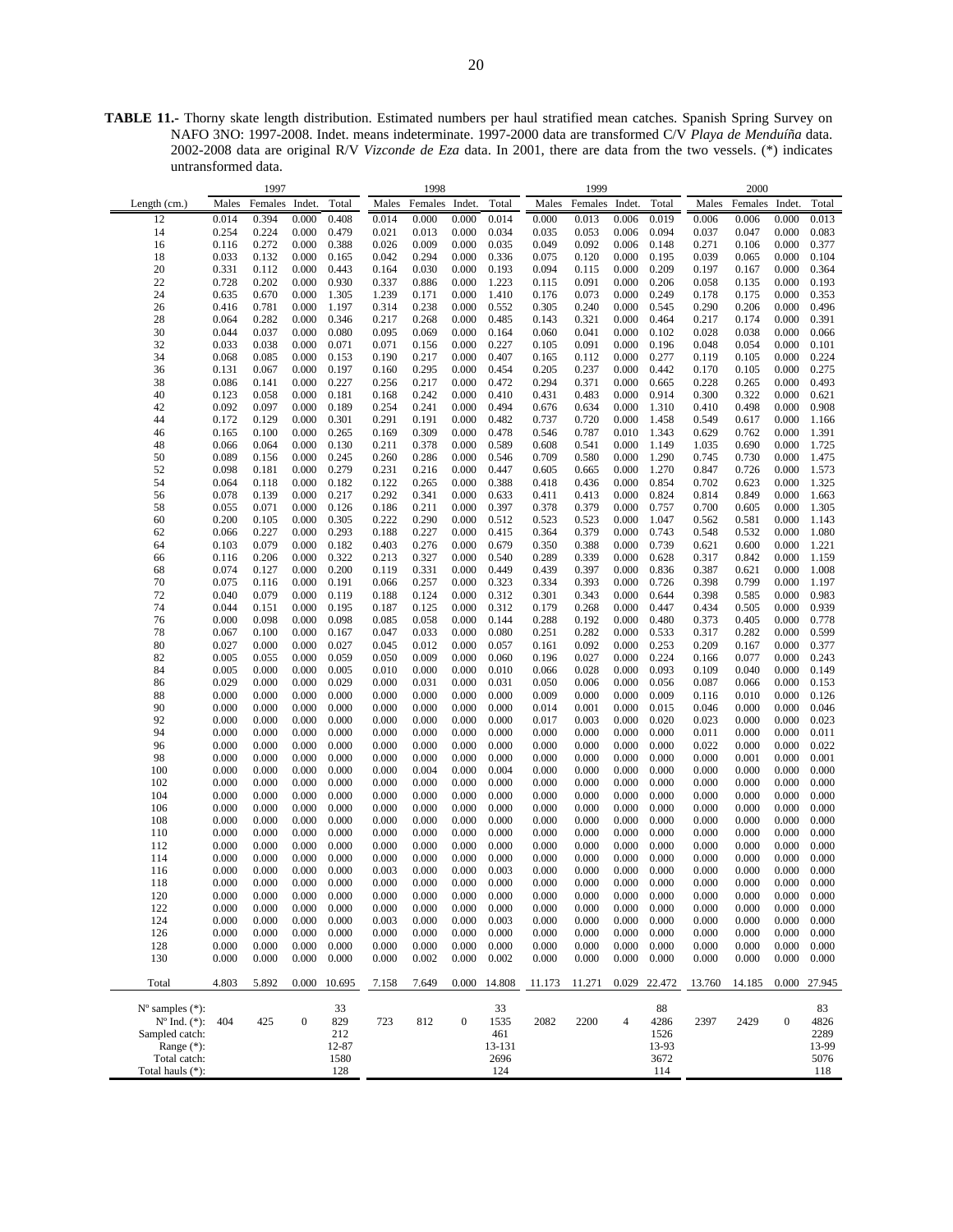**TABLE 11.-** Thorny skate length distribution. Estimated numbers per haul stratified mean catches. Spanish Spring Survey on NAFO 3NO: 1997-2008. Indet. means indeterminate. 1997-2000 data are transformed C/V *Playa de Menduíña* data. 2002-2008 data are original R/V *Vizconde de Eza* data. In 2001, there are data from the two vessels. (\*) indicates untransformed data.

| Length $(cm.)$<br>12<br>14<br>16<br>18<br>20<br>22<br>24                                                                       | Males<br>0.014<br>0.254<br>0.116<br>0.033<br>0.331<br>0.728<br>0.635<br>0.416<br>0.064 | Females<br>0.394<br>0.224<br>0.272<br>0.132<br>0.112<br>0.202<br>0.670 | Indet.<br>0.000<br>0.000<br>0.000<br>0.000<br>0.000<br>0.000 | Total<br>0.408<br>0.479<br>0.388<br>0.165 | Males<br>0.014<br>0.021<br>0.026 | Females<br>0.000<br>0.013<br>0.009 | Indet.<br>0.000<br>0.000 | Total<br>0.014<br>0.034                    | Males<br>0.000<br>0.035 | Females<br>0.013<br>0.053 | Indet.<br>0.006<br>0.006 | Total<br>0.019<br>0.094                    | Males<br>0.006<br>0.037 | Females<br>0.006<br>0.047 | Indet.<br>0.000<br>0.000 | Total<br>0.013                             |
|--------------------------------------------------------------------------------------------------------------------------------|----------------------------------------------------------------------------------------|------------------------------------------------------------------------|--------------------------------------------------------------|-------------------------------------------|----------------------------------|------------------------------------|--------------------------|--------------------------------------------|-------------------------|---------------------------|--------------------------|--------------------------------------------|-------------------------|---------------------------|--------------------------|--------------------------------------------|
|                                                                                                                                |                                                                                        |                                                                        |                                                              |                                           |                                  |                                    |                          |                                            |                         |                           |                          |                                            |                         |                           |                          |                                            |
|                                                                                                                                |                                                                                        |                                                                        |                                                              |                                           |                                  |                                    |                          |                                            |                         |                           |                          |                                            |                         |                           |                          |                                            |
|                                                                                                                                |                                                                                        |                                                                        |                                                              |                                           |                                  |                                    |                          |                                            |                         |                           |                          |                                            |                         |                           |                          | 0.083                                      |
|                                                                                                                                |                                                                                        |                                                                        |                                                              |                                           |                                  |                                    | 0.000                    | 0.035                                      | 0.049                   | 0.092                     | 0.006                    | 0.148                                      | 0.271                   | 0.106                     | 0.000                    | 0.377                                      |
|                                                                                                                                |                                                                                        |                                                                        |                                                              |                                           | 0.042                            | 0.294                              | 0.000                    | 0.336                                      | 0.075                   | 0.120                     | 0.000                    | 0.195                                      | 0.039                   | 0.065                     | 0.000                    | 0.104                                      |
|                                                                                                                                |                                                                                        |                                                                        |                                                              | 0.443                                     | 0.164                            | 0.030                              | 0.000                    | 0.193                                      | 0.094                   | 0.115                     | 0.000                    | 0.209                                      | 0.197                   | 0.167                     | 0.000                    | 0.364                                      |
|                                                                                                                                |                                                                                        |                                                                        |                                                              | 0.930                                     |                                  |                                    |                          | 1.223                                      |                         |                           |                          | 0.206                                      |                         |                           |                          |                                            |
|                                                                                                                                |                                                                                        |                                                                        |                                                              |                                           | 0.337                            | 0.886                              | 0.000                    |                                            | 0.115                   | 0.091                     | 0.000                    |                                            | 0.058                   | 0.135                     | 0.000                    | 0.193                                      |
|                                                                                                                                |                                                                                        |                                                                        | 0.000                                                        | 1.305                                     | 1.239                            | 0.171                              | 0.000                    | 1.410                                      | 0.176                   | 0.073                     | 0.000                    | 0.249                                      | 0.178                   | 0.175                     | 0.000                    | 0.353                                      |
| 26                                                                                                                             |                                                                                        | 0.781                                                                  | 0.000                                                        | 1.197                                     | 0.314                            | 0.238                              | 0.000                    | 0.552                                      | 0.305                   | 0.240                     | 0.000                    | 0.545                                      | 0.290                   | 0.206                     | 0.000                    | 0.496                                      |
| 28                                                                                                                             |                                                                                        | 0.282                                                                  | 0.000                                                        | 0.346                                     | 0.217                            | 0.268                              | 0.000                    | 0.485                                      | 0.143                   | 0.321                     | 0.000                    | 0.464                                      | 0.217                   | 0.174                     | 0.000                    | 0.391                                      |
| 30                                                                                                                             | 0.044                                                                                  | 0.037                                                                  | 0.000                                                        | 0.080                                     | 0.095                            | 0.069                              | 0.000                    | 0.164                                      | 0.060                   | 0.041                     | 0.000                    | 0.102                                      | 0.028                   | 0.038                     | 0.000                    | 0.066                                      |
| 32                                                                                                                             | 0.033                                                                                  | 0.038                                                                  | 0.000                                                        | 0.071                                     | 0.071                            | 0.156                              | 0.000                    | 0.227                                      | 0.105                   | 0.091                     | 0.000                    | 0.196                                      | 0.048                   | 0.054                     | 0.000                    | 0.101                                      |
| 34                                                                                                                             | 0.068                                                                                  | 0.085                                                                  | 0.000                                                        | 0.153                                     | 0.190                            | 0.217                              | 0.000                    | 0.407                                      | 0.165                   | 0.112                     | 0.000                    | 0.277                                      | 0.119                   | 0.105                     | 0.000                    | 0.224                                      |
| 36                                                                                                                             | 0.131                                                                                  | 0.067                                                                  | 0.000                                                        | 0.197                                     | 0.160                            | 0.295                              | 0.000                    | 0.454                                      | 0.205                   | 0.237                     | 0.000                    | 0.442                                      | 0.170                   | 0.105                     | 0.000                    | 0.275                                      |
| 38                                                                                                                             | 0.086                                                                                  | 0.141                                                                  | 0.000                                                        | 0.227                                     | 0.256                            | 0.217                              | 0.000                    | 0.472                                      | 0.294                   | 0.371                     | 0.000                    | 0.665                                      | 0.228                   | 0.265                     | 0.000                    | 0.493                                      |
| 40                                                                                                                             | 0.123                                                                                  | 0.058                                                                  | 0.000                                                        | 0.181                                     | 0.168                            | 0.242                              | 0.000                    | 0.410                                      | 0.431                   | 0.483                     | 0.000                    | 0.914                                      | 0.300                   | 0.322                     | 0.000                    | 0.621                                      |
| 42                                                                                                                             | 0.092                                                                                  | 0.097                                                                  | 0.000                                                        | 0.189                                     | 0.254                            | 0.241                              | 0.000                    | 0.494                                      | 0.676                   | 0.634                     | 0.000                    | 1.310                                      | 0.410                   | 0.498                     | 0.000                    | 0.908                                      |
| 44                                                                                                                             | 0.172                                                                                  | 0.129                                                                  | 0.000                                                        | 0.301                                     | 0.291                            | 0.191                              | 0.000                    | 0.482                                      | 0.737                   | 0.720                     | 0.000                    | 1.458                                      | 0.549                   | 0.617                     | 0.000                    | 1.166                                      |
| 46                                                                                                                             | 0.165                                                                                  | 0.100                                                                  | 0.000                                                        | 0.265                                     | 0.169                            | 0.309                              | 0.000                    | 0.478                                      | 0.546                   | 0.787                     | 0.010                    | 1.343                                      | 0.629                   | 0.762                     | 0.000                    | 1.391                                      |
| 48                                                                                                                             | 0.066                                                                                  | 0.064                                                                  | 0.000                                                        | 0.130                                     | 0.211                            | 0.378                              | 0.000                    | 0.589                                      | 0.608                   | 0.541                     | 0.000                    | 1.149                                      | 1.035                   | 0.690                     | 0.000                    | 1.725                                      |
| 50                                                                                                                             | 0.089                                                                                  | 0.156                                                                  | 0.000                                                        | 0.245                                     | 0.260                            | 0.286                              | 0.000                    | 0.546                                      | 0.709                   | 0.580                     | 0.000                    | 1.290                                      | 0.745                   | 0.730                     | 0.000                    | 1.475                                      |
| 52                                                                                                                             | 0.098                                                                                  | 0.181                                                                  | 0.000                                                        | 0.279                                     | 0.231                            | 0.216                              | 0.000                    | 0.447                                      | 0.605                   | 0.665                     | 0.000                    | 1.270                                      | 0.847                   | 0.726                     | 0.000                    | 1.573                                      |
| 54                                                                                                                             | 0.064                                                                                  | 0.118                                                                  | 0.000                                                        | 0.182                                     | 0.122                            | 0.265                              | 0.000                    | 0.388                                      | 0.418                   | 0.436                     | 0.000                    | 0.854                                      | 0.702                   | 0.623                     | 0.000                    | 1.325                                      |
| 56                                                                                                                             | 0.078                                                                                  | 0.139                                                                  | 0.000                                                        | 0.217                                     | 0.292                            | 0.341                              | 0.000                    | 0.633                                      | 0.411                   | 0.413                     | 0.000                    | 0.824                                      | 0.814                   | 0.849                     | 0.000                    | 1.663                                      |
| 58                                                                                                                             | 0.055                                                                                  | 0.071                                                                  | 0.000                                                        | 0.126                                     | 0.186                            | 0.211                              | 0.000                    | 0.397                                      | 0.378                   | 0.379                     | 0.000                    | 0.757                                      | 0.700                   | 0.605                     | 0.000                    | 1.305                                      |
| 60                                                                                                                             | 0.200                                                                                  | 0.105                                                                  | 0.000                                                        | 0.305                                     | 0.222                            | 0.290                              | 0.000                    | 0.512                                      | 0.523                   | 0.523                     | 0.000                    | 1.047                                      | 0.562                   | 0.581                     | 0.000                    | 1.143                                      |
| 62                                                                                                                             | 0.066                                                                                  | 0.227                                                                  | 0.000                                                        | 0.293                                     | 0.188                            | 0.227                              | 0.000                    | 0.415                                      | 0.364                   | 0.379                     | 0.000                    | 0.743                                      | 0.548                   | 0.532                     | 0.000                    | 1.080                                      |
| 64                                                                                                                             | 0.103                                                                                  | 0.079                                                                  | 0.000                                                        | 0.182                                     | 0.403                            | 0.276                              | 0.000                    | 0.679                                      | 0.350                   | 0.388                     | 0.000                    | 0.739                                      |                         |                           |                          | 1.221                                      |
|                                                                                                                                |                                                                                        |                                                                        |                                                              |                                           |                                  |                                    |                          |                                            |                         |                           |                          |                                            | 0.621                   | 0.600                     | 0.000                    |                                            |
| 66                                                                                                                             | 0.116                                                                                  | 0.206                                                                  | 0.000                                                        | 0.322                                     | 0.213                            | 0.327                              | 0.000                    | 0.540                                      | 0.289                   | 0.339                     | 0.000                    | 0.628                                      | 0.317                   | 0.842                     | 0.000                    | 1.159<br>1.008                             |
| 68                                                                                                                             | 0.074                                                                                  | 0.127                                                                  | 0.000                                                        | 0.200                                     | 0.119                            | 0.331                              | 0.000                    | 0.449                                      | 0.439                   | 0.397                     | 0.000                    | 0.836                                      | 0.387                   | 0.621                     | 0.000                    |                                            |
| 70                                                                                                                             | 0.075                                                                                  | 0.116                                                                  | 0.000                                                        | 0.191                                     | 0.066                            | 0.257                              | 0.000                    | 0.323                                      | 0.334                   | 0.393                     | 0.000                    | 0.726                                      | 0.398                   | 0.799                     | 0.000                    | 1.197                                      |
| 72                                                                                                                             | 0.040                                                                                  | 0.079                                                                  | 0.000                                                        | 0.119                                     | 0.188                            | 0.124                              | 0.000                    | 0.312                                      | 0.301                   | 0.343                     | 0.000                    | 0.644                                      | 0.398                   | 0.585                     | 0.000                    | 0.983                                      |
| 74                                                                                                                             | 0.044                                                                                  | 0.151                                                                  | 0.000                                                        | 0.195                                     | 0.187                            | 0.125                              | 0.000                    | 0.312                                      | 0.179                   | 0.268                     | 0.000                    | 0.447                                      | 0.434                   | 0.505                     | 0.000                    | 0.939                                      |
| 76                                                                                                                             | 0.000                                                                                  | 0.098                                                                  | 0.000                                                        | 0.098                                     | 0.085                            | 0.058                              | 0.000                    | 0.144                                      | 0.288                   | 0.192                     | 0.000                    | 0.480                                      | 0.373                   | 0.405                     | 0.000                    | 0.778                                      |
| 78                                                                                                                             | 0.067                                                                                  | 0.100                                                                  | 0.000                                                        | 0.167                                     | 0.047                            | 0.033                              | 0.000                    | 0.080                                      | 0.251                   | 0.282                     | 0.000                    | 0.533                                      | 0.317                   | 0.282                     | 0.000                    | 0.599                                      |
| 80                                                                                                                             | 0.027                                                                                  | 0.000                                                                  | 0.000                                                        | 0.027                                     | 0.045                            | 0.012                              | 0.000                    | 0.057                                      | 0.161                   | 0.092                     | 0.000                    | 0.253                                      | 0.209                   | 0.167                     | 0.000                    | 0.377                                      |
| 82                                                                                                                             | 0.005                                                                                  | 0.055                                                                  | 0.000                                                        | 0.059                                     | 0.050                            | 0.009                              | 0.000                    | 0.060                                      | 0.196                   | 0.027                     | 0.000                    | 0.224                                      | 0.166                   | 0.077                     | 0.000                    | 0.243                                      |
| 84                                                                                                                             | 0.005                                                                                  | 0.000                                                                  | 0.000                                                        | 0.005                                     | 0.010                            | 0.000                              | 0.000                    | 0.010                                      | 0.066                   | 0.028                     | 0.000                    | 0.093                                      | 0.109                   | 0.040                     | 0.000                    | 0.149                                      |
| 86                                                                                                                             | 0.029                                                                                  | 0.000                                                                  | 0.000                                                        | 0.029                                     | 0.000                            | 0.031                              | 0.000                    | 0.031                                      | 0.050                   | 0.006                     | 0.000                    | 0.056                                      | 0.087                   | 0.066                     | 0.000                    | 0.153                                      |
| 88                                                                                                                             | 0.000                                                                                  | 0.000                                                                  | 0.000                                                        | 0.000                                     | 0.000                            | 0.000                              | 0.000                    | 0.000                                      | 0.009                   | 0.000                     | 0.000                    | 0.009                                      | 0.116                   | 0.010                     | 0.000                    | 0.126                                      |
| 90                                                                                                                             | 0.000                                                                                  | 0.000                                                                  | 0.000                                                        | 0.000                                     | 0.000                            | 0.000                              | 0.000                    | 0.000                                      | 0.014                   | 0.001                     | 0.000                    | 0.015                                      | 0.046                   | 0.000                     | 0.000                    | 0.046                                      |
| 92                                                                                                                             | 0.000                                                                                  | 0.000                                                                  | 0.000                                                        | 0.000                                     | 0.000                            | 0.000                              | 0.000                    | 0.000                                      | 0.017                   | 0.003                     | 0.000                    | 0.020                                      | 0.023                   | 0.000                     | 0.000                    | 0.023                                      |
| 94                                                                                                                             | 0.000                                                                                  | 0.000                                                                  | 0.000                                                        | 0.000                                     | 0.000                            | 0.000                              | 0.000                    | 0.000                                      | 0.000                   | 0.000                     | 0.000                    | 0.000                                      | 0.011                   | 0.000                     | 0.000                    | 0.011                                      |
| 96                                                                                                                             | 0.000                                                                                  | 0.000                                                                  | 0.000                                                        | 0.000                                     | 0.000                            | 0.000                              | 0.000                    | 0.000                                      | 0.000                   | 0.000                     | 0.000                    | 0.000                                      | 0.022                   | 0.000                     | 0.000                    | 0.022                                      |
| 98                                                                                                                             | 0.000                                                                                  | 0.000                                                                  | 0.000                                                        | 0.000                                     | 0.000                            | 0.000                              | 0.000                    | 0.000                                      | 0.000                   | 0.000                     | 0.000                    | 0.000                                      | 0.000                   | 0.001                     | 0.000                    | 0.001                                      |
| 100                                                                                                                            | 0.000                                                                                  | 0.000                                                                  | 0.000                                                        | 0.000                                     | 0.000                            | 0.004                              | 0.000                    | 0.004                                      | 0.000                   | 0.000                     | 0.000                    | 0.000                                      | 0.000                   | 0.000                     | 0.000                    | 0.000                                      |
| 102                                                                                                                            | 0.000                                                                                  | 0.000                                                                  | 0.000                                                        | 0.000                                     | 0.000                            | 0.000                              | 0.000                    | 0.000                                      | 0.000                   | 0.000                     | 0.000                    | 0.000                                      | 0.000                   | 0.000                     | 0.000                    | 0.000                                      |
| 104                                                                                                                            | 0.000                                                                                  | 0.000                                                                  | 0.000                                                        | 0.000                                     | 0.000                            | 0.000                              | 0.000                    | 0.000                                      | 0.000                   | 0.000                     | 0.000                    | 0.000                                      | 0.000                   | 0.000                     | 0.000                    | 0.000                                      |
| 106                                                                                                                            | 0.000                                                                                  | 0.000                                                                  | 0.000                                                        | 0.000                                     | 0.000                            | 0.000                              | 0.000                    | 0.000                                      | 0.000                   | 0.000                     | 0.000                    | 0.000                                      | 0.000                   | 0.000                     | 0.000                    | 0.000                                      |
| 108                                                                                                                            | 0.000                                                                                  | 0.000                                                                  | 0.000                                                        | 0.000                                     | 0.000                            | 0.000                              | 0.000                    | 0.000                                      | 0.000                   | 0.000                     | 0.000                    | 0.000                                      | 0.000                   | 0.000                     | 0.000                    | 0.000                                      |
| 110                                                                                                                            | 0.000                                                                                  | 0.000                                                                  | 0.000                                                        | 0.000                                     | 0.000                            | 0.000                              | 0.000                    | 0.000                                      | 0.000                   | 0.000                     | 0.000                    | 0.000                                      | 0.000                   | 0.000                     | 0.000                    | 0.000                                      |
| 112                                                                                                                            | 0.000                                                                                  | 0.000                                                                  | 0.000                                                        | 0.000                                     | 0.000                            | 0.000                              | 0.000                    | 0.000                                      | 0.000                   | 0.000                     | 0.000                    | 0.000                                      | 0.000                   | 0.000                     | 0.000                    | 0.000                                      |
| 114                                                                                                                            | 0.000                                                                                  | 0.000                                                                  | 0.000                                                        | 0.000                                     | 0.000                            | 0.000                              | 0.000                    | 0.000                                      | 0.000                   | 0.000                     | 0.000                    | 0.000                                      | 0.000                   | 0.000                     | 0.000                    | 0.000                                      |
| 116                                                                                                                            | 0.000                                                                                  | 0.000                                                                  | 0.000                                                        | 0.000                                     | 0.003                            | 0.000                              | 0.000                    | 0.003                                      | 0.000                   | 0.000                     | 0.000                    | 0.000                                      | 0.000                   | 0.000                     | 0.000                    | 0.000                                      |
| 118                                                                                                                            | 0.000                                                                                  | 0.000                                                                  | 0.000                                                        | 0.000                                     | 0.000                            | $0.000\,$                          | 0.000                    | 0.000                                      | 0.000                   | $0.000\,$                 | 0.000                    | 0.000                                      | 0.000                   | 0.000                     | 0.000                    | 0.000                                      |
|                                                                                                                                |                                                                                        |                                                                        |                                                              |                                           |                                  |                                    |                          |                                            |                         |                           |                          |                                            |                         |                           |                          |                                            |
| 120                                                                                                                            | 0.000                                                                                  | 0.000                                                                  | 0.000                                                        | 0.000                                     | 0.000                            | 0.000                              | 0.000                    | 0.000                                      | 0.000                   | 0.000                     | 0.000                    | 0.000                                      | 0.000                   | 0.000                     | 0.000                    | 0.000                                      |
| 122                                                                                                                            | 0.000                                                                                  | 0.000                                                                  | 0.000                                                        | 0.000                                     | 0.000                            | 0.000                              | 0.000                    | 0.000                                      | 0.000                   | 0.000                     | 0.000                    | 0.000                                      | 0.000                   | 0.000                     | 0.000                    | 0.000                                      |
| 124                                                                                                                            | 0.000                                                                                  | 0.000                                                                  | 0.000                                                        | 0.000                                     | 0.003                            | 0.000                              | 0.000                    | 0.003                                      | 0.000                   | 0.000                     | 0.000                    | 0.000                                      | 0.000                   | 0.000                     | 0.000                    | 0.000                                      |
| 126                                                                                                                            | 0.000                                                                                  | 0.000                                                                  | 0.000                                                        | 0.000                                     | 0.000                            | 0.000                              | 0.000                    | 0.000                                      | 0.000                   | 0.000                     | 0.000                    | 0.000                                      | 0.000                   | 0.000                     | 0.000                    | 0.000                                      |
| 128                                                                                                                            | 0.000                                                                                  | 0.000                                                                  | 0.000                                                        | 0.000                                     | 0.000                            | 0.000                              | 0.000                    | 0.000                                      | 0.000                   | 0.000                     | 0.000                    | 0.000                                      | 0.000                   | 0.000                     | 0.000                    | 0.000                                      |
| 130                                                                                                                            | 0.000                                                                                  | 0.000                                                                  | 0.000                                                        | 0.000                                     | 0.000                            | 0.002                              | 0.000                    | 0.002                                      | 0.000                   | 0.000                     | 0.000                    | 0.000                                      | 0.000                   | 0.000                     | 0.000                    | 0.000                                      |
| Total                                                                                                                          | 4.803                                                                                  | 5.892                                                                  |                                                              | 0.000 10.695                              | 7.158                            | 7.649                              | 0.000                    | 14.808                                     | 11.173                  | 11.271                    | 0.029                    | 22.472                                     | 13.760                  | 14.185                    | 0.000                    | 27.945                                     |
| $N^{\circ}$ samples $(*)$ :<br>$N^{\circ}$ Ind. $(*)$ :<br>Sampled catch:<br>Range $(*)$ :<br>Total catch:<br>Total hauls (*): | 404                                                                                    | 425                                                                    | $\boldsymbol{0}$                                             | 33<br>829<br>212<br>12-87<br>1580<br>128  | 723                              | 812                                | $\boldsymbol{0}$         | 33<br>1535<br>461<br>13-131<br>2696<br>124 | 2082                    | 2200                      | $\overline{4}$           | 88<br>4286<br>1526<br>13-93<br>3672<br>114 | 2397                    | 2429                      | $\boldsymbol{0}$         | 83<br>4826<br>2289<br>13-99<br>5076<br>118 |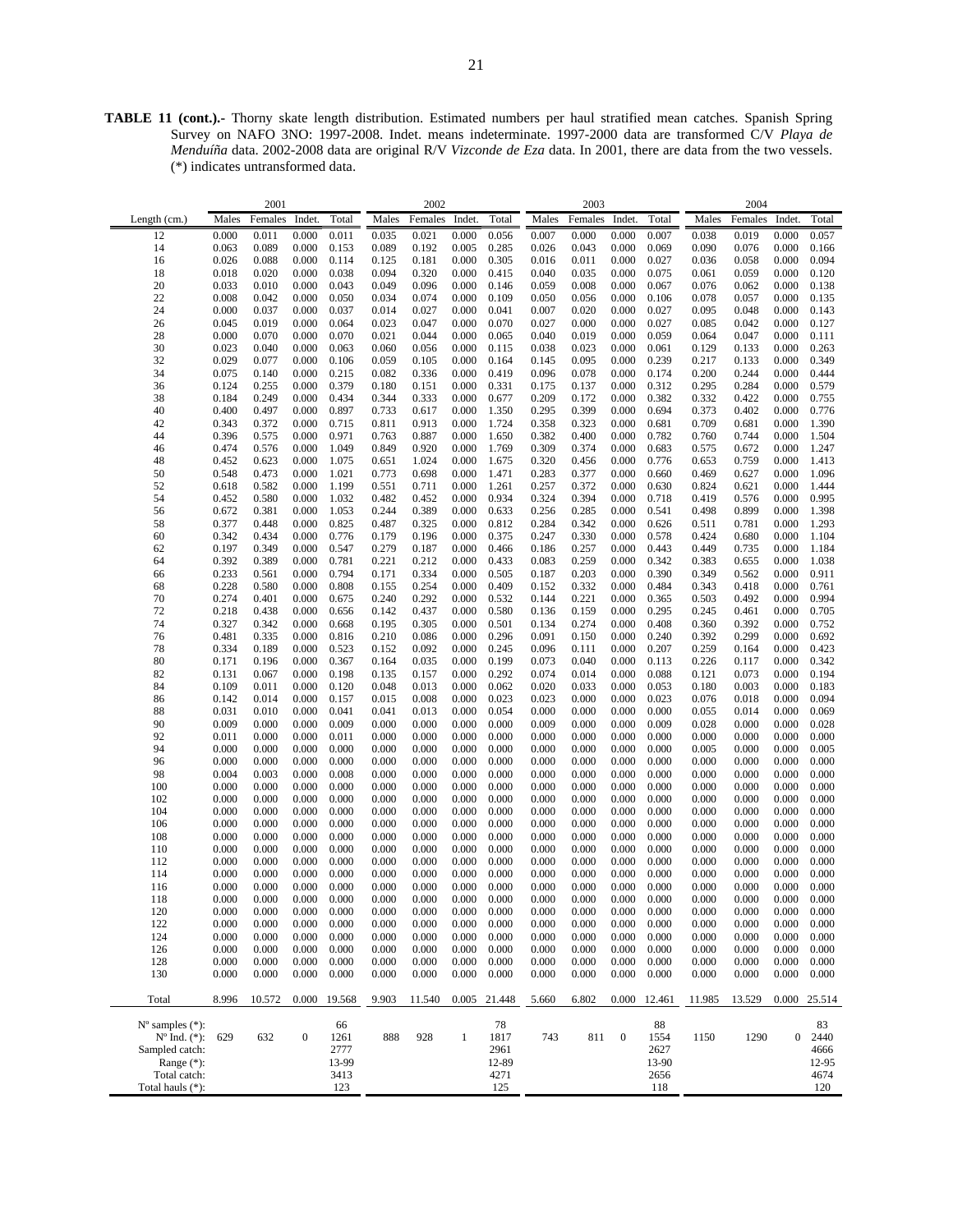**TABLE 11 (cont.).-** Thorny skate length distribution. Estimated numbers per haul stratified mean catches. Spanish Spring Survey on NAFO 3NO: 1997-2008. Indet. means indeterminate. 1997-2000 data are transformed C/V *Playa de Menduíña* data. 2002-2008 data are original R/V *Vizconde de Eza* data. In 2001, there are data from the two vessels. (\*) indicates untransformed data.

|                             |       | 2001    |                  |        |       | 2002    |              |        |       | 2003    |                  |        |        | 2004    |                  |              |
|-----------------------------|-------|---------|------------------|--------|-------|---------|--------------|--------|-------|---------|------------------|--------|--------|---------|------------------|--------------|
| Length (cm.)                | Males | Females | Indet.           | Total  | Males | Females | Indet.       | Total  | Males | Females | Indet.           | Total  | Males  | Females | Indet.           | Total        |
|                             |       |         |                  |        |       |         |              |        |       |         |                  |        |        |         |                  |              |
| 12                          | 0.000 | 0.011   | 0.000            | 0.011  | 0.035 | 0.021   | 0.000        | 0.056  | 0.007 | 0.000   | 0.000            | 0.007  | 0.038  | 0.019   | 0.000            | 0.057        |
| 14                          | 0.063 | 0.089   | 0.000            | 0.153  | 0.089 | 0.192   | 0.005        | 0.285  | 0.026 | 0.043   | 0.000            | 0.069  | 0.090  | 0.076   | 0.000            | 0.166        |
| 16                          | 0.026 | 0.088   | 0.000            | 0.114  | 0.125 | 0.181   | 0.000        | 0.305  | 0.016 | 0.011   | 0.000            | 0.027  | 0.036  | 0.058   | 0.000            | 0.094        |
| 18                          | 0.018 | 0.020   | 0.000            | 0.038  | 0.094 | 0.320   | 0.000        | 0.415  | 0.040 | 0.035   | 0.000            | 0.075  | 0.061  | 0.059   | 0.000            | 0.120        |
| 20                          | 0.033 | 0.010   | 0.000            | 0.043  | 0.049 | 0.096   | 0.000        | 0.146  | 0.059 | 0.008   | 0.000            | 0.067  | 0.076  | 0.062   | 0.000            | 0.138        |
| 22                          | 0.008 | 0.042   | 0.000            | 0.050  | 0.034 | 0.074   | 0.000        | 0.109  | 0.050 | 0.056   | 0.000            | 0.106  | 0.078  | 0.057   | 0.000            | 0.135        |
| 24                          | 0.000 | 0.037   | 0.000            | 0.037  | 0.014 | 0.027   | 0.000        | 0.041  | 0.007 | 0.020   | 0.000            | 0.027  | 0.095  | 0.048   | 0.000            | 0.143        |
|                             |       |         |                  |        |       |         |              |        |       |         |                  |        |        |         |                  |              |
| 26                          | 0.045 | 0.019   | 0.000            | 0.064  | 0.023 | 0.047   | 0.000        | 0.070  | 0.027 | 0.000   | 0.000            | 0.027  | 0.085  | 0.042   | 0.000            | 0.127        |
| 28                          | 0.000 | 0.070   | 0.000            | 0.070  | 0.021 | 0.044   | 0.000        | 0.065  | 0.040 | 0.019   | 0.000            | 0.059  | 0.064  | 0.047   | 0.000            | 0.111        |
| 30                          | 0.023 | 0.040   | 0.000            | 0.063  | 0.060 | 0.056   | 0.000        | 0.115  | 0.038 | 0.023   | 0.000            | 0.061  | 0.129  | 0.133   | 0.000            | 0.263        |
| 32                          | 0.029 | 0.077   | 0.000            | 0.106  | 0.059 | 0.105   | 0.000        | 0.164  | 0.145 | 0.095   | 0.000            | 0.239  | 0.217  | 0.133   | 0.000            | 0.349        |
| 34                          | 0.075 | 0.140   | 0.000            | 0.215  | 0.082 | 0.336   | 0.000        | 0.419  | 0.096 | 0.078   | 0.000            | 0.174  | 0.200  | 0.244   | 0.000            | 0.444        |
| 36                          | 0.124 | 0.255   | 0.000            | 0.379  | 0.180 | 0.151   | 0.000        | 0.331  | 0.175 | 0.137   | 0.000            | 0.312  | 0.295  | 0.284   | 0.000            | 0.579        |
| 38                          | 0.184 | 0.249   | 0.000            | 0.434  | 0.344 | 0.333   | 0.000        | 0.677  | 0.209 | 0.172   | 0.000            | 0.382  | 0.332  | 0.422   | 0.000            | 0.755        |
| 40                          | 0.400 | 0.497   | 0.000            | 0.897  | 0.733 | 0.617   | 0.000        | 1.350  | 0.295 | 0.399   | 0.000            | 0.694  | 0.373  | 0.402   | 0.000            | 0.776        |
| 42                          | 0.343 | 0.372   | 0.000            | 0.715  | 0.811 | 0.913   | 0.000        | 1.724  | 0.358 | 0.323   | 0.000            | 0.681  | 0.709  | 0.681   | 0.000            | 1.390        |
|                             |       |         |                  |        |       |         |              |        |       |         |                  |        |        |         |                  |              |
| 44                          | 0.396 | 0.575   | 0.000            | 0.971  | 0.763 | 0.887   | 0.000        | 1.650  | 0.382 | 0.400   | 0.000            | 0.782  | 0.760  | 0.744   | 0.000            | 1.504        |
| 46                          | 0.474 | 0.576   | 0.000            | 1.049  | 0.849 | 0.920   | 0.000        | 1.769  | 0.309 | 0.374   | 0.000            | 0.683  | 0.575  | 0.672   | 0.000            | 1.247        |
| 48                          | 0.452 | 0.623   | 0.000            | 1.075  | 0.651 | 1.024   | 0.000        | 1.675  | 0.320 | 0.456   | 0.000            | 0.776  | 0.653  | 0.759   | 0.000            | 1.413        |
| 50                          | 0.548 | 0.473   | 0.000            | 1.021  | 0.773 | 0.698   | 0.000        | 1.471  | 0.283 | 0.377   | 0.000            | 0.660  | 0.469  | 0.627   | 0.000            | 1.096        |
| 52                          | 0.618 | 0.582   | 0.000            | 1.199  | 0.551 | 0.711   | 0.000        | 1.261  | 0.257 | 0.372   | 0.000            | 0.630  | 0.824  | 0.621   | 0.000            | 1.444        |
| 54                          | 0.452 | 0.580   | 0.000            | 1.032  | 0.482 | 0.452   | 0.000        | 0.934  | 0.324 | 0.394   | 0.000            | 0.718  | 0.419  | 0.576   | 0.000            | 0.995        |
| 56                          | 0.672 | 0.381   | 0.000            | 1.053  | 0.244 | 0.389   | 0.000        | 0.633  | 0.256 | 0.285   | 0.000            | 0.541  | 0.498  | 0.899   | 0.000            | 1.398        |
| 58                          | 0.377 | 0.448   | 0.000            | 0.825  | 0.487 | 0.325   | 0.000        | 0.812  | 0.284 | 0.342   | 0.000            | 0.626  | 0.511  | 0.781   | 0.000            | 1.293        |
|                             | 0.342 |         |                  |        |       |         |              |        |       |         |                  |        |        |         |                  |              |
| 60                          |       | 0.434   | 0.000            | 0.776  | 0.179 | 0.196   | 0.000        | 0.375  | 0.247 | 0.330   | 0.000            | 0.578  | 0.424  | 0.680   | 0.000            | 1.104        |
| 62                          | 0.197 | 0.349   | 0.000            | 0.547  | 0.279 | 0.187   | 0.000        | 0.466  | 0.186 | 0.257   | 0.000            | 0.443  | 0.449  | 0.735   | 0.000            | 1.184        |
| 64                          | 0.392 | 0.389   | 0.000            | 0.781  | 0.221 | 0.212   | 0.000        | 0.433  | 0.083 | 0.259   | 0.000            | 0.342  | 0.383  | 0.655   | 0.000            | 1.038        |
| 66                          | 0.233 | 0.561   | 0.000            | 0.794  | 0.171 | 0.334   | 0.000        | 0.505  | 0.187 | 0.203   | 0.000            | 0.390  | 0.349  | 0.562   | 0.000            | 0.911        |
| 68                          | 0.228 | 0.580   | 0.000            | 0.808  | 0.155 | 0.254   | 0.000        | 0.409  | 0.152 | 0.332   | 0.000            | 0.484  | 0.343  | 0.418   | 0.000            | 0.761        |
| 70                          | 0.274 | 0.401   | 0.000            | 0.675  | 0.240 | 0.292   | 0.000        | 0.532  | 0.144 | 0.221   | 0.000            | 0.365  | 0.503  | 0.492   | 0.000            | 0.994        |
| 72                          | 0.218 | 0.438   | 0.000            | 0.656  | 0.142 | 0.437   | 0.000        | 0.580  | 0.136 | 0.159   | 0.000            | 0.295  | 0.245  | 0.461   | 0.000            | 0.705        |
| 74                          | 0.327 | 0.342   | 0.000            | 0.668  | 0.195 | 0.305   | 0.000        | 0.501  | 0.134 | 0.274   | 0.000            | 0.408  | 0.360  | 0.392   | 0.000            | 0.752        |
| 76                          | 0.481 | 0.335   | 0.000            | 0.816  | 0.210 | 0.086   | 0.000        | 0.296  | 0.091 | 0.150   | 0.000            | 0.240  | 0.392  | 0.299   | 0.000            | 0.692        |
| 78                          | 0.334 | 0.189   | 0.000            | 0.523  | 0.152 | 0.092   | 0.000        | 0.245  | 0.096 | 0.111   | 0.000            | 0.207  | 0.259  | 0.164   | 0.000            | 0.423        |
| 80                          | 0.171 | 0.196   | 0.000            | 0.367  | 0.164 | 0.035   | 0.000        | 0.199  | 0.073 | 0.040   | 0.000            | 0.113  | 0.226  | 0.117   | 0.000            | 0.342        |
|                             |       |         |                  |        |       |         |              |        |       |         |                  |        |        |         |                  |              |
| 82                          | 0.131 | 0.067   | 0.000            | 0.198  | 0.135 | 0.157   | 0.000        | 0.292  | 0.074 | 0.014   | 0.000            | 0.088  | 0.121  | 0.073   | 0.000            | 0.194        |
| 84                          | 0.109 | 0.011   | 0.000            | 0.120  | 0.048 | 0.013   | 0.000        | 0.062  | 0.020 | 0.033   | 0.000            | 0.053  | 0.180  | 0.003   | 0.000            | 0.183        |
| 86                          | 0.142 | 0.014   | 0.000            | 0.157  | 0.015 | 0.008   | 0.000        | 0.023  | 0.023 | 0.000   | 0.000            | 0.023  | 0.076  | 0.018   | 0.000            | 0.094        |
| 88                          | 0.031 | 0.010   | 0.000            | 0.041  | 0.041 | 0.013   | 0.000        | 0.054  | 0.000 | 0.000   | 0.000            | 0.000  | 0.055  | 0.014   | 0.000            | 0.069        |
| 90                          | 0.009 | 0.000   | 0.000            | 0.009  | 0.000 | 0.000   | 0.000        | 0.000  | 0.009 | 0.000   | 0.000            | 0.009  | 0.028  | 0.000   | 0.000            | 0.028        |
| 92                          | 0.011 | 0.000   | 0.000            | 0.011  | 0.000 | 0.000   | 0.000        | 0.000  | 0.000 | 0.000   | 0.000            | 0.000  | 0.000  | 0.000   | 0.000            | 0.000        |
| 94                          | 0.000 | 0.000   | 0.000            | 0.000  | 0.000 | 0.000   | 0.000        | 0.000  | 0.000 | 0.000   | 0.000            | 0.000  | 0.005  | 0.000   | 0.000            | 0.005        |
| 96                          | 0.000 | 0.000   | 0.000            | 0.000  | 0.000 | 0.000   | 0.000        | 0.000  | 0.000 | 0.000   | 0.000            | 0.000  | 0.000  | 0.000   | 0.000            | 0.000        |
| 98                          | 0.004 | 0.003   | 0.000            | 0.008  | 0.000 | 0.000   | 0.000        | 0.000  | 0.000 | 0.000   | 0.000            | 0.000  | 0.000  | 0.000   | 0.000            | 0.000        |
| 100                         | 0.000 | 0.000   | 0.000            | 0.000  | 0.000 | 0.000   | 0.000        | 0.000  | 0.000 | 0.000   | 0.000            | 0.000  | 0.000  | 0.000   | 0.000            | 0.000        |
| 102                         | 0.000 | 0.000   | 0.000            | 0.000  | 0.000 | 0.000   | 0.000        | 0.000  | 0.000 | 0.000   | 0.000            | 0.000  | 0.000  | 0.000   | 0.000            | 0.000        |
| 104                         | 0.000 | 0.000   | 0.000            | 0.000  | 0.000 | 0.000   | 0.000        | 0.000  | 0.000 | 0.000   | 0.000            | 0.000  | 0.000  | 0.000   | 0.000            | 0.000        |
| 106                         | 0.000 | 0.000   | 0.000            | 0.000  | 0.000 | 0.000   | 0.000        | 0.000  | 0.000 | 0.000   | 0.000            | 0.000  | 0.000  | 0.000   | 0.000            | 0.000        |
|                             |       |         |                  |        |       |         |              |        |       |         |                  |        |        |         |                  |              |
| 108                         | 0.000 | 0.000   | 0.000            | 0.000  | 0.000 | 0.000   | 0.000        | 0.000  | 0.000 | 0.000   | 0.000            | 0.000  | 0.000  | 0.000   | 0.000            | 0.000        |
| 110                         | 0.000 | 0.000   | 0.000            | 0.000  | 0.000 | 0.000   | 0.000        | 0.000  | 0.000 | 0.000   | 0.000            | 0.000  | 0.000  | 0.000   | 0.000            | 0.000        |
| 112                         | 0.000 | 0.000   | 0.000            | 0.000  | 0.000 | 0.000   | 0.000        | 0.000  | 0.000 | 0.000   | 0.000            | 0.000  | 0.000  | 0.000   | 0.000            | 0.000        |
| 114                         | 0.000 | 0.000   | 0.000            | 0.000  | 0.000 | 0.000   | 0.000        | 0.000  | 0.000 | 0.000   | 0.000            | 0.000  | 0.000  | 0.000   | 0.000            | 0.000        |
| 116                         | 0.000 | 0.000   | 0.000            | 0.000  | 0.000 | 0.000   | 0.000        | 0.000  | 0.000 | 0.000   | 0.000            | 0.000  | 0.000  | 0.000   | 0.000            | 0.000        |
| 118                         | 0.000 | 0.000   | 0.000            | 0.000  | 0.000 | 0.000   | 0.000        | 0.000  | 0.000 | 0.000   | 0.000            | 0.000  | 0.000  | 0.000   | 0.000            | 0.000        |
| 120                         | 0.000 | 0.000   | 0.000            | 0.000  | 0.000 | 0.000   | 0.000        | 0.000  | 0.000 | 0.000   | 0.000            | 0.000  | 0.000  | 0.000   | 0.000            | 0.000        |
| 122                         | 0.000 | 0.000   | 0.000            | 0.000  | 0.000 | 0.000   | 0.000        | 0.000  | 0.000 | 0.000   | 0.000            | 0.000  | 0.000  | 0.000   | 0.000            | 0.000        |
| 124                         | 0.000 | 0.000   | 0.000            | 0.000  | 0.000 | 0.000   | 0.000        | 0.000  | 0.000 | 0.000   | 0.000            | 0.000  | 0.000  | 0.000   | 0.000            | 0.000        |
| 126                         | 0.000 | 0.000   | 0.000            | 0.000  | 0.000 | 0.000   | 0.000        | 0.000  | 0.000 | 0.000   | 0.000            | 0.000  | 0.000  | 0.000   | 0.000            | 0.000        |
| 128                         | 0.000 |         | 0.000            | 0.000  | 0.000 |         |              | 0.000  |       |         |                  |        |        |         |                  | 0.000        |
|                             |       | 0.000   |                  |        |       | 0.000   | 0.000        |        | 0.000 | 0.000   | 0.000            | 0.000  | 0.000  | 0.000   | 0.000            |              |
| 130                         | 0.000 | 0.000   | 0.000            | 0.000  | 0.000 | 0.000   | 0.000        | 0.000  | 0.000 | 0.000   | 0.000            | 0.000  | 0.000  | 0.000   | 0.000            | 0.000        |
| Total                       | 8.996 | 10.572  | 0.000            | 19.568 | 9.903 | 11.540  | 0.005        | 21.448 | 5.660 | 6.802   | 0.000            | 12.461 | 11.985 | 13.529  |                  | 0.000 25.514 |
| $N^{\circ}$ samples $(*)$ : |       |         |                  | 66     |       |         |              | 78     |       |         |                  | 88     |        |         |                  | 83           |
|                             |       |         | $\boldsymbol{0}$ |        |       |         |              |        |       |         | $\boldsymbol{0}$ |        |        |         | $\boldsymbol{0}$ |              |
| $N^{\circ}$ Ind. $(*)$ :    | 629   | 632     |                  | 1261   | 888   | 928     | $\mathbf{1}$ | 1817   | 743   | 811     |                  | 1554   | 1150   | 1290    |                  | 2440         |
| Sampled catch:              |       |         |                  | 2777   |       |         |              | 2961   |       |         |                  | 2627   |        |         |                  | 4666         |
| Range $(*)$ :               |       |         |                  | 13-99  |       |         |              | 12-89  |       |         |                  | 13-90  |        |         |                  | 12-95        |
| Total catch:                |       |         |                  | 3413   |       |         |              | 4271   |       |         |                  | 2656   |        |         |                  | 4674         |
| Total hauls (*):            |       |         |                  | 123    |       |         |              | 125    |       |         |                  | 118    |        |         |                  | 120          |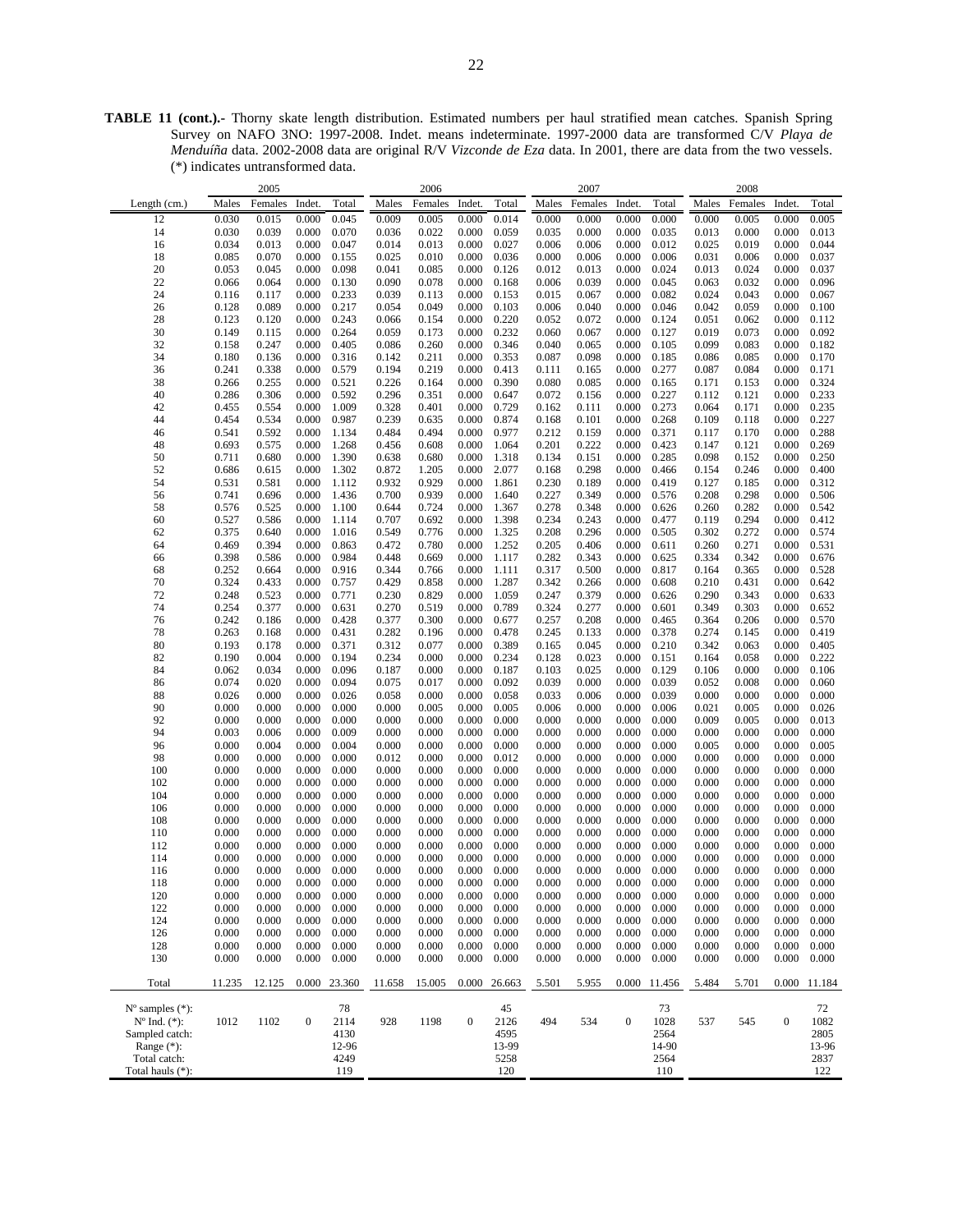**TABLE 11 (cont.).-** Thorny skate length distribution. Estimated numbers per haul stratified mean catches. Spanish Spring Survey on NAFO 3NO: 1997-2008. Indet. means indeterminate. 1997-2000 data are transformed C/V *Playa de Menduíña* data. 2002-2008 data are original R/V *Vizconde de Eza* data. In 2001, there are data from the two vessels. (\*) indicates untransformed data.

|                             |        | 2005    |                  |        |        | 2006           |                  |              |                | 2007           |                  |              |                    | 2008           |                  |        |
|-----------------------------|--------|---------|------------------|--------|--------|----------------|------------------|--------------|----------------|----------------|------------------|--------------|--------------------|----------------|------------------|--------|
| Length (cm.)                | Males  | Females | Indet.           | Total  | Males  | Females        | Indet.           | Total        | Males          | Females        | Indet.           | Total        | Males              | Females        | Indet.           | Total  |
| 12                          | 0.030  | 0.015   | 0.000            | 0.045  | 0.009  | 0.005          | 0.000            | 0.014        | 0.000          | 0.000          | 0.000            | 0.000        | 0.000              | 0.005          | 0.000            | 0.005  |
|                             |        |         |                  |        |        |                |                  |              |                |                |                  |              |                    |                |                  |        |
| 14                          | 0.030  | 0.039   | 0.000            | 0.070  | 0.036  | 0.022          | 0.000            | 0.059        | 0.035          | 0.000          | 0.000            | 0.035        | 0.013              | 0.000          | 0.000            | 0.013  |
| 16                          | 0.034  | 0.013   | 0.000            | 0.047  | 0.014  | 0.013          | 0.000            | 0.027        | 0.006          | 0.006          | 0.000            | 0.012        | 0.025              | 0.019          | 0.000            | 0.044  |
| 18                          | 0.085  | 0.070   | 0.000            | 0.155  | 0.025  | 0.010          | 0.000            | 0.036        | 0.000          | 0.006          | 0.000            | 0.006        | 0.031              | 0.006          | 0.000            | 0.037  |
| 20                          | 0.053  | 0.045   | 0.000            | 0.098  | 0.041  | 0.085          | 0.000            | 0.126        | 0.012          | 0.013          | 0.000            | 0.024        | 0.013              | 0.024          | 0.000            | 0.037  |
| 22                          | 0.066  | 0.064   | 0.000            | 0.130  | 0.090  | 0.078          | 0.000            | 0.168        | 0.006          | 0.039          | 0.000            | 0.045        | 0.063              | 0.032          | 0.000            | 0.096  |
| 24                          | 0.116  | 0.117   | 0.000            | 0.233  | 0.039  | 0.113          | 0.000            | 0.153        | 0.015          | 0.067          | 0.000            | 0.082        | 0.024              | 0.043          | 0.000            | 0.067  |
| 26                          | 0.128  | 0.089   | 0.000            | 0.217  | 0.054  | 0.049          | 0.000            | 0.103        | 0.006          | 0.040          | 0.000            | 0.046        | 0.042              | 0.059          | 0.000            | 0.100  |
| 28                          | 0.123  | 0.120   | 0.000            | 0.243  | 0.066  | 0.154          | 0.000            | 0.220        | 0.052          | 0.072          | 0.000            | 0.124        | 0.051              | 0.062          | 0.000            | 0.112  |
| 30                          | 0.149  | 0.115   | 0.000            | 0.264  | 0.059  | 0.173          | 0.000            | 0.232        | 0.060          | 0.067          | 0.000            | 0.127        | 0.019              | 0.073          | 0.000            | 0.092  |
| 32                          | 0.158  | 0.247   | 0.000            | 0.405  | 0.086  | 0.260          | 0.000            | 0.346        | 0.040          | 0.065          | 0.000            | 0.105        | 0.099              | 0.083          | 0.000            | 0.182  |
| 34                          | 0.180  | 0.136   | 0.000            | 0.316  | 0.142  | 0.211          | 0.000            | 0.353        | 0.087          | 0.098          | 0.000            | 0.185        | 0.086              | 0.085          | 0.000            | 0.170  |
| 36                          | 0.241  | 0.338   | 0.000            | 0.579  | 0.194  | 0.219          | 0.000            | 0.413        | 0.111          | 0.165          | 0.000            | 0.277        | 0.087              | 0.084          | 0.000            | 0.171  |
| 38                          | 0.266  | 0.255   | 0.000            | 0.521  | 0.226  | 0.164          | 0.000            | 0.390        | 0.080          | 0.085          | 0.000            | 0.165        | 0.171              | 0.153          | 0.000            | 0.324  |
| 40                          | 0.286  | 0.306   | 0.000            | 0.592  | 0.296  | 0.351          | 0.000            | 0.647        | 0.072          | 0.156          | 0.000            | 0.227        | 0.112              | 0.121          | 0.000            | 0.233  |
| 42                          | 0.455  | 0.554   | 0.000            | 1.009  | 0.328  | 0.401          | 0.000            | 0.729        | 0.162          | 0.111          | 0.000            | 0.273        | 0.064              | 0.171          | 0.000            | 0.235  |
| 44                          | 0.454  | 0.534   | 0.000            | 0.987  | 0.239  | 0.635          | 0.000            | 0.874        | 0.168          | 0.101          | 0.000            | 0.268        | 0.109              | 0.118          | 0.000            | 0.227  |
|                             |        |         | 0.000            |        |        | 0.494          |                  |              | 0.212          |                |                  |              |                    |                |                  | 0.288  |
| 46                          | 0.541  | 0.592   |                  | 1.134  | 0.484  |                | 0.000            | 0.977        |                | 0.159          | 0.000            | 0.371        | 0.117              | 0.170          | 0.000            |        |
| 48                          | 0.693  | 0.575   | 0.000            | 1.268  | 0.456  | 0.608          | 0.000            | 1.064        | 0.201          | 0.222          | 0.000            | 0.423        | 0.147              | 0.121          | 0.000            | 0.269  |
| 50                          | 0.711  | 0.680   | 0.000            | 1.390  | 0.638  | 0.680          | 0.000            | 1.318        | 0.134          | 0.151          | 0.000            | 0.285        | 0.098              | 0.152          | 0.000            | 0.250  |
| 52                          | 0.686  | 0.615   | 0.000            | 1.302  | 0.872  | 1.205          | 0.000            | 2.077        | 0.168          | 0.298          | 0.000            | 0.466        | 0.154              | 0.246          | 0.000            | 0.400  |
| 54                          | 0.531  | 0.581   | 0.000            | 1.112  | 0.932  | 0.929          | 0.000            | 1.861        | 0.230          | 0.189          | 0.000            | 0.419        | 0.127              | 0.185          | 0.000            | 0.312  |
| 56                          | 0.741  | 0.696   | 0.000            | 1.436  | 0.700  | 0.939          | 0.000            | 1.640        | 0.227          | 0.349          | 0.000            | 0.576        | 0.208              | 0.298          | 0.000            | 0.506  |
| 58                          | 0.576  | 0.525   | 0.000            | 1.100  | 0.644  | 0.724          | 0.000            | 1.367        | 0.278          | 0.348          | 0.000            | 0.626        | 0.260              | 0.282          | 0.000            | 0.542  |
| 60                          | 0.527  | 0.586   | 0.000            | 1.114  | 0.707  | 0.692          | 0.000            | 1.398        | 0.234          | 0.243          | 0.000            | 0.477        | 0.119              | 0.294          | 0.000            | 0.412  |
| 62                          | 0.375  | 0.640   | 0.000            | 1.016  | 0.549  | 0.776          | 0.000            | 1.325        | 0.208          | 0.296          | 0.000            | 0.505        | 0.302              | 0.272          | 0.000            | 0.574  |
| 64                          | 0.469  | 0.394   | 0.000            | 0.863  | 0.472  | 0.780          | 0.000            | 1.252        | 0.205          | 0.406          | 0.000            | 0.611        | 0.260              | 0.271          | 0.000            | 0.531  |
| 66                          | 0.398  | 0.586   | 0.000            | 0.984  | 0.448  | 0.669          | 0.000            | 1.117        | 0.282          | 0.343          | 0.000            | 0.625        | 0.334              | 0.342          | 0.000            | 0.676  |
| 68                          | 0.252  | 0.664   | 0.000            | 0.916  | 0.344  | 0.766          | 0.000            | 1.111        | 0.317          | 0.500          | 0.000            | 0.817        | 0.164              | 0.365          | 0.000            | 0.528  |
| 70                          | 0.324  | 0.433   | 0.000            | 0.757  | 0.429  | 0.858          | 0.000            | 1.287        | 0.342          | 0.266          | 0.000            | 0.608        | 0.210              | 0.431          | 0.000            | 0.642  |
| 72                          | 0.248  | 0.523   | 0.000            | 0.771  | 0.230  | 0.829          | 0.000            | 1.059        | 0.247          | 0.379          | 0.000            | 0.626        | 0.290              | 0.343          | 0.000            | 0.633  |
| 74                          | 0.254  | 0.377   | 0.000            | 0.631  | 0.270  | 0.519          | 0.000            | 0.789        | 0.324          | 0.277          | 0.000            | 0.601        | 0.349              | 0.303          | 0.000            | 0.652  |
| 76                          | 0.242  | 0.186   | 0.000            | 0.428  | 0.377  | 0.300          | 0.000            | 0.677        | 0.257          | 0.208          | 0.000            | 0.465        | 0.364              | 0.206          | 0.000            | 0.570  |
| 78                          | 0.263  | 0.168   | 0.000            | 0.431  | 0.282  | 0.196          | 0.000            | 0.478        | 0.245          | 0.133          | 0.000            | 0.378        | 0.274              | 0.145          | 0.000            | 0.419  |
| 80                          | 0.193  | 0.178   | 0.000            | 0.371  | 0.312  | 0.077          | 0.000            | 0.389        | 0.165          | 0.045          | 0.000            | 0.210        | 0.342              | 0.063          | 0.000            | 0.405  |
| 82                          | 0.190  | 0.004   | 0.000            | 0.194  | 0.234  | 0.000          | 0.000            | 0.234        | 0.128          | 0.023          | 0.000            | 0.151        | 0.164              | 0.058          | 0.000            | 0.222  |
|                             | 0.062  |         |                  | 0.096  |        |                | 0.000            | 0.187        |                |                | 0.000            | 0.129        |                    |                |                  |        |
| 84                          |        | 0.034   | 0.000            |        | 0.187  | 0.000          |                  |              | 0.103          | 0.025          |                  |              | 0.106              | 0.000          | 0.000            | 0.106  |
| 86                          | 0.074  | 0.020   | 0.000            | 0.094  | 0.075  | 0.017          | 0.000            | 0.092        | 0.039          | 0.000          | 0.000            | 0.039        | 0.052              | 0.008          | 0.000            | 0.060  |
| 88                          | 0.026  | 0.000   | 0.000            | 0.026  | 0.058  | 0.000          | 0.000            | 0.058        | 0.033          | 0.006          | 0.000            | 0.039        | 0.000              | 0.000          | 0.000            | 0.000  |
| 90                          | 0.000  | 0.000   | 0.000            | 0.000  | 0.000  | 0.005          | 0.000            | 0.005        | 0.006          | 0.000          | 0.000            | 0.006        | 0.021              | 0.005          | 0.000            | 0.026  |
| 92                          | 0.000  | 0.000   | 0.000            | 0.000  | 0.000  | 0.000          | 0.000            | 0.000        | 0.000          | 0.000          | 0.000            | 0.000        | 0.009              | 0.005          | 0.000            | 0.013  |
| 94                          | 0.003  | 0.006   | 0.000            | 0.009  | 0.000  | 0.000          | 0.000            | 0.000        | 0.000          | 0.000          | 0.000            | 0.000        | 0.000              | 0.000          | 0.000            | 0.000  |
| 96                          | 0.000  | 0.004   | 0.000            | 0.004  | 0.000  | 0.000          | 0.000            | 0.000        | 0.000          | 0.000          | 0.000            | 0.000        | 0.005              | 0.000          | 0.000            | 0.005  |
| 98                          | 0.000  | 0.000   | 0.000            | 0.000  | 0.012  | 0.000          | 0.000            | 0.012        | 0.000          | 0.000          | 0.000            | 0.000        | 0.000              | 0.000          | 0.000            | 0.000  |
| 100                         | 0.000  | 0.000   | 0.000            | 0.000  | 0.000  | 0.000          | 0.000            | 0.000        | 0.000          | 0.000          | 0.000            | 0.000        | 0.000              | 0.000          | 0.000            | 0.000  |
| 102                         | 0.000  | 0.000   | 0.000            | 0.000  | 0.000  | 0.000          | 0.000            | 0.000        | 0.000          | 0.000          | 0.000            | 0.000        | 0.000              | 0.000          | 0.000            | 0.000  |
| 104                         | 0.000  | 0.000   | 0.000            | 0.000  | 0.000  | 0.000          | 0.000            | 0.000        | 0.000          | 0.000          | 0.000            | 0.000        | 0.000              | 0.000          | 0.000            | 0.000  |
| 106                         | 0.000  | 0.000   | 0.000            | 0.000  | 0.000  | 0.000          | 0.000            | 0.000        | 0.000          | 0.000          | 0.000            | 0.000        | 0.000              | 0.000          | 0.000            | 0.000  |
| 108                         | 0.000  | 0.000   | 0.000            | 0.000  | 0.000  | 0.000          | 0.000            | 0.000        | 0.000          | 0.000          | 0.000            | 0.000        | 0.000              | 0.000          | 0.000            | 0.000  |
| 110                         | 0.000  | 0.000   | 0.000            | 0.000  | 0.000  | 0.000          | 0.000            | 0.000        | 0.000          | 0.000          | 0.000            | 0.000        | 0.000              | 0.000          | 0.000            | 0.000  |
| 112                         | 0.000  | 0.000   | 0.000            | 0.000  | 0.000  | 0.000          | 0.000            | 0.000        | 0.000          | 0.000          | 0.000            | 0.000        | 0.000              | 0.000          | 0.000            | 0.000  |
| 114                         | 0.000  | 0.000   | 0.000            | 0.000  | 0.000  | 0.000          | 0.000            | 0.000        | 0.000          | 0.000          | 0.000            | 0.000        | 0.000              | 0.000          | 0.000            | 0.000  |
| 116                         | 0.000  | 0.000   | 0.000            | 0.000  | 0.000  | 0.000          | 0.000            | 0.000        | 0.000          | 0.000          | 0.000            | 0.000        | 0.000              | 0.000          | 0.000            | 0.000  |
| 118                         | 0.000  | 0.000   | 0.000            | 0.000  | 0.000  | 0.000          | 0.000            | 0.000        | 0.000          | 0.000          | 0.000            | 0.000        | 0.000              | 0.000          | 0.000            | 0.000  |
| 120                         | 0.000  | 0.000   | 0.000            | 0.000  | 0.000  | 0.000          | 0.000            | 0.000        | 0.000          | 0.000          | 0.000            | 0.000        | 0.000              | 0.000          | 0.000            | 0.000  |
| 122                         | 0.000  | 0.000   | 0.000            | 0.000  | 0.000  | 0.000          | 0.000            | 0.000        | 0.000          | 0.000          | 0.000            | 0.000        | 0.000              | 0.000          | 0.000            | 0.000  |
| 124                         | 0.000  | 0.000   | 0.000            | 0.000  | 0.000  | 0.000          | 0.000            | 0.000        | 0.000          | 0.000          | 0.000            | 0.000        | 0.000              | 0.000          | 0.000            | 0.000  |
| 126                         | 0.000  | 0.000   | 0.000            | 0.000  | 0.000  | 0.000          | 0.000            | 0.000        | 0.000          | 0.000          | 0.000            | 0.000        | 0.000              | 0.000          | 0.000            | 0.000  |
| 128                         | 0.000  |         | 0.000            | 0.000  |        |                | 0.000            | 0.000        |                |                | 0.000            |              |                    |                | 0.000            | 0.000  |
| 130                         | 0.000  | 0.000   |                  | 0.000  | 0.000  | 0.000<br>0.000 | 0.000            | 0.000        | 0.000<br>0.000 | 0.000<br>0.000 | 0.000            | 0.000        | $0.000\,$<br>0.000 | 0.000<br>0.000 | 0.000            | 0.000  |
|                             |        | 0.000   | 0.000            |        | 0.000  |                |                  |              |                |                |                  | 0.000        |                    |                |                  |        |
| Total                       | 11.235 | 12.125  | 0.000            | 23.360 | 11.658 | 15.005         |                  | 0.000 26.663 | 5.501          | 5.955          |                  | 0.000 11.456 | 5.484              | 5.701          | 0.000            | 11.184 |
|                             |        |         |                  |        |        |                |                  |              |                |                |                  |              |                    |                |                  |        |
| $N^{\circ}$ samples $(*)$ : |        |         |                  | 78     |        |                |                  | 45           |                |                |                  | 73           |                    |                |                  | 72     |
| $N^{\circ}$ Ind. $(*)$ :    | 1012   | 1102    | $\boldsymbol{0}$ | 2114   | 928    | 1198           | $\boldsymbol{0}$ | 2126         | 494            | 534            | $\boldsymbol{0}$ | 1028         | 537                | 545            | $\boldsymbol{0}$ | 1082   |
| Sampled catch:              |        |         |                  | 4130   |        |                |                  | 4595         |                |                |                  | 2564         |                    |                |                  | 2805   |
| Range $(*)$ :               |        |         |                  | 12-96  |        |                |                  | 13-99        |                |                |                  | 14-90        |                    |                |                  | 13-96  |
| Total catch:                |        |         |                  | 4249   |        |                |                  | 5258         |                |                |                  | 2564         |                    |                |                  | 2837   |
| Total hauls (*):            |        |         |                  | 119    |        |                |                  | 120          |                |                |                  | 110          |                    |                |                  | 122    |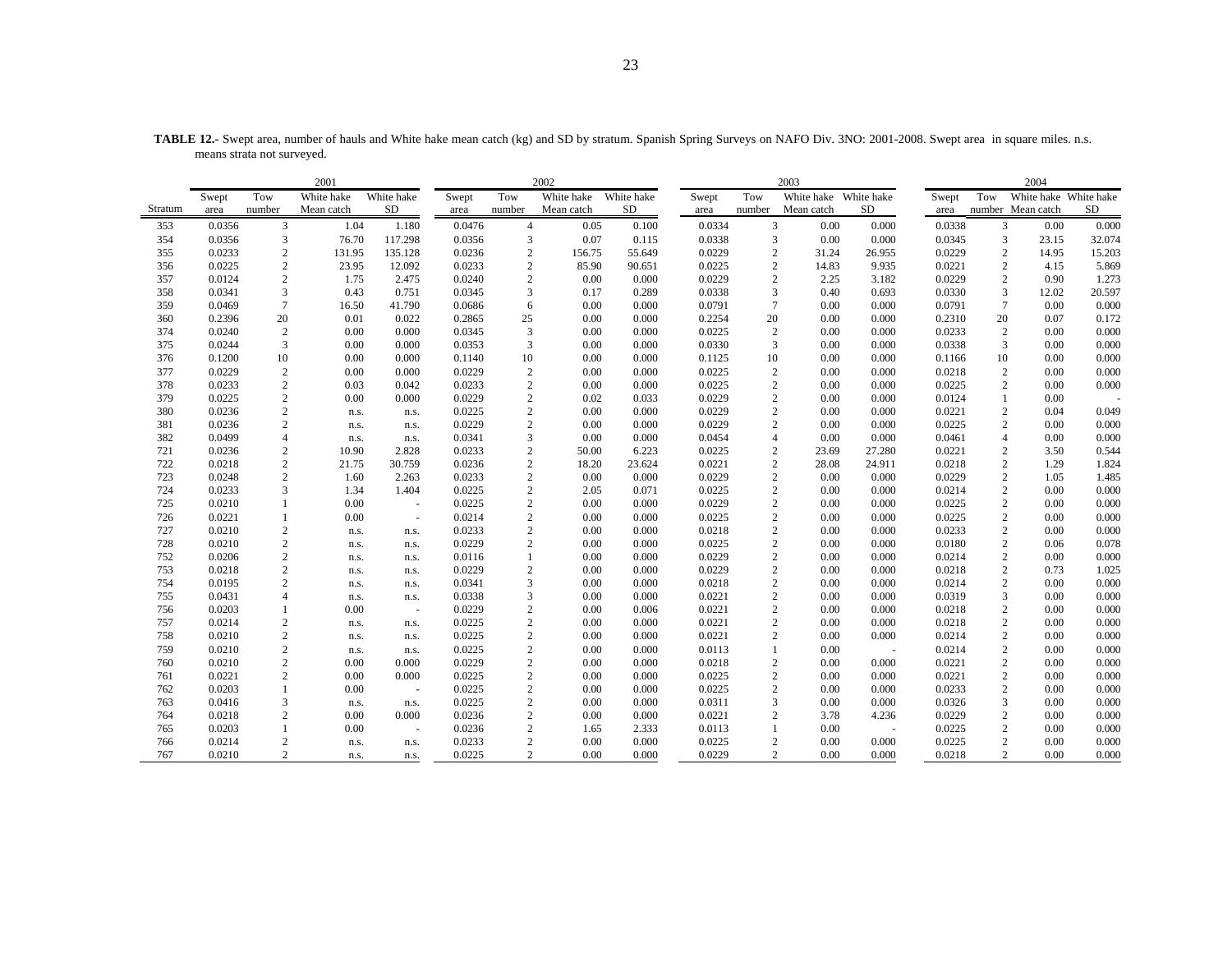|         |        |                | 2001       |            |        |                | 2002       |            |        |                  | 2003       |            |        |                  | 2004                  |           |
|---------|--------|----------------|------------|------------|--------|----------------|------------|------------|--------|------------------|------------|------------|--------|------------------|-----------------------|-----------|
|         | Swept  | Tow            | White hake | White hake | Swept  | Tow            | White hake | White hake | Swept  | Tow              | White hake | White hake | Swept  | Tow              | White hake White hake |           |
| Stratum | area   | number         | Mean catch | ${\rm SD}$ | area   | number         | Mean catch | <b>SD</b>  | area   | number           | Mean catch | <b>SD</b>  | area   |                  | number Mean catch     | <b>SD</b> |
| 353     | 0.0356 | 3              | 1.04       | 1.180      | 0.0476 | $\overline{4}$ | 0.05       | 0.100      | 0.0334 | 3                | 0.00       | 0.000      | 0.0338 | 3                | 0.00                  | 0.000     |
| 354     | 0.0356 | 3              | 76.70      | 117.298    | 0.0356 | 3              | 0.07       | 0.115      | 0.0338 | 3                | 0.00       | 0.000      | 0.0345 | $\overline{3}$   | 23.15                 | 32.074    |
| 355     | 0.0233 | $\overline{c}$ | 131.95     | 135.128    | 0.0236 | $\mathbf{2}$   | 156.75     | 55.649     | 0.0229 | $\overline{c}$   | 31.24      | 26.955     | 0.0229 | $\overline{2}$   | 14.95                 | 15.203    |
| 356     | 0.0225 | $\sqrt{2}$     | 23.95      | 12.092     | 0.0233 | $\sqrt{2}$     | 85.90      | 90.651     | 0.0225 | 2                | 14.83      | 9.935      | 0.0221 | $\boldsymbol{2}$ | 4.15                  | 5.869     |
| 357     | 0.0124 | $\overline{c}$ | 1.75       | 2.475      | 0.0240 | $\sqrt{2}$     | 0.00       | 0.000      | 0.0229 | $\overline{c}$   | 2.25       | 3.182      | 0.0229 | $\overline{2}$   | 0.90                  | 1.273     |
| 358     | 0.0341 | $\overline{3}$ | 0.43       | 0.751      | 0.0345 | 3              | 0.17       | 0.289      | 0.0338 | 3                | 0.40       | 0.693      | 0.0330 | 3                | 12.02                 | 20.597    |
| 359     | 0.0469 | $\tau$         | 16.50      | 41.790     | 0.0686 | 6              | 0.00       | 0.000      | 0.0791 | $\overline{7}$   | 0.00       | 0.000      | 0.0791 | $7\phantom{.0}$  | 0.00                  | 0.000     |
| 360     | 0.2396 | 20             | 0.01       | 0.022      | 0.2865 | 25             | 0.00       | 0.000      | 0.2254 | 20               | 0.00       | 0.000      | 0.2310 | 20               | 0.07                  | 0.172     |
| 374     | 0.0240 | $\overline{c}$ | 0.00       | 0.000      | 0.0345 | 3              | 0.00       | 0.000      | 0.0225 | $\sqrt{2}$       | 0.00       | 0.000      | 0.0233 | $\overline{c}$   | 0.00                  | 0.000     |
| 375     | 0.0244 | 3              | 0.00       | 0.000      | 0.0353 | 3              | 0.00       | 0.000      | 0.0330 | 3                | 0.00       | 0.000      | 0.0338 | 3                | 0.00                  | 0.000     |
| 376     | 0.1200 | 10             | 0.00       | 0.000      | 0.1140 | 10             | 0.00       | 0.000      | 0.1125 | 10               | 0.00       | 0.000      | 0.1166 | 10               | 0.00                  | 0.000     |
| 377     | 0.0229 | $\sqrt{2}$     | 0.00       | 0.000      | 0.0229 | $\sqrt{2}$     | 0.00       | 0.000      | 0.0225 | $\sqrt{2}$       | 0.00       | 0.000      | 0.0218 | $\overline{c}$   | 0.00                  | 0.000     |
| 378     | 0.0233 | $\sqrt{2}$     | 0.03       | 0.042      | 0.0233 | $\sqrt{2}$     | 0.00       | 0.000      | 0.0225 | $\overline{c}$   | 0.00       | 0.000      | 0.0225 | $\boldsymbol{2}$ | 0.00                  | 0.000     |
| 379     | 0.0225 | $\overline{c}$ | 0.00       | 0.000      | 0.0229 | $\overline{2}$ | 0.02       | 0.033      | 0.0229 | $\overline{2}$   | 0.00       | 0.000      | 0.0124 |                  | 0.00                  |           |
| 380     | 0.0236 | $\sqrt{2}$     | n.s.       | n.s.       | 0.0225 | $\sqrt{2}$     | 0.00       | 0.000      | 0.0229 | $\overline{c}$   | 0.00       | 0.000      | 0.0221 | $\sqrt{2}$       | 0.04                  | 0.049     |
| 381     | 0.0236 | $\sqrt{2}$     | n.s.       | n.s.       | 0.0229 | $\sqrt{2}$     | 0.00       | 0.000      | 0.0229 | $\overline{c}$   | 0.00       | 0.000      | 0.0225 | $\overline{c}$   | 0.00                  | 0.000     |
| 382     | 0.0499 | $\overline{4}$ | n.s.       | n.s.       | 0.0341 | 3              | 0.00       | 0.000      | 0.0454 | $\overline{4}$   | 0.00       | 0.000      | 0.0461 | $\overline{4}$   | 0.00                  | 0.000     |
| 721     | 0.0236 | $\sqrt{2}$     | 10.90      | 2.828      | 0.0233 | $\sqrt{2}$     | 50.00      | 6.223      | 0.0225 | $\mathbf{2}$     | 23.69      | 27.280     | 0.0221 | $\overline{2}$   | 3.50                  | 0.544     |
| 722     | 0.0218 | $\overline{c}$ | 21.75      | 30.759     | 0.0236 | $\overline{2}$ | 18.20      | 23.624     | 0.0221 | $\overline{2}$   | 28.08      | 24.911     | 0.0218 | $\overline{2}$   | 1.29                  | 1.824     |
| 723     | 0.0248 | $\overline{c}$ | 1.60       | 2.263      | 0.0233 | $\sqrt{2}$     | 0.00       | 0.000      | 0.0229 | $\overline{c}$   | 0.00       | 0.000      | 0.0229 | $\boldsymbol{2}$ | 1.05                  | 1.485     |
| 724     | 0.0233 | 3              | 1.34       | 1.404      | 0.0225 | $\sqrt{2}$     | 2.05       | 0.071      | 0.0225 | $\mathbf{2}$     | 0.00       | 0.000      | 0.0214 | $\overline{2}$   | 0.00                  | 0.000     |
| 725     | 0.0210 | $\mathbf{1}$   | 0.00       | $\sim$     | 0.0225 | $\overline{2}$ | 0.00       | 0.000      | 0.0229 | $\overline{c}$   | 0.00       | 0.000      | 0.0225 | $\overline{2}$   | 0.00                  | 0.000     |
| 726     | 0.0221 | $\mathbf{1}$   | 0.00       | $\omega$   | 0.0214 | $\sqrt{2}$     | 0.00       | 0.000      | 0.0225 | $\overline{c}$   | 0.00       | 0.000      | 0.0225 | $\boldsymbol{2}$ | 0.00                  | 0.000     |
| 727     | 0.0210 | $\sqrt{2}$     | n.s.       | n.s.       | 0.0233 | $\overline{2}$ | 0.00       | 0.000      | 0.0218 | $\overline{2}$   | 0.00       | 0.000      | 0.0233 | $\overline{c}$   | 0.00                  | 0.000     |
| 728     | 0.0210 | $\overline{c}$ | n.s.       | n.s.       | 0.0229 | $\overline{2}$ | 0.00       | 0.000      | 0.0225 | $\overline{c}$   | 0.00       | 0.000      | 0.0180 | $\overline{2}$   | 0.06                  | 0.078     |
| 752     | 0.0206 | $\sqrt{2}$     | n.s.       | n.s.       | 0.0116 | $\mathbf{1}$   | 0.00       | 0.000      | 0.0229 | $\sqrt{2}$       | 0.00       | 0.000      | 0.0214 | $\overline{c}$   | 0.00                  | 0.000     |
| 753     | 0.0218 | $\overline{c}$ | n.s.       | n.s.       | 0.0229 | $\overline{2}$ | 0.00       | 0.000      | 0.0229 | $\overline{c}$   | 0.00       | 0.000      | 0.0218 | $\overline{2}$   | 0.73                  | 1.025     |
| 754     | 0.0195 | $\sqrt{2}$     | n.s.       | n.s.       | 0.0341 | $\mathfrak z$  | 0.00       | 0.000      | 0.0218 | $\overline{c}$   | 0.00       | 0.000      | 0.0214 | $\sqrt{2}$       | 0.00                  | 0.000     |
| 755     | 0.0431 | $\overline{4}$ | n.s.       | n.s.       | 0.0338 | $\mathfrak{Z}$ | 0.00       | 0.000      | 0.0221 | $\overline{c}$   | 0.00       | 0.000      | 0.0319 | 3                | 0.00                  | 0.000     |
| 756     | 0.0203 | $\mathbf{1}$   | 0.00       | ÷.         | 0.0229 | $\overline{2}$ | 0.00       | 0.006      | 0.0221 | 2                | 0.00       | 0.000      | 0.0218 | $\overline{2}$   | 0.00                  | 0.000     |
| 757     | 0.0214 | $\sqrt{2}$     | n.s.       | n.s.       | 0.0225 | $\sqrt{2}$     | 0.00       | 0.000      | 0.0221 | $\overline{c}$   | 0.00       | 0.000      | 0.0218 | $\sqrt{2}$       | 0.00                  | 0.000     |
| 758     | 0.0210 | $\overline{c}$ | n.s.       | n.s.       | 0.0225 | $\sqrt{2}$     | 0.00       | 0.000      | 0.0221 | $\overline{c}$   | 0.00       | 0.000      | 0.0214 | $\overline{2}$   | 0.00                  | 0.000     |
| 759     | 0.0210 | $\overline{c}$ | n.s.       | n.s.       | 0.0225 | $\overline{2}$ | 0.00       | 0.000      | 0.0113 | $\mathbf{1}$     | 0.00       | $\sim$     | 0.0214 | $\overline{2}$   | 0.00                  | 0.000     |
| 760     | 0.0210 | $\overline{c}$ | 0.00       | 0.000      | 0.0229 | $\sqrt{2}$     | 0.00       | 0.000      | 0.0218 | $\overline{c}$   | 0.00       | 0.000      | 0.0221 | $\overline{2}$   | 0.00                  | 0.000     |
| 761     | 0.0221 | $\overline{c}$ | 0.00       | 0.000      | 0.0225 | $\overline{2}$ | 0.00       | 0.000      | 0.0225 | $\overline{c}$   | 0.00       | 0.000      | 0.0221 | $\overline{2}$   | 0.00                  | 0.000     |
| 762     | 0.0203 | $\mathbf{1}$   | 0.00       | ÷.         | 0.0225 | $\sqrt{2}$     | 0.00       | 0.000      | 0.0225 | $\overline{c}$   | 0.00       | 0.000      | 0.0233 | $\sqrt{2}$       | 0.00                  | 0.000     |
| 763     | 0.0416 | 3              | n.s.       | n.s.       | 0.0225 | $\sqrt{2}$     | 0.00       | 0.000      | 0.0311 | 3                | 0.00       | 0.000      | 0.0326 | 3                | 0.00                  | 0.000     |
| 764     | 0.0218 | $\overline{c}$ | 0.00       | 0.000      | 0.0236 | $\sqrt{2}$     | 0.00       | 0.000      | 0.0221 | $\overline{c}$   | 3.78       | 4.236      | 0.0229 | $\sqrt{2}$       | 0.00                  | 0.000     |
| 765     | 0.0203 | $\mathbf{1}$   | 0.00       | $\sim$     | 0.0236 | $\sqrt{2}$     | 1.65       | 2.333      | 0.0113 | $\mathbf{1}$     | 0.00       | $\sim$     | 0.0225 | $\overline{2}$   | 0.00                  | 0.000     |
| 766     | 0.0214 | $\overline{c}$ | n.s.       | n.s.       | 0.0233 | $\sqrt{2}$     | 0.00       | 0.000      | 0.0225 | $\boldsymbol{2}$ | 0.00       | 0.000      | 0.0225 | $\overline{c}$   | 0.00                  | 0.000     |
| 767     | 0.0210 | $\overline{c}$ | n.s.       | n.s.       | 0.0225 | $\overline{2}$ | 0.00       | 0.000      | 0.0229 | $\overline{c}$   | 0.00       | 0.000      | 0.0218 | $\overline{c}$   | 0.00                  | 0.000     |

**TABLE 12.-** Swept area, number of hauls and White hake mean catch (kg) and SD by stratum. Spanish Spring Surveys on NAFO Div. 3NO: 2001-2008. Swept area in square miles. n.s. means strata not surveyed.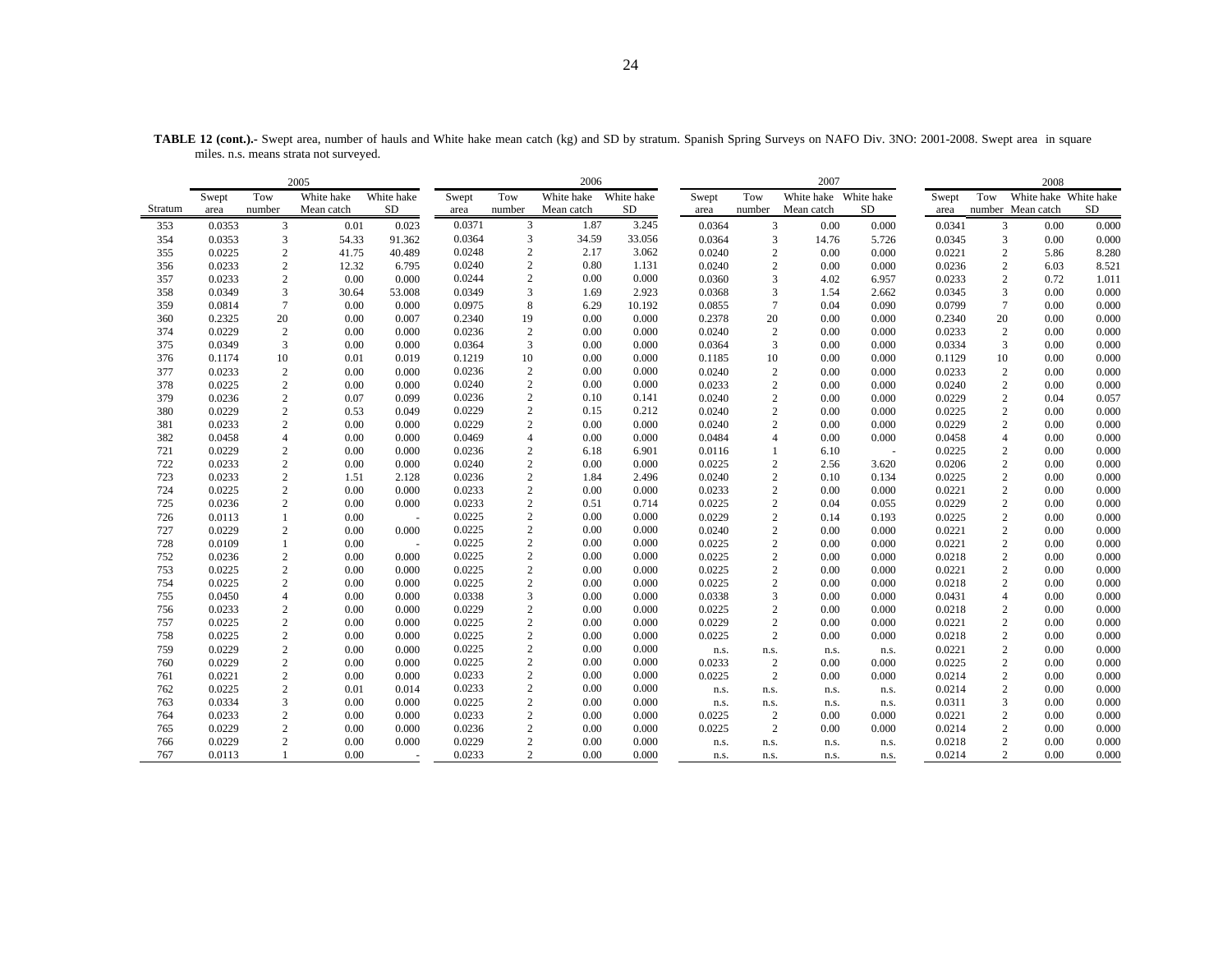|         |        |                 | 2005       |                          |        |                          | 2006       |            |        |                 | 2007       |            |        |                 | 2008                  |           |
|---------|--------|-----------------|------------|--------------------------|--------|--------------------------|------------|------------|--------|-----------------|------------|------------|--------|-----------------|-----------------------|-----------|
|         | Swept  | Tow             | White hake | White hake               | Swept  | Tow                      | White hake | White hake | Swept  | Tow             | White hake | White hake | Swept  | Tow             | White hake White hake |           |
| Stratum | area   | number          | Mean catch | <b>SD</b>                | area   | number                   | Mean catch | SD         | area   | number          | Mean catch | SD         | area   |                 | number Mean catch     | <b>SD</b> |
| 353     | 0.0353 | 3               | 0.01       | 0.023                    | 0.0371 | 3                        | 1.87       | 3.245      | 0.0364 | 3               | 0.00       | 0.000      | 0.0341 | 3               | 0.00                  | 0.000     |
| 354     | 0.0353 | 3               | 54.33      | 91.362                   | 0.0364 | 3                        | 34.59      | 33.056     | 0.0364 | 3               | 14.76      | 5.726      | 0.0345 | 3               | 0.00                  | 0.000     |
| 355     | 0.0225 | 2               | 41.75      | 40.489                   | 0.0248 | $\overline{c}$           | 2.17       | 3.062      | 0.0240 | $\overline{c}$  | 0.00       | 0.000      | 0.0221 | $\overline{2}$  | 5.86                  | 8.280     |
| 356     | 0.0233 | $\overline{2}$  | 12.32      | 6.795                    | 0.0240 | $\overline{c}$           | 0.80       | 1.131      | 0.0240 | $\mathfrak{2}$  | 0.00       | 0.000      | 0.0236 | $\overline{c}$  | 6.03                  | 8.521     |
| 357     | 0.0233 | $\overline{2}$  | 0.00       | 0.000                    | 0.0244 | $\sqrt{2}$               | 0.00       | 0.000      | 0.0360 | 3               | 4.02       | 6.957      | 0.0233 | $\overline{c}$  | 0.72                  | 1.011     |
| 358     | 0.0349 | 3               | 30.64      | 53.008                   | 0.0349 | 3                        | 1.69       | 2.923      | 0.0368 | 3               | 1.54       | 2.662      | 0.0345 | 3               | 0.00                  | 0.000     |
| 359     | 0.0814 | $7\phantom{.0}$ | 0.00       | 0.000                    | 0.0975 | 8                        | 6.29       | 10.192     | 0.0855 | $7\phantom{.0}$ | 0.04       | 0.090      | 0.0799 | $7\phantom{.0}$ | 0.00                  | 0.000     |
| 360     | 0.2325 | 20              | 0.00       | 0.007                    | 0.2340 | 19                       | 0.00       | 0.000      | 0.2378 | 20              | 0.00       | 0.000      | 0.2340 | 20              | 0.00                  | 0.000     |
| 374     | 0.0229 | 2               | 0.00       | 0.000                    | 0.0236 | $\overline{c}$           | 0.00       | 0.000      | 0.0240 | 2               | 0.00       | 0.000      | 0.0233 | 2               | 0.00                  | 0.000     |
| 375     | 0.0349 | 3               | 0.00       | 0.000                    | 0.0364 | 3                        | 0.00       | 0.000      | 0.0364 | 3               | 0.00       | 0.000      | 0.0334 | 3               | 0.00                  | 0.000     |
| 376     | 0.1174 | $10\,$          | 0.01       | 0.019                    | 0.1219 | 10                       | 0.00       | 0.000      | 0.1185 | 10              | 0.00       | 0.000      | 0.1129 | 10              | 0.00                  | 0.000     |
| 377     | 0.0233 | $\overline{2}$  | 0.00       | 0.000                    | 0.0236 | $\overline{c}$           | 0.00       | 0.000      | 0.0240 | 2               | 0.00       | 0.000      | 0.0233 | 2               | 0.00                  | 0.000     |
| 378     | 0.0225 | $\overline{2}$  | 0.00       | 0.000                    | 0.0240 | $\overline{c}$           | 0.00       | 0.000      | 0.0233 | 2               | 0.00       | 0.000      | 0.0240 | $\overline{c}$  | 0.00                  | 0.000     |
| 379     | 0.0236 | $\overline{2}$  | 0.07       | 0.099                    | 0.0236 | $\sqrt{2}$               | 0.10       | 0.141      | 0.0240 | 2               | 0.00       | 0.000      | 0.0229 | $\overline{c}$  | 0.04                  | 0.057     |
| 380     | 0.0229 | $\overline{c}$  | 0.53       | 0.049                    | 0.0229 | $\overline{c}$           | 0.15       | 0.212      | 0.0240 | $\overline{2}$  | 0.00       | 0.000      | 0.0225 | $\overline{c}$  | 0.00                  | 0.000     |
| 381     | 0.0233 | $\mathbf{2}$    | 0.00       | 0.000                    | 0.0229 | $\overline{c}$           | 0.00       | 0.000      | 0.0240 | 2               | 0.00       | 0.000      | 0.0229 | 2               | 0.00                  | 0.000     |
| 382     | 0.0458 | $\overline{4}$  | 0.00       | 0.000                    | 0.0469 | $\overline{\mathcal{L}}$ | 0.00       | 0.000      | 0.0484 | $\overline{4}$  | 0.00       | 0.000      | 0.0458 | $\overline{4}$  | 0.00                  | 0.000     |
| 721     | 0.0229 | $\overline{c}$  | 0.00       | 0.000                    | 0.0236 | $\overline{c}$           | 6.18       | 6.901      | 0.0116 | $\mathbf{1}$    | 6.10       | $\sim$     | 0.0225 | $\overline{c}$  | 0.00                  | 0.000     |
| 722     | 0.0233 | $\sqrt{2}$      | 0.00       | 0.000                    | 0.0240 | $\sqrt{2}$               | 0.00       | 0.000      | 0.0225 | $\overline{c}$  | 2.56       | 3.620      | 0.0206 | $\overline{c}$  | 0.00                  | 0.000     |
| 723     | 0.0233 | $\overline{2}$  | 1.51       | 2.128                    | 0.0236 | $\boldsymbol{2}$         | 1.84       | 2.496      | 0.0240 | 2               | 0.10       | 0.134      | 0.0225 | $\overline{c}$  | 0.00                  | 0.000     |
| 724     | 0.0225 | $\overline{c}$  | 0.00       | 0.000                    | 0.0233 | $\sqrt{2}$               | 0.00       | 0.000      | 0.0233 | $\overline{c}$  | 0.00       | 0.000      | 0.0221 | $\overline{c}$  | 0.00                  | 0.000     |
| 725     | 0.0236 | $\overline{c}$  | 0.00       | 0.000                    | 0.0233 | $\overline{c}$           | 0.51       | 0.714      | 0.0225 | 2               | 0.04       | 0.055      | 0.0229 | 2               | 0.00                  | 0.000     |
| 726     | 0.0113 | 1               | 0.00       | $\overline{\phantom{a}}$ | 0.0225 | $\sqrt{2}$               | 0.00       | 0.000      | 0.0229 | $\overline{c}$  | 0.14       | 0.193      | 0.0225 | $\overline{c}$  | 0.00                  | 0.000     |
| 727     | 0.0229 | $\sqrt{2}$      | 0.00       | 0.000                    | 0.0225 | $\sqrt{2}$               | 0.00       | 0.000      | 0.0240 | $\overline{c}$  | 0.00       | 0.000      | 0.0221 | $\overline{c}$  | 0.00                  | 0.000     |
| 728     | 0.0109 | 1               | 0.00       | $\sim$                   | 0.0225 | $\overline{c}$           | 0.00       | 0.000      | 0.0225 | 2               | 0.00       | 0.000      | 0.0221 | $\overline{c}$  | 0.00                  | 0.000     |
| 752     | 0.0236 | $\overline{2}$  | 0.00       | 0.000                    | 0.0225 | $\overline{c}$           | 0.00       | 0.000      | 0.0225 | $\overline{c}$  | 0.00       | 0.000      | 0.0218 | $\overline{c}$  | 0.00                  | 0.000     |
| 753     | 0.0225 | $\sqrt{2}$      | 0.00       | 0.000                    | 0.0225 | $\overline{c}$           | 0.00       | 0.000      | 0.0225 | $\overline{c}$  | 0.00       | 0.000      | 0.0221 | $\overline{c}$  | 0.00                  | 0.000     |
| 754     | 0.0225 | $\overline{2}$  | 0.00       | 0.000                    | 0.0225 | $\overline{c}$           | 0.00       | 0.000      | 0.0225 | $\overline{c}$  | 0.00       | 0.000      | 0.0218 | $\overline{c}$  | 0.00                  | 0.000     |
| 755     | 0.0450 | $\overline{4}$  | 0.00       | 0.000                    | 0.0338 | 3                        | 0.00       | 0.000      | 0.0338 | 3               | 0.00       | 0.000      | 0.0431 | $\overline{4}$  | 0.00                  | 0.000     |
| 756     | 0.0233 | $\overline{c}$  | 0.00       | 0.000                    | 0.0229 | $\sqrt{2}$               | 0.00       | 0.000      | 0.0225 | $\mathfrak{2}$  | 0.00       | 0.000      | 0.0218 | $\overline{c}$  | 0.00                  | 0.000     |
| 757     | 0.0225 | $\overline{2}$  | 0.00       | 0.000                    | 0.0225 | $\overline{c}$           | 0.00       | 0.000      | 0.0229 | $\overline{c}$  | 0.00       | 0.000      | 0.0221 | $\overline{c}$  | 0.00                  | 0.000     |
| 758     | 0.0225 | $\overline{2}$  | 0.00       | 0.000                    | 0.0225 | $\sqrt{2}$               | 0.00       | 0.000      | 0.0225 | $\overline{c}$  | 0.00       | 0.000      | 0.0218 | $\overline{c}$  | 0.00                  | 0.000     |
| 759     | 0.0229 | $\overline{c}$  | 0.00       | 0.000                    | 0.0225 | $\overline{c}$           | 0.00       | 0.000      | n.s.   | n.s.            | n.s.       | n.s.       | 0.0221 | $\overline{c}$  | 0.00                  | 0.000     |
| 760     | 0.0229 | $\overline{2}$  | 0.00       | 0.000                    | 0.0225 | $\overline{c}$           | 0.00       | 0.000      | 0.0233 | $\overline{2}$  | 0.00       | 0.000      | 0.0225 | 2               | 0.00                  | 0.000     |
| 761     | 0.0221 | $\sqrt{2}$      | 0.00       | 0.000                    | 0.0233 | $\overline{c}$           | 0.00       | 0.000      | 0.0225 | $\overline{2}$  | 0.00       | 0.000      | 0.0214 | $\overline{c}$  | 0.00                  | 0.000     |
| 762     | 0.0225 | $\overline{2}$  | 0.01       | 0.014                    | 0.0233 | $\overline{c}$           | 0.00       | 0.000      | n.s.   | n.s.            | n.s.       | n.s.       | 0.0214 | 2               | 0.00                  | 0.000     |
| 763     | 0.0334 | $\overline{3}$  | 0.00       | 0.000                    | 0.0225 | $\sqrt{2}$               | 0.00       | 0.000      | n.s.   | n.s.            | n.s.       | n.s.       | 0.0311 | 3               | 0.00                  | 0.000     |
| 764     | 0.0233 | $\overline{2}$  | 0.00       | 0.000                    | 0.0233 | $\overline{c}$           | 0.00       | 0.000      | 0.0225 | $\overline{2}$  | 0.00       | 0.000      | 0.0221 | 2               | 0.00                  | 0.000     |
| 765     | 0.0229 | $\overline{2}$  | 0.00       | 0.000                    | 0.0236 | $\overline{c}$           | 0.00       | 0.000      | 0.0225 | $\overline{c}$  | 0.00       | 0.000      | 0.0214 | 2               | 0.00                  | 0.000     |
| 766     | 0.0229 | $\mathbf{2}$    | 0.00       | 0.000                    | 0.0229 | $\overline{c}$           | 0.00       | 0.000      | n.s.   | n.s.            | n.s.       | n.s.       | 0.0218 | 2               | 0.00                  | 0.000     |
| 767     | 0.0113 |                 | 0.00       |                          | 0.0233 | $\overline{c}$           | 0.00       | 0.000      | n.s.   | n.s.            | n.s.       | n.s.       | 0.0214 | $\overline{2}$  | 0.00                  | 0.000     |

TABLE 12 (cont.).- Swept area, number of hauls and White hake mean catch (kg) and SD by stratum. Spanish Spring Surveys on NAFO Div. 3NO: 2001-2008. Swept area in square miles. n.s. means strata not surveyed.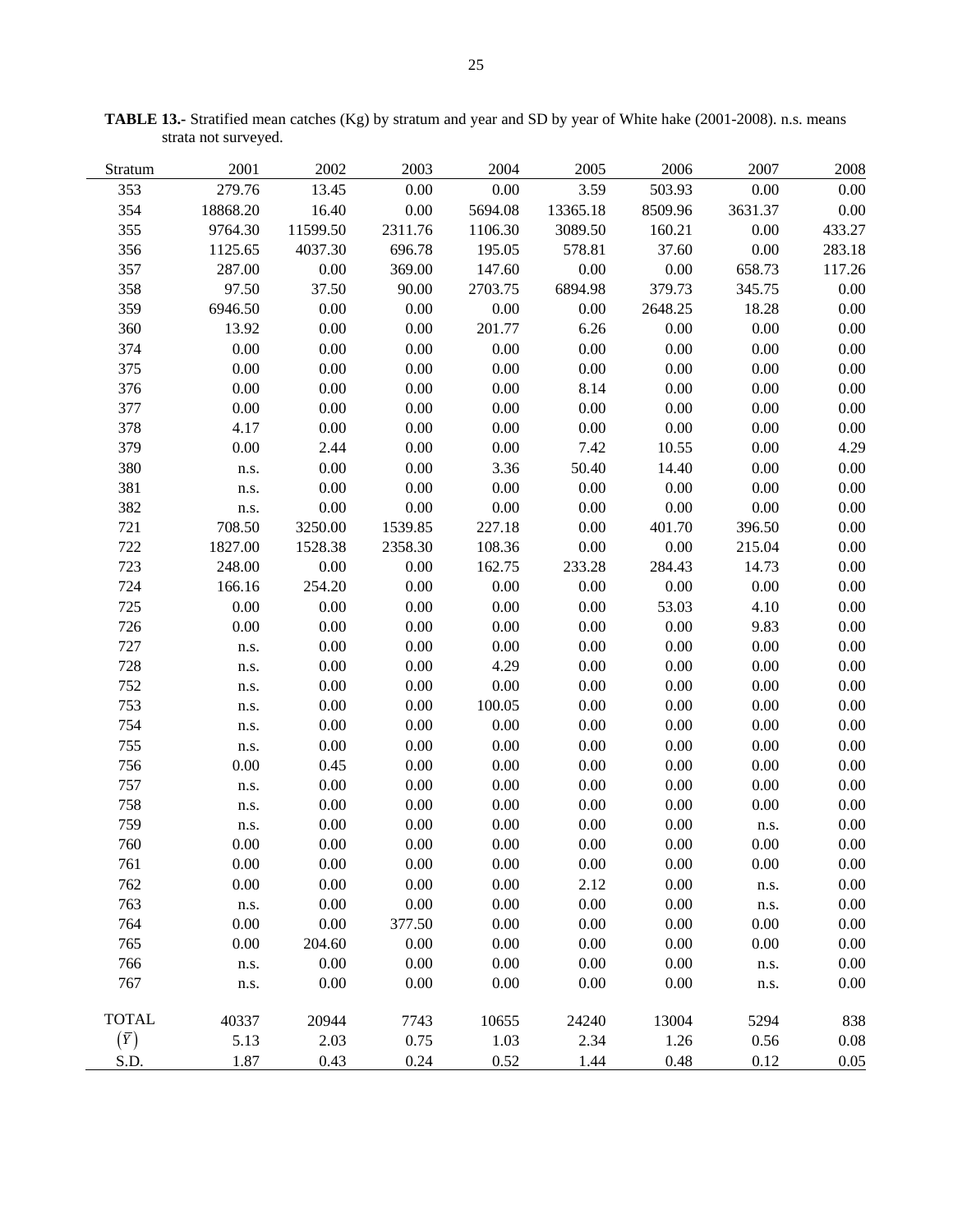| Stratum      | 2001     | 2002     | 2003    | 2004     | 2005     | 2006     | 2007    | 2008   |
|--------------|----------|----------|---------|----------|----------|----------|---------|--------|
| 353          | 279.76   | 13.45    | 0.00    | 0.00     | 3.59     | 503.93   | 0.00    | 0.00   |
| 354          | 18868.20 | 16.40    | 0.00    | 5694.08  | 13365.18 | 8509.96  | 3631.37 | 0.00   |
| 355          | 9764.30  | 11599.50 | 2311.76 | 1106.30  | 3089.50  | 160.21   | 0.00    | 433.27 |
| 356          | 1125.65  | 4037.30  | 696.78  | 195.05   | 578.81   | 37.60    | 0.00    | 283.18 |
| 357          | 287.00   | 0.00     | 369.00  | 147.60   | 0.00     | $0.00\,$ | 658.73  | 117.26 |
| 358          | 97.50    | 37.50    | 90.00   | 2703.75  | 6894.98  | 379.73   | 345.75  | 0.00   |
| 359          | 6946.50  | 0.00     | 0.00    | 0.00     | 0.00     | 2648.25  | 18.28   | 0.00   |
| 360          | 13.92    | 0.00     | 0.00    | 201.77   | 6.26     | 0.00     | 0.00    | 0.00   |
| 374          | 0.00     | 0.00     | 0.00    | 0.00     | 0.00     | 0.00     | 0.00    | 0.00   |
| 375          | 0.00     | 0.00     | 0.00    | 0.00     | 0.00     | 0.00     | 0.00    | 0.00   |
| 376          | 0.00     | 0.00     | 0.00    | 0.00     | 8.14     | 0.00     | 0.00    | 0.00   |
| 377          | 0.00     | 0.00     | 0.00    | 0.00     | 0.00     | 0.00     | 0.00    | 0.00   |
| 378          | 4.17     | 0.00     | 0.00    | 0.00     | 0.00     | 0.00     | 0.00    | 0.00   |
| 379          | 0.00     | 2.44     | 0.00    | $0.00\,$ | 7.42     | 10.55    | 0.00    | 4.29   |
| 380          | n.s.     | 0.00     | 0.00    | 3.36     | 50.40    | 14.40    | 0.00    | 0.00   |
| 381          | n.s.     | 0.00     | 0.00    | 0.00     | 0.00     | 0.00     | 0.00    | 0.00   |
| 382          | n.s.     | 0.00     | 0.00    | 0.00     | 0.00     | 0.00     | 0.00    | 0.00   |
| 721          | 708.50   | 3250.00  | 1539.85 | 227.18   | 0.00     | 401.70   | 396.50  | 0.00   |
| 722          | 1827.00  | 1528.38  | 2358.30 | 108.36   | 0.00     | 0.00     | 215.04  | 0.00   |
| 723          | 248.00   | 0.00     | 0.00    | 162.75   | 233.28   | 284.43   | 14.73   | 0.00   |
| 724          | 166.16   | 254.20   | 0.00    | 0.00     | 0.00     | 0.00     | 0.00    | 0.00   |
| 725          | 0.00     | 0.00     | 0.00    | 0.00     | 0.00     | 53.03    | 4.10    | 0.00   |
| 726          | 0.00     | 0.00     | 0.00    | 0.00     | 0.00     | 0.00     | 9.83    | 0.00   |
| 727          | n.s.     | 0.00     | 0.00    | 0.00     | 0.00     | 0.00     | 0.00    | 0.00   |
| 728          | n.s.     | 0.00     | 0.00    | 4.29     | 0.00     | 0.00     | 0.00    | 0.00   |
| 752          | n.s.     | 0.00     | 0.00    | 0.00     | 0.00     | 0.00     | 0.00    | 0.00   |
| 753          | n.s.     | 0.00     | 0.00    | 100.05   | 0.00     | 0.00     | 0.00    | 0.00   |
| 754          | n.s.     | 0.00     | 0.00    | 0.00     | 0.00     | 0.00     | 0.00    | 0.00   |
| 755          | n.s.     | 0.00     | 0.00    | 0.00     | 0.00     | 0.00     | 0.00    | 0.00   |
| 756          | 0.00     | 0.45     | 0.00    | 0.00     | 0.00     | 0.00     | 0.00    | 0.00   |
| 757          | n.s.     | 0.00     | 0.00    | 0.00     | 0.00     | 0.00     | 0.00    | 0.00   |
| 758          | n.s.     | 0.00     | 0.00    | 0.00     | 0.00     | 0.00     | 0.00    | 0.00   |
| 759          | n.s.     | 0.00     | 0.00    | 0.00     | 0.00     | 0.00     | n.s.    | 0.00   |
| 760          | 0.00     | 0.00     | 0.00    | 0.00     | 0.00     | 0.00     | 0.00    | 0.00   |
| 761          | 0.00     | 0.00     | 0.00    | 0.00     | 0.00     | 0.00     | 0.00    | 0.00   |
| 762          | 0.00     | 0.00     | 0.00    | 0.00     | 2.12     | $0.00\,$ | n.s.    | 0.00   |
| 763          | n.s.     | 0.00     | 0.00    | 0.00     | $0.00\,$ | 0.00     | n.s.    | 0.00   |
| 764          | 0.00     | $0.00\,$ | 377.50  | $0.00\,$ | 0.00     | $0.00\,$ | 0.00    | 0.00   |
| 765          | 0.00     | 204.60   | 0.00    | 0.00     | 0.00     | 0.00     | 0.00    | 0.00   |
| 766          | n.s.     | 0.00     | 0.00    | 0.00     | 0.00     | 0.00     | n.s.    | 0.00   |
| 767          | n.s.     | 0.00     | 0.00    | 0.00     | 0.00     | 0.00     | n.s.    | 0.00   |
|              |          |          |         |          |          |          |         |        |
| <b>TOTAL</b> | 40337    | 20944    | 7743    | 10655    | 24240    | 13004    | 5294    | 838    |
| $(\bar{Y})$  | 5.13     | 2.03     | 0.75    | 1.03     | 2.34     | 1.26     | 0.56    | 0.08   |
| S.D.         | 1.87     | 0.43     | 0.24    | 0.52     | 1.44     | 0.48     | 0.12    | 0.05   |

**TABLE 13.-** Stratified mean catches (Kg) by stratum and year and SD by year of White hake (2001-2008). n.s. means strata not surveyed.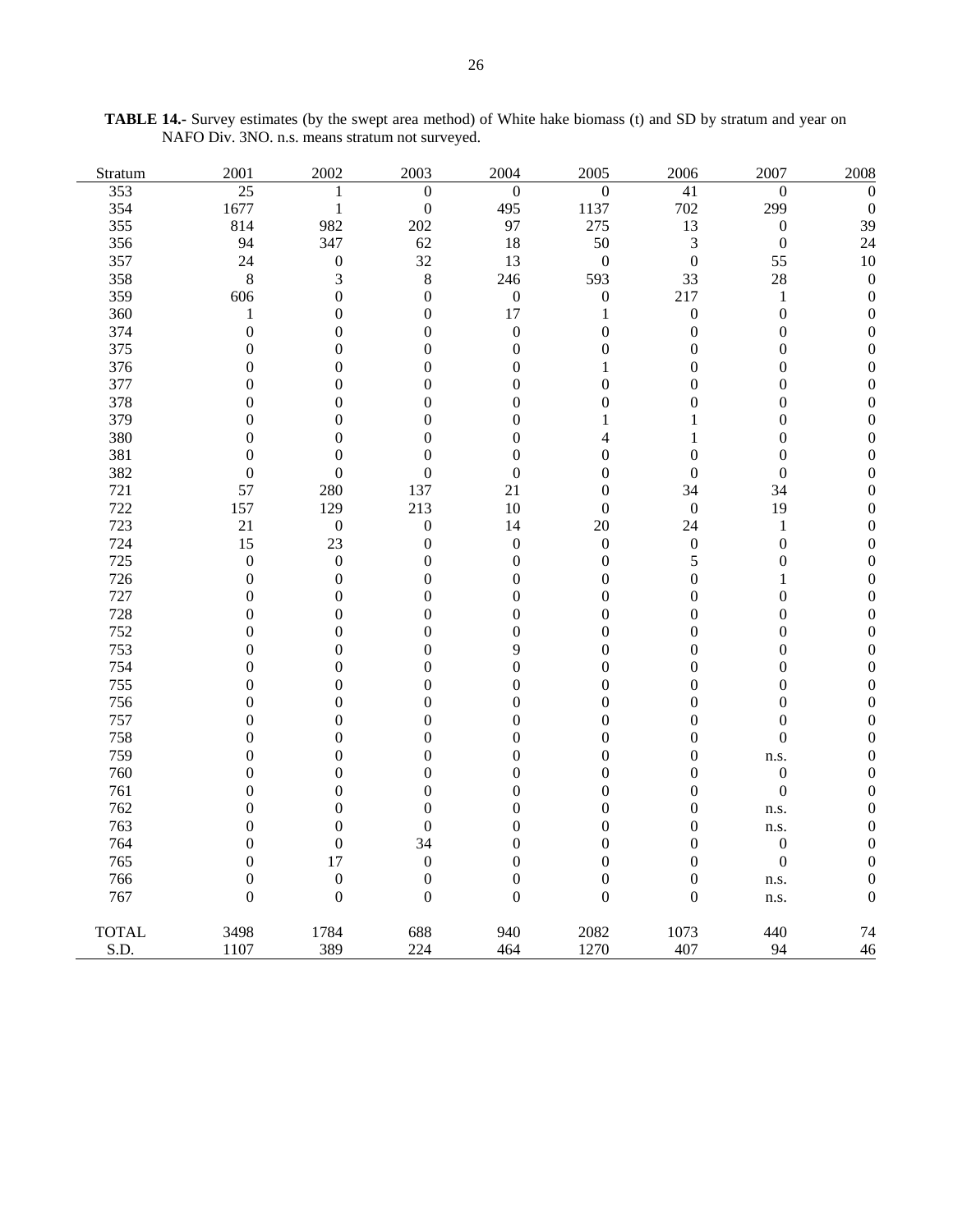| Stratum      | 2001             | 2002             | 2003             | 2004             | 2005             | 2006             | 2007             | 2008             |
|--------------|------------------|------------------|------------------|------------------|------------------|------------------|------------------|------------------|
| 353          | $\overline{25}$  | 1                | $\boldsymbol{0}$ | $\boldsymbol{0}$ | $\boldsymbol{0}$ | 41               | $\mathbf{0}$     | $\overline{0}$   |
| 354          | 1677             | $\mathbf{1}$     | $\boldsymbol{0}$ | 495              | 1137             | 702              | 299              | $\theta$         |
| 355          | 814              | 982              | 202              | 97               | 275              | 13               | $\boldsymbol{0}$ | 39               |
| 356          | 94               | 347              | 62               | 18               | 50               | 3                | $\boldsymbol{0}$ | 24               |
| 357          | 24               | $\boldsymbol{0}$ | 32               | 13               | $\boldsymbol{0}$ | $\boldsymbol{0}$ | 55               | 10               |
| 358          | 8                | $\mathfrak{Z}$   | $\,$ 8 $\,$      | 246              | 593              | 33               | $28\,$           | $\boldsymbol{0}$ |
| 359          | 606              | $\boldsymbol{0}$ | $\boldsymbol{0}$ | $\boldsymbol{0}$ | $\boldsymbol{0}$ | 217              | $\mathbf{1}$     | $\overline{0}$   |
| 360          | $\mathbf{1}$     | $\boldsymbol{0}$ | $\boldsymbol{0}$ | 17               | $\mathbf{1}$     | $\boldsymbol{0}$ | $\boldsymbol{0}$ | $\overline{0}$   |
| 374          | $\boldsymbol{0}$ | $\boldsymbol{0}$ | $\boldsymbol{0}$ | $\boldsymbol{0}$ | $\boldsymbol{0}$ | $\boldsymbol{0}$ | $\boldsymbol{0}$ | 0                |
| 375          | $\boldsymbol{0}$ | $\boldsymbol{0}$ | $\boldsymbol{0}$ | $\boldsymbol{0}$ | $\boldsymbol{0}$ | $\boldsymbol{0}$ | $\boldsymbol{0}$ | 0                |
| 376          | $\boldsymbol{0}$ | $\boldsymbol{0}$ | $\boldsymbol{0}$ | $\boldsymbol{0}$ | 1                | $\boldsymbol{0}$ | $\boldsymbol{0}$ | 0                |
| 377          | $\boldsymbol{0}$ | $\boldsymbol{0}$ | $\boldsymbol{0}$ | $\boldsymbol{0}$ | $\boldsymbol{0}$ | $\boldsymbol{0}$ | $\boldsymbol{0}$ | 0                |
| 378          | $\boldsymbol{0}$ | $\boldsymbol{0}$ | $\boldsymbol{0}$ | $\boldsymbol{0}$ | $\mathbf{0}$     | $\boldsymbol{0}$ | $\boldsymbol{0}$ | 0                |
| 379          | $\boldsymbol{0}$ | $\boldsymbol{0}$ | $\boldsymbol{0}$ | $\boldsymbol{0}$ | 1                | 1                | $\boldsymbol{0}$ | 0                |
| 380          | $\boldsymbol{0}$ | $\boldsymbol{0}$ | $\overline{0}$   | $\boldsymbol{0}$ | $\overline{4}$   | 1                | $\boldsymbol{0}$ | 0                |
| 381          | $\boldsymbol{0}$ | $\boldsymbol{0}$ | $\boldsymbol{0}$ | $\boldsymbol{0}$ | $\mathbf{0}$     | $\boldsymbol{0}$ | $\boldsymbol{0}$ |                  |
| 382          | $\boldsymbol{0}$ | $\boldsymbol{0}$ | $\boldsymbol{0}$ | $\boldsymbol{0}$ | $\boldsymbol{0}$ | $\boldsymbol{0}$ | $\boldsymbol{0}$ | 0                |
| 721          | 57               | 280              | 137              | 21               | $\boldsymbol{0}$ | 34               | 34               | 0                |
| 722          | 157              | 129              | 213              | 10               | $\boldsymbol{0}$ | $\boldsymbol{0}$ | 19               |                  |
| 723          | 21               | $\boldsymbol{0}$ | $\boldsymbol{0}$ | 14               | $20\,$           | 24               | $\,1$            | 0                |
| 724          | 15               | 23               | $\boldsymbol{0}$ | $\boldsymbol{0}$ | $\boldsymbol{0}$ | $\boldsymbol{0}$ | $\boldsymbol{0}$ | 0                |
| 725          | $\boldsymbol{0}$ | $\boldsymbol{0}$ | $\boldsymbol{0}$ | $\boldsymbol{0}$ | $\mathbf{0}$     | 5                | $\boldsymbol{0}$ |                  |
| 726          | $\boldsymbol{0}$ | $\boldsymbol{0}$ | $\boldsymbol{0}$ | $\boldsymbol{0}$ | $\boldsymbol{0}$ | $\boldsymbol{0}$ | $\mathbf{1}$     | 0                |
| 727          | $\boldsymbol{0}$ | $\boldsymbol{0}$ | $\boldsymbol{0}$ | $\boldsymbol{0}$ | $\boldsymbol{0}$ | $\boldsymbol{0}$ | $\boldsymbol{0}$ | 0                |
| 728          | $\boldsymbol{0}$ | $\boldsymbol{0}$ | $\boldsymbol{0}$ | $\boldsymbol{0}$ | $\boldsymbol{0}$ | $\boldsymbol{0}$ | $\boldsymbol{0}$ | 0                |
| 752          | $\boldsymbol{0}$ | $\boldsymbol{0}$ | $\boldsymbol{0}$ | $\boldsymbol{0}$ | $\boldsymbol{0}$ | $\boldsymbol{0}$ | $\boldsymbol{0}$ | 0                |
| 753          | $\boldsymbol{0}$ | $\boldsymbol{0}$ | $\boldsymbol{0}$ | 9                | $\boldsymbol{0}$ | $\boldsymbol{0}$ | $\boldsymbol{0}$ | 0                |
| 754          | $\boldsymbol{0}$ | $\boldsymbol{0}$ | $\boldsymbol{0}$ | $\overline{0}$   | $\boldsymbol{0}$ | $\boldsymbol{0}$ | $\boldsymbol{0}$ |                  |
| 755          | $\boldsymbol{0}$ | $\boldsymbol{0}$ | $\boldsymbol{0}$ | $\boldsymbol{0}$ | $\boldsymbol{0}$ | $\boldsymbol{0}$ | $\boldsymbol{0}$ | 0                |
| 756          | $\boldsymbol{0}$ | $\boldsymbol{0}$ | $\boldsymbol{0}$ | $\boldsymbol{0}$ | $\boldsymbol{0}$ | $\boldsymbol{0}$ | $\boldsymbol{0}$ | 0                |
| 757          | $\boldsymbol{0}$ | $\boldsymbol{0}$ | $\boldsymbol{0}$ | $\boldsymbol{0}$ | $\mathbf{0}$     | $\boldsymbol{0}$ | $\boldsymbol{0}$ | 0                |
| 758          | $\boldsymbol{0}$ | $\boldsymbol{0}$ | $\boldsymbol{0}$ | $\boldsymbol{0}$ | $\boldsymbol{0}$ | $\boldsymbol{0}$ | $\boldsymbol{0}$ | 0                |
| 759          | $\boldsymbol{0}$ | $\boldsymbol{0}$ | $\boldsymbol{0}$ | $\boldsymbol{0}$ | $\boldsymbol{0}$ | $\boldsymbol{0}$ | n.s.             | 0                |
| 760          | $\boldsymbol{0}$ | $\boldsymbol{0}$ | $\boldsymbol{0}$ | $\boldsymbol{0}$ | $\boldsymbol{0}$ | $\boldsymbol{0}$ | $\boldsymbol{0}$ | 0                |
| 761          | $\boldsymbol{0}$ | $\boldsymbol{0}$ | $\boldsymbol{0}$ | $\boldsymbol{0}$ | $\boldsymbol{0}$ | $\boldsymbol{0}$ | $\boldsymbol{0}$ | 0                |
| 762          | $\boldsymbol{0}$ | $\boldsymbol{0}$ | $\boldsymbol{0}$ | $\boldsymbol{0}$ | $\boldsymbol{0}$ | $\boldsymbol{0}$ | n.s.             | $\Omega$         |
| 763          | $\boldsymbol{0}$ | $\boldsymbol{0}$ | $\boldsymbol{0}$ | $\boldsymbol{0}$ | $\mathbf{0}$     | $\boldsymbol{0}$ | n.s.             | 0                |
| 764          | $\boldsymbol{0}$ | $\boldsymbol{0}$ | 34               | $\boldsymbol{0}$ | $\boldsymbol{0}$ | $\boldsymbol{0}$ | $\boldsymbol{0}$ | 0                |
| 765          | $\boldsymbol{0}$ | 17               | $\boldsymbol{0}$ | $\boldsymbol{0}$ | $\boldsymbol{0}$ | $\boldsymbol{0}$ | $\boldsymbol{0}$ | 0                |
| 766          | $\boldsymbol{0}$ | $\boldsymbol{0}$ | $\boldsymbol{0}$ | $\boldsymbol{0}$ | $\boldsymbol{0}$ | $\boldsymbol{0}$ | n.s.             | 0                |
| 767          | $\boldsymbol{0}$ | $\boldsymbol{0}$ | $\boldsymbol{0}$ | $\boldsymbol{0}$ | $\boldsymbol{0}$ | $\boldsymbol{0}$ | n.s.             | $\theta$         |
| <b>TOTAL</b> | 3498             | 1784             | 688              | 940              | 2082             | 1073             | 440              | 74               |
| S.D.         | 1107             | 389              | 224              | 464              | 1270             | 407              | 94               | 46               |

**TABLE 14.-** Survey estimates (by the swept area method) of White hake biomass (t) and SD by stratum and year on NAFO Div. 3NO. n.s. means stratum not surveyed.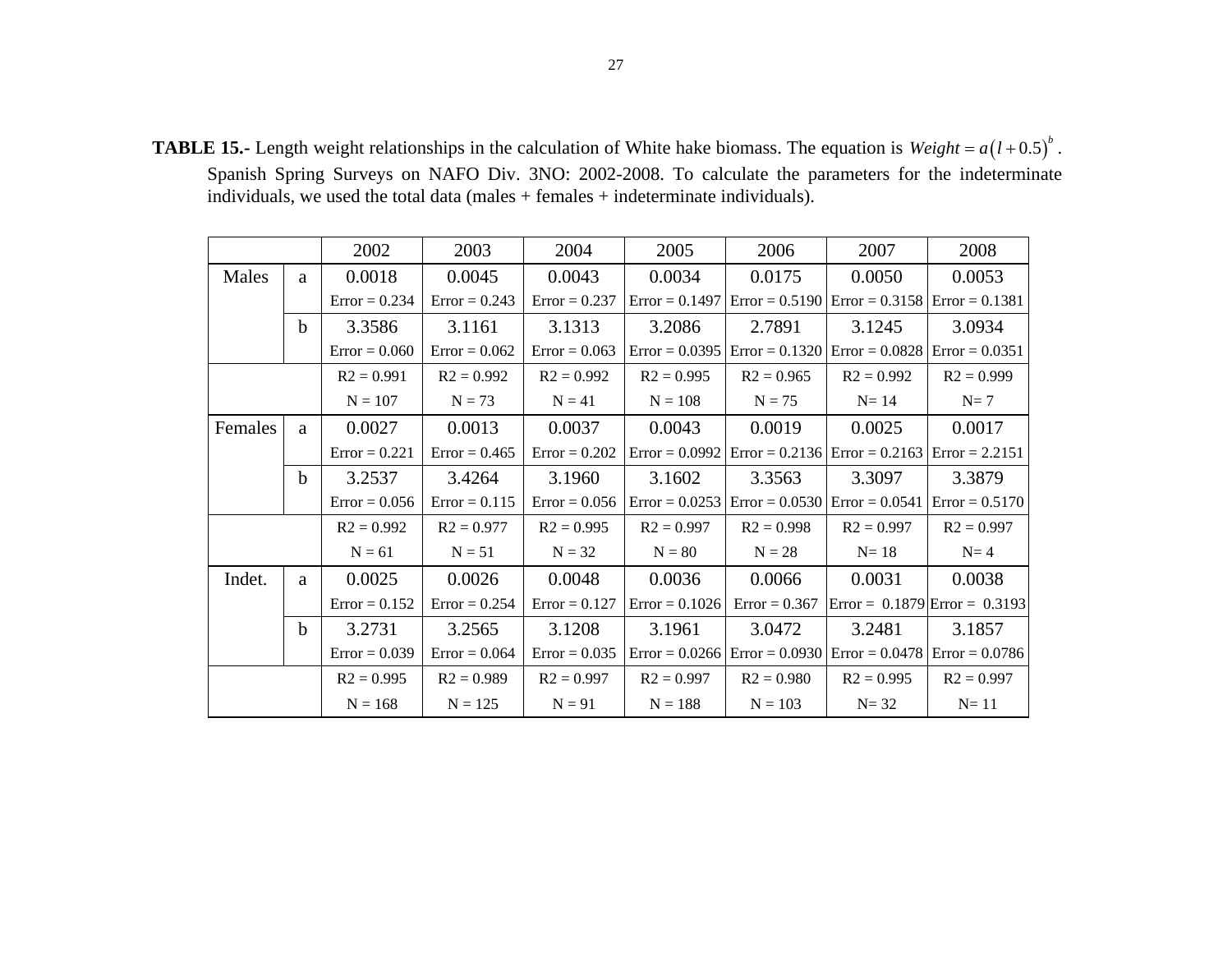**TABLE 15.-** Length weight relationships in the calculation of White hake biomass. The equation is  $Weight = a(l+0.5)^{b}$ . Spanish Spring Surveys on NAFO Div. 3NO: 2002-2008. To calculate the parameters for the indeterminate individuals, we used the total data (males + females + indeterminate individuals).

|         |             | 2002            | 2003             | 2004            | 2005             | 2006         | 2007                                               | 2008                                              |  |
|---------|-------------|-----------------|------------------|-----------------|------------------|--------------|----------------------------------------------------|---------------------------------------------------|--|
| Males   | a           | 0.0018          | 0.0045<br>0.0043 |                 | 0.0034           | 0.0175       | 0.0050                                             | 0.0053                                            |  |
|         |             | $Error = 0.234$ | $Error = 0.243$  | $Error = 0.237$ | $Error = 0.1497$ |              | $Error = 0.5190$ $Error = 0.3158$ $Error = 0.1381$ |                                                   |  |
|         | $\mathbf b$ | 3.3586          | 3.1161           | 3.1313          | 3.2086           | 2.7891       | 3.1245                                             | 3.0934                                            |  |
|         |             | $Error = 0.060$ | $Error = 0.062$  | $Error = 0.063$ | $Error = 0.0395$ |              | $Error = 0.1320$ $Error = 0.0828$                  | $Error = 0.0351$                                  |  |
|         |             | $R2 = 0.991$    | $R2 = 0.992$     | $R2 = 0.992$    | $R2 = 0.995$     | $R2 = 0.965$ | $R2 = 0.992$                                       | $R2 = 0.999$                                      |  |
|         |             | $N = 107$       | $N = 73$         | $N = 41$        | $N = 108$        | $N = 75$     | $N=14$                                             | $N=7$                                             |  |
| Females | a           | 0.0027          | 0.0013           | 0.0037          | 0.0043           | 0.0019       | 0.0025                                             | 0.0017                                            |  |
|         |             | $Error = 0.221$ | $Error = 0.465$  | $Error = 0.202$ | $Error = 0.0992$ |              | $Error = 0.2136$ $Error = 0.2163$ $Error = 2.2151$ |                                                   |  |
|         | $\mathbf b$ | 3.2537          | 3.4264<br>3.1960 |                 | 3.1602           | 3.3563       | 3.3097                                             | 3.3879                                            |  |
|         |             | $Error = 0.056$ | $Error = 0.115$  | $Error = 0.056$ | $Error = 0.0253$ |              | $Error = 0.0530$ $Error = 0.0541$                  | $Error = 0.5170$                                  |  |
|         |             | $R2 = 0.992$    | $R2 = 0.977$     | $R2 = 0.995$    | $R2 = 0.997$     | $R2 = 0.998$ | $R2 = 0.997$                                       | $R2 = 0.997$                                      |  |
|         |             | $N = 61$        | $N = 51$         | $N = 32$        | $N = 80$         | $N = 28$     | $N=18$                                             | $N=4$                                             |  |
| Indet.  | a           | 0.0025          | 0.0026           | 0.0048          | 0.0036           | 0.0066       | 0.0031                                             | 0.0038                                            |  |
|         |             | $Error = 0.152$ | $Error = 0.254$  | $Error = 0.127$ | $Error = 0.1026$ |              |                                                    | Error = $0.367$ Error = $0.1879$ Error = $0.3193$ |  |
|         | $\mathbf b$ | 3.2731          | 3.2565           | 3.1208          | 3.1961           | 3.0472       | 3.2481                                             | 3.1857                                            |  |
|         |             | $Error = 0.039$ | $Error = 0.064$  | $Error = 0.035$ | $Error = 0.0266$ |              | $Error = 0.0930$ $Error = 0.0478$ $Error = 0.0786$ |                                                   |  |
|         |             | $R2 = 0.995$    | $R2 = 0.989$     | $R2 = 0.997$    | $R2 = 0.997$     | $R2 = 0.980$ | $R2 = 0.995$                                       | $R2 = 0.997$                                      |  |
|         |             | $N = 168$       | $N = 125$        | $N = 91$        | $N = 188$        | $N = 103$    | $N = 32$                                           | $N=11$                                            |  |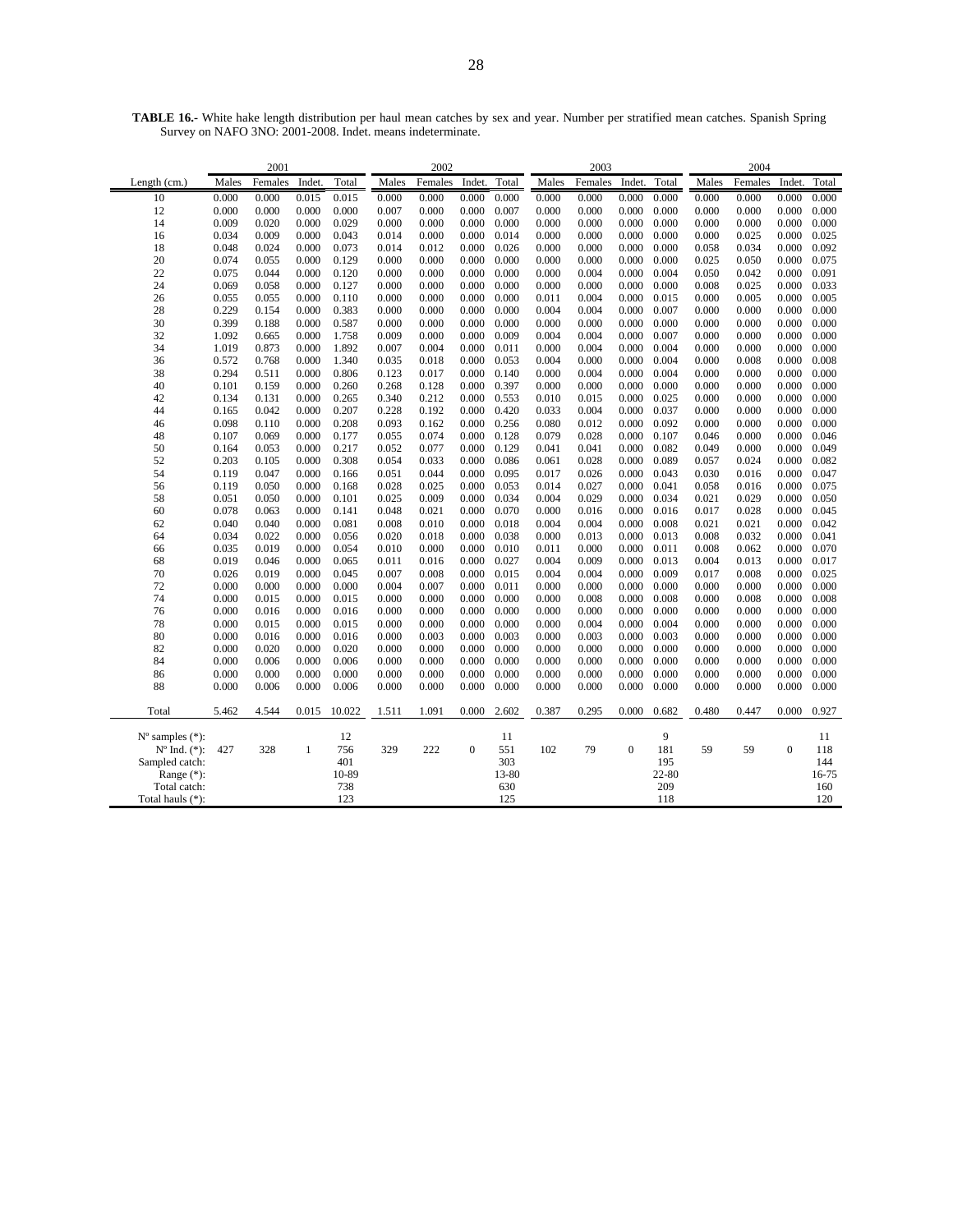| 2001                        |                |                |                |                | 2002           |                |                |                | 2003           |                |                | 2004           |                |                |                |                |
|-----------------------------|----------------|----------------|----------------|----------------|----------------|----------------|----------------|----------------|----------------|----------------|----------------|----------------|----------------|----------------|----------------|----------------|
| Length $(cm.)$              | Males          | Females        | Indet.         | Total          | Males          | Females        | Indet.         | Total          | Males          | Females        | Indet.         | Total          | Males          | Females        | Indet.         | Total          |
| 10                          | 0.000          | 0.000          | 0.015          | 0.015          | 0.000          | 0.000          | 0.000          | 0.000          | 0.000          | 0.000          | 0.000          | 0.000          | 0.000          | 0.000          | 0.000          | 0.000          |
| 12                          | 0.000          | 0.000          | 0.000          | 0.000          | 0.007          | 0.000          | 0.000          | 0.007          | 0.000          | 0.000          | 0.000          | 0.000          | 0.000          | 0.000          | 0.000          | 0.000          |
| 14                          | 0.009          | 0.020          | 0.000          | 0.029          | 0.000          | 0.000          | 0.000          | 0.000          | 0.000          | 0.000          | 0.000          | 0.000          | 0.000          | 0.000          | 0.000          | 0.000          |
| 16                          | 0.034          | 0.009          | 0.000          | 0.043          | 0.014          | 0.000          | 0.000          | 0.014          | 0.000          | 0.000          | 0.000          | 0.000          | 0.000          | 0.025          | 0.000          | 0.025          |
| 18                          | 0.048          | 0.024          | 0.000          | 0.073          | 0.014          | 0.012          | 0.000          | 0.026          | 0.000          | 0.000          | 0.000          | 0.000          | 0.058          | 0.034          | 0.000          | 0.092          |
| 20                          | 0.074          | 0.055          | 0.000          | 0.129          | 0.000          | 0.000          | 0.000          | 0.000          | 0.000          | 0.000          | 0.000          | 0.000          | 0.025          | 0.050          | 0.000          | 0.075          |
| 22                          | 0.075          | 0.044          | 0.000          | 0.120          | 0.000          | 0.000          | 0.000          | 0.000          | 0.000          | 0.004          | 0.000          | 0.004          | 0.050          | 0.042          | 0.000          | 0.091          |
| 24                          | 0.069          | 0.058          | 0.000          | 0.127          | 0.000          | 0.000          | 0.000          | 0.000          | 0.000          | 0.000          | 0.000          | 0.000          | 0.008          | 0.025          | 0.000          | 0.033          |
| 26                          | 0.055          | 0.055          | 0.000          | 0.110          | 0.000          | 0.000          | 0.000          | 0.000          | 0.011          | 0.004          | 0.000          | 0.015          | 0.000          | 0.005          | 0.000          | 0.005          |
| 28                          | 0.229          | 0.154          | 0.000          | 0.383          | 0.000          | 0.000          | 0.000          | 0.000          | 0.004          | 0.004          | 0.000          | 0.007          | 0.000          | 0.000          | 0.000          | 0.000          |
| 30                          | 0.399          | 0.188          | 0.000          | 0.587          | 0.000          | 0.000          | 0.000          | 0.000          | 0.000          | 0.000          | 0.000          | 0.000          | 0.000          | 0.000          | 0.000          | 0.000          |
| 32                          | 1.092          | 0.665          | 0.000          | 1.758          | 0.009          | 0.000          | 0.000          | 0.009          | 0.004          | 0.004          | 0.000          | 0.007          | 0.000          | 0.000          | 0.000          | 0.000          |
| 34                          | 1.019          | 0.873          | 0.000          | 1.892          | 0.007          | 0.004          | 0.000          | 0.011          | 0.000          | 0.004          | 0.000          | 0.004          | 0.000          | 0.000          | 0.000          | 0.000          |
| 36                          | 0.572          | 0.768          | 0.000          | 1.340          | 0.035          | 0.018          | 0.000          | 0.053          | 0.004          | 0.000          | 0.000          | 0.004          | 0.000          | 0.008          | 0.000          | 0.008          |
| 38                          | 0.294          | 0.511          | 0.000          | 0.806          | 0.123          | 0.017          | 0.000          | 0.140          | 0.000          | 0.004          | 0.000          | 0.004          | 0.000          | 0.000          | 0.000          | 0.000          |
| 40                          | 0.101          | 0.159          | 0.000          | 0.260          | 0.268          | 0.128          | 0.000          | 0.397          | 0.000          | 0.000          | 0.000          | 0.000          | 0.000          | 0.000          | 0.000          | 0.000          |
| 42                          | 0.134          | 0.131          | 0.000          | 0.265          | 0.340          | 0.212          | 0.000          | 0.553          | 0.010          | 0.015          | 0.000          | 0.025          | 0.000          | 0.000          | 0.000          | 0.000          |
| 44                          | 0.165          | 0.042          | 0.000          | 0.207          | 0.228          | 0.192          | 0.000          | 0.420          | 0.033          | 0.004          | 0.000          | 0.037          | 0.000          | 0.000          | 0.000          | 0.000          |
| 46                          | 0.098          | 0.110          | 0.000          | 0.208          | 0.093          | 0.162          | 0.000          | 0.256          | 0.080          | 0.012          | 0.000          | 0.092          | 0.000          | 0.000          | 0.000          | 0.000          |
| 48                          | 0.107          | 0.069          | 0.000          | 0.177          | 0.055          | 0.074          | 0.000          | 0.128          | 0.079          | 0.028          | 0.000          | 0.107          | 0.046          | 0.000          | 0.000          | 0.046          |
| 50                          | 0.164          | 0.053          | 0.000          | 0.217          | 0.052          | 0.077          | 0.000          | 0.129          | 0.041          | 0.041          | 0.000          | 0.082          | 0.049          | 0.000          | 0.000          | 0.049          |
| 52                          | 0.203          | 0.105          | 0.000          | 0.308          | 0.054          | 0.033          | 0.000          | 0.086          | 0.061          | 0.028          | 0.000          | 0.089          | 0.057          | 0.024          | 0.000          | 0.082          |
| 54                          | 0.119          | 0.047          | 0.000          | 0.166          | 0.051          | 0.044          | 0.000          | 0.095          | 0.017          | 0.026          | 0.000          | 0.043          | 0.030          | 0.016          | 0.000          | 0.047          |
| 56                          | 0.119          | 0.050          | 0.000          | 0.168          | 0.028          | 0.025          | 0.000          | 0.053          | 0.014          | 0.027          | 0.000          | 0.041          | 0.058          | 0.016          | 0.000          | 0.075          |
| 58                          | 0.051          | 0.050          | 0.000          | 0.101          | 0.025          | 0.009          | 0.000          | 0.034          | 0.004          | 0.029          | 0.000          | 0.034          | 0.021          | 0.029          | 0.000          | 0.050          |
| 60                          | 0.078          | 0.063          | 0.000          | 0.141          | 0.048          | 0.021          | 0.000          | 0.070          | 0.000          | 0.016          | 0.000          | 0.016          | 0.017          | 0.028          | 0.000          | 0.045          |
| 62                          | 0.040          | 0.040          | 0.000          | 0.081          | 0.008          | 0.010          | 0.000          | 0.018          | 0.004          | 0.004          | 0.000          | 0.008          | 0.021          | 0.021          | 0.000          | 0.042          |
| 64<br>66                    | 0.034<br>0.035 | 0.022<br>0.019 | 0.000<br>0.000 | 0.056<br>0.054 | 0.020<br>0.010 | 0.018<br>0.000 | 0.000<br>0.000 | 0.038<br>0.010 | 0.000<br>0.011 | 0.013<br>0.000 | 0.000<br>0.000 | 0.013<br>0.011 | 0.008<br>0.008 | 0.032<br>0.062 | 0.000<br>0.000 | 0.041<br>0.070 |
| 68                          | 0.019          | 0.046          | 0.000          | 0.065          | 0.011          | 0.016          | 0.000          | 0.027          | 0.004          | 0.009          | 0.000          | 0.013          | 0.004          | 0.013          | 0.000          | 0.017          |
| 70                          | 0.026          | 0.019          | 0.000          | 0.045          | 0.007          | 0.008          | 0.000          | 0.015          | 0.004          | 0.004          | 0.000          | 0.009          | 0.017          | 0.008          | 0.000          | 0.025          |
| 72                          | 0.000          | 0.000          | 0.000          | 0.000          | 0.004          | 0.007          | 0.000          | 0.011          | 0.000          | 0.000          | 0.000          | 0.000          | 0.000          | 0.000          | 0.000          | 0.000          |
| 74                          | 0.000          | 0.015          | 0.000          | 0.015          | 0.000          | 0.000          | 0.000          | 0.000          | 0.000          | 0.008          | 0.000          | 0.008          | 0.000          | 0.008          | 0.000          | 0.008          |
| 76                          | 0.000          | 0.016          | 0.000          | 0.016          | 0.000          | 0.000          | 0.000          | 0.000          | 0.000          | 0.000          | 0.000          | 0.000          | 0.000          | 0.000          | 0.000          | 0.000          |
| 78                          | 0.000          | 0.015          | 0.000          | 0.015          | 0.000          | 0.000          | 0.000          | 0.000          | 0.000          | 0.004          | 0.000          | 0.004          | 0.000          | 0.000          | 0.000          | 0.000          |
| 80                          | 0.000          | 0.016          | 0.000          | 0.016          | 0.000          | 0.003          | 0.000          | 0.003          | 0.000          | 0.003          | 0.000          | 0.003          | 0.000          | 0.000          | 0.000          | 0.000          |
| 82                          | 0.000          | 0.020          | 0.000          | 0.020          | 0.000          | 0.000          | 0.000          | 0.000          | 0.000          | 0.000          | 0.000          | 0.000          | 0.000          | 0.000          | 0.000          | 0.000          |
| 84                          | 0.000          | 0.006          | 0.000          | 0.006          | 0.000          | 0.000          | 0.000          | 0.000          | 0.000          | 0.000          | 0.000          | 0.000          | 0.000          | 0.000          | 0.000          | 0.000          |
| 86                          | 0.000          | 0.000          | 0.000          | 0.000          | 0.000          | 0.000          | 0.000          | 0.000          | 0.000          | 0.000          | 0.000          | 0.000          | 0.000          | 0.000          | 0.000          | 0.000          |
| 88                          | 0.000          | 0.006          | 0.000          | 0.006          | 0.000          | 0.000          | 0.000          | 0.000          | 0.000          | 0.000          | 0.000          | 0.000          | 0.000          | 0.000          | 0.000          | 0.000          |
|                             |                |                |                |                |                |                |                |                |                |                |                |                |                |                |                |                |
| Total                       | 5.462          | 4.544          | 0.015          | 10.022         | 1.511          | 1.091          | 0.000          | 2.602          | 0.387          | 0.295          | 0.000          | 0.682          | 0.480          | 0.447          | 0.000          | 0.927          |
| $N^{\circ}$ samples $(*)$ : |                |                |                | 12             |                |                |                | 11             |                |                |                | 9              |                |                |                | 11             |
| $N^{\circ}$ Ind. $(*)$ :    | 427            | 328            | 1              | 756            | 329            | 222            | $\mathbf{0}$   | 551            | 102            | 79             | $\mathbf{0}$   | 181            | 59             | 59             | $\Omega$       | 118            |
| Sampled catch:              |                |                |                | 401            |                |                |                | 303            |                |                |                | 195            |                |                |                | 144            |

Range (\*): 10-89 13-80 22-80 16-75 Total catch: 738 738 630 209 209 160 Total hauls (\*): 123 125 118 120

**TABLE 16.-** White hake length distribution per haul mean catches by sex and year. Number per stratified mean catches. Spanish Spring Survey on NAFO 3NO: 2001-2008. Indet. means indeterminate.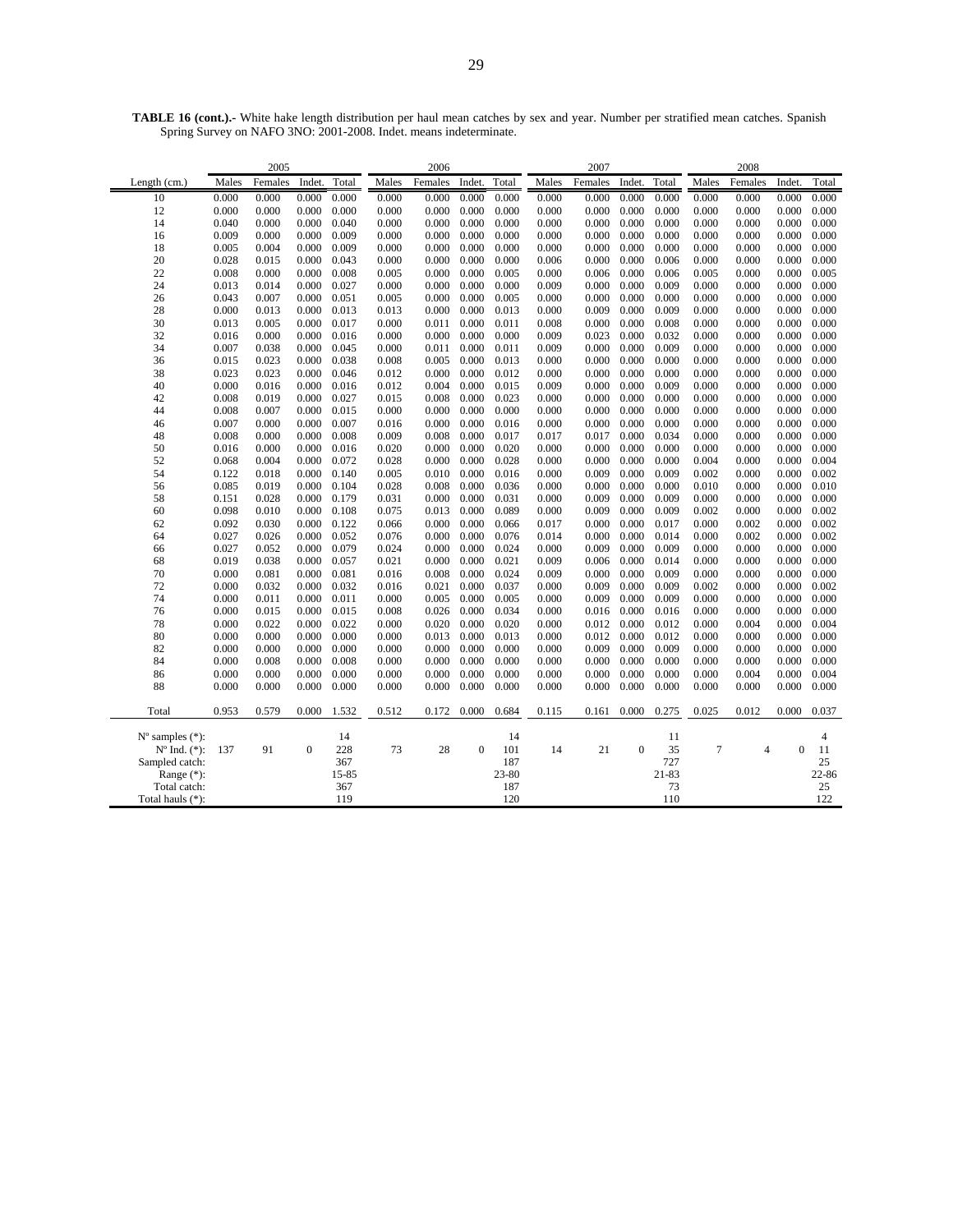|                             | 2005           |                |                |                |                | 2006           |          |                |                | 2007           |                |                | 2008           |                |                |                |
|-----------------------------|----------------|----------------|----------------|----------------|----------------|----------------|----------|----------------|----------------|----------------|----------------|----------------|----------------|----------------|----------------|----------------|
| Length $(cm.)$              | Males          | Females        | Indet.         | Total          | Males          | Females        | Indet.   | Total          | Males          | Females        | Indet.         | Total          | Males          | Females        | Indet.         | Total          |
| 10                          | 0.000          | 0.000          | 0.000          | 0.000          | 0.000          | 0.000          | 0.000    | 0.000          | 0.000          | 0.000          | 0.000          | 0.000          | 0.000          | 0.000          | 0.000          | 0.000          |
| 12                          | 0.000          | 0.000          | 0.000          | 0.000          | 0.000          | 0.000          | 0.000    | 0.000          | 0.000          | 0.000          | 0.000          | 0.000          | 0.000          | 0.000          | 0.000          | 0.000          |
| 14                          | 0.040          | 0.000          | 0.000          | 0.040          | 0.000          | 0.000          | 0.000    | 0.000          | 0.000          | 0.000          | 0.000          | 0.000          | 0.000          | 0.000          | 0.000          | 0.000          |
| 16                          | 0.009          | 0.000          | 0.000          | 0.009          | 0.000          | 0.000          | 0.000    | 0.000          | 0.000          | 0.000          | 0.000          | 0.000          | 0.000          | 0.000          | 0.000          | 0.000          |
| 18                          | 0.005          | 0.004          | 0.000          | 0.009          | 0.000          | 0.000          | 0.000    | 0.000          | 0.000          | 0.000          | 0.000          | 0.000          | 0.000          | 0.000          | 0.000          | 0.000          |
| 20                          | 0.028          | 0.015          | 0.000          | 0.043          | 0.000          | 0.000          | 0.000    | 0.000          | 0.006          | 0.000          | 0.000          | 0.006          | 0.000          | 0.000          | 0.000          | 0.000          |
| 22                          | 0.008          | 0.000          | 0.000          | 0.008          | 0.005          | 0.000          | 0.000    | 0.005          | 0.000          | 0.006          | 0.000          | 0.006          | 0.005          | 0.000          | 0.000          | 0.005          |
| 24                          | 0.013          | 0.014          | 0.000          | 0.027          | 0.000          | 0.000          | 0.000    | 0.000          | 0.009          | 0.000          | 0.000          | 0.009          | 0.000          | 0.000          | 0.000          | 0.000          |
| 26                          | 0.043          | 0.007          | 0.000          | 0.051          | 0.005          | 0.000          | 0.000    | 0.005          | 0.000          | 0.000          | 0.000          | 0.000          | 0.000          | 0.000          | 0.000          | 0.000          |
| 28                          | 0.000          | 0.013          | 0.000          | 0.013          | 0.013          | 0.000          | 0.000    | 0.013          | 0.000          | 0.009          | 0.000          | 0.009          | 0.000          | 0.000          | 0.000          | 0.000          |
| 30                          | 0.013          | 0.005          | 0.000          | 0.017          | 0.000          | 0.011          | 0.000    | 0.011          | 0.008          | 0.000          | 0.000          | 0.008          | 0.000          | 0.000          | 0.000          | 0.000          |
| 32                          | 0.016          | 0.000          | 0.000          | 0.016          | 0.000          | 0.000          | 0.000    | 0.000          | 0.009          | 0.023          | 0.000          | 0.032          | 0.000          | 0.000          | 0.000          | 0.000          |
| 34                          | 0.007          | 0.038          | 0.000          | 0.045          | 0.000          | 0.011          | 0.000    | 0.011          | 0.009          | 0.000          | 0.000          | 0.009          | 0.000          | 0.000          | 0.000          | 0.000          |
| 36                          | 0.015          | 0.023          | 0.000          | 0.038          | 0.008          | 0.005          | 0.000    | 0.013          | 0.000          | 0.000          | 0.000          | 0.000          | 0.000          | 0.000          | 0.000          | 0.000          |
| 38                          | 0.023          | 0.023          | 0.000          | 0.046          | 0.012          | 0.000          | 0.000    | 0.012          | 0.000          | 0.000          | 0.000          | 0.000          | 0.000          | 0.000          | 0.000          | 0.000          |
| 40                          | 0.000          | 0.016          | 0.000          | 0.016          | 0.012          | 0.004          | 0.000    | 0.015          | 0.009          | 0.000          | 0.000          | 0.009          | 0.000          | 0.000          | 0.000          | 0.000          |
| 42                          | 0.008          | 0.019          | 0.000          | 0.027          | 0.015          | 0.008          | 0.000    | 0.023          | 0.000          | 0.000          | 0.000          | 0.000          | 0.000          | 0.000          | 0.000          | 0.000          |
| 44                          | 0.008          | 0.007          | 0.000          | 0.015          | 0.000          | 0.000          | 0.000    | 0.000          | 0.000          | 0.000          | 0.000          | 0.000          | 0.000          | 0.000          | 0.000          | 0.000          |
| 46                          | 0.007          | 0.000          | 0.000          | 0.007          | 0.016          | 0.000          | 0.000    | 0.016          | 0.000          | 0.000          | 0.000          | 0.000          | 0.000          | 0.000          | 0.000          | 0.000          |
| 48                          | 0.008          | 0.000          | 0.000          | 0.008          | 0.009          | 0.008          | 0.000    | 0.017          | 0.017          | 0.017          | 0.000          | 0.034          | 0.000          | 0.000          | 0.000          | 0.000          |
| 50                          | 0.016          | 0.000          | 0.000          | 0.016          | 0.020          | 0.000          | 0.000    | 0.020          | 0.000          | 0.000          | 0.000          | 0.000          | 0.000          | 0.000          | 0.000          | 0.000          |
| 52                          | 0.068          | 0.004          | 0.000          | 0.072          | 0.028          | 0.000          | 0.000    | 0.028          | 0.000          | 0.000          | 0.000          | 0.000          | 0.004          | 0.000          | 0.000          | 0.004          |
| 54                          | 0.122          | 0.018          | 0.000          | 0.140          | 0.005          | 0.010          | 0.000    | 0.016          | 0.000          | 0.009          | 0.000          | 0.009          | 0.002          | 0.000          | 0.000          | 0.002          |
| 56                          | 0.085          | 0.019          | 0.000          | 0.104          | 0.028          | 0.008          | 0.000    | 0.036          | 0.000          | 0.000          | 0.000          | 0.000          | 0.010          | 0.000          | 0.000          | 0.010          |
| 58                          | 0.151          | 0.028          | 0.000          | 0.179          | 0.031          | 0.000          | 0.000    | 0.031          | 0.000          | 0.009          | 0.000          | 0.009          | 0.000          | 0.000          | 0.000          | 0.000          |
| 60                          | 0.098          | 0.010          | 0.000          | 0.108          | 0.075          | 0.013          | 0.000    | 0.089          | 0.000          | 0.009          | 0.000          | 0.009          | 0.002          | 0.000          | 0.000          | 0.002          |
| 62                          | 0.092          | 0.030          | 0.000          | 0.122          | 0.066          | 0.000          | 0.000    | 0.066          | 0.017          | 0.000          | 0.000          | 0.017          | 0.000          | 0.002          | 0.000          | 0.002          |
| 64                          | 0.027          | 0.026          | 0.000          | 0.052          | 0.076          | 0.000          | 0.000    | 0.076          | 0.014          | 0.000          | 0.000          | 0.014          | 0.000          | 0.002          | 0.000          | 0.002          |
| 66                          | 0.027          | 0.052          | 0.000          | 0.079          | 0.024          | 0.000          | 0.000    | 0.024          | 0.000          | 0.009          | 0.000          | 0.009          | 0.000          | 0.000          | 0.000          | 0.000          |
| 68                          | 0.019          | 0.038          | 0.000          | 0.057          | 0.021          | 0.000          | 0.000    | 0.021          | 0.009          | 0.006          | 0.000          | 0.014          | 0.000          | 0.000          | 0.000          | 0.000          |
| 70                          | 0.000          | 0.081          | 0.000          | 0.081          | 0.016          | 0.008          | 0.000    | 0.024          | 0.009          | 0.000          | 0.000          | 0.009          | 0.000          | 0.000          | 0.000          | 0.000          |
| 72                          | 0.000          | 0.032          | 0.000          | 0.032          | 0.016          | 0.021          | 0.000    | 0.037          | 0.000          | 0.009          | 0.000          | 0.009          | 0.002          | 0.000          | 0.000          | 0.002          |
| 74                          | 0.000          | 0.011          | 0.000          | 0.011          | 0.000          | 0.005          | 0.000    | 0.005          | 0.000          | 0.009          | 0.000          | 0.009          | 0.000          | 0.000          | 0.000          | 0.000          |
| 76                          | 0.000          | 0.015          | 0.000          | 0.015          | 0.008          | 0.026          | 0.000    | 0.034          | 0.000          | 0.016          | 0.000          | 0.016          | 0.000          | 0.000          | 0.000          | 0.000          |
| 78                          | 0.000          | 0.022          | 0.000          | 0.022          | 0.000          | 0.020          | 0.000    | 0.020          | 0.000          | 0.012          | 0.000          | 0.012          | 0.000          | 0.004          | 0.000          | 0.004          |
| 80                          | 0.000          | 0.000          | 0.000          | 0.000          | 0.000          | 0.013          | 0.000    | 0.013          | 0.000          | 0.012          | 0.000          | 0.012          | 0.000          | 0.000          | 0.000          | 0.000          |
| 82<br>84                    | 0.000          | 0.000          | 0.000          | 0.000          | 0.000          | 0.000          | 0.000    | 0.000          | 0.000          | 0.009          | 0.000          | 0.009          | 0.000          | 0.000          | 0.000          | 0.000<br>0.000 |
|                             | 0.000          | 0.008          | 0.000          | 0.008          | 0.000          | 0.000          | 0.000    | 0.000          | 0.000          | 0.000          | 0.000          | 0.000          | 0.000          | 0.000          | 0.000          |                |
| 86<br>88                    | 0.000<br>0.000 | 0.000<br>0.000 | 0.000<br>0.000 | 0.000<br>0.000 | 0.000<br>0.000 | 0.000<br>0.000 | 0.000    | 0.000<br>0.000 | 0.000<br>0.000 | 0.000<br>0.000 | 0.000<br>0.000 | 0.000<br>0.000 | 0.000<br>0.000 | 0.004<br>0.000 | 0.000<br>0.000 | 0.004<br>0.000 |
|                             |                |                |                |                |                |                | 0.000    |                |                |                |                |                |                |                |                |                |
| Total                       | 0.953          | 0.579          | 0.000          | 1.532          | 0.512          | 0.172          | 0.000    | 0.684          | 0.115          | 0.161          | 0.000          | 0.275          | 0.025          | 0.012          | 0.000          | 0.037          |
| $N^{\circ}$ samples $(*)$ : |                |                |                | 14             |                |                |          | 14             |                |                |                | 11             |                |                |                | $\overline{4}$ |
| $N^{\circ}$ Ind. $(*)$ :    | 137            | 91             | $\mathbf{0}$   | 228            | 73             | 28             | $\Omega$ | 101            | 14             | 21             | $\overline{0}$ | 35             | 7              | $\overline{4}$ | $\mathbf{0}$   | 11             |
| Sampled catch:              |                |                |                | 367            |                |                |          | 187            |                |                |                | 727            |                |                |                | 25             |
| Range $(*)$ :               |                |                |                | 15-85          |                |                |          | $23 - 80$      |                |                |                | 21-83          |                |                |                | 22-86          |
| Total catch:                |                |                |                | 367            |                |                |          | 187            |                |                |                | 73             |                |                |                | 25             |
| Total hauls (*):            |                |                |                | 119            |                |                |          | 120            |                |                |                | 110            |                |                |                | 122            |

**TABLE 16 (cont.).-** White hake length distribution per haul mean catches by sex and year. Number per stratified mean catches. Spanish Spring Survey on NAFO 3NO: 2001-2008. Indet. means indeterminate.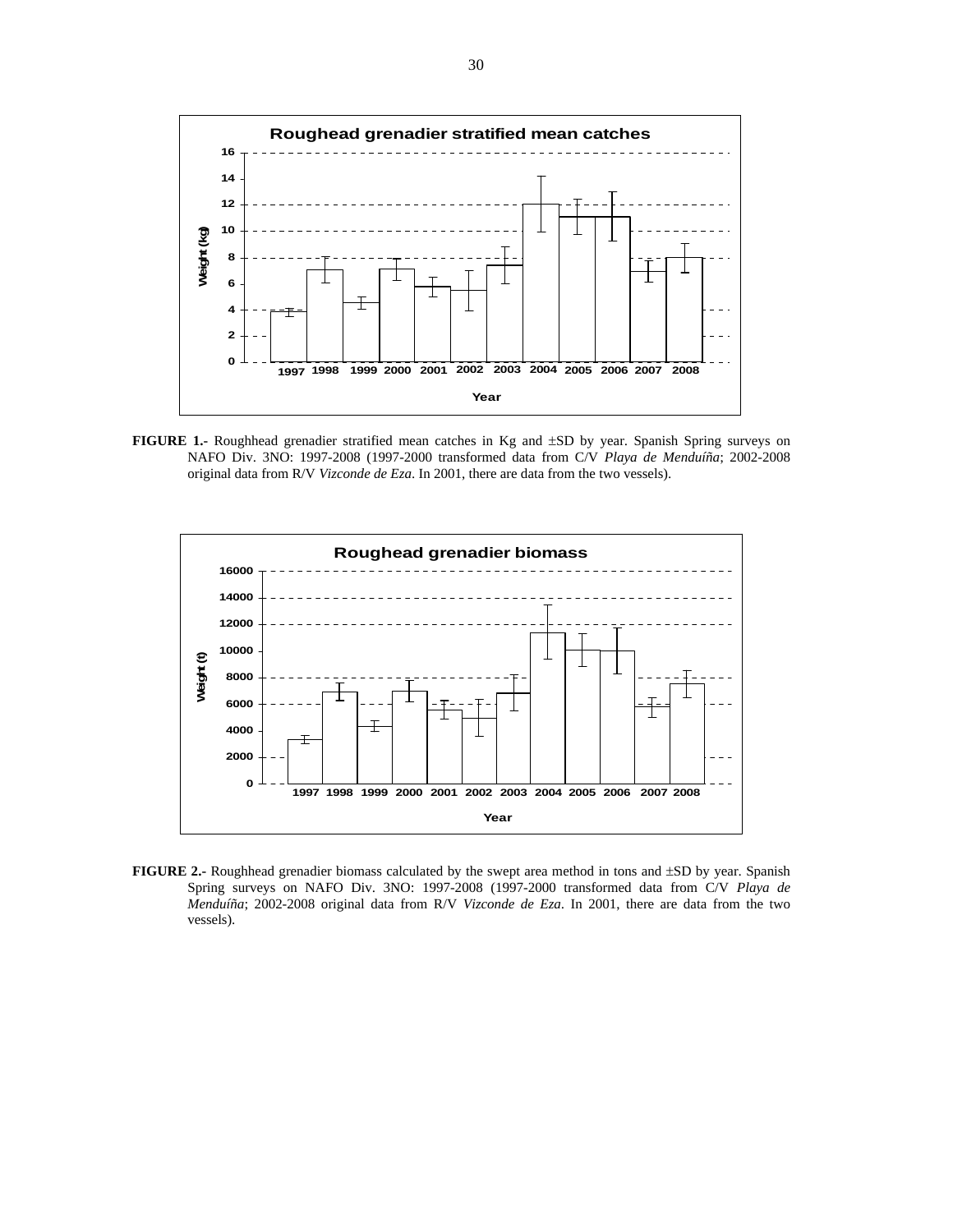

**FIGURE 1.-** Roughhead grenadier stratified mean catches in Kg and ±SD by year. Spanish Spring surveys on NAFO Div. 3NO: 1997-2008 (1997-2000 transformed data from C/V *Playa de Menduíña*; 2002-2008 original data from R/V *Vizconde de Eza*. In 2001, there are data from the two vessels).



**FIGURE 2.-** Roughhead grenadier biomass calculated by the swept area method in tons and ±SD by year. Spanish Spring surveys on NAFO Div. 3NO: 1997-2008 (1997-2000 transformed data from C/V *Playa de Menduíña*; 2002-2008 original data from R/V *Vizconde de Eza*. In 2001, there are data from the two vessels).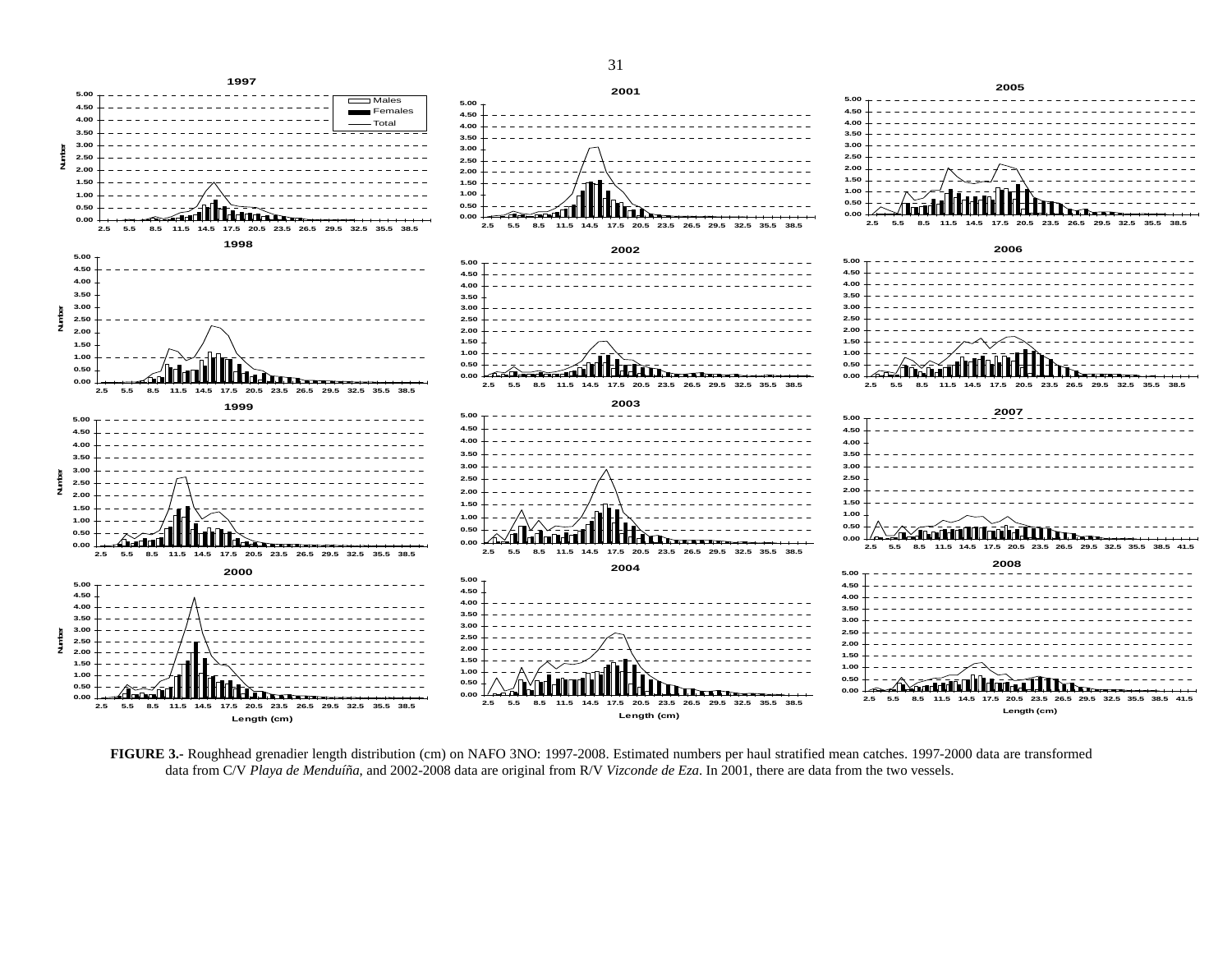

bos port



**Number**

Number

**Number**

Number

**Number**

Į

**Number**

Number

**Length (cm)**

**FIGURE 3.-** Roughhead grenadier length distribution (cm) on NAFO 3NO: 1997-2008. Estimated numbers per haul stratified mean catches. 1997-2000 data are transformed data from C/V *Playa de Menduíña*, and 2002-2008 data are original from R/V *Vizconde de Eza*. In 2001, there are data from the two vessels.

**Length (cm)**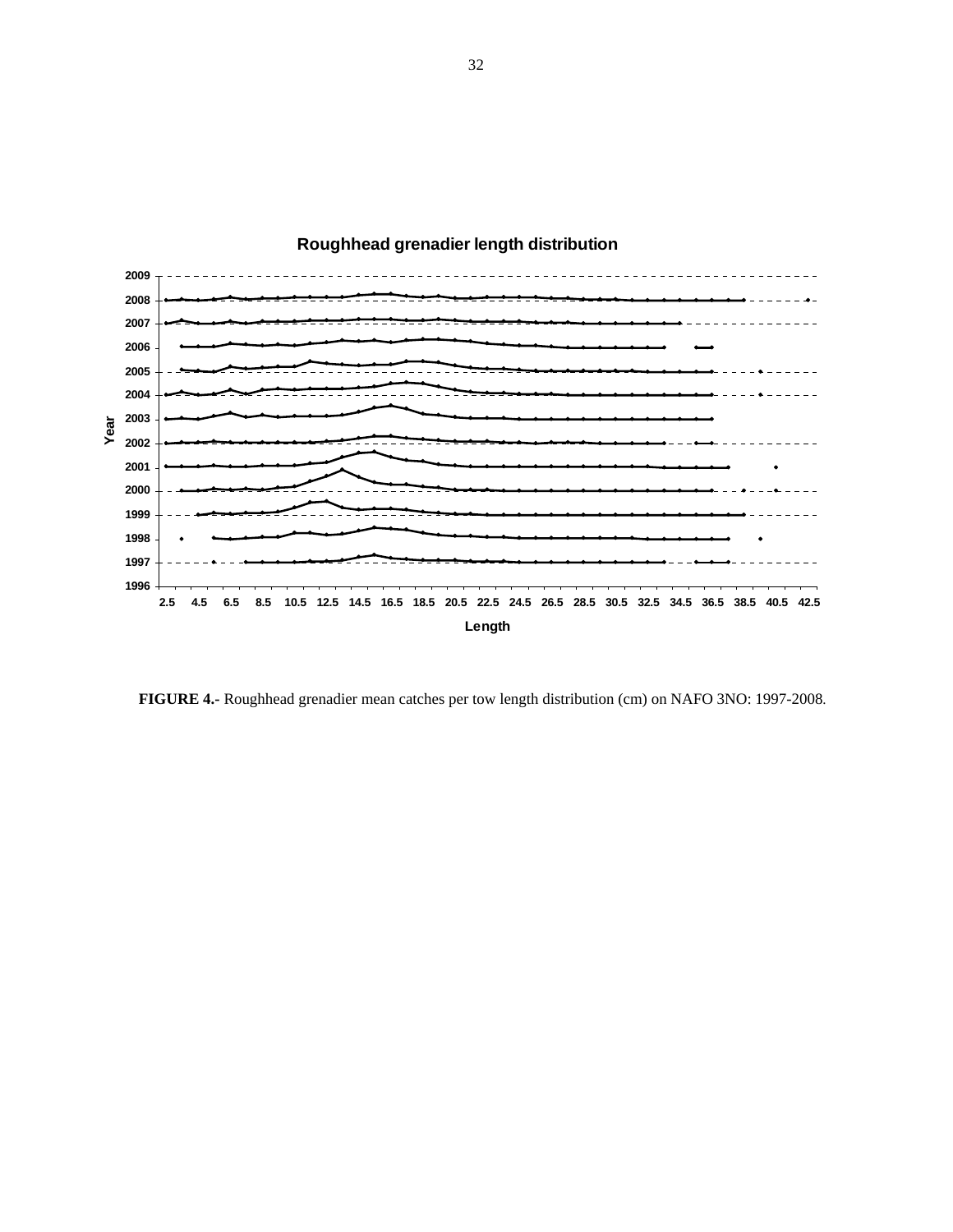

# **Roughhead grenadier length distribution**

**FIGURE 4.-** Roughhead grenadier mean catches per tow length distribution (cm) on NAFO 3NO: 1997-2008.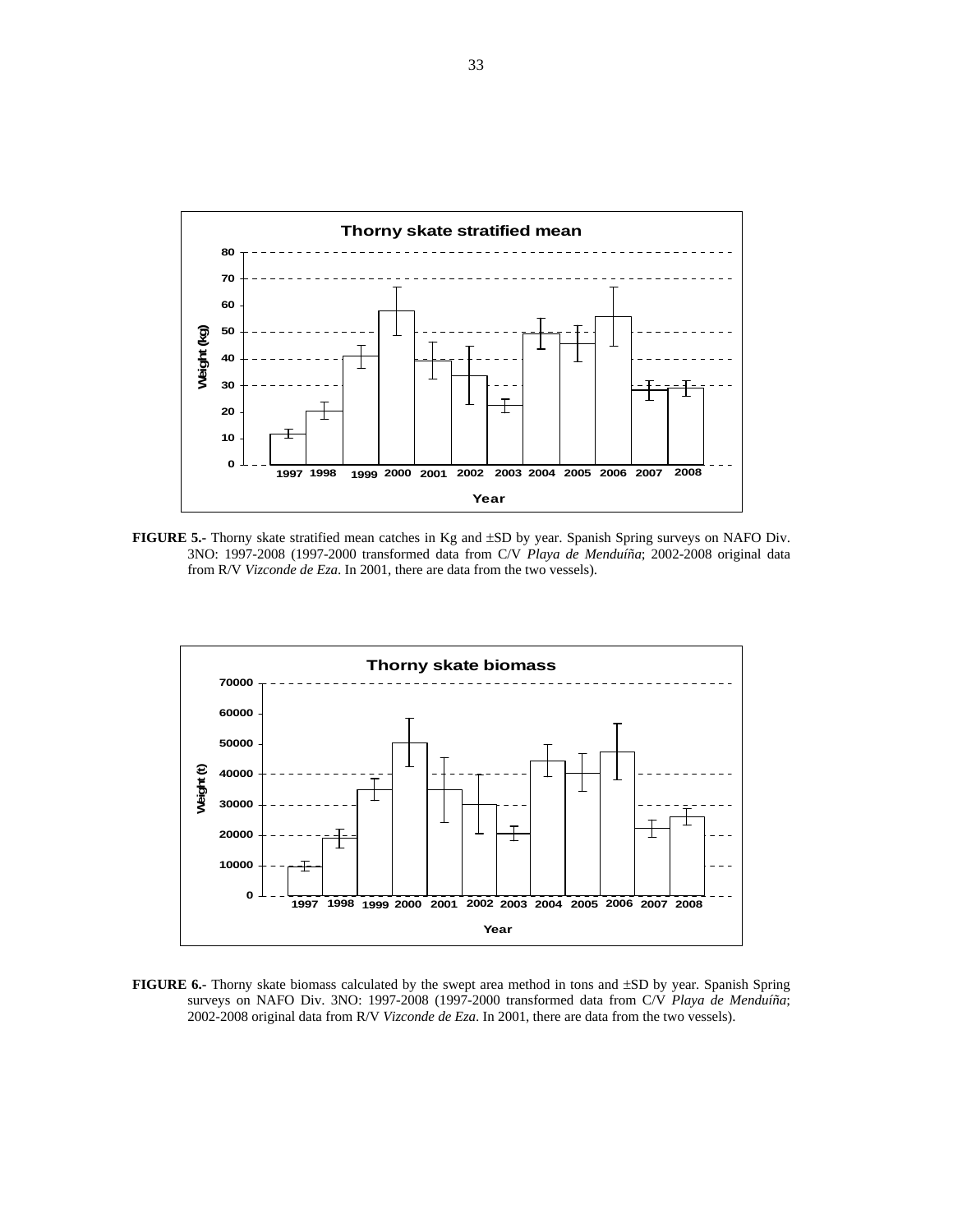

**FIGURE 5.-** Thorny skate stratified mean catches in Kg and ±SD by year. Spanish Spring surveys on NAFO Div. 3NO: 1997-2008 (1997-2000 transformed data from C/V *Playa de Menduíña*; 2002-2008 original data from R/V *Vizconde de Eza*. In 2001, there are data from the two vessels).



**FIGURE 6.-** Thorny skate biomass calculated by the swept area method in tons and ±SD by year. Spanish Spring surveys on NAFO Div. 3NO: 1997-2008 (1997-2000 transformed data from C/V *Playa de Menduíña*; 2002-2008 original data from R/V *Vizconde de Eza*. In 2001, there are data from the two vessels).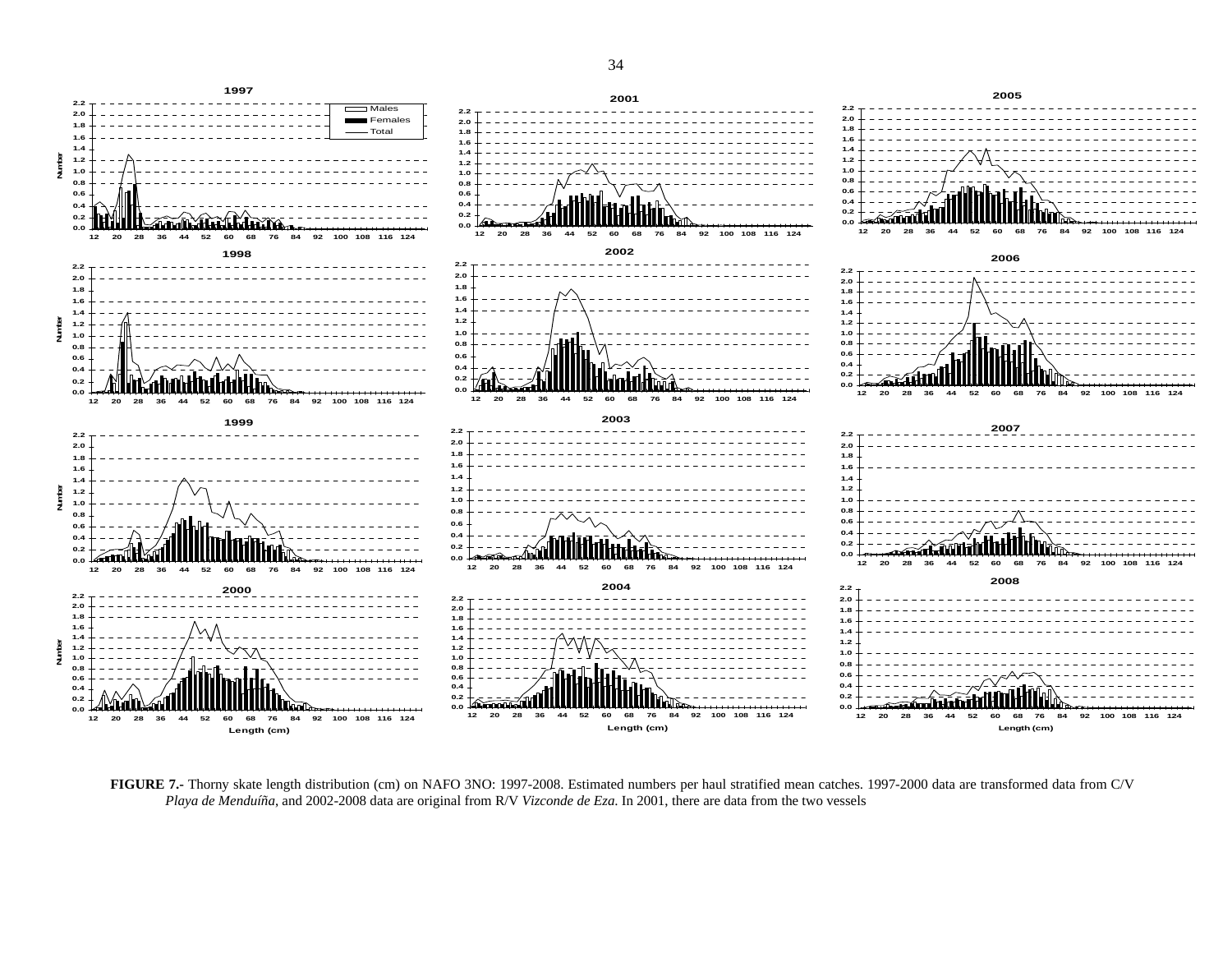

**FIGURE 7.-** Thorny skate length distribution (cm) on NAFO 3NO: 1997-2008. Estimated numbers per haul stratified mean catches. 1997-2000 data are transformed data from C/V *Playa de Menduíña*, and 2002-2008 data are original from R/V *Vizconde de Eza*. In 2001, there are data from the two vessels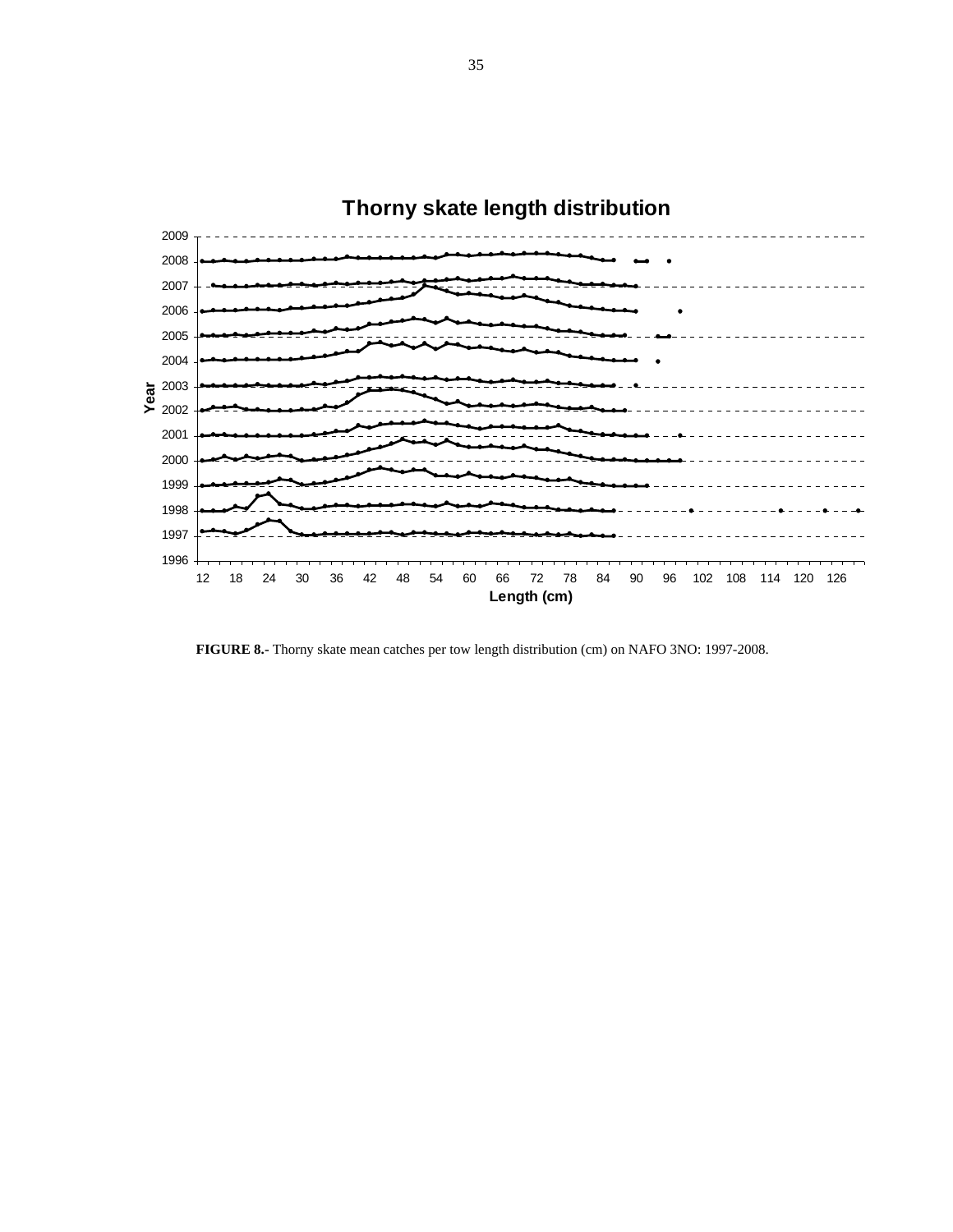

**FIGURE 8.-** Thorny skate mean catches per tow length distribution (cm) on NAFO 3NO: 1997-2008.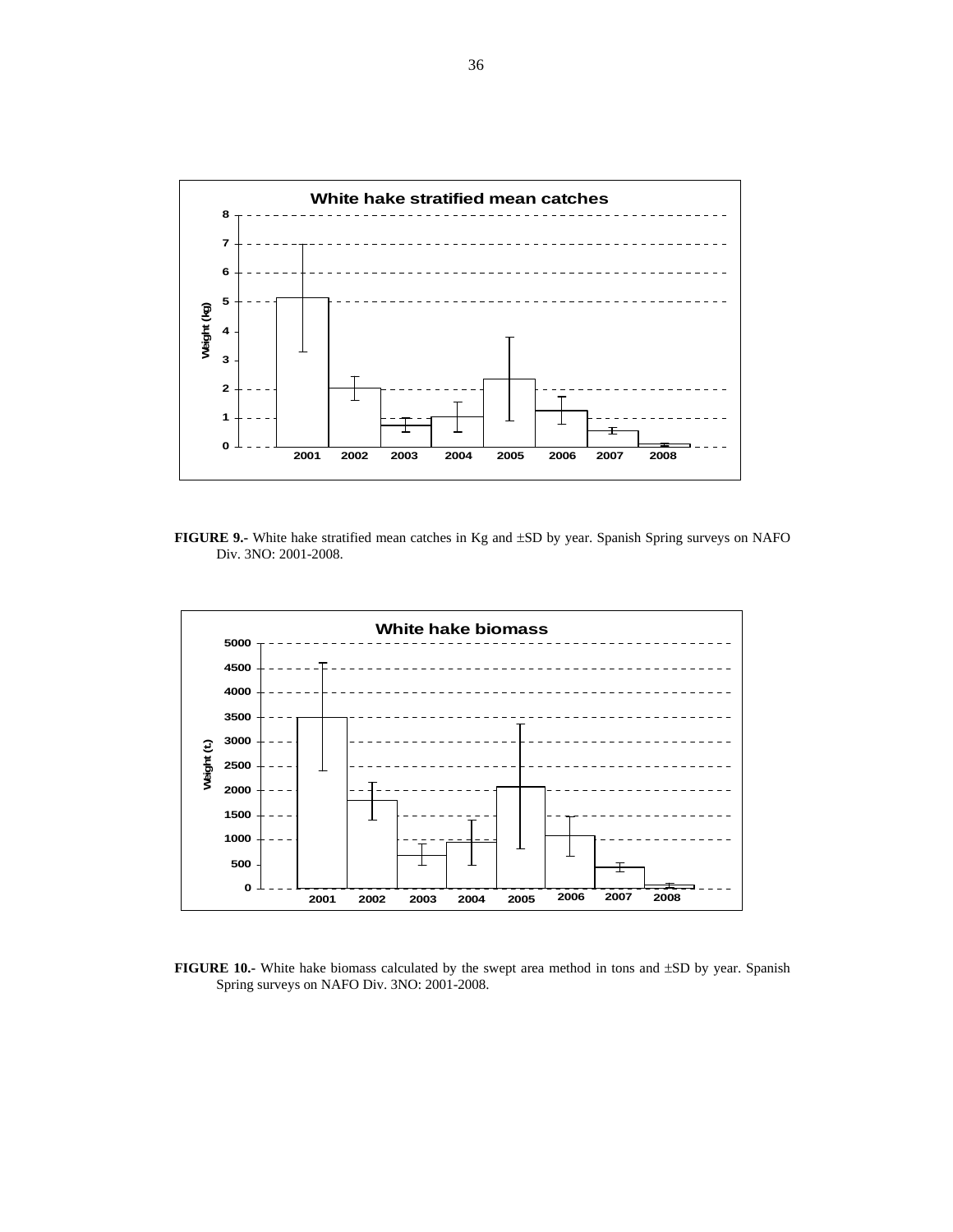

**FIGURE 9.-** White hake stratified mean catches in Kg and ±SD by year. Spanish Spring surveys on NAFO Div. 3NO: 2001-2008.



**FIGURE 10.-** White hake biomass calculated by the swept area method in tons and ±SD by year. Spanish Spring surveys on NAFO Div. 3NO: 2001-2008.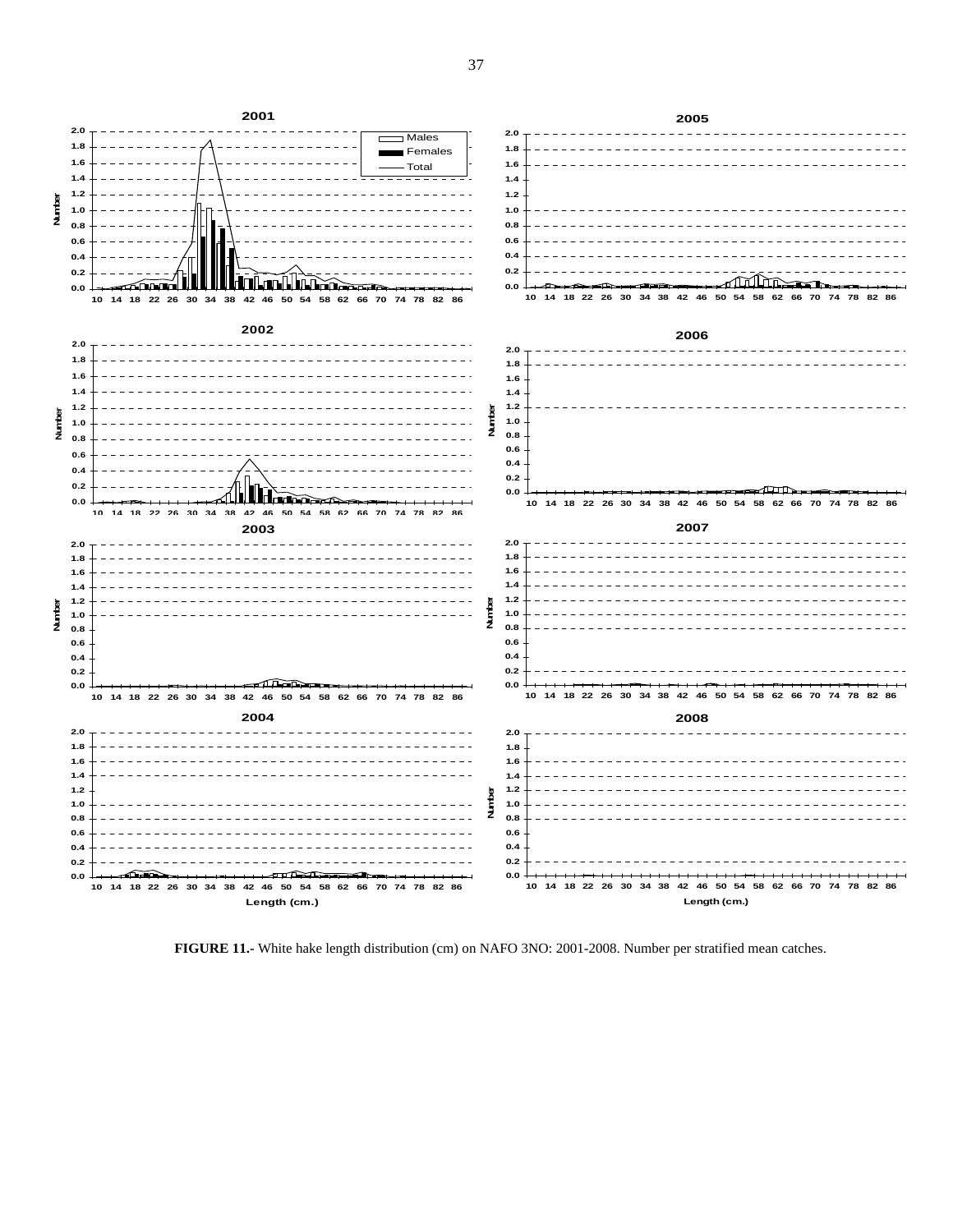

**FIGURE 11.-** White hake length distribution (cm) on NAFO 3NO: 2001-2008. Number per stratified mean catches.